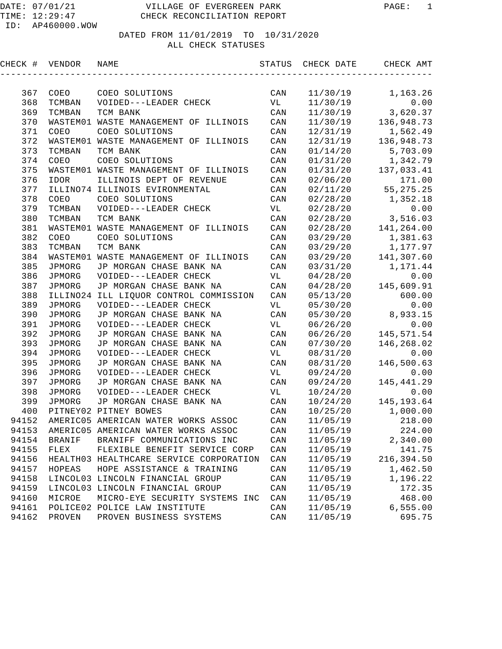## DATE: 07/01/21 VILLAGE OF EVERGREEN PARK PAGE: 1 CHECK RECONCILIATION REPORT

# DATED FROM 11/01/2019 TO 10/31/2020

ALL CHECK STATUSES

| CHECK # | VENDOR        | NAME                                      | STATUS                  | CHECK DATE | CHECK AMT   |
|---------|---------------|-------------------------------------------|-------------------------|------------|-------------|
|         |               |                                           |                         |            |             |
| 367     | COEO          | COEO SOLUTIONS                            | CAN                     | 11/30/19   | 1,163.26    |
| 368     | TCMBAN        | VOIDED---LEADER CHECK                     | VL                      | 11/30/19   | 0.00        |
| 369     | TCMBAN        | TCM BANK                                  | CAN                     | 11/30/19   | 3,620.37    |
| 370     |               | WASTEM01 WASTE MANAGEMENT OF ILLINOIS     | $\mathtt{CAN}$          | 11/30/19   | 136,948.73  |
| 371     | COEO          | COEO SOLUTIONS                            | $\mathtt{CAN}$          | 12/31/19   | 1,562.49    |
| 372     | WASTEM01      | WASTE MANAGEMENT OF ILLINOIS              | $\mathtt{CAN}$          | 12/31/19   | 136,948.73  |
| 373     | TCMBAN        | TCM BANK                                  | $\mathtt{CAN}$          | 01/14/20   | 5,703.09    |
| 374     | COEO          | COEO SOLUTIONS                            | $\mathtt{CAN}$          | 01/31/20   | 1,342.79    |
| 375     |               | WASTEM01 WASTE MANAGEMENT OF ILLINOIS     | $\mathtt{CAN}$          | 01/31/20   | 137,033.41  |
| 376     | IDOR          | ILLINOIS DEPT OF REVENUE                  | $\mathtt{CAN}$          | 02/06/20   | 171.00      |
| 377     |               | ILLINO74 ILLINOIS EVIRONMENTAL            | $\mathtt{CAN}$          | 02/11/20   | 55, 275. 25 |
| 378     | COEO          | COEO SOLUTIONS                            | $\mathtt{CAN}$          | 02/28/20   | 1,352.18    |
| 379     | TCMBAN        | VOIDED---LEADER CHECK                     | VL                      | 02/28/20   | 0.00        |
| 380     | TCMBAN        | TCM BANK                                  | CAN                     | 02/28/20   | 3,516.03    |
| 381     |               | WASTEM01 WASTE MANAGEMENT OF ILLINOIS     | $\mathtt{CAN}$          | 02/28/20   | 141,264.00  |
| 382     | COEO          | COEO SOLUTIONS                            | $\mathtt{CAN}$          | 03/29/20   | 1,381.63    |
| 383     | TCMBAN        | TCM BANK                                  | $\mathtt{CAN}$          | 03/29/20   | 1,177.97    |
| 384     |               | WASTEM01 WASTE MANAGEMENT OF ILLINOIS     | $\mathtt{CAN}$          | 03/29/20   | 141,307.60  |
| 385     | JPMORG        | JP MORGAN CHASE BANK NA                   | $\mathtt{CAN}$          | 03/31/20   | 1,171.44    |
| 386     | JPMORG        | VOIDED---LEADER CHECK                     | VL                      | 04/28/20   | 0.00        |
| 387     | JPMORG        | JP MORGAN CHASE BANK NA                   | $\mathtt{CAN}$          | 04/28/20   | 145,609.91  |
| 388     |               | ILLINO24 ILL LIQUOR CONTROL COMMISSION    | CAN                     | 05/13/20   | 600.00      |
| 389     | JPMORG        | VOIDED---LEADER CHECK                     | VL                      | 05/30/20   | 0.00        |
| 390     | JPMORG        | JP MORGAN CHASE BANK NA                   | CAN                     | 05/30/20   | 8,933.15    |
| 391     | JPMORG        | VOIDED---LEADER CHECK                     | VL                      | 06/26/20   | 0.00        |
| 392     | JPMORG        | JP MORGAN CHASE BANK NA                   | CAN                     | 06/26/20   | 145, 571.54 |
| 393     | JPMORG        | JP MORGAN CHASE BANK NA                   | CAN                     | 07/30/20   | 146,268.02  |
| 394     | JPMORG        | VOIDED---LEADER CHECK                     | VL                      | 08/31/20   | 0.00        |
| 395     | JPMORG        | JP MORGAN CHASE BANK NA                   | CAN                     | 08/31/20   | 146,500.63  |
| 396     | JPMORG        | VOIDED---LEADER CHECK                     | VL                      | 09/24/20   | 0.00        |
| 397     | JPMORG        | JP MORGAN CHASE BANK NA                   | CAN                     | 09/24/20   | 145, 441.29 |
| 398     | JPMORG        | VOIDED---LEADER CHECK                     | VL                      | 10/24/20   | 0.00        |
| 399     | JPMORG        | JP MORGAN CHASE BANK NA                   | $\mathtt{CAN}$          | 10/24/20   | 145, 193.64 |
| 400     |               | PITNEY02 PITNEY BOWES                     | CAN                     | 10/25/20   | 1,000.00    |
| 94152   |               | AMERIC05 AMERICAN WATER WORKS ASSOC       | CAN                     | 11/05/19   | 218.00      |
|         |               | 94153 AMERIC05 AMERICAN WATER WORKS ASSOC | $\mathop{\mathtt{CAN}}$ | 11/05/19   | 224.00      |
| 94154   | <b>BRANIF</b> | BRANIFF COMMUNICATIONS INC                | CAN                     | 11/05/19   | 2,340.00    |
| 94155   | FLEX          | FLEXIBLE BENEFIT SERVICE CORP             | CAN                     | 11/05/19   | 141.75      |
| 94156   |               | HEALTH03 HEALTHCARE SERVICE CORPORATION   | CAN                     | 11/05/19   | 216,394.50  |
| 94157   | HOPEAS        | HOPE ASSISTANCE & TRAINING                | CAN                     | 11/05/19   | 1,462.50    |
| 94158   |               | LINCOL03 LINCOLN FINANCIAL GROUP          | CAN                     | 11/05/19   | 1,196.22    |
| 94159   |               | LINCOL03 LINCOLN FINANCIAL GROUP          | CAN                     | 11/05/19   | 172.35      |
| 94160   | MICROE        | MICRO-EYE SECURITY SYSTEMS INC            | CAN                     | 11/05/19   | 468.00      |
| 94161   |               | POLICE02 POLICE LAW INSTITUTE             | CAN                     | 11/05/19   | 6, 555.00   |
| 94162   | PROVEN        | PROVEN BUSINESS SYSTEMS                   | CAN                     | 11/05/19   | 695.75      |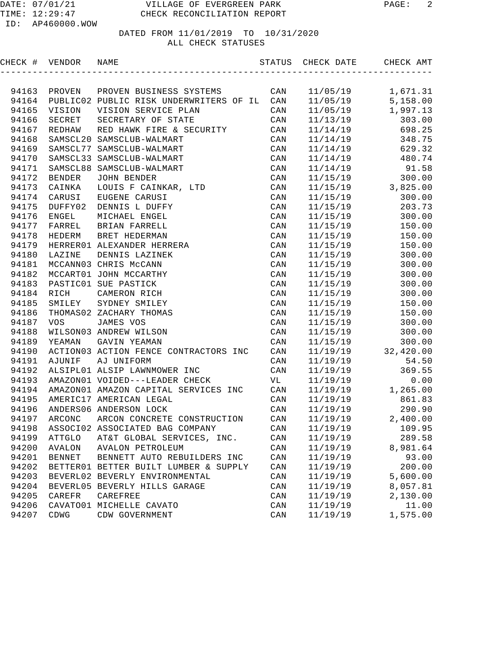| CHECK # VENDOR |               | NAME                                    | STATUS | CHECK DATE | CHECK AMT |
|----------------|---------------|-----------------------------------------|--------|------------|-----------|
|                |               |                                         |        |            |           |
| 94163          | PROVEN        | PROVEN BUSINESS SYSTEMS                 | CAN    | 11/05/19   | 1,671.31  |
| 94164          |               | PUBLIC02 PUBLIC RISK UNDERWRITERS OF IL | CAN    | 11/05/19   | 5,158.00  |
| 94165          | VISION        | VISION SERVICE PLAN                     | CAN    | 11/05/19   | 1,997.13  |
| 94166          | SECRET        | SECRETARY OF STATE                      | CAN    | 11/13/19   | 303.00    |
| 94167          | REDHAW        | RED HAWK FIRE & SECURITY                | CAN    | 11/14/19   | 698.25    |
| 94168          |               | SAMSCL20 SAMSCLUB-WALMART               | CAN    | 11/14/19   | 348.75    |
| 94169          |               | SAMSCL77 SAMSCLUB-WALMART               | CAN    | 11/14/19   | 629.32    |
| 94170          |               | SAMSCL33 SAMSCLUB-WALMART               | CAN    | 11/14/19   | 480.74    |
| 94171          |               | SAMSCL88 SAMSCLUB-WALMART               | CAN    | 11/14/19   | 91.58     |
| 94172          | <b>BENDER</b> | <b>JOHN BENDER</b>                      | CAN    | 11/15/19   | 300.00    |
| 94173          | CAINKA        | LOUIS F CAINKAR, LTD                    | CAN    | 11/15/19   | 3,825.00  |
| 94174          | CARUSI        | EUGENE CARUSI                           | CAN    | 11/15/19   | 300.00    |
| 94175          | DUFFY02       | DENNIS L DUFFY                          | CAN    | 11/15/19   | 203.73    |
| 94176          | ENGEL         | MICHAEL ENGEL                           | CAN    | 11/15/19   | 300.00    |
| 94177          | FARREL        | BRIAN FARRELL                           | CAN    | 11/15/19   | 150.00    |
| 94178          | HEDERM        | BRET HEDERMAN                           | CAN    | 11/15/19   | 150.00    |
| 94179          |               | HERRER01 ALEXANDER HERRERA              | CAN    | 11/15/19   | 150.00    |
| 94180          | LAZINE        | DENNIS LAZINEK                          | CAN    | 11/15/19   | 300.00    |
| 94181          |               | MCCANN03 CHRIS McCANN                   | CAN    | 11/15/19   | 300.00    |
| 94182          |               | MCCART01 JOHN MCCARTHY                  | CAN    | 11/15/19   | 300.00    |
| 94183          |               | PASTIC01 SUE PASTICK                    | CAN    | 11/15/19   | 300.00    |
| 94184          | RICH          | CAMERON RICH                            | CAN    | 11/15/19   | 300.00    |
| 94185          | SMILEY        | SYDNEY SMILEY                           | CAN    | 11/15/19   | 150.00    |
| 94186          |               | THOMAS02 ZACHARY THOMAS                 | CAN    | 11/15/19   | 150.00    |
| 94187          | <b>VOS</b>    | JAMES VOS                               | CAN    | 11/15/19   | 300.00    |
| 94188          |               | WILSON03 ANDREW WILSON                  | CAN    | 11/15/19   | 300.00    |
| 94189          | YEAMAN        | GAVIN YEAMAN                            | CAN    | 11/15/19   | 300.00    |
| 94190          |               | ACTION03 ACTION FENCE CONTRACTORS INC   | CAN    | 11/19/19   | 32,420.00 |
| 94191          | AJUNIF        | AJ UNIFORM                              | CAN    | 11/19/19   | 54.50     |
| 94192          |               | ALSIPL01 ALSIP LAWNMOWER INC            | CAN    | 11/19/19   | 369.55    |
| 94193          |               | AMAZON01 VOIDED---LEADER CHECK          | VL     | 11/19/19   | 0.00      |
| 94194          |               | AMAZON01 AMAZON CAPITAL SERVICES INC    | CAN    | 11/19/19   | 1,265.00  |
| 94195          |               | AMERIC17 AMERICAN LEGAL                 | CAN    | 11/19/19   | 861.83    |
| 94196          |               | ANDERS06 ANDERSON LOCK                  | CAN    | 11/19/19   | 290.90    |
| 94197          | ARCONC        | ARCON CONCRETE CONSTRUCTION             | CAN    | 11/19/19   | 2,400.00  |
| 94198          |               | ASSOCI02 ASSOCIATED BAG COMPANY         | CAN    | 11/19/19   | 109.95    |
| 94199          | ATTGLO        | AT&T GLOBAL SERVICES, INC.              | CAN    | 11/19/19   | 289.58    |
| 94200          | AVALON        | <b>AVALON PETROLEUM</b>                 | CAN    | 11/19/19   | 8,981.64  |
| 94201          | <b>BENNET</b> | BENNETT AUTO REBUILDERS INC             | CAN    | 11/19/19   | 93.00     |
| 94202          |               | BETTER01 BETTER BUILT LUMBER & SUPPLY   | CAN    | 11/19/19   | 200.00    |
| 94203          |               | BEVERL02 BEVERLY ENVIRONMENTAL          | CAN    | 11/19/19   | 5,600.00  |
| 94204          |               | BEVERL05 BEVERLY HILLS GARAGE           | CAN    | 11/19/19   | 8,057.81  |
| 94205          | CAREFR        | CAREFREE                                | CAN    | 11/19/19   | 2,130.00  |
| 94206          |               | CAVATO01 MICHELLE CAVATO                | CAN    | 11/19/19   | 11.00     |
| 94207          | CDWG          | CDW GOVERNMENT                          | CAN    | 11/19/19   | 1,575.00  |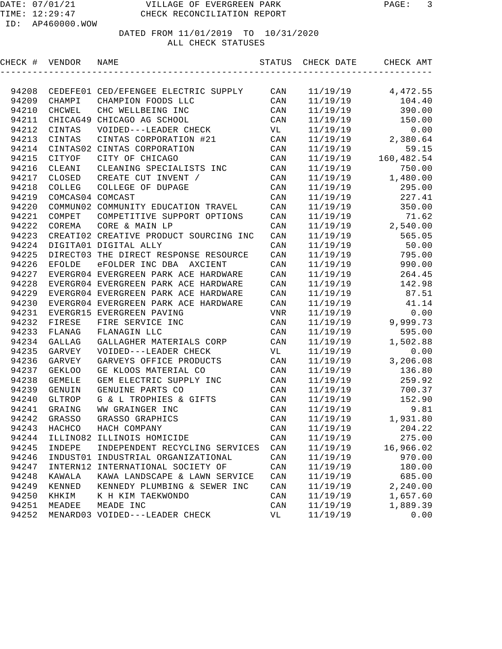CHECK # VENDOR NAME STATUS CHECK DATE CHECK AMT

| 94208 |                  | CEDEFE01 CED/EFENGEE ELECTRIC SUPPLY   | CAN | 11/19/19 | 4,472.55   |
|-------|------------------|----------------------------------------|-----|----------|------------|
| 94209 | CHAMPI           | CHAMPION FOODS LLC                     | CAN | 11/19/19 | 104.40     |
| 94210 | CHCWEL           | CHC WELLBEING INC                      | CAN | 11/19/19 | 390.00     |
| 94211 | CHICAG49         | CHICAGO AG SCHOOL                      | CAN | 11/19/19 | 150.00     |
| 94212 | CINTAS           | VOIDED---LEADER CHECK                  | VL  | 11/19/19 | 0.00       |
| 94213 | CINTAS           | CINTAS CORPORATION #21                 | CAN | 11/19/19 | 2,380.64   |
| 94214 | CINTAS02         | CINTAS CORPORATION                     | CAN | 11/19/19 | 59.15      |
| 94215 | CITYOF           | CITY OF CHICAGO                        | CAN | 11/19/19 | 160,482.54 |
| 94216 | CLEANI           | CLEANING SPECIALISTS INC               | CAN | 11/19/19 | 750.00     |
| 94217 | CLOSED           | CREATE CUT INVENT /                    | CAN | 11/19/19 | 1,480.00   |
| 94218 | COLLEG           | COLLEGE OF DUPAGE                      | CAN | 11/19/19 | 295.00     |
| 94219 | COMCAS04 COMCAST |                                        | CAN | 11/19/19 | 227.41     |
| 94220 |                  | COMMUN02 COMMUNITY EDUCATION TRAVEL    | CAN | 11/19/19 | 350.00     |
| 94221 | COMPET           | COMPETITIVE SUPPORT OPTIONS            | CAN | 11/19/19 | 71.62      |
| 94222 | COREMA           | CORE & MAIN LP                         | CAN | 11/19/19 | 2,540.00   |
| 94223 |                  | CREATI02 CREATIVE PRODUCT SOURCING INC | CAN | 11/19/19 | 565.05     |
| 94224 |                  | DIGITA01 DIGITAL ALLY                  | CAN | 11/19/19 | 50.00      |
| 94225 |                  | DIRECT03 THE DIRECT RESPONSE RESOURCE  | CAN | 11/19/19 | 795.00     |
| 94226 | <b>EFOLDE</b>    | eFOLDER INC DBA AXCIENT                | CAN | 11/19/19 | 990.00     |
| 94227 |                  | EVERGR04 EVERGREEN PARK ACE HARDWARE   | CAN | 11/19/19 | 264.45     |
| 94228 |                  | EVERGR04 EVERGREEN PARK ACE HARDWARE   | CAN | 11/19/19 | 142.98     |
| 94229 |                  | EVERGR04 EVERGREEN PARK ACE HARDWARE   | CAN | 11/19/19 | 87.51      |
| 94230 |                  | EVERGR04 EVERGREEN PARK ACE HARDWARE   | CAN | 11/19/19 | 41.14      |
| 94231 |                  | EVERGR15 EVERGREEN PAVING              | VNR | 11/19/19 | 0.00       |
| 94232 | FIRESE           | FIRE SERVICE INC                       | CAN | 11/19/19 | 9,999.73   |
| 94233 | FLANAG           | FLANAGIN LLC                           | CAN | 11/19/19 | 595.00     |
| 94234 | GALLAG           | GALLAGHER MATERIALS CORP               | CAN | 11/19/19 | 1,502.88   |
| 94235 | GARVEY           | VOIDED---LEADER CHECK                  | VL  | 11/19/19 | 0.00       |
| 94236 | GARVEY           | GARVEYS OFFICE PRODUCTS                | CAN | 11/19/19 | 3,206.08   |
| 94237 | <b>GEKLOO</b>    | GE KLOOS MATERIAL CO                   | CAN | 11/19/19 | 136.80     |
| 94238 | <b>GEMELE</b>    | GEM ELECTRIC SUPPLY INC                | CAN | 11/19/19 | 259.92     |
| 94239 | GENUIN           | GENUINE PARTS CO                       | CAN | 11/19/19 | 700.37     |
| 94240 | GLTROP           | G & L TROPHIES & GIFTS                 | CAN | 11/19/19 | 152.90     |
| 94241 | GRAING           | WW GRAINGER INC                        | CAN | 11/19/19 | 9.81       |
| 94242 | GRASSO           | GRASSO GRAPHICS                        | CAN | 11/19/19 | 1,931.80   |
| 94243 | HACHCO           | HACH COMPANY                           | CAN | 11/19/19 | 204.22     |
|       |                  | 94244 ILLINO82 ILLINOIS HOMICIDE       | CAN | 11/19/19 | 275.00     |
| 94245 | INDEPE           | INDEPENDENT RECYCLING SERVICES         | CAN | 11/19/19 | 16,966.02  |
| 94246 |                  | INDUST01 INDUSTRIAL ORGANIZATIONAL     | CAN | 11/19/19 | 970.00     |
| 94247 |                  | INTERN12 INTERNATIONAL SOCIETY OF      | CAN | 11/19/19 | 180.00     |
| 94248 | KAWALA           | KAWA LANDSCAPE & LAWN SERVICE          | CAN | 11/19/19 | 685.00     |
| 94249 | KENNED           | KENNEDY PLUMBING & SEWER INC           | CAN | 11/19/19 | 2,240.00   |
| 94250 | KHKIM            | K H KIM TAEKWONDO                      | CAN | 11/19/19 | 1,657.60   |
| 94251 | MEADEE           | MEADE INC                              | CAN | 11/19/19 | 1,889.39   |
| 94252 |                  | MENARD03 VOIDED---LEADER CHECK         | VL  | 11/19/19 | 0.00       |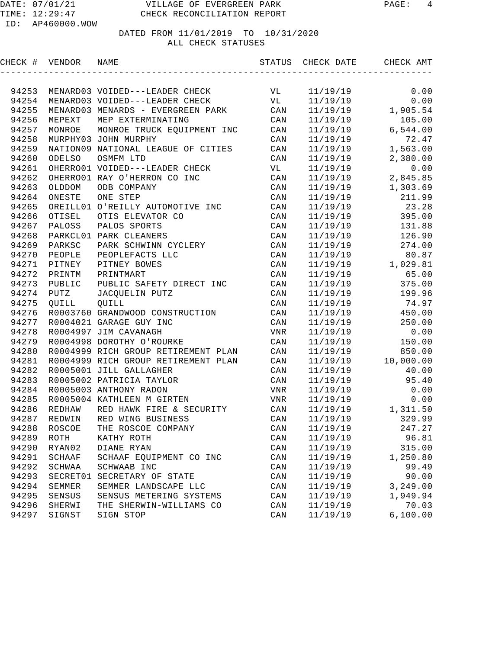| CHECK # VENDOR |          | NAME                                | STATUS         | CHECK DATE | CHECK AMT |
|----------------|----------|-------------------------------------|----------------|------------|-----------|
|                |          |                                     |                |            |           |
| 94253          |          | MENARD03 VOIDED---LEADER CHECK      | VL             | 11/19/19   | 0.00      |
| 94254          |          | MENARD03 VOIDED---LEADER CHECK      | VL             | 11/19/19   | 0.00      |
| 94255          |          | MENARD03 MENARDS - EVERGREEN PARK   | CAN            | 11/19/19   | 1,905.54  |
| 94256          | MEPEXT   | MEP EXTERMINATING                   | CAN            | 11/19/19   | 105.00    |
| 94257          | MONROE   | MONROE TRUCK EQUIPMENT INC          | CAN            | 11/19/19   | 6,544.00  |
| 94258          |          | MURPHY03 JOHN MURPHY                | CAN            | 11/19/19   | 72.47     |
| 94259          |          | NATION09 NATIONAL LEAGUE OF CITIES  | CAN            | 11/19/19   | 1,563.00  |
| 94260          | ODELSO   | OSMFM LTD                           | CAN            | 11/19/19   | 2,380.00  |
| 94261          |          | OHERRO01 VOIDED---LEADER CHECK      | VL             | 11/19/19   | 0.00      |
| 94262          |          | OHERRO01 RAY O'HERRON CO INC        | CAN            | 11/19/19   | 2,845.85  |
| 94263          | OLDDOM   | ODB COMPANY                         | CAN            | 11/19/19   | 1,303.69  |
| 94264          | ONESTE   | ONE STEP                            | CAN            | 11/19/19   | 211.99    |
| 94265          |          | OREILL01 O'REILLY AUTOMOTIVE INC    | CAN            | 11/19/19   | 23.28     |
| 94266          | OTISEL   | OTIS ELEVATOR CO                    | CAN            | 11/19/19   | 395.00    |
| 94267          | PALOSS   | PALOS SPORTS                        | CAN            | 11/19/19   | 131.88    |
| 94268          |          | PARKCL01 PARK CLEANERS              | CAN            | 11/19/19   | 126.90    |
| 94269          | PARKSC   | PARK SCHWINN CYCLERY                | CAN            | 11/19/19   | 274.00    |
| 94270          | PEOPLE   | PEOPLEFACTS LLC                     | CAN            | 11/19/19   | 80.87     |
| 94271          | PITNEY   | PITNEY BOWES                        | CAN            | 11/19/19   | 1,029.81  |
| 94272          | PRINTM   | PRINTMART                           | CAN            | 11/19/19   | 65.00     |
| 94273          | PUBLIC   | PUBLIC SAFETY DIRECT INC            | CAN            | 11/19/19   | 375.00    |
| 94274          | PUTZ     | JACQUELIN PUTZ                      | CAN            | 11/19/19   | 199.96    |
| 94275          | QUILL    | QUILL                               | CAN            | 11/19/19   | 74.97     |
| 94276          |          | R0003760 GRANDWOOD CONSTRUCTION     | CAN            | 11/19/19   | 450.00    |
| 94277          |          | R0004021 GARAGE GUY INC             | CAN            | 11/19/19   | 250.00    |
| 94278          |          | R0004997 JIM CAVANAGH               | VNR            | 11/19/19   | 0.00      |
| 94279          |          | R0004998 DOROTHY O'ROURKE           | CAN            | 11/19/19   | 150.00    |
| 94280          |          | R0004999 RICH GROUP RETIREMENT PLAN | CAN            | 11/19/19   | 850.00    |
| 94281          |          | R0004999 RICH GROUP RETIREMENT PLAN | CAN            | 11/19/19   | 10,000.00 |
| 94282          |          | R0005001 JILL GALLAGHER             | CAN            | 11/19/19   | 40.00     |
| 94283          |          | R0005002 PATRICIA TAYLOR            | CAN            | 11/19/19   | 95.40     |
| 94284          |          | R0005003 ANTHONY RADON              | VNR            | 11/19/19   | 0.00      |
| 94285          |          | R0005004 KATHLEEN M GIRTEN          | VNR            | 11/19/19   | 0.00      |
| 94286          | REDHAW   | RED HAWK FIRE & SECURITY            | CAN            | 11/19/19   | 1,311.50  |
| 94287          | REDWIN   | RED WING BUSINESS                   | CAN            | 11/19/19   | 329.99    |
|                |          | 94288 ROSCOE THE ROSCOE COMPANY     | CAN            | 11/19/19   | 247.27    |
| 94289          | ROTH     | KATHY ROTH                          | $\mathtt{CAN}$ | 11/19/19   | 96.81     |
| 94290          | RYAN02   | DIANE RYAN                          | CAN            | 11/19/19   | 315.00    |
| 94291          | SCHAAF   | SCHAAF EQUIPMENT CO INC             | $\mathtt{CAN}$ | 11/19/19   | 1,250.80  |
| 94292          | SCHWAA   | SCHWAAB INC                         | CAN            | 11/19/19   | 99.49     |
| 94293          | SECRET01 | SECRETARY OF STATE                  | CAN            | 11/19/19   | 90.00     |
| 94294          | SEMMER   | SEMMER LANDSCAPE LLC                | CAN            | 11/19/19   | 3,249.00  |
| 94295          | SENSUS   | SENSUS METERING SYSTEMS             | CAN            | 11/19/19   | 1,949.94  |
| 94296          | SHERWI   | THE SHERWIN-WILLIAMS CO             | CAN            | 11/19/19   | 70.03     |
| 94297          | SIGNST   | SIGN STOP                           | CAN            | 11/19/19   | 6,100.00  |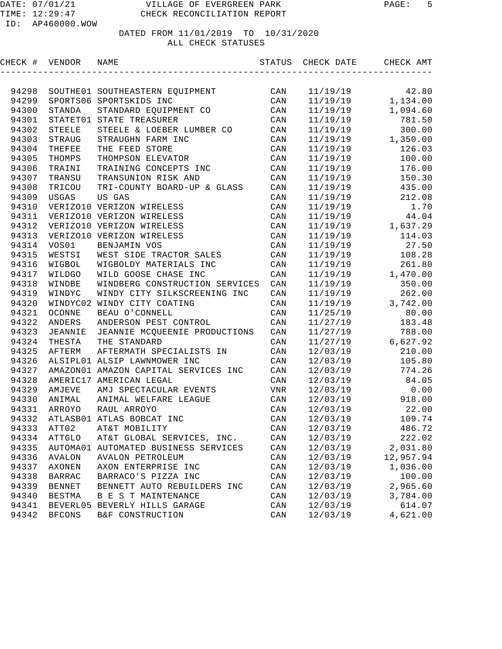| CHECK # VENDOR |                | NAME                                 | STATUS         | CHECK DATE | CHECK AMT |
|----------------|----------------|--------------------------------------|----------------|------------|-----------|
|                |                |                                      |                |            |           |
| 94298          |                | SOUTHE01 SOUTHEASTERN EQUIPMENT      | CAN            | 11/19/19   | 42.80     |
| 94299          |                | SPORTS06 SPORTSKIDS INC              | CAN            | 11/19/19   | 1,134.00  |
| 94300          | STANDA         | STANDARD EQUIPMENT CO                | CAN            | 11/19/19   | 1,094.60  |
| 94301          |                | STATET01 STATE TREASURER             | CAN            | 11/19/19   | 781.50    |
| 94302          | <b>STEELE</b>  | STEELE & LOEBER LUMBER CO            | CAN            | 11/19/19   | 300.00    |
| 94303          | STRAUG         | STRAUGHN FARM INC                    | CAN            | 11/19/19   | 1,350.00  |
| 94304          | THEFEE         | THE FEED STORE                       | CAN            | 11/19/19   | 126.03    |
| 94305          | THOMPS         | THOMPSON ELEVATOR                    | CAN            | 11/19/19   | 100.00    |
| 94306          | TRAINI         | TRAINING CONCEPTS INC                | CAN            | 11/19/19   | 176.00    |
| 94307          | TRANSU         | TRANSUNION RISK AND                  | CAN            | 11/19/19   | 150.30    |
| 94308          | TRICOU         | TRI-COUNTY BOARD-UP & GLASS          | $\mathtt{CAN}$ | 11/19/19   | 435.00    |
| 94309          | USGAS          | US GAS                               | CAN            | 11/19/19   | 212.08    |
| 94310          |                | VERIZO10 VERIZON WIRELESS            | CAN            | 11/19/19   | 1.70      |
| 94311          |                | VERIZO10 VERIZON WIRELESS            | CAN            | 11/19/19   | 44.04     |
| 94312          |                | VERIZO10 VERIZON WIRELESS            | CAN            | 11/19/19   | 1,637.29  |
| 94313          |                | VERIZO10 VERIZON WIRELESS            | CAN            | 11/19/19   | 114.03    |
| 94314          | VOS01          | BENJAMIN VOS                         | CAN            | 11/19/19   | 27.50     |
| 94315          | WESTSI         | WEST SIDE TRACTOR SALES              | CAN            | 11/19/19   | 108.28    |
| 94316          | WIGBOL         | WIGBOLDY MATERIALS INC               | CAN            | 11/19/19   | 261.80    |
| 94317          | WILDGO         | WILD GOOSE CHASE INC                 | CAN            | 11/19/19   | 1,470.00  |
| 94318          | WINDBE         | WINDBERG CONSTRUCTION SERVICES       | CAN            | 11/19/19   | 350.00    |
| 94319          | WINDYC         | WINDY CITY SILKSCREENING INC         | CAN            | 11/19/19   | 262.00    |
| 94320          |                | WINDYC02 WINDY CITY COATING          | CAN            | 11/19/19   | 3,742.00  |
| 94321          | OCONNE         | BEAU O'CONNELL                       | CAN            | 11/25/19   | 80.00     |
| 94322          | ANDERS         | ANDERSON PEST CONTROL                | CAN            | 11/27/19   | 183.48    |
| 94323          | <b>JEANNIE</b> | JEANNIE MCQUEENIE PRODUCTIONS        | CAN            | 11/27/19   | 788.00    |
| 94324          | THESTA         | THE STANDARD                         | CAN            | 11/27/19   | 6,627.92  |
| 94325          | AFTERM         | AFTERMATH SPECIALISTS IN             | CAN            | 12/03/19   | 210.00    |
| 94326          |                | ALSIPL01 ALSIP LAWNMOWER INC         | CAN            | 12/03/19   | 105.80    |
| 94327          |                | AMAZON01 AMAZON CAPITAL SERVICES INC | CAN            | 12/03/19   | 774.26    |
| 94328          | AMERIC17       | AMERICAN LEGAL                       | CAN            | 12/03/19   | 84.05     |
| 94329          | AMJEVE         | AMJ SPECTACULAR EVENTS               | VNR            | 12/03/19   | 0.00      |
| 94330          | ANIMAL         | ANIMAL WELFARE LEAGUE                | CAN            | 12/03/19   | 918.00    |
| 94331          | ARROYO         | RAUL ARROYO                          | CAN            | 12/03/19   | 22.00     |
| 94332          |                | ATLASB01 ATLAS BOBCAT INC            | CAN            | 12/03/19   | 109.74    |
|                | 94333 ATT02    | AT&T MOBILITY                        | $\mathtt{CAN}$ | 12/03/19   | 486.72    |
| 94334          | <b>ATTGLO</b>  | AT&T GLOBAL SERVICES, INC.           | $\mathtt{CAN}$ | 12/03/19   | 222.02    |
| 94335          |                | AUTOMA01 AUTOMATED BUSINESS SERVICES | CAN            | 12/03/19   | 2,031.80  |
| 94336          | AVALON         | AVALON PETROLEUM                     | $\mathtt{CAN}$ | 12/03/19   | 12,957.94 |
| 94337          | AXONEN         | AXON ENTERPRISE INC                  | CAN            | 12/03/19   | 1,036.00  |
| 94338          | <b>BARRAC</b>  | BARRACO'S PIZZA INC                  | CAN            | 12/03/19   | 100.00    |
| 94339          | <b>BENNET</b>  | BENNETT AUTO REBUILDERS INC          | CAN            | 12/03/19   | 2,965.60  |
| 94340          | <b>BESTMA</b>  | B E S T MAINTENANCE                  | CAN            | 12/03/19   | 3,784.00  |
| 94341          | BEVERL05       | BEVERLY HILLS GARAGE                 | CAN            | 12/03/19   | 614.07    |
| 94342          | <b>BFCONS</b>  | B&F CONSTRUCTION                     | CAN            | 12/03/19   | 4,621.00  |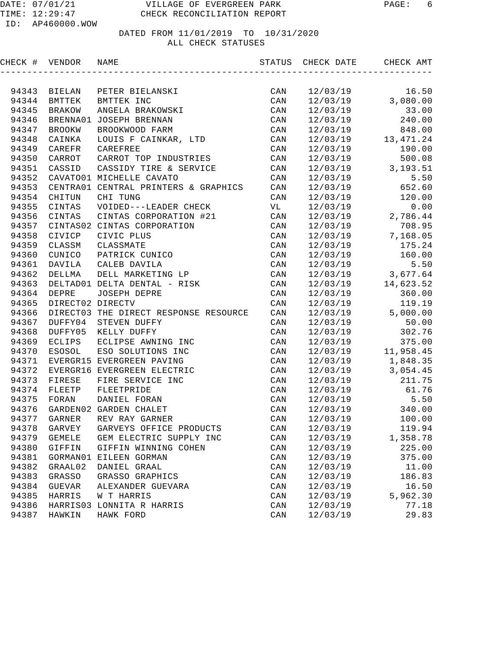| CHECK # VENDOR |                  | NAME                                  |                | STATUS CHECK DATE | CHECK AMT  |
|----------------|------------------|---------------------------------------|----------------|-------------------|------------|
|                |                  |                                       |                |                   |            |
| 94343          | BIELAN           | PETER BIELANSKI                       | CAN            | 12/03/19          | 16.50      |
| 94344          | BMTTEK           | BMTTEK INC                            | CAN            | 12/03/19          | 3,080.00   |
| 94345          | <b>BRAKOW</b>    | ANGELA BRAKOWSKI                      | CAN            | 12/03/19          | 33.00      |
| 94346          |                  | BRENNA01 JOSEPH BRENNAN               | CAN            | 12/03/19          | 240.00     |
| 94347          | <b>BROOKW</b>    | BROOKWOOD FARM                        | CAN            | 12/03/19          | 848.00     |
| 94348          | CAINKA           | LOUIS F CAINKAR, LTD                  | CAN            | 12/03/19          | 13, 471.24 |
| 94349          | CAREFR           | CAREFREE                              | CAN            | 12/03/19          | 190.00     |
| 94350          | CARROT           | CARROT TOP INDUSTRIES                 | CAN            | 12/03/19          | 500.08     |
| 94351          | CASSID           | CASSIDY TIRE & SERVICE                | CAN            | 12/03/19          | 3,193.51   |
| 94352          |                  | CAVATO01 MICHELLE CAVATO              | CAN            | 12/03/19          | 5.50       |
| 94353          |                  | CENTRA01 CENTRAL PRINTERS & GRAPHICS  | CAN            | 12/03/19          | 652.60     |
| 94354          | CHITUN           | CHI TUNG                              | CAN            | 12/03/19          | 120.00     |
| 94355          | CINTAS           | VOIDED---LEADER CHECK                 | VL             | 12/03/19          | 0.00       |
| 94356          | CINTAS           | CINTAS CORPORATION #21                | CAN            | 12/03/19          | 2,786.44   |
| 94357          | CINTAS02         | CINTAS CORPORATION                    | CAN            | 12/03/19          | 708.95     |
| 94358          | CIVICP           | CIVIC PLUS                            | CAN            | 12/03/19          | 7,168.05   |
| 94359          | CLASSM           | CLASSMATE                             | CAN            | 12/03/19          | 175.24     |
| 94360          | CUNICO           | PATRICK CUNICO                        | CAN            | 12/03/19          | 160.00     |
| 94361          | DAVILA           | CALEB DAVILA                          | CAN            | 12/03/19          | 5.50       |
| 94362          | DELLMA           | DELL MARKETING LP                     | CAN            | 12/03/19          | 3,677.64   |
| 94363          |                  | DELTAD01 DELTA DENTAL - RISK          | CAN            | 12/03/19          | 14,623.52  |
| 94364          | <b>DEPRE</b>     | <b>JOSEPH DEPRE</b>                   | CAN            | 12/03/19          | 360.00     |
| 94365          | DIRECT02 DIRECTV |                                       | CAN            | 12/03/19          | 119.19     |
| 94366          |                  | DIRECT03 THE DIRECT RESPONSE RESOURCE | CAN            | 12/03/19          | 5,000.00   |
| 94367          | DUFFY04          | STEVEN DUFFY                          | CAN            | 12/03/19          | 50.00      |
| 94368          | DUFFY05          | KELLY DUFFY                           | CAN            | 12/03/19          | 302.76     |
| 94369          | ECLIPS           | ECLIPSE AWNING INC                    | CAN            | 12/03/19          | 375.00     |
| 94370          | ESOSOL           | ESO SOLUTIONS INC                     | CAN            | 12/03/19          | 11,958.45  |
| 94371          |                  | EVERGR15 EVERGREEN PAVING             | CAN            | 12/03/19          | 1,848.35   |
| 94372          |                  | EVERGR16 EVERGREEN ELECTRIC           | CAN            | 12/03/19          | 3,054.45   |
| 94373          | FIRESE           | FIRE SERVICE INC                      | CAN            | 12/03/19          | 211.75     |
| 94374          | FLEETP           | FLEETPRIDE                            | CAN            | 12/03/19          | 61.76      |
| 94375          | FORAN            | DANIEL FORAN                          | CAN            | 12/03/19          | 5.50       |
| 94376          |                  | GARDEN02 GARDEN CHALET                | CAN            | 12/03/19          | 340.00     |
| 94377          | GARNER           | REV RAY GARNER                        | CAN            | 12/03/19          | 100.00     |
| 94378          | GARVEY           | GARVEYS OFFICE PRODUCTS               | CAN            | 12/03/19          | 119.94     |
| 94379          | <b>GEMELE</b>    | GEM ELECTRIC SUPPLY INC               | CAN            | 12/03/19          | 1,358.78   |
| 94380          | GIFFIN           | GIFFIN WINNING COHEN                  | $\mathtt{CAN}$ | 12/03/19          | 225.00     |
| 94381          | GORMAN01         | EILEEN GORMAN                         | CAN            | 12/03/19          | 375.00     |
| 94382          | GRAAL02          | DANIEL GRAAL                          | $\mathtt{CAN}$ | 12/03/19          | 11.00      |
| 94383          | GRASSO           | GRASSO GRAPHICS                       | CAN            | 12/03/19          | 186.83     |
| 94384          | <b>GUEVAR</b>    | ALEXANDER GUEVARA                     | CAN            | 12/03/19          | 16.50      |
| 94385          | HARRIS           | W T HARRIS                            | $\mathtt{CAN}$ | 12/03/19          | 5,962.30   |
| 94386          |                  | HARRIS03 LONNITA R HARRIS             | $\mathtt{CAN}$ | 12/03/19          | 77.18      |
| 94387          | HAWKIN           | HAWK FORD                             | CAN            | 12/03/19          | 29.83      |
|                |                  |                                       |                |                   |            |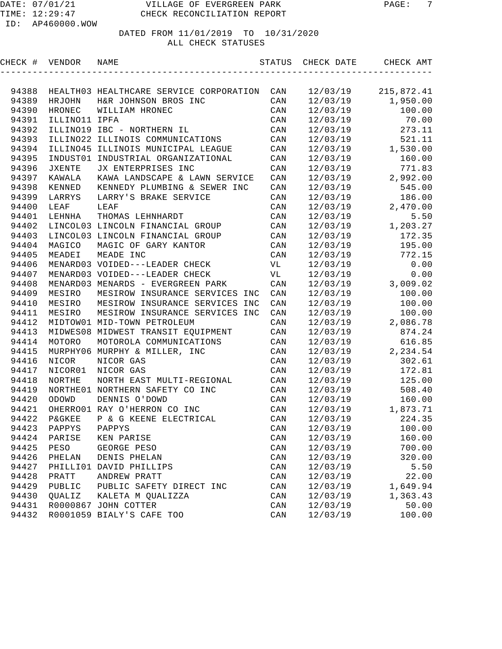| CHECK # | VENDOR            | NAME                                    | STATUS         | CHECK DATE | CHECK AMT  |
|---------|-------------------|-----------------------------------------|----------------|------------|------------|
|         |                   |                                         |                |            |            |
| 94388   |                   | HEALTH03 HEALTHCARE SERVICE CORPORATION | CAN            | 12/03/19   | 215,872.41 |
| 94389   | HRJOHN            | H&R JOHNSON BROS INC                    | CAN            | 12/03/19   | 1,950.00   |
| 94390   | <b>HRONEC</b>     | WILLIAM HRONEC                          | CAN            | 12/03/19   | 100.00     |
| 94391   | ILLINO11 IPFA     |                                         | CAN            | 12/03/19   | 70.00      |
| 94392   |                   | ILLINO19 IBC - NORTHERN IL              | CAN            | 12/03/19   | 273.11     |
| 94393   |                   | ILLINO22 ILLINOIS COMMUNICATIONS        | CAN            | 12/03/19   | 521.11     |
| 94394   | ILLINO45          | ILLINOIS MUNICIPAL LEAGUE               | CAN            | 12/03/19   | 1,530.00   |
| 94395   | INDUST01          | INDUSTRIAL ORGANIZATIONAL               | CAN            | 12/03/19   | 160.00     |
| 94396   | <b>JXENTE</b>     | JX ENTERPRISES INC                      | CAN            | 12/03/19   | 771.83     |
| 94397   | <b>KAWALA</b>     | KAWA LANDSCAPE & LAWN SERVICE           | CAN            | 12/03/19   | 2,992.00   |
| 94398   | KENNED            | KENNEDY PLUMBING & SEWER INC            | CAN            | 12/03/19   | 545.00     |
| 94399   | LARRYS            | LARRY'S BRAKE SERVICE                   | CAN            | 12/03/19   | 186.00     |
| 94400   | LEAF              | LEAF                                    | CAN            | 12/03/19   | 2,470.00   |
| 94401   | LEHNHA            | THOMAS LEHNHARDT                        | CAN            | 12/03/19   | 5.50       |
| 94402   |                   | LINCOL03 LINCOLN FINANCIAL GROUP        | CAN            | 12/03/19   | 1,203.27   |
| 94403   |                   | LINCOL03 LINCOLN FINANCIAL GROUP        | CAN            | 12/03/19   | 172.35     |
| 94404   | MAGICO            | MAGIC OF GARY KANTOR                    | CAN            | 12/03/19   | 195.00     |
| 94405   | MEADEI            | MEADE INC                               | CAN            | 12/03/19   | 772.15     |
| 94406   |                   | MENARD03 VOIDED---LEADER CHECK          | VL             | 12/03/19   | 0.00       |
| 94407   |                   | MENARD03 VOIDED---LEADER CHECK          | VL             | 12/03/19   | 0.00       |
| 94408   |                   | MENARD03 MENARDS - EVERGREEN PARK       | CAN            | 12/03/19   | 3,009.02   |
| 94409   | MESIRO            | MESIROW INSURANCE SERVICES INC          | CAN            | 12/03/19   | 100.00     |
| 94410   | MESIRO            | MESIROW INSURANCE SERVICES INC          | CAN            | 12/03/19   | 100.00     |
| 94411   | MESIRO            | MESIROW INSURANCE SERVICES INC          | CAN            | 12/03/19   | 100.00     |
| 94412   |                   | MIDTOW01 MID-TOWN PETROLEUM             | CAN            | 12/03/19   | 2,086.78   |
| 94413   | MIDWES08          | MIDWEST TRANSIT EQUIPMENT               | CAN            | 12/03/19   | 874.24     |
| 94414   | MOTORO            | MOTOROLA COMMUNICATIONS                 | CAN            | 12/03/19   | 616.85     |
| 94415   | MURPHY06          | MURPHY & MILLER, INC                    | CAN            | 12/03/19   | 2,234.54   |
| 94416   | NICOR             | NICOR GAS                               | CAN            | 12/03/19   | 302.61     |
| 94417   | NICOR01           | NICOR GAS                               | CAN            | 12/03/19   | 172.81     |
| 94418   | NORTHE            | NORTH EAST MULTI-REGIONAL               | CAN            | 12/03/19   | 125.00     |
| 94419   | NORTHE01          | NORTHERN SAFETY CO INC                  | CAN            | 12/03/19   | 508.40     |
| 94420   | ODOWD             | DENNIS O'DOWD                           | CAN            | 12/03/19   | 160.00     |
| 94421   |                   | OHERRO01 RAY O'HERRON CO INC            | CAN            | 12/03/19   | 1,873.71   |
| 94422   | <b>P&amp;GKEE</b> | P & G KEENE ELECTRICAL                  | CAN            | 12/03/19   | 224.35     |
| 94423   | PAPPYS            | PAPPYS                                  | $\mathtt{CAN}$ | 12/03/19   | 100.00     |
| 94424   | PARISE            | KEN PARISE                              | CAN            | 12/03/19   | 160.00     |
| 94425   | PESO              | GEORGE PESO                             | $\mathtt{CAN}$ | 12/03/19   | 700.00     |
| 94426   | PHELAN            | DENIS PHELAN                            | $\mathtt{CAN}$ | 12/03/19   | 320.00     |
| 94427   |                   | PHILLI01 DAVID PHILLIPS                 | $\mathtt{CAN}$ | 12/03/19   | 5.50       |
| 94428   | PRATT             | ANDREW PRATT                            | $\mathtt{CAN}$ | 12/03/19   | 22.00      |
| 94429   | PUBLIC            | PUBLIC SAFETY DIRECT INC                | CAN            | 12/03/19   | 1,649.94   |
| 94430   | QUALIZ            | KALETA M QUALIZZA                       | CAN            | 12/03/19   | 1,363.43   |
| 94431   |                   | R0000867 JOHN COTTER                    | CAN            | 12/03/19   | 50.00      |
| 94432   |                   | R0001059 BIALY'S CAFE TOO               | $\mathtt{CAN}$ | 12/03/19   | 100.00     |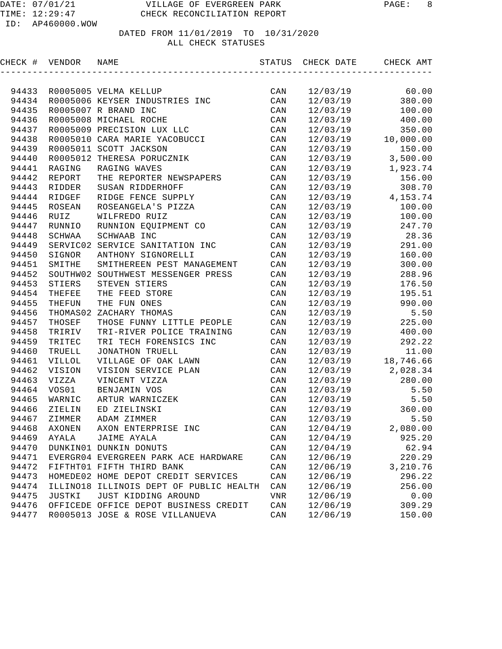| CHECK # VENDOR |              | NAME                                    | STATUS         | CHECK DATE | CHECK AMT  |
|----------------|--------------|-----------------------------------------|----------------|------------|------------|
|                |              |                                         |                |            |            |
| 94433          |              | R0005005 VELMA KELLUP                   | CAN            | 12/03/19   | 60.00      |
| 94434          |              | R0005006 KEYSER INDUSTRIES INC          | CAN            | 12/03/19   | 380.00     |
| 94435          |              | R0005007 R BRAND INC                    | CAN            | 12/03/19   | 100.00     |
| 94436          |              | R0005008 MICHAEL ROCHE                  | CAN            | 12/03/19   | 400.00     |
| 94437          |              | R0005009 PRECISION LUX LLC              | CAN            | 12/03/19   | 350.00     |
| 94438          |              | R0005010 CARA MARIE YACOBUCCI           | CAN            | 12/03/19   | 10,000.00  |
| 94439          |              | R0005011 SCOTT JACKSON                  | CAN            | 12/03/19   | 150.00     |
| 94440          |              | R0005012 THERESA PORUCZNIK              | CAN            | 12/03/19   | 3,500.00   |
| 94441          | RAGING       | RAGING WAVES                            | CAN            | 12/03/19   | 1,923.74   |
| 94442          | REPORT       | THE REPORTER NEWSPAPERS                 | CAN            | 12/03/19   | 156.00     |
| 94443          | RIDDER       | SUSAN RIDDERHOFF                        | CAN            | 12/03/19   | 308.70     |
| 94444          | RIDGEF       | RIDGE FENCE SUPPLY                      | CAN            | 12/03/19   | 4, 153. 74 |
| 94445          | ROSEAN       | ROSEANGELA'S PIZZA                      | CAN            | 12/03/19   | 100.00     |
| 94446          | RUIZ         | WILFREDO RUIZ                           | CAN            | 12/03/19   | 100.00     |
| 94447          | RUNNIO       | RUNNION EQUIPMENT CO                    | CAN            | 12/03/19   | 247.70     |
| 94448          | SCHWAA       | SCHWAAB INC                             | CAN            | 12/03/19   | 28.36      |
| 94449          |              | SERVIC02 SERVICE SANITATION INC         | CAN            | 12/03/19   | 291.00     |
| 94450          | SIGNOR       | ANTHONY SIGNORELLI                      | CAN            | 12/03/19   | 160.00     |
| 94451          | SMITHE       | SMITHEREEN PEST MANAGEMENT              | CAN            | 12/03/19   | 300.00     |
| 94452          |              | SOUTHW02 SOUTHWEST MESSENGER PRESS      | CAN            | 12/03/19   | 288.96     |
| 94453          | STIERS       | STEVEN STIERS                           | CAN            | 12/03/19   | 176.50     |
| 94454          | THEFEE       | THE FEED STORE                          | CAN            | 12/03/19   | 195.51     |
| 94455          | THEFUN       | THE FUN ONES                            | CAN            | 12/03/19   | 990.00     |
| 94456          | THOMAS02     | ZACHARY THOMAS                          | CAN            | 12/03/19   | 5.50       |
| 94457          | THOSEF       | THOSE FUNNY LITTLE PEOPLE               | CAN            | 12/03/19   | 225.00     |
| 94458          | TRIRIV       | TRI-RIVER POLICE TRAINING               | CAN            | 12/03/19   | 400.00     |
| 94459          | TRITEC       | TRI TECH FORENSICS INC                  | CAN            | 12/03/19   | 292.22     |
| 94460          | TRUELL       | JONATHON TRUELL                         | CAN            | 12/03/19   | 11.00      |
| 94461          | VILLOL       | VILLAGE OF OAK LAWN                     | CAN            | 12/03/19   | 18,746.66  |
| 94462          | VISION       | VISION SERVICE PLAN                     | CAN            | 12/03/19   | 2,028.34   |
| 94463          | VIZZA        | VINCENT VIZZA                           | CAN            | 12/03/19   | 280.00     |
| 94464          | VOS01        | BENJAMIN VOS                            | CAN            | 12/03/19   | 5.50       |
| 94465          | WARNIC       | ARTUR WARNICZEK                         | CAN            | 12/03/19   | 5.50       |
| 94466          | ZIELIN       | ED ZIELINSKI                            | CAN            | 12/03/19   | 360.00     |
| 94467          | ZIMMER       | ADAM ZIMMER                             | CAN            | 12/03/19   | 5.50       |
|                | 94468 AXONEN | AXON ENTERPRISE INC                     | $\mathtt{CAN}$ | 12/04/19   | 2,080.00   |
| 94469          | AYALA        | JAIME AYALA                             | CAN            | 12/04/19   | 925.20     |
| 94470          |              | DUNKIN01 DUNKIN DONUTS                  | CAN            | 12/04/19   | 62.94      |
| 94471          |              | EVERGR04 EVERGREEN PARK ACE HARDWARE    | $\mathtt{CAN}$ | 12/06/19   | 220.29     |
| 94472          |              | FIFTHT01 FIFTH THIRD BANK               | CAN            | 12/06/19   | 3,210.76   |
| 94473          |              | HOMEDE02 HOME DEPOT CREDIT SERVICES     | $\mathtt{CAN}$ | 12/06/19   | 296.22     |
| 94474          |              | ILLINO18 ILLINOIS DEPT OF PUBLIC HEALTH | CAN            | 12/06/19   | 256.00     |
| 94475          | JUSTKI       | JUST KIDDING AROUND                     | VNR            | 12/06/19   | 0.00       |
| 94476          |              | OFFICEDE OFFICE DEPOT BUSINESS CREDIT   | CAN            | 12/06/19   | 309.29     |
| 94477          |              | R0005013 JOSE & ROSE VILLANUEVA         | CAN            | 12/06/19   | 150.00     |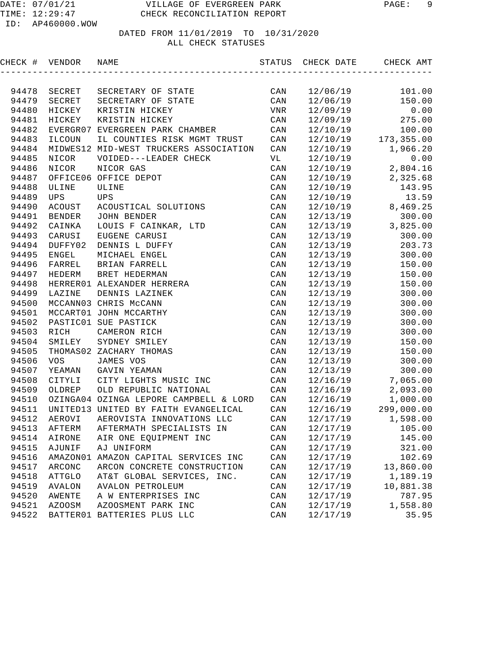| CHECK # | VENDOR        | NAME                                   | STATUS         | CHECK DATE | CHECK AMT  |
|---------|---------------|----------------------------------------|----------------|------------|------------|
|         |               |                                        |                |            |            |
| 94478   | SECRET        | SECRETARY OF STATE                     | CAN            | 12/06/19   | 101.00     |
| 94479   | SECRET        | SECRETARY OF STATE                     | CAN            | 12/06/19   | 150.00     |
| 94480   | HICKEY        | KRISTIN HICKEY                         | VNR            | 12/09/19   | 0.00       |
| 94481   | HICKEY        | KRISTIN HICKEY                         | CAN            | 12/09/19   | 275.00     |
| 94482   |               | EVERGR07 EVERGREEN PARK CHAMBER        | CAN            | 12/10/19   | 100.00     |
| 94483   | ILCOUN        | IL COUNTIES RISK MGMT TRUST            | CAN            | 12/10/19   | 173,355.00 |
| 94484   |               | MIDWES12 MID-WEST TRUCKERS ASSOCIATION | CAN            | 12/10/19   | 1,966.20   |
| 94485   | NICOR         | VOIDED---LEADER CHECK                  | VL             | 12/10/19   | 0.00       |
| 94486   | NICOR         | NICOR GAS                              | CAN            | 12/10/19   | 2,804.16   |
| 94487   |               | OFFICE06 OFFICE DEPOT                  | CAN            | 12/10/19   | 2,325.68   |
| 94488   | ULINE         | ULINE                                  | CAN            | 12/10/19   | 143.95     |
| 94489   | <b>UPS</b>    | <b>UPS</b>                             | CAN            | 12/10/19   | 13.59      |
| 94490   | ACOUST        | ACOUSTICAL SOLUTIONS                   | CAN            | 12/10/19   | 8,469.25   |
| 94491   | BENDER        | JOHN BENDER                            | CAN            | 12/13/19   | 300.00     |
| 94492   | CAINKA        | LOUIS F CAINKAR, LTD                   | CAN            | 12/13/19   | 3,825.00   |
| 94493   | CARUSI        | EUGENE CARUSI                          | CAN            | 12/13/19   | 300.00     |
| 94494   | DUFFY02       | DENNIS L DUFFY                         | CAN            | 12/13/19   | 203.73     |
| 94495   | ENGEL         | MICHAEL ENGEL                          | CAN            | 12/13/19   | 300.00     |
| 94496   | FARREL        | BRIAN FARRELL                          | CAN            | 12/13/19   | 150.00     |
| 94497   | HEDERM        | BRET HEDERMAN                          | CAN            | 12/13/19   | 150.00     |
| 94498   |               | HERRER01 ALEXANDER HERRERA             | CAN            | 12/13/19   | 150.00     |
| 94499   | LAZINE        | DENNIS LAZINEK                         | CAN            | 12/13/19   | 300.00     |
| 94500   |               | MCCANN03 CHRIS McCANN                  | CAN            | 12/13/19   | 300.00     |
| 94501   |               | MCCART01 JOHN MCCARTHY                 | CAN            | 12/13/19   | 300.00     |
| 94502   |               | PASTIC01 SUE PASTICK                   | CAN            | 12/13/19   | 300.00     |
| 94503   | RICH          | CAMERON RICH                           | CAN            | 12/13/19   | 300.00     |
| 94504   | SMILEY        | SYDNEY SMILEY                          | CAN            | 12/13/19   | 150.00     |
| 94505   |               | THOMAS02 ZACHARY THOMAS                | CAN            | 12/13/19   | 150.00     |
| 94506   | <b>VOS</b>    | JAMES VOS                              | CAN            | 12/13/19   | 300.00     |
| 94507   | YEAMAN        | GAVIN YEAMAN                           | CAN            | 12/13/19   | 300.00     |
| 94508   | CITYLI        | CITY LIGHTS MUSIC INC                  | CAN            | 12/16/19   | 7,065.00   |
| 94509   | OLDREP        | OLD REPUBLIC NATIONAL                  | CAN            | 12/16/19   | 2,093.00   |
| 94510   |               | OZINGA04 OZINGA LEPORE CAMPBELL & LORD | CAN            | 12/16/19   | 1,000.00   |
| 94511   |               | UNITED13 UNITED BY FAITH EVANGELICAL   | CAN            | 12/16/19   | 299,000.00 |
| 94512   | AEROVI        | AEROVISTA INNOVATIONS LLC              | CAN            | 12/17/19   | 1,598.00   |
|         | 94513 AFTERM  | AFTERMATH SPECIALISTS IN               | $\mathtt{CAN}$ | 12/17/19   | 105.00     |
| 94514   | AIRONE        | AIR ONE EQUIPMENT INC                  | $\mathtt{CAN}$ | 12/17/19   | 145.00     |
| 94515   | AJUNIF        | AJ UNIFORM                             | CAN            | 12/17/19   | 321.00     |
| 94516   |               | AMAZON01 AMAZON CAPITAL SERVICES INC   | $\mathtt{CAN}$ | 12/17/19   | 102.69     |
| 94517   | ARCONC        | ARCON CONCRETE CONSTRUCTION            | CAN            | 12/17/19   | 13,860.00  |
| 94518   | <b>ATTGLO</b> | AT&T GLOBAL SERVICES, INC.             | $\mathtt{CAN}$ | 12/17/19   | 1,189.19   |
| 94519   | AVALON        | <b>AVALON PETROLEUM</b>                | $\mathtt{CAN}$ | 12/17/19   | 10,881.38  |
| 94520   | AWENTE        | A W ENTERPRISES INC                    | CAN            | 12/17/19   | 787.95     |
| 94521   | <b>AZOOSM</b> | AZOOSMENT PARK INC                     | CAN            | 12/17/19   | 1,558.80   |
| 94522   |               | BATTER01 BATTERIES PLUS LLC            | $\mathtt{CAN}$ | 12/17/19   | 35.95      |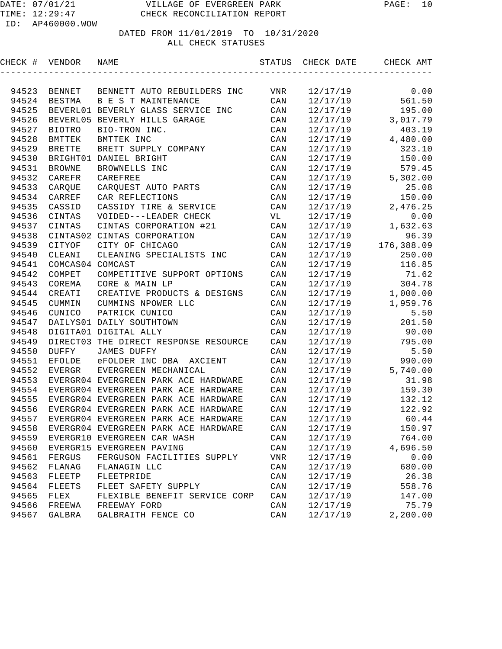| CHECK # | VENDOR           | NAME                                       | STATUS                    | CHECK DATE | CHECK AMT  |
|---------|------------------|--------------------------------------------|---------------------------|------------|------------|
|         |                  |                                            |                           |            |            |
| 94523   | BENNET           | BENNETT AUTO REBUILDERS INC                | VNR                       | 12/17/19   | 0.00       |
| 94524   | <b>BESTMA</b>    | B E S T MAINTENANCE                        | CAN                       | 12/17/19   | 561.50     |
| 94525   |                  | BEVERL01 BEVERLY GLASS SERVICE INC         | CAN                       | 12/17/19   | 195.00     |
| 94526   |                  | BEVERL05 BEVERLY HILLS GARAGE              | CAN                       | 12/17/19   | 3,017.79   |
| 94527   | <b>BIOTRO</b>    | BIO-TRON INC.                              | CAN                       | 12/17/19   | 403.19     |
| 94528   | <b>BMTTEK</b>    | BMTTEK INC                                 | CAN                       | 12/17/19   | 4,480.00   |
| 94529   | <b>BRETTE</b>    | BRETT SUPPLY COMPANY                       | CAN                       | 12/17/19   | 323.10     |
| 94530   |                  | BRIGHT01 DANIEL BRIGHT                     | CAN                       | 12/17/19   | 150.00     |
| 94531   | <b>BROWNE</b>    | BROWNELLS INC                              | CAN                       | 12/17/19   | 579.45     |
| 94532   | CAREFR           | CAREFREE                                   | CAN                       | 12/17/19   | 5,302.00   |
| 94533   | CARQUE           | CARQUEST AUTO PARTS                        | CAN                       | 12/17/19   | 25.08      |
| 94534   | CARREF           | CAR REFLECTIONS                            | CAN                       | 12/17/19   | 150.00     |
| 94535   | CASSID           | CASSIDY TIRE & SERVICE                     | CAN                       | 12/17/19   | 2,476.25   |
| 94536   | CINTAS           | VOIDED---LEADER CHECK                      | VL                        | 12/17/19   | 0.00       |
| 94537   | CINTAS           | CINTAS CORPORATION #21                     | CAN                       | 12/17/19   | 1,632.63   |
| 94538   |                  | CINTAS02 CINTAS CORPORATION                | CAN                       | 12/17/19   | 96.39      |
| 94539   | CITYOF           | CITY OF CHICAGO                            | CAN                       | 12/17/19   | 176,388.09 |
| 94540   | CLEANI           | CLEANING SPECIALISTS INC                   | CAN                       | 12/17/19   | 250.00     |
| 94541   | COMCAS04 COMCAST |                                            | CAN                       | 12/17/19   | 116.85     |
| 94542   | COMPET           | COMPETITIVE SUPPORT OPTIONS                | CAN                       | 12/17/19   | 71.62      |
| 94543   | COREMA           | CORE & MAIN LP                             | CAN                       | 12/17/19   | 304.78     |
| 94544   | CREATI           | CREATIVE PRODUCTS & DESIGNS                | CAN                       | 12/17/19   | 1,000.00   |
| 94545   | CUMMIN           | CUMMINS NPOWER LLC                         | CAN                       | 12/17/19   | 1,959.76   |
| 94546   | CUNICO           | PATRICK CUNICO                             | CAN                       | 12/17/19   | 5.50       |
| 94547   |                  | DAILYS01 DAILY SOUTHTOWN                   | CAN                       | 12/17/19   | 201.50     |
| 94548   |                  | DIGITA01 DIGITAL ALLY                      | CAN                       | 12/17/19   | 90.00      |
| 94549   |                  | DIRECT03 THE DIRECT RESPONSE RESOURCE      | CAN                       | 12/17/19   | 795.00     |
| 94550   | <b>DUFFY</b>     | JAMES DUFFY                                | CAN                       | 12/17/19   | 5.50       |
| 94551   | <b>EFOLDE</b>    | eFOLDER INC DBA<br>AXCIENT                 | CAN                       | 12/17/19   | 990.00     |
| 94552   | <b>EVERGR</b>    | EVERGREEN MECHANICAL                       | CAN                       | 12/17/19   | 5,740.00   |
| 94553   |                  | EVERGR04 EVERGREEN PARK ACE HARDWARE       | CAN                       | 12/17/19   | 31.98      |
| 94554   |                  | EVERGR04 EVERGREEN PARK ACE HARDWARE       | CAN                       | 12/17/19   | 159.30     |
| 94555   |                  | EVERGR04 EVERGREEN PARK ACE HARDWARE       | CAN                       | 12/17/19   | 132.12     |
| 94556   |                  | EVERGR04 EVERGREEN PARK ACE HARDWARE       | CAN                       | 12/17/19   | 122.92     |
| 94557   |                  | EVERGR04 EVERGREEN PARK ACE HARDWARE       | CAN                       | 12/17/19   | 60.44      |
|         |                  | 94558 EVERGR04 EVERGREEN PARK ACE HARDWARE | $\mathtt{CAN}$            | 12/17/19   | 150.97     |
| 94559   |                  | EVERGR10 EVERGREEN CAR WASH                | CAN                       | 12/17/19   | 764.00     |
| 94560   |                  | EVERGR15 EVERGREEN PAVING                  | CAN                       | 12/17/19   | 4,696.50   |
| 94561   | FERGUS           | FERGUSON FACILITIES SUPPLY                 | $\ensuremath{\text{VNR}}$ | 12/17/19   | 0.00       |
| 94562   | FLANAG           | FLANAGIN LLC                               | CAN                       | 12/17/19   | 680.00     |
| 94563   | FLEETP           | FLEETPRIDE                                 | CAN                       | 12/17/19   | 26.38      |
| 94564   | <b>FLEETS</b>    | FLEET SAFETY SUPPLY                        | $\mathtt{CAN}$            | 12/17/19   | 558.76     |
| 94565   | FLEX             | FLEXIBLE BENEFIT SERVICE CORP              | CAN                       | 12/17/19   | 147.00     |
| 94566   | FREEWA           | FREEWAY FORD                               | CAN                       | 12/17/19   | 75.79      |
| 94567   | GALBRA           | GALBRAITH FENCE CO                         | CAN                       | 12/17/19   | 2,200.00   |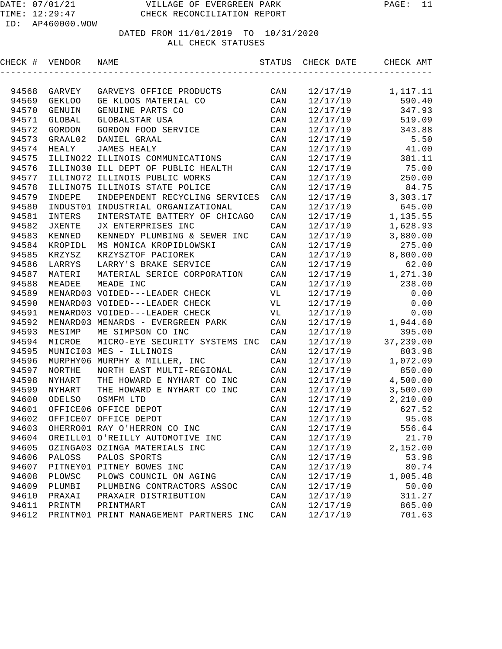| CHECK # | VENDOR        | NAME                                   | STATUS                  | CHECK DATE | CHECK AMT |
|---------|---------------|----------------------------------------|-------------------------|------------|-----------|
|         |               |                                        |                         |            |           |
| 94568   | GARVEY        | GARVEYS OFFICE PRODUCTS                | CAN                     | 12/17/19   | 1,117.11  |
| 94569   | <b>GEKLOO</b> | GE KLOOS MATERIAL CO                   | CAN                     | 12/17/19   | 590.40    |
| 94570   | GENUIN        | GENUINE PARTS CO                       | CAN                     | 12/17/19   | 347.93    |
| 94571   | GLOBAL        | GLOBALSTAR USA                         | CAN                     | 12/17/19   | 519.09    |
| 94572   | GORDON        | GORDON FOOD SERVICE                    | CAN                     | 12/17/19   | 343.88    |
| 94573   | GRAAL02       | DANIEL GRAAL                           | CAN                     | 12/17/19   | 5.50      |
| 94574   | HEALY         | <b>JAMES HEALY</b>                     | CAN                     | 12/17/19   | 41.00     |
| 94575   |               | ILLINO22 ILLINOIS COMMUNICATIONS       | CAN                     | 12/17/19   | 381.11    |
| 94576   |               | ILLINO30 ILL DEPT OF PUBLIC HEALTH     | CAN                     | 12/17/19   | 75.00     |
| 94577   |               | ILLINO72 ILLINOIS PUBLIC WORKS         | CAN                     | 12/17/19   | 250.00    |
| 94578   | ILLINO75      | ILLINOIS STATE POLICE                  | $\mathtt{CAN}$          | 12/17/19   | 84.75     |
| 94579   | INDEPE        | INDEPENDENT RECYCLING SERVICES         | CAN                     | 12/17/19   | 3,303.17  |
| 94580   | INDUST01      | INDUSTRIAL ORGANIZATIONAL              | CAN                     | 12/17/19   | 645.00    |
| 94581   | INTERS        | INTERSTATE BATTERY OF CHICAGO          | CAN                     | 12/17/19   | 1,135.55  |
| 94582   | <b>JXENTE</b> | JX ENTERPRISES INC                     | CAN                     | 12/17/19   | 1,628.93  |
| 94583   | KENNED        | KENNEDY PLUMBING & SEWER INC           | $\mathtt{CAN}$          | 12/17/19   | 3,880.00  |
| 94584   | KROPIDL       | MS MONICA KROPIDLOWSKI                 | $\mathtt{CAN}$          | 12/17/19   | 275.00    |
| 94585   | KRZYSZ        | KRZYSZTOF PACIOREK                     | $\mathtt{CAN}$          | 12/17/19   | 8,800.00  |
| 94586   | LARRYS        | LARRY'S BRAKE SERVICE                  | CAN                     | 12/17/19   | 62.00     |
| 94587   | MATERI        | MATERIAL SERICE CORPORATION            | CAN                     | 12/17/19   | 1,271.30  |
| 94588   | MEADEE        | MEADE INC                              | CAN                     | 12/17/19   | 238.00    |
| 94589   |               | MENARD03 VOIDED---LEADER CHECK         | VL                      | 12/17/19   | 0.00      |
| 94590   |               | MENARD03 VOIDED---LEADER CHECK         | VL                      | 12/17/19   | 0.00      |
| 94591   |               | MENARD03 VOIDED---LEADER CHECK         | VL                      | 12/17/19   | 0.00      |
| 94592   |               | MENARD03 MENARDS - EVERGREEN PARK      | CAN                     | 12/17/19   | 1,944.60  |
| 94593   | MESIMP        | ME SIMPSON CO INC                      | CAN                     | 12/17/19   | 395.00    |
| 94594   | MICROE        | MICRO-EYE SECURITY SYSTEMS INC         | CAN                     | 12/17/19   | 37,239.00 |
| 94595   |               | MUNICI03 MES - ILLINOIS                | CAN                     | 12/17/19   | 803.98    |
| 94596   | MURPHY06      | MURPHY & MILLER, INC                   | CAN                     | 12/17/19   | 1,072.09  |
| 94597   | <b>NORTHE</b> | NORTH EAST MULTI-REGIONAL              | CAN                     | 12/17/19   | 850.00    |
| 94598   | NYHART        | THE HOWARD E NYHART CO INC             | CAN                     | 12/17/19   | 4,500.00  |
| 94599   | <b>NYHART</b> | THE HOWARD E NYHART CO INC             | CAN                     | 12/17/19   | 3,500.00  |
| 94600   | ODELSO        | OSMFM LTD                              | CAN                     | 12/17/19   | 2,210.00  |
| 94601   |               | OFFICE06 OFFICE DEPOT                  | CAN                     | 12/17/19   | 627.52    |
| 94602   |               | OFFICE07 OFFICE DEPOT                  | CAN                     | 12/17/19   | 95.08     |
| 94603   |               | OHERRO01 RAY O'HERRON CO INC           | $\mathop{\mathtt{CAN}}$ | 12/17/19   | 556.64    |
| 94604   |               | OREILL01 O'REILLY AUTOMOTIVE INC       | $\mathtt{CAN}$          | 12/17/19   | 21.70     |
| 94605   |               | OZINGA03 OZINGA MATERIALS INC          | CAN                     | 12/17/19   | 2,152.00  |
| 94606   | PALOSS        | PALOS SPORTS                           | CAN                     | 12/17/19   | 53.98     |
| 94607   |               | PITNEY01 PITNEY BOWES INC              | CAN                     | 12/17/19   | 80.74     |
| 94608   | PLOWSC        | PLOWS COUNCIL ON AGING                 | CAN                     | 12/17/19   | 1,005.48  |
| 94609   | PLUMBI        | PLUMBING CONTRACTORS ASSOC             | CAN                     | 12/17/19   | 50.00     |
| 94610   | PRAXAI        | PRAXAIR DISTRIBUTION                   | CAN                     | 12/17/19   | 311.27    |
| 94611   | PRINTM        | PRINTMART                              | CAN                     | 12/17/19   | 865.00    |
| 94612   |               | PRINTM01 PRINT MANAGEMENT PARTNERS INC | CAN                     | 12/17/19   | 701.63    |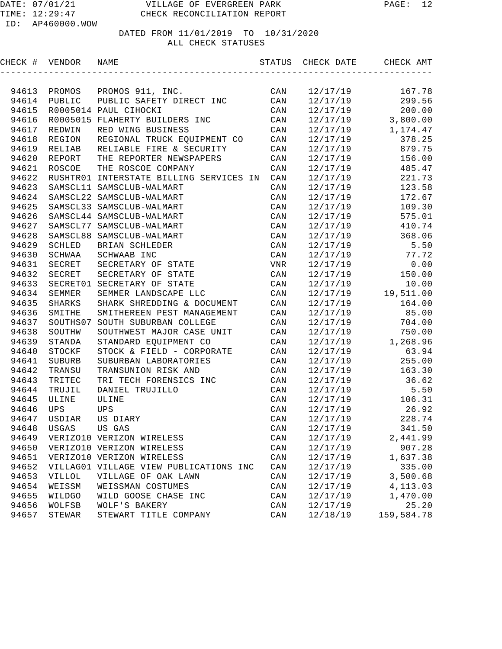| CHECK # VENDOR |               | NAME                                    | STATUS         | CHECK DATE | CHECK AMT  |
|----------------|---------------|-----------------------------------------|----------------|------------|------------|
|                |               |                                         |                |            |            |
| 94613          | PROMOS        | PROMOS 911, INC.                        | CAN            | 12/17/19   | 167.78     |
| 94614          | PUBLIC        | PUBLIC SAFETY DIRECT INC                | CAN            | 12/17/19   | 299.56     |
| 94615          |               | R0005014 PAUL CIHOCKI                   | CAN            | 12/17/19   | 200.00     |
| 94616          |               | R0005015 FLAHERTY BUILDERS INC          | CAN            | 12/17/19   | 3,800.00   |
| 94617          | REDWIN        | RED WING BUSINESS                       | CAN            | 12/17/19   | 1,174.47   |
| 94618          | REGION        | REGIONAL TRUCK EQUIPMENT CO             | CAN            | 12/17/19   | 378.25     |
| 94619          | RELIAB        | RELIABLE FIRE & SECURITY                | CAN            | 12/17/19   | 879.75     |
| 94620          | REPORT        | THE REPORTER NEWSPAPERS                 | CAN            | 12/17/19   | 156.00     |
| 94621          | ROSCOE        | THE ROSCOE COMPANY                      | CAN            | 12/17/19   | 485.47     |
| 94622          |               | RUSHTR01 INTERSTATE BILLING SERVICES IN | CAN            | 12/17/19   | 221.73     |
| 94623          |               | SAMSCL11 SAMSCLUB-WALMART               | CAN            | 12/17/19   | 123.58     |
| 94624          |               | SAMSCL22 SAMSCLUB-WALMART               | CAN            | 12/17/19   | 172.67     |
| 94625          |               | SAMSCL33 SAMSCLUB-WALMART               | CAN            | 12/17/19   | 109.30     |
| 94626          |               | SAMSCL44 SAMSCLUB-WALMART               | CAN            | 12/17/19   | 575.01     |
| 94627          |               | SAMSCL77 SAMSCLUB-WALMART               | CAN            | 12/17/19   | 410.74     |
| 94628          |               | SAMSCL88 SAMSCLUB-WALMART               | CAN            | 12/17/19   | 368.06     |
| 94629          | SCHLED        | BRIAN SCHLEDER                          | CAN            | 12/17/19   | 5.50       |
| 94630          | SCHWAA        | SCHWAAB INC                             | CAN            | 12/17/19   | 77.72      |
| 94631          | SECRET        | SECRETARY OF STATE                      | <b>VNR</b>     | 12/17/19   | 0.00       |
| 94632          | SECRET        | SECRETARY OF STATE                      | CAN            | 12/17/19   | 150.00     |
| 94633          |               | SECRET01 SECRETARY OF STATE             | CAN            | 12/17/19   | 10.00      |
| 94634          | SEMMER        | SEMMER LANDSCAPE LLC                    | CAN            | 12/17/19   | 19,511.00  |
| 94635          | SHARKS        | SHARK SHREDDING & DOCUMENT              | CAN            | 12/17/19   | 164.00     |
| 94636          | SMITHE        | SMITHEREEN PEST MANAGEMENT              | CAN            | 12/17/19   | 85.00      |
| 94637          | SOUTHS07      | SOUTH SUBURBAN COLLEGE                  | CAN            | 12/17/19   | 704.00     |
| 94638          | SOUTHW        | SOUTHWEST MAJOR CASE UNIT               | CAN            | 12/17/19   | 750.00     |
| 94639          | STANDA        | STANDARD EQUIPMENT CO                   | CAN            | 12/17/19   | 1,268.96   |
| 94640          | STOCKF        | STOCK & FIELD - CORPORATE               | CAN            | 12/17/19   | 63.94      |
| 94641          | SUBURB        | SUBURBAN LABORATORIES                   | CAN            | 12/17/19   | 255.00     |
| 94642          | TRANSU        | TRANSUNION RISK AND                     | CAN            | 12/17/19   | 163.30     |
| 94643          | TRITEC        | TRI TECH FORENSICS INC                  | CAN            | 12/17/19   | 36.62      |
| 94644          | TRUJIL        | DANIEL TRUJILLO                         | CAN            | 12/17/19   | 5.50       |
| 94645          | ULINE         | ULINE                                   | CAN            | 12/17/19   | 106.31     |
| 94646          | <b>UPS</b>    | <b>UPS</b>                              | CAN            | 12/17/19   | 26.92      |
| 94647          | USDIAR        | US DIARY                                | CAN            | 12/17/19   | 228.74     |
| 94648          | USGAS         | US GAS                                  | CAN            | 12/17/19   | 341.50     |
| 94649          |               | VERIZO10 VERIZON WIRELESS               | CAN            | 12/17/19   | 2,441.99   |
| 94650          |               | VERIZO10 VERIZON WIRELESS               | CAN            | 12/17/19   | 907.28     |
| 94651          |               | VERIZO10 VERIZON WIRELESS               | CAN            | 12/17/19   | 1,637.38   |
| 94652          |               | VILLAG01 VILLAGE VIEW PUBLICATIONS INC  | CAN            | 12/17/19   | 335.00     |
| 94653          | <b>VILLOL</b> | VILLAGE OF OAK LAWN                     | $\mathtt{CAN}$ | 12/17/19   | 3,500.68   |
| 94654          | WEISSM        | WEISSMAN COSTUMES                       | $\mathtt{CAN}$ | 12/17/19   | 4, 113.03  |
| 94655          | <b>WILDGO</b> | WILD GOOSE CHASE INC                    | $\mathtt{CAN}$ | 12/17/19   | 1,470.00   |
| 94656          | WOLFSB        | WOLF'S BAKERY                           | CAN            | 12/17/19   | 25.20      |
| 94657          | STEWAR        | STEWART TITLE COMPANY                   | CAN            | 12/18/19   | 159,584.78 |
|                |               |                                         |                |            |            |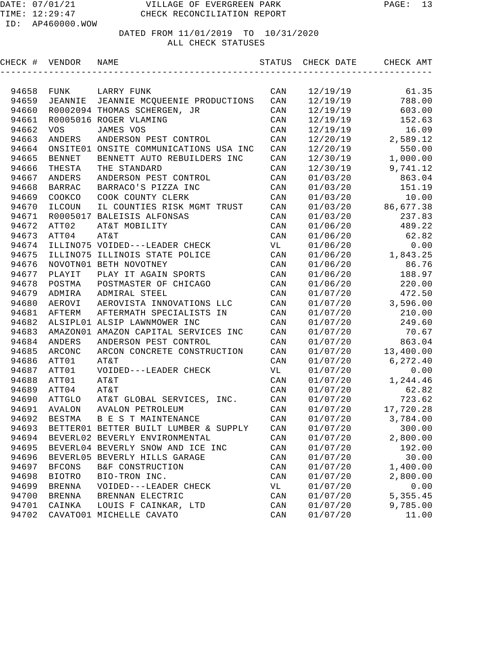| CHECK #        | VENDOR         | NAME                                                          | STATUS                  | CHECK DATE           | CHECK AMT        |
|----------------|----------------|---------------------------------------------------------------|-------------------------|----------------------|------------------|
|                |                |                                                               |                         |                      |                  |
| 94658          | FUNK           | LARRY FUNK                                                    | CAN                     | 12/19/19             | 61.35            |
| 94659          | <b>JEANNIE</b> | JEANNIE MCQUEENIE PRODUCTIONS                                 | CAN                     | 12/19/19             | 788.00           |
| 94660          |                | R0002094 THOMAS SCHERGEN, JR                                  | CAN                     | 12/19/19             | 603.00           |
| 94661          |                | R0005016 ROGER VLAMING                                        | CAN                     | 12/19/19             | 152.63           |
| 94662          | <b>VOS</b>     | JAMES VOS                                                     | CAN                     | 12/19/19             | 16.09            |
| 94663          | ANDERS         | ANDERSON PEST CONTROL                                         | CAN                     | 12/20/19             | 2,589.12         |
| 94664          | ONSITE01       | ONSITE COMMUNICATIONS USA INC                                 | CAN                     | 12/20/19             | 550.00           |
| 94665          | <b>BENNET</b>  | BENNETT AUTO REBUILDERS INC                                   | CAN                     | 12/30/19             | 1,000.00         |
| 94666          | THESTA         | THE STANDARD                                                  | CAN                     | 12/30/19             | 9,741.12         |
| 94667          | ANDERS         | ANDERSON PEST CONTROL                                         | CAN                     | 01/03/20             | 863.04           |
| 94668          | <b>BARRAC</b>  | BARRACO'S PIZZA INC                                           | CAN                     | 01/03/20             | 151.19           |
| 94669          | COOKCO         | COOK COUNTY CLERK                                             | CAN                     | 01/03/20             | 10.00            |
| 94670          | ILCOUN         | IL COUNTIES RISK MGMT TRUST                                   | CAN                     | 01/03/20             | 86,677.38        |
| 94671          | R0005017       | BALEISIS ALFONSAS                                             | CAN                     | 01/03/20             | 237.83           |
| 94672          | ATT02          | AT&T MOBILITY                                                 | CAN                     | 01/06/20             | 489.22           |
| 94673          | ATT04          | AT&T                                                          | CAN                     | 01/06/20             | 62.82            |
| 94674          |                | ILLINO75 VOIDED---LEADER CHECK                                | VL                      | 01/06/20             | 0.00             |
| 94675          |                | ILLINO75 ILLINOIS STATE POLICE                                | CAN                     | 01/06/20             | 1,843.25         |
| 94676          |                | NOVOTN01 BETH NOVOTNEY                                        | CAN                     | 01/06/20             | 86.76            |
| 94677          | PLAYIT         | PLAY IT AGAIN SPORTS                                          | CAN                     | 01/06/20             | 188.97           |
| 94678          | POSTMA         | POSTMASTER OF CHICAGO                                         | CAN                     | 01/06/20             | 220.00           |
| 94679          | ADMIRA         | ADMIRAL STEEL                                                 | CAN                     | 01/07/20             | 472.50           |
| 94680          | AEROVI         | AEROVISTA INNOVATIONS LLC                                     | CAN                     | 01/07/20             | 3,596.00         |
| 94681<br>94682 | AFTERM         | AFTERMATH SPECIALISTS IN                                      | CAN<br>CAN              | 01/07/20             | 210.00<br>249.60 |
|                |                | ALSIPL01 ALSIP LAWNMOWER INC                                  |                         | 01/07/20<br>01/07/20 |                  |
| 94683<br>94684 | ANDERS         | AMAZON01 AMAZON CAPITAL SERVICES INC<br>ANDERSON PEST CONTROL | CAN<br>CAN              |                      | 70.67<br>863.04  |
| 94685          | ARCONC         | ARCON CONCRETE CONSTRUCTION                                   | CAN                     | 01/07/20             | 13,400.00        |
| 94686          | ATT01          | AT&T                                                          | CAN                     | 01/07/20<br>01/07/20 | 6, 272.40        |
| 94687          | ATT01          | VOIDED---LEADER CHECK                                         | VL                      | 01/07/20             | 0.00             |
| 94688          | ATT01          | AT&T                                                          | CAN                     | 01/07/20             | 1,244.46         |
| 94689          | ATT04          | AT&T                                                          | CAN                     | 01/07/20             | 62.82            |
| 94690          | <b>ATTGLO</b>  | AT&T GLOBAL SERVICES, INC.                                    | CAN                     | 01/07/20             | 723.62           |
| 94691          | AVALON         | <b>AVALON PETROLEUM</b>                                       | CAN                     | 01/07/20             | 17,720.28        |
| 94692          | <b>BESTMA</b>  | <b>B E S T MAINTENANCE</b>                                    | CAN                     | 01/07/20             | 3,784.00         |
| 94693          |                | BETTER01 BETTER BUILT LUMBER & SUPPLY                         | $\mathop{\mathtt{CAN}}$ | 01/07/20             | 300.00           |
| 94694          |                | BEVERL02 BEVERLY ENVIRONMENTAL                                | $\mathtt{CAN}$          | 01/07/20             | 2,800.00         |
| 94695          |                | BEVERL04 BEVERLY SNOW AND ICE INC                             | $\mathtt{CAN}$          | 01/07/20             | 192.00           |
| 94696          |                | BEVERL05 BEVERLY HILLS GARAGE                                 | $\mathtt{CAN}$          | 01/07/20             | 30.00            |
| 94697          | <b>BFCONS</b>  | B&F CONSTRUCTION                                              | CAN                     | 01/07/20             | 1,400.00         |
| 94698          | <b>BIOTRO</b>  | BIO-TRON INC.                                                 | CAN                     | 01/07/20             | 2,800.00         |
| 94699          | <b>BRENNA</b>  | VOIDED---LEADER CHECK                                         | VL                      | 01/07/20             | 0.00             |
| 94700          | <b>BRENNA</b>  | BRENNAN ELECTRIC                                              | CAN                     | 01/07/20             | 5, 355.45        |
| 94701          | CAINKA         | LOUIS F CAINKAR, LTD                                          | CAN                     | 01/07/20             | 9,785.00         |
| 94702          |                | CAVATO01 MICHELLE CAVATO                                      | CAN                     | 01/07/20             | 11.00            |
|                |                |                                                               |                         |                      |                  |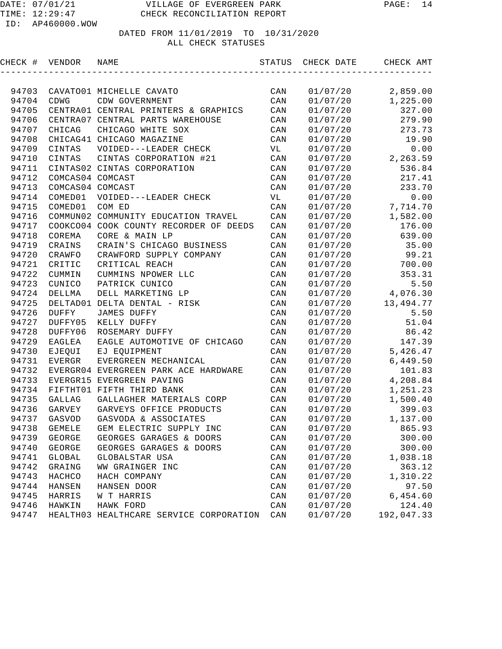| CHECK # | VENDOR           | NAME                                    | STATUS | CHECK DATE | CHECK AMT  |
|---------|------------------|-----------------------------------------|--------|------------|------------|
|         |                  |                                         |        |            |            |
| 94703   |                  | CAVATO01 MICHELLE CAVATO                | CAN    | 01/07/20   | 2,859.00   |
| 94704   | CDWG             | CDW GOVERNMENT                          | CAN    | 01/07/20   | 1,225.00   |
| 94705   |                  | CENTRA01 CENTRAL PRINTERS & GRAPHICS    | CAN    | 01/07/20   | 327.00     |
| 94706   |                  | CENTRA07 CENTRAL PARTS WAREHOUSE        | CAN    | 01/07/20   | 279.90     |
| 94707   | CHICAG           | CHICAGO WHITE SOX                       | CAN    | 01/07/20   | 273.73     |
| 94708   |                  | CHICAG41 CHICAGO MAGAZINE               | CAN    | 01/07/20   | 19.90      |
| 94709   | CINTAS           | VOIDED---LEADER CHECK                   | VL     | 01/07/20   | 0.00       |
| 94710   | CINTAS           | CINTAS CORPORATION #21                  | CAN    | 01/07/20   | 2,263.59   |
| 94711   |                  | CINTAS02 CINTAS CORPORATION             | CAN    | 01/07/20   | 536.84     |
| 94712   | COMCAS04 COMCAST |                                         | CAN    | 01/07/20   | 217.41     |
| 94713   | COMCAS04 COMCAST |                                         | CAN    | 01/07/20   | 233.70     |
| 94714   | COMED01          | VOIDED---LEADER CHECK                   | VL     | 01/07/20   | 0.00       |
| 94715   | COMED01          | COM ED                                  | CAN    | 01/07/20   | 7,714.70   |
| 94716   |                  | COMMUN02 COMMUNITY EDUCATION TRAVEL     | CAN    | 01/07/20   | 1,582.00   |
| 94717   |                  | COOKCO04 COOK COUNTY RECORDER OF DEEDS  | CAN    | 01/07/20   | 176.00     |
| 94718   | COREMA           | CORE & MAIN LP                          | CAN    | 01/07/20   | 639.00     |
| 94719   | CRAINS           | CRAIN'S CHICAGO BUSINESS                | CAN    | 01/07/20   | 35.00      |
| 94720   | CRAWFO           | CRAWFORD SUPPLY COMPANY                 | CAN    | 01/07/20   | 99.21      |
| 94721   | CRITIC           | CRITICAL REACH                          | CAN    | 01/07/20   | 700.00     |
| 94722   | CUMMIN           | CUMMINS NPOWER LLC                      | CAN    | 01/07/20   | 353.31     |
| 94723   | CUNICO           | PATRICK CUNICO                          | CAN    | 01/07/20   | 5.50       |
| 94724   | DELLMA           | DELL MARKETING LP                       | CAN    | 01/07/20   | 4,076.30   |
| 94725   |                  | DELTAD01 DELTA DENTAL - RISK            | CAN    | 01/07/20   | 13,494.77  |
| 94726   | DUFFY            | <b>JAMES DUFFY</b>                      | CAN    | 01/07/20   | 5.50       |
| 94727   | DUFFY05          | KELLY DUFFY                             | CAN    | 01/07/20   | 51.04      |
| 94728   | DUFFY06          | ROSEMARY DUFFY                          | CAN    | 01/07/20   | 86.42      |
| 94729   | EAGLEA           | EAGLE AUTOMOTIVE OF CHICAGO             | CAN    | 01/07/20   | 147.39     |
| 94730   | EJEQUI           | EJ EQUIPMENT                            | CAN    | 01/07/20   | 5,426.47   |
| 94731   | <b>EVERGR</b>    | EVERGREEN MECHANICAL                    | CAN    | 01/07/20   | 6,449.50   |
| 94732   |                  | EVERGR04 EVERGREEN PARK ACE HARDWARE    | CAN    | 01/07/20   | 101.83     |
| 94733   |                  | EVERGR15 EVERGREEN PAVING               | CAN    | 01/07/20   | 4,208.84   |
| 94734   |                  | FIFTHT01 FIFTH THIRD BANK               | CAN    | 01/07/20   | 1,251.23   |
| 94735   | <b>GALLAG</b>    | GALLAGHER MATERIALS CORP                | CAN    | 01/07/20   | 1,500.40   |
| 94736   | GARVEY           | GARVEYS OFFICE PRODUCTS                 | CAN    | 01/07/20   | 399.03     |
| 94737   | GASVOD           | GASVODA & ASSOCIATES                    | CAN    | 01/07/20   | 1,137.00   |
| 94738   | <b>GEMELE</b>    | GEM ELECTRIC SUPPLY INC                 | CAN    | 01/07/20   | 865.93     |
| 94739   | GEORGE           | GEORGES GARAGES & DOORS                 | CAN    | 01/07/20   | 300.00     |
| 94740   | <b>GEORGE</b>    | GEORGES GARAGES & DOORS                 | CAN    | 01/07/20   | 300.00     |
| 94741   | <b>GLOBAL</b>    | GLOBALSTAR USA                          | CAN    | 01/07/20   | 1,038.18   |
| 94742   | GRAING           | WW GRAINGER INC                         | CAN    | 01/07/20   | 363.12     |
| 94743   | HACHCO           | HACH COMPANY                            | CAN    | 01/07/20   | 1,310.22   |
| 94744   | HANSEN           | HANSEN DOOR                             | CAN    | 01/07/20   | 97.50      |
| 94745   | HARRIS           | W T HARRIS                              | CAN    | 01/07/20   | 6,454.60   |
| 94746   | HAWKIN           | HAWK FORD                               | CAN    | 01/07/20   | 124.40     |
| 94747   |                  | HEALTH03 HEALTHCARE SERVICE CORPORATION | CAN    | 01/07/20   | 192,047.33 |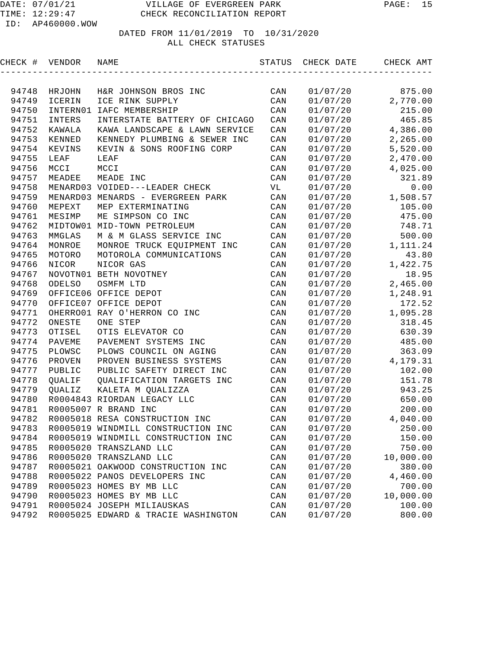## DATED FROM 11/01/2019 TO 10/31/2020

#### ALL CHECK STATUSES

| CHECK # | VENDOR   | NAME                                     | STATUS                  | CHECK DATE | CHECK AMT |
|---------|----------|------------------------------------------|-------------------------|------------|-----------|
|         |          |                                          |                         |            |           |
| 94748   | HRJOHN   | H&R JOHNSON BROS INC                     | CAN                     | 01/07/20   | 875.00    |
| 94749   | ICERIN   | ICE RINK SUPPLY                          | CAN                     | 01/07/20   | 2,770.00  |
| 94750   | INTERN01 | IAFC MEMBERSHIP                          | CAN                     | 01/07/20   | 215.00    |
| 94751   | INTERS   | INTERSTATE BATTERY OF CHICAGO            | CAN                     | 01/07/20   | 465.85    |
| 94752   | KAWALA   | KAWA LANDSCAPE & LAWN SERVICE            | CAN                     | 01/07/20   | 4,386.00  |
| 94753   | KENNED   | KENNEDY PLUMBING & SEWER INC             | CAN                     | 01/07/20   | 2,265.00  |
| 94754   | KEVINS   | KEVIN & SONS ROOFING CORP                | CAN                     | 01/07/20   | 5,520.00  |
| 94755   | LEAF     | LEAF                                     | CAN                     | 01/07/20   | 2,470.00  |
| 94756   | MCCI     | MCCI                                     | CAN                     | 01/07/20   | 4,025.00  |
| 94757   | MEADEE   | MEADE INC                                | CAN                     | 01/07/20   | 321.89    |
| 94758   |          | MENARD03 VOIDED---LEADER CHECK           | VL                      | 01/07/20   | 0.00      |
| 94759   |          | MENARD03 MENARDS - EVERGREEN PARK        | $\mathtt{CAN}$          | 01/07/20   | 1,508.57  |
| 94760   | MEPEXT   | MEP EXTERMINATING                        | CAN                     | 01/07/20   | 105.00    |
| 94761   | MESIMP   | ME SIMPSON CO INC                        | CAN                     | 01/07/20   | 475.00    |
| 94762   |          | MIDTOW01 MID-TOWN PETROLEUM              | CAN                     | 01/07/20   | 748.71    |
| 94763   | MMGLAS   | M & M GLASS SERVICE INC                  | $\mathtt{CAN}$          | 01/07/20   | 500.00    |
| 94764   | MONROE   | MONROE TRUCK EQUIPMENT INC               | $\mathtt{CAN}$          | 01/07/20   | 1,111.24  |
| 94765   | MOTORO   | MOTOROLA COMMUNICATIONS                  | CAN                     | 01/07/20   | 43.80     |
| 94766   | NICOR    | NICOR GAS                                | CAN                     | 01/07/20   | 1,422.75  |
| 94767   |          | NOVOTN01 BETH NOVOTNEY                   | CAN                     | 01/07/20   | 18.95     |
| 94768   | ODELSO   | OSMFM LTD                                | CAN                     | 01/07/20   | 2,465.00  |
| 94769   |          | OFFICE06 OFFICE DEPOT                    | CAN                     | 01/07/20   | 1,248.91  |
| 94770   |          | OFFICE07 OFFICE DEPOT                    | CAN                     | 01/07/20   | 172.52    |
| 94771   |          | OHERRO01 RAY O'HERRON CO INC             | CAN                     | 01/07/20   | 1,095.28  |
| 94772   | ONESTE   | ONE STEP                                 | CAN                     | 01/07/20   | 318.45    |
| 94773   | OTISEL   | OTIS ELEVATOR CO                         | CAN                     | 01/07/20   | 630.39    |
| 94774   | PAVEME   | PAVEMENT SYSTEMS INC                     | CAN                     | 01/07/20   | 485.00    |
| 94775   | PLOWSC   | PLOWS COUNCIL ON AGING                   | CAN                     | 01/07/20   | 363.09    |
| 94776   | PROVEN   | PROVEN BUSINESS SYSTEMS                  | CAN                     | 01/07/20   | 4,179.31  |
| 94777   | PUBLIC   | PUBLIC SAFETY DIRECT INC                 | CAN                     | 01/07/20   | 102.00    |
| 94778   | QUALIF   | QUALIFICATION TARGETS INC                | CAN                     | 01/07/20   | 151.78    |
| 94779   | QUALIZ   | KALETA M QUALIZZA                        | CAN                     | 01/07/20   | 943.25    |
| 94780   |          | R0004843 RIORDAN LEGACY LLC              | CAN                     | 01/07/20   | 650.00    |
| 94781   |          | R0005007 R BRAND INC                     | CAN                     | 01/07/20   | 200.00    |
| 94782   |          | R0005018 RESA CONSTRUCTION INC           | CAN                     | 01/07/20   | 4,040.00  |
|         |          | 94783 R0005019 WINDMILL CONSTRUCTION INC | $\mathop{\mathtt{CAN}}$ | 01/07/20   | 250.00    |
| 94784   |          | R0005019 WINDMILL CONSTRUCTION INC       | CAN                     | 01/07/20   | 150.00    |
| 94785   |          | R0005020 TRANSZLAND LLC                  | CAN                     | 01/07/20   | 750.00    |
| 94786   |          | R0005020 TRANSZLAND LLC                  | CAN                     | 01/07/20   | 10,000.00 |
| 94787   |          | R0005021 OAKWOOD CONSTRUCTION INC        | CAN                     | 01/07/20   | 380.00    |
| 94788   |          | R0005022 PANOS DEVELOPERS INC            | CAN                     | 01/07/20   | 4,460.00  |
| 94789   |          | R0005023 HOMES BY MB LLC                 | CAN                     | 01/07/20   | 700.00    |
| 94790   |          | R0005023 HOMES BY MB LLC                 | CAN                     | 01/07/20   | 10,000.00 |
| 94791   |          | R0005024 JOSEPH MILIAUSKAS               | CAN                     | 01/07/20   | 100.00    |
| 94792   |          | R0005025 EDWARD & TRACIE WASHINGTON      | CAN                     | 01/07/20   | 800.00    |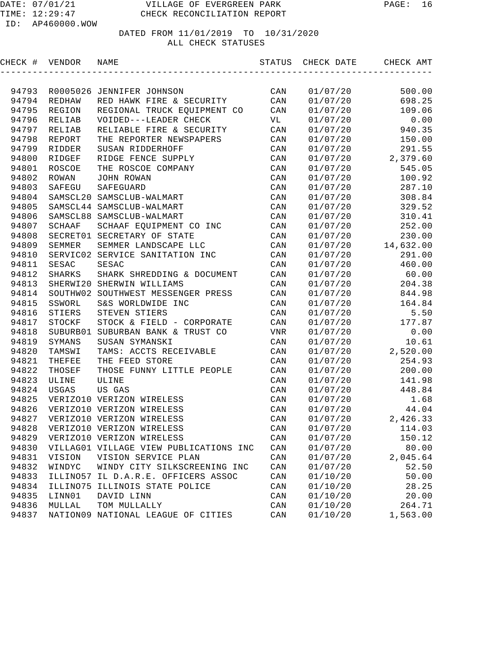# DATED FROM 11/01/2019 TO 10/31/2020

#### ALL CHECK STATUSES

| CHECK # VENDOR |               | NAME                                   | STATUS         | CHECK DATE | CHECK AMT |
|----------------|---------------|----------------------------------------|----------------|------------|-----------|
|                |               |                                        |                |            |           |
| 94793          |               | R0005026 JENNIFER JOHNSON              | CAN            | 01/07/20   | 500.00    |
| 94794          | REDHAW        | RED HAWK FIRE & SECURITY               | CAN            | 01/07/20   | 698.25    |
| 94795          | REGION        | REGIONAL TRUCK EQUIPMENT CO            | CAN            | 01/07/20   | 109.06    |
| 94796          | RELIAB        | VOIDED---LEADER CHECK                  | VL             | 01/07/20   | 0.00      |
| 94797          | RELIAB        | RELIABLE FIRE & SECURITY               | CAN            | 01/07/20   | 940.35    |
| 94798          | REPORT        | THE REPORTER NEWSPAPERS                | CAN            | 01/07/20   | 150.00    |
| 94799          | RIDDER        | SUSAN RIDDERHOFF                       | CAN            | 01/07/20   | 291.55    |
| 94800          | RIDGEF        | RIDGE FENCE SUPPLY                     | CAN            | 01/07/20   | 2,379.60  |
| 94801          | <b>ROSCOE</b> | THE ROSCOE COMPANY                     | CAN            | 01/07/20   | 545.05    |
| 94802          | ROWAN         | JOHN ROWAN                             | CAN            | 01/07/20   | 100.92    |
| 94803          | SAFEGU        | SAFEGUARD                              | CAN            | 01/07/20   | 287.10    |
| 94804          |               | SAMSCL20 SAMSCLUB-WALMART              | CAN            | 01/07/20   | 308.84    |
| 94805          |               | SAMSCL44 SAMSCLUB-WALMART              | CAN            | 01/07/20   | 329.52    |
| 94806          |               | SAMSCL88 SAMSCLUB-WALMART              | CAN            | 01/07/20   | 310.41    |
| 94807          | SCHAAF        | SCHAAF EQUIPMENT CO INC                | CAN            | 01/07/20   | 252.00    |
| 94808          |               | SECRET01 SECRETARY OF STATE            | CAN            | 01/07/20   | 230.00    |
| 94809          | SEMMER        | SEMMER LANDSCAPE LLC                   | CAN            | 01/07/20   | 14,632.00 |
| 94810          |               | SERVIC02 SERVICE SANITATION INC        | CAN            | 01/07/20   | 291.00    |
| 94811          | SESAC         | <b>SESAC</b>                           | CAN            | 01/07/20   | 460.00    |
| 94812          | <b>SHARKS</b> | SHARK SHREDDING & DOCUMENT             | CAN            | 01/07/20   | 60.00     |
| 94813          |               | SHERWI20 SHERWIN WILLIAMS              | CAN            | 01/07/20   | 204.38    |
| 94814          | SOUTHW02      | SOUTHWEST MESSENGER PRESS              | CAN            | 01/07/20   | 844.98    |
| 94815          | SSWORL        | S&S WORLDWIDE INC                      | CAN            | 01/07/20   | 164.84    |
| 94816          | STIERS        | STEVEN STIERS                          | CAN            | 01/07/20   | 5.50      |
| 94817          | STOCKF        | STOCK & FIELD - CORPORATE              | CAN            | 01/07/20   | 177.87    |
| 94818          | SUBURB01      | SUBURBAN BANK & TRUST CO               | VNR            | 01/07/20   | 0.00      |
| 94819          | SYMANS        | SUSAN SYMANSKI                         | CAN            | 01/07/20   | 10.61     |
| 94820          | TAMSWI        | TAMS: ACCTS RECEIVABLE                 | CAN            | 01/07/20   | 2,520.00  |
| 94821          | THEFEE        | THE FEED STORE                         | CAN            | 01/07/20   | 254.93    |
| 94822          | THOSEF        | THOSE FUNNY LITTLE PEOPLE              | CAN            | 01/07/20   | 200.00    |
| 94823          | ULINE         | ULINE                                  | CAN            | 01/07/20   | 141.98    |
| 94824          | USGAS         | US GAS                                 | CAN            | 01/07/20   | 448.84    |
| 94825          |               | VERIZO10 VERIZON WIRELESS              | CAN            | 01/07/20   | 1.68      |
| 94826          |               | VERIZO10 VERIZON WIRELESS              | CAN            | 01/07/20   | 44.04     |
| 94827          |               | VERIZO10 VERIZON WIRELESS              | CAN            | 01/07/20   | 2,426.33  |
| 94828          |               | VERIZO10 VERIZON WIRELESS              | $\mathtt{CAN}$ | 01/07/20   | 114.03    |
| 94829          |               | VERIZO10 VERIZON WIRELESS              | CAN            | 01/07/20   | 150.12    |
| 94830          |               | VILLAG01 VILLAGE VIEW PUBLICATIONS INC | CAN            | 01/07/20   | 80.00     |
| 94831          | VISION        | VISION SERVICE PLAN                    | $\mathtt{CAN}$ | 01/07/20   | 2,045.64  |
| 94832          | WINDYC        | WINDY CITY SILKSCREENING INC           | CAN            | 01/07/20   | 52.50     |
| 94833          |               | ILLINO57 IL D.A.R.E. OFFICERS ASSOC    | CAN            | 01/10/20   | 50.00     |
| 94834          |               | ILLINO75 ILLINOIS STATE POLICE         | CAN            | 01/10/20   | 28.25     |
| 94835          | LINN01        | DAVID LINN                             | CAN            | 01/10/20   | 20.00     |
| 94836          | MULLAL        | TOM MULLALLY                           | CAN            | 01/10/20   | 264.71    |
| 94837          |               | NATION09 NATIONAL LEAGUE OF CITIES     | CAN            | 01/10/20   | 1,563.00  |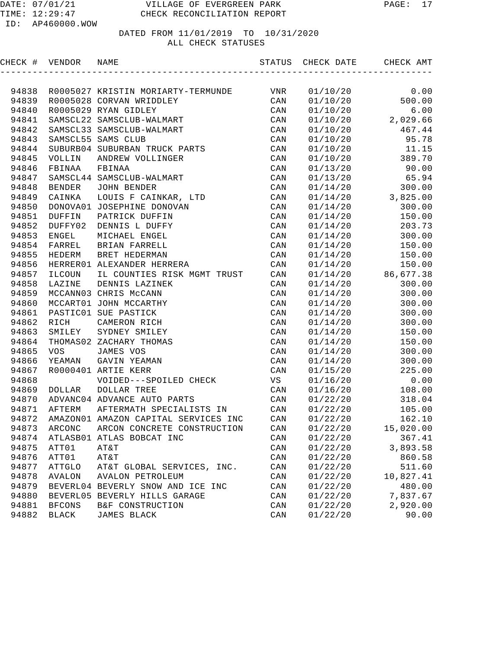|       | CHECK # VENDOR NAME |                                            |                |              | STATUS CHECK DATE CHECK AMT |
|-------|---------------------|--------------------------------------------|----------------|--------------|-----------------------------|
|       |                     |                                            |                |              |                             |
| 94838 |                     | R0005027 KRISTIN MORIARTY-TERMUNDE         | VNR            | 01/10/20     | 0.00                        |
| 94839 |                     | R0005028 CORVAN WRIDDLEY                   | CAN            | 01/10/20     | 500.00                      |
| 94840 |                     | R0005029 RYAN GIDLEY                       | CAN            | 01/10/20     | 6.00                        |
| 94841 |                     | SAMSCL22 SAMSCLUB-WALMART                  | CAN            | 01/10/20     | 2,029.66                    |
| 94842 |                     | SAMSCL33 SAMSCLUB-WALMART                  | CAN            | 01/10/20     | 467.44                      |
| 94843 |                     | SAMSCL55 SAMS CLUB                         | CAN            | 01/10/20     | 95.78                       |
| 94844 |                     | SUBURB04 SUBURBAN TRUCK PARTS              | CAN            | 01/10/20     | 11.15                       |
| 94845 | VOLLIN              | ANDREW VOLLINGER                           | CAN            |              | 01/10/20 389.70             |
| 94846 | FBINAA              | FBINAA                                     | CAN            |              | $01/13/20$ 90.00            |
| 94847 |                     | SAMSCL44 SAMSCLUB-WALMART                  | CAN            | 01/13/20     | 65.94                       |
| 94848 | BENDER              | JOHN BENDER                                | CAN            | 01/14/20     | 300.00                      |
| 94849 | CAINKA              | LOUIS F CAINKAR, LTD                       | CAN            |              | $01/14/20$ 3,825.00         |
| 94850 |                     | DONOVA01 JOSEPHINE DONOVAN                 | CAN            | 01/14/20     | 300.00                      |
| 94851 | <b>DUFFIN</b>       | PATRICK DUFFIN                             | CAN            | 01/14/20     | 150.00                      |
| 94852 | DUFFY02             | DENNIS L DUFFY                             | CAN            |              | $01/14/20$ 203.73           |
| 94853 | ENGEL               | MICHAEL ENGEL                              | CAN            | 01/14/20     | 300.00                      |
| 94854 | FARREL              | BRIAN FARRELL                              | CAN            |              | $01/14/20$ 150.00           |
| 94855 | HEDERM              | BRET HEDERMAN                              | CAN            | 01/14/20     | 150.00                      |
| 94856 |                     | HERRER01 ALEXANDER HERRERA                 | CAN            | 01/14/20     | 150.00                      |
| 94857 | ILCOUN              | IL COUNTIES RISK MGMT TRUST                | CAN            |              | $01/14/20$ 86,677.38        |
| 94858 | LAZINE              | DENNIS LAZINEK                             | CAN            | 01/14/20     | 300.00                      |
| 94859 |                     | MCCANN03 CHRIS McCANN                      | CAN            | 01/14/20     | 300.00                      |
| 94860 |                     | MCCART01 JOHN MCCARTHY                     | CAN            | 01/14/20     | 300.00                      |
| 94861 |                     | PASTIC01 SUE PASTICK                       | CAN            | 01/14/20     | 300.00                      |
| 94862 | RICH                | CAMERON RICH                               | CAN            | 01/14/20     | 300.00                      |
| 94863 | SMILEY              | SYDNEY SMILEY                              | CAN            | 01/14/20     | 150.00                      |
| 94864 |                     | THOMAS02 ZACHARY THOMAS                    | CAN            | 01/14/20     | 150.00                      |
| 94865 | VOS                 | JAMES VOS                                  | CAN            | 01/14/20     | 300.00                      |
| 94866 | YEAMAN              | GAVIN YEAMAN                               | CAN            | 01/14/20     | 300.00                      |
| 94867 |                     | R0000401 ARTIE KERR                        | CAN            | 01/15/20     | 225.00                      |
| 94868 |                     | VOIDED---SPOILED CHECK                     | VS             | 01/16/20     | 0.00                        |
| 94869 | DOLLAR              | DOLLAR TREE                                | CAN            | 01/16/20     | 108.00                      |
| 94870 |                     | ADVANC04 ADVANCE AUTO PARTS                | CAN            | 01/22/20     | 318.04                      |
| 94871 | AFTERM              | AFTERMATH SPECIALISTS IN                   | CAN            | 01/22/20     | 105.00                      |
|       |                     | 94872 AMAZON01 AMAZON CAPITAL SERVICES INC |                | CAN 01/22/20 | 162.10                      |
| 94873 | ARCONC              | ARCON CONCRETE CONSTRUCTION                | CAN            | 01/22/20     | 15,020.00                   |
| 94874 |                     | ATLASB01 ATLAS BOBCAT INC                  | CAN            | 01/22/20     | 367.41                      |
| 94875 | ATT01               | AT&T                                       | CAN            | 01/22/20     | 3,893.58                    |
| 94876 | ATT01               | AT&T                                       | CAN            | 01/22/20     | 860.58                      |
| 94877 | <b>ATTGLO</b>       | AT&T GLOBAL SERVICES, INC.                 | $\mathtt{CAN}$ | 01/22/20     | 511.60                      |
| 94878 | <b>AVALON</b>       | AVALON PETROLEUM                           | CAN            | 01/22/20     | 10,827.41                   |
| 94879 |                     | BEVERL04 BEVERLY SNOW AND ICE INC          | CAN            | 01/22/20     | 480.00                      |
| 94880 |                     | BEVERL05 BEVERLY HILLS GARAGE              | CAN            | 01/22/20     | 7,837.67                    |
| 94881 | <b>BFCONS</b>       | B&F CONSTRUCTION                           | CAN            | 01/22/20     | 2,920.00                    |
| 94882 | BLACK               | JAMES BLACK                                | CAN            | 01/22/20     | 90.00                       |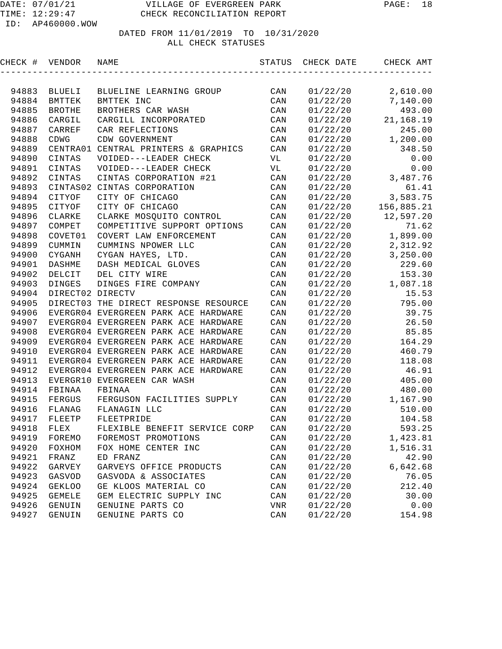| CHECK # | VENDOR           | NAME                                  | STATUS         | CHECK DATE | CHECK AMT  |
|---------|------------------|---------------------------------------|----------------|------------|------------|
|         |                  |                                       |                |            |            |
| 94883   | BLUELI           | BLUELINE LEARNING GROUP               | CAN            | 01/22/20   | 2,610.00   |
| 94884   | <b>BMTTEK</b>    | BMTTEK INC                            | CAN            | 01/22/20   | 7,140.00   |
| 94885   | <b>BROTHE</b>    | BROTHERS CAR WASH                     | CAN            | 01/22/20   | 493.00     |
| 94886   | CARGIL           | CARGILL INCORPORATED                  | CAN            | 01/22/20   | 21,168.19  |
| 94887   | CARREF           | CAR REFLECTIONS                       | CAN            | 01/22/20   | 245.00     |
| 94888   | <b>CDWG</b>      | CDW GOVERNMENT                        | CAN            | 01/22/20   | 1,200.00   |
| 94889   | CENTRA01         | CENTRAL PRINTERS & GRAPHICS           | CAN            | 01/22/20   | 348.50     |
| 94890   | CINTAS           | VOIDED---LEADER CHECK                 | VL             | 01/22/20   | 0.00       |
| 94891   | CINTAS           | VOIDED---LEADER CHECK                 | VL             | 01/22/20   | 0.00       |
| 94892   | CINTAS           | CINTAS CORPORATION #21                | CAN            | 01/22/20   | 3,487.76   |
| 94893   | CINTAS02         | CINTAS CORPORATION                    | CAN            | 01/22/20   | 61.41      |
| 94894   | CITYOF           | CITY OF CHICAGO                       | CAN            | 01/22/20   | 3,583.75   |
| 94895   | CITYOF           | CITY OF CHICAGO                       | CAN            | 01/22/20   | 156,885.21 |
| 94896   | CLARKE           | CLARKE MOSQUITO CONTROL               | CAN            | 01/22/20   | 12,597.20  |
| 94897   | COMPET           | COMPETITIVE SUPPORT OPTIONS           | CAN            | 01/22/20   | 71.62      |
| 94898   | COVET01          | COVERT LAW ENFORCEMENT                | CAN            | 01/22/20   | 1,899.00   |
| 94899   | CUMMIN           | CUMMINS NPOWER LLC                    | CAN            | 01/22/20   | 2,312.92   |
| 94900   | CYGANH           | CYGAN HAYES, LTD.                     | CAN            | 01/22/20   | 3,250.00   |
| 94901   | DASHME           | DASH MEDICAL GLOVES                   | CAN            | 01/22/20   | 229.60     |
| 94902   | DELCIT           | DEL CITY WIRE                         | CAN            | 01/22/20   | 153.30     |
| 94903   | <b>DINGES</b>    | DINGES FIRE COMPANY                   | CAN            | 01/22/20   | 1,087.18   |
| 94904   | DIRECT02 DIRECTV |                                       | CAN            | 01/22/20   | 15.53      |
| 94905   |                  | DIRECT03 THE DIRECT RESPONSE RESOURCE | CAN            | 01/22/20   | 795.00     |
| 94906   |                  | EVERGR04 EVERGREEN PARK ACE HARDWARE  | CAN            | 01/22/20   | 39.75      |
| 94907   |                  | EVERGR04 EVERGREEN PARK ACE HARDWARE  | CAN            | 01/22/20   | 26.50      |
| 94908   |                  | EVERGR04 EVERGREEN PARK ACE HARDWARE  | CAN            | 01/22/20   | 85.85      |
| 94909   |                  | EVERGR04 EVERGREEN PARK ACE HARDWARE  | CAN            | 01/22/20   | 164.29     |
| 94910   |                  | EVERGR04 EVERGREEN PARK ACE HARDWARE  | CAN            | 01/22/20   | 460.79     |
| 94911   |                  | EVERGR04 EVERGREEN PARK ACE HARDWARE  | CAN            | 01/22/20   | 118.08     |
| 94912   |                  | EVERGR04 EVERGREEN PARK ACE HARDWARE  | CAN            | 01/22/20   | 46.91      |
| 94913   |                  | EVERGR10 EVERGREEN CAR WASH           | CAN            | 01/22/20   | 405.00     |
| 94914   | FBINAA           | FBINAA                                | CAN            | 01/22/20   | 480.00     |
| 94915   | FERGUS           | FERGUSON FACILITIES SUPPLY            | CAN            | 01/22/20   | 1,167.90   |
| 94916   | FLANAG           | FLANAGIN LLC                          | CAN            | 01/22/20   | 510.00     |
| 94917   | FLEETP           | FLEETPRIDE                            | CAN            | 01/22/20   | 104.58     |
| 94918   | ${\tt FLEX}$     | FLEXIBLE BENEFIT SERVICE CORP         | CAN            | 01/22/20   | 593.25     |
| 94919   | FOREMO           | FOREMOST PROMOTIONS                   | CAN            | 01/22/20   | 1,423.81   |
| 94920   | FOXHOM           | FOX HOME CENTER INC                   | $\mathtt{CAN}$ | 01/22/20   | 1,516.31   |
| 94921   | FRANZ            | ED FRANZ                              | $\mathtt{CAN}$ | 01/22/20   | 42.90      |
| 94922   | GARVEY           | GARVEYS OFFICE PRODUCTS               | CAN            | 01/22/20   | 6,642.68   |
| 94923   | GASVOD           | GASVODA & ASSOCIATES                  | CAN            | 01/22/20   | 76.05      |
| 94924   | <b>GEKLOO</b>    | GE KLOOS MATERIAL CO                  | $\mathtt{CAN}$ | 01/22/20   | 212.40     |
| 94925   | <b>GEMELE</b>    | GEM ELECTRIC SUPPLY INC               | CAN            | 01/22/20   | 30.00      |
| 94926   | GENUIN           | GENUINE PARTS CO                      | VNR            | 01/22/20   | 0.00       |
| 94927   | GENUIN           | GENUINE PARTS CO                      | CAN            | 01/22/20   | 154.98     |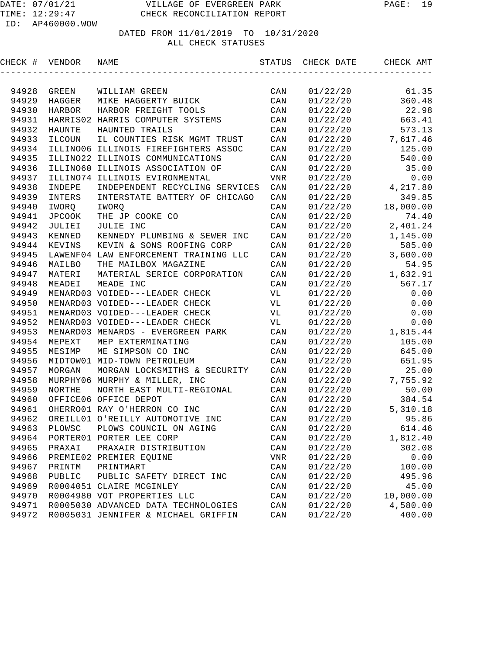| CHECK # | VENDOR        | NAME                                  | STATUS         | CHECK DATE | CHECK AMT |
|---------|---------------|---------------------------------------|----------------|------------|-----------|
|         |               |                                       |                |            |           |
| 94928   | GREEN         | WILLIAM GREEN                         | CAN            | 01/22/20   | 61.35     |
| 94929   | HAGGER        | MIKE HAGGERTY BUICK                   | CAN            | 01/22/20   | 360.48    |
| 94930   | HARBOR        | HARBOR FREIGHT TOOLS                  | CAN            | 01/22/20   | 22.98     |
| 94931   |               | HARRIS02 HARRIS COMPUTER SYSTEMS      | CAN            | 01/22/20   | 663.41    |
| 94932   | <b>HAUNTE</b> | HAUNTED TRAILS                        | CAN            | 01/22/20   | 573.13    |
| 94933   | ILCOUN        | IL COUNTIES RISK MGMT TRUST           | CAN            | 01/22/20   | 7,617.46  |
| 94934   |               | ILLINO06 ILLINOIS FIREFIGHTERS ASSOC  | CAN            | 01/22/20   | 125.00    |
| 94935   |               | ILLINO22 ILLINOIS COMMUNICATIONS      | CAN            | 01/22/20   | 540.00    |
| 94936   | ILLINO60      | ILLINOIS ASSOCIATION OF               | CAN            | 01/22/20   | 35.00     |
| 94937   | ILLINO74      | ILLINOIS EVIRONMENTAL                 | <b>VNR</b>     | 01/22/20   | 0.00      |
| 94938   | INDEPE        | INDEPENDENT RECYCLING SERVICES        | CAN            | 01/22/20   | 4,217.80  |
| 94939   | INTERS        | INTERSTATE BATTERY OF CHICAGO         | CAN            | 01/22/20   | 349.85    |
| 94940   | IWORQ         | IWORQ                                 | CAN            | 01/22/20   | 18,000.00 |
| 94941   | <b>JPCOOK</b> | THE JP COOKE CO                       | CAN            | 01/22/20   | 74.40     |
| 94942   | JULIEI        | JULIE INC                             | CAN            | 01/22/20   | 2,401.24  |
| 94943   | KENNED        | KENNEDY PLUMBING & SEWER INC          | $\mathtt{CAN}$ | 01/22/20   | 1,145.00  |
| 94944   | KEVINS        | KEVIN & SONS ROOFING CORP             | $\mathtt{CAN}$ | 01/22/20   | 585.00    |
| 94945   |               | LAWENF04 LAW ENFORCEMENT TRAINING LLC | CAN            | 01/22/20   | 3,600.00  |
| 94946   | MAILBO        | THE MAILBOX MAGAZINE                  | CAN            | 01/22/20   | 54.95     |
| 94947   | MATERI        | MATERIAL SERICE CORPORATION           | CAN            | 01/22/20   | 1,632.91  |
| 94948   | MEADEI        | MEADE INC                             | CAN            | 01/22/20   | 567.17    |
| 94949   |               | MENARD03 VOIDED---LEADER CHECK        | VL             | 01/22/20   | 0.00      |
| 94950   |               | MENARD03 VOIDED---LEADER CHECK        | VL             | 01/22/20   | 0.00      |
| 94951   |               | MENARD03 VOIDED---LEADER CHECK        | VL             | 01/22/20   | 0.00      |
| 94952   |               | MENARD03 VOIDED---LEADER CHECK        | VL             | 01/22/20   | 0.00      |
| 94953   |               | MENARD03 MENARDS - EVERGREEN PARK     | CAN            | 01/22/20   | 1,815.44  |
| 94954   | MEPEXT        | MEP EXTERMINATING                     | CAN            | 01/22/20   | 105.00    |
| 94955   | MESIMP        | ME SIMPSON CO INC                     | CAN            | 01/22/20   | 645.00    |
| 94956   |               | MIDTOW01 MID-TOWN PETROLEUM           | CAN            | 01/22/20   | 651.95    |
| 94957   | MORGAN        | MORGAN LOCKSMITHS & SECURITY          | CAN            | 01/22/20   | 25.00     |
| 94958   |               | MURPHY06 MURPHY & MILLER, INC         | CAN            | 01/22/20   | 7,755.92  |
| 94959   | NORTHE        | NORTH EAST MULTI-REGIONAL             | CAN            | 01/22/20   | 50.00     |
| 94960   |               | OFFICE06 OFFICE DEPOT                 | CAN            | 01/22/20   | 384.54    |
| 94961   |               | OHERRO01 RAY O'HERRON CO INC          | CAN            | 01/22/20   | 5,310.18  |
| 94962   |               | OREILL01 O'REILLY AUTOMOTIVE INC      | CAN            | 01/22/20   | 95.86     |
| 94963   | PLOWSC        | PLOWS COUNCIL ON AGING                | $\mathtt{CAN}$ | 01/22/20   | 614.46    |
| 94964   |               | PORTER01 PORTER LEE CORP              | CAN            | 01/22/20   | 1,812.40  |
| 94965   | PRAXAI        | PRAXAIR DISTRIBUTION                  | CAN            | 01/22/20   | 302.08    |
| 94966   |               | PREMIE02 PREMIER EQUINE               | ${\tt VNR}$    | 01/22/20   | 0.00      |
| 94967   | PRINTM        | PRINTMART                             | CAN            | 01/22/20   | 100.00    |
| 94968   | PUBLIC        | PUBLIC SAFETY DIRECT INC              | CAN            | 01/22/20   | 495.96    |
| 94969   |               | R0004051 CLAIRE MCGINLEY              | CAN            | 01/22/20   | 45.00     |
| 94970   |               | R0004980 VOT PROPERTIES LLC           | CAN            | 01/22/20   | 10,000.00 |
| 94971   |               | R0005030 ADVANCED DATA TECHNOLOGIES   | CAN            | 01/22/20   | 4,580.00  |
| 94972   |               | R0005031 JENNIFER & MICHAEL GRIFFIN   | $\mathtt{CAN}$ | 01/22/20   | 400.00    |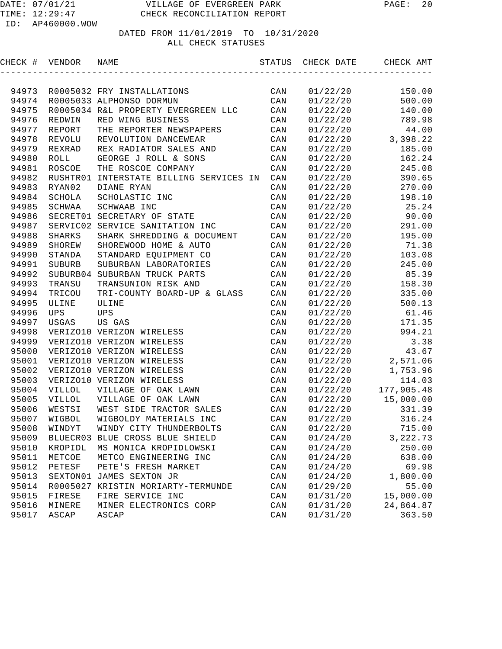| CHECK #        | VENDOR              | NAME                                | STATUS                  | CHECK DATE           | CHECK AMT       |
|----------------|---------------------|-------------------------------------|-------------------------|----------------------|-----------------|
|                |                     |                                     |                         |                      |                 |
| 94973          |                     | R0005032 FRY INSTALLATIONS          | CAN                     | 01/22/20             | 150.00          |
| 94974          |                     | R0005033 ALPHONSO DORMUN            | CAN                     | 01/22/20             | 500.00          |
| 94975          |                     | R0005034 R&L PROPERTY EVERGREEN LLC | CAN                     | 01/22/20             | 140.00          |
| 94976          | REDWIN              | RED WING BUSINESS                   | CAN                     | 01/22/20             | 789.98          |
| 94977          | REPORT              | THE REPORTER NEWSPAPERS             | CAN                     | 01/22/20             | 44.00           |
| 94978          | REVOLU              | REVOLUTION DANCEWEAR                | CAN                     | 01/22/20             | 3,398.22        |
| 94979          | REXRAD              | REX RADIATOR SALES AND              | CAN                     | 01/22/20             | 185.00          |
| 94980          | <b>ROLL</b>         | GEORGE J ROLL & SONS                | CAN                     | 01/22/20             | 162.24          |
| 94981          | ROSCOE              | THE ROSCOE COMPANY                  | CAN                     | 01/22/20             | 245.08          |
| 94982          | RUSHTR01            | INTERSTATE BILLING SERVICES IN      | CAN                     | 01/22/20             | 390.65          |
| 94983          | RYAN02              | DIANE RYAN                          | CAN                     | 01/22/20             | 270.00          |
| 94984          | SCHOLA              | SCHOLASTIC INC                      | CAN                     | 01/22/20             | 198.10          |
| 94985          | SCHWAA              | SCHWAAB INC                         | CAN                     | 01/22/20             | 25.24           |
| 94986          |                     | SECRET01 SECRETARY OF STATE         | CAN                     | 01/22/20             | 90.00           |
| 94987          |                     | SERVIC02 SERVICE SANITATION INC     | CAN                     | 01/22/20             | 291.00          |
| 94988          | <b>SHARKS</b>       | SHARK SHREDDING & DOCUMENT          | CAN                     | 01/22/20             | 195.00          |
| 94989          | SHOREW              | SHOREWOOD HOME & AUTO               | CAN                     | 01/22/20             | 71.38           |
| 94990          | STANDA              | STANDARD EQUIPMENT CO               | CAN                     | 01/22/20             | 103.08          |
| 94991          | <b>SUBURB</b>       | SUBURBAN LABORATORIES               | CAN                     | 01/22/20             | 245.00          |
| 94992          |                     | SUBURB04 SUBURBAN TRUCK PARTS       | CAN                     | 01/22/20             | 85.39           |
| 94993          | TRANSU              | TRANSUNION RISK AND                 | CAN                     | 01/22/20             | 158.30          |
| 94994          | TRICOU              | TRI-COUNTY BOARD-UP & GLASS         | CAN                     | 01/22/20             | 335.00          |
| 94995          | ULINE               | ULINE                               | CAN                     | 01/22/20             | 500.13          |
| 94996<br>94997 | <b>UPS</b><br>USGAS | <b>UPS</b><br>US GAS                | $\mathtt{CAN}$<br>CAN   | 01/22/20<br>01/22/20 | 61.46<br>171.35 |
| 94998          |                     | VERIZO10 VERIZON WIRELESS           | CAN                     | 01/22/20             | 994.21          |
| 94999          |                     | VERIZO10 VERIZON WIRELESS           | CAN                     | 01/22/20             | 3.38            |
| 95000          |                     | VERIZO10 VERIZON WIRELESS           | CAN                     | 01/22/20             | 43.67           |
| 95001          |                     | VERIZO10 VERIZON WIRELESS           | CAN                     | 01/22/20             | 2,571.06        |
| 95002          |                     | VERIZO10 VERIZON WIRELESS           | CAN                     | 01/22/20             | 1,753.96        |
| 95003          |                     | VERIZO10 VERIZON WIRELESS           | CAN                     | 01/22/20             | 114.03          |
| 95004          | <b>VILLOL</b>       | VILLAGE OF OAK LAWN                 | CAN                     | 01/22/20             | 177,905.48      |
| 95005          | VILLOL              | VILLAGE OF OAK LAWN                 | CAN                     | 01/22/20             | 15,000.00       |
| 95006          | WESTSI              | WEST SIDE TRACTOR SALES             | CAN                     | 01/22/20             | 331.39          |
| 95007          | WIGBOL              | WIGBOLDY MATERIALS INC              | CAN                     | 01/22/20             | 316.24          |
| 95008          | WINDYT              | WINDY CITY THUNDERBOLTS             | $\mathop{\mathtt{CAN}}$ | 01/22/20             | 715.00          |
| 95009          | BLUECR03            | BLUE CROSS BLUE SHIELD              | $\mathtt{CAN}$          | 01/24/20             | 3, 222.73       |
| 95010          | KROPIDL             | MS MONICA KROPIDLOWSKI              | $\mathtt{CAN}$          | 01/24/20             | 250.00          |
| 95011          | METCOE              | METCO ENGINEERING INC               | $\mathtt{CAN}$          | 01/24/20             | 638.00          |
| 95012          | PETESF              | PETE'S FRESH MARKET                 | CAN                     | 01/24/20             | 69.98           |
| 95013          |                     | SEXTON01 JAMES SEXTON JR            | CAN                     | 01/24/20             | 1,800.00        |
| 95014          | R0005027            | KRISTIN MORIARTY-TERMUNDE           | $\mathtt{CAN}$          | 01/29/20             | 55.00           |
| 95015          | FIRESE              | FIRE SERVICE INC                    | CAN                     | 01/31/20             | 15,000.00       |
| 95016          | MINERE              | MINER ELECTRONICS CORP              | CAN                     | 01/31/20             | 24,864.87       |
| 95017          | ASCAP               | ASCAP                               | CAN                     | 01/31/20             | 363.50          |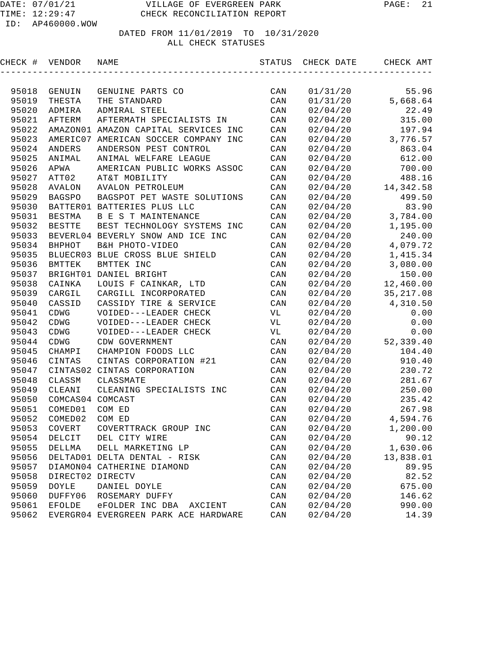| CHECK # | VENDOR           | NAME                                 | STATUS         | CHECK DATE | CHECK AMT  |
|---------|------------------|--------------------------------------|----------------|------------|------------|
|         |                  |                                      |                |            |            |
| 95018   | GENUIN           | GENUINE PARTS CO                     | CAN            | 01/31/20   | 55.96      |
| 95019   | THESTA           | THE STANDARD                         | CAN            | 01/31/20   | 5,668.64   |
| 95020   | ADMIRA           | ADMIRAL STEEL                        | CAN            | 02/04/20   | 22.49      |
| 95021   | AFTERM           | AFTERMATH SPECIALISTS IN             | CAN            | 02/04/20   | 315.00     |
| 95022   |                  | AMAZON01 AMAZON CAPITAL SERVICES INC | CAN            | 02/04/20   | 197.94     |
| 95023   | AMERIC07         | AMERICAN SOCCER COMPANY INC          | CAN            | 02/04/20   | 3,776.57   |
| 95024   | <b>ANDERS</b>    | ANDERSON PEST CONTROL                | CAN            | 02/04/20   | 863.04     |
| 95025   | ANIMAL           | ANIMAL WELFARE LEAGUE                | CAN            | 02/04/20   | 612.00     |
| 95026   | APWA             | AMERICAN PUBLIC WORKS ASSOC          | CAN            | 02/04/20   | 700.00     |
| 95027   | ATT02            | AT&T MOBILITY                        | CAN            | 02/04/20   | 488.16     |
| 95028   | AVALON           | AVALON PETROLEUM                     | CAN            | 02/04/20   | 14, 342.58 |
| 95029   | <b>BAGSPO</b>    | BAGSPOT PET WASTE SOLUTIONS          | CAN            | 02/04/20   | 499.50     |
| 95030   |                  | BATTER01 BATTERIES PLUS LLC          | CAN            | 02/04/20   | 83.90      |
| 95031   | BESTMA           | B E S T MAINTENANCE                  | CAN            | 02/04/20   | 3,784.00   |
| 95032   | <b>BESTTE</b>    | BEST TECHNOLOGY SYSTEMS INC          | CAN            | 02/04/20   | 1,195.00   |
| 95033   |                  | BEVERL04 BEVERLY SNOW AND ICE INC    | CAN            | 02/04/20   | 240.00     |
| 95034   | BHPHOT           | B&H PHOTO-VIDEO                      | CAN            | 02/04/20   | 4,079.72   |
| 95035   |                  | BLUECR03 BLUE CROSS BLUE SHIELD      | CAN            | 02/04/20   | 1,415.34   |
| 95036   | BMTTEK           | BMTTEK INC                           | CAN            | 02/04/20   | 3,080.00   |
| 95037   |                  | BRIGHT01 DANIEL BRIGHT               | CAN            | 02/04/20   | 150.00     |
| 95038   | CAINKA           | LOUIS F CAINKAR, LTD                 | CAN            | 02/04/20   | 12,460.00  |
| 95039   | CARGIL           | CARGILL INCORPORATED                 | CAN            | 02/04/20   | 35, 217.08 |
| 95040   | CASSID           | CASSIDY TIRE & SERVICE               | CAN            | 02/04/20   | 4,310.50   |
| 95041   | CDWG             | VOIDED---LEADER CHECK                | VL             | 02/04/20   | 0.00       |
| 95042   | CDWG             | VOIDED---LEADER CHECK                | VL             | 02/04/20   | 0.00       |
| 95043   | CDWG             | VOIDED---LEADER CHECK                | VL             | 02/04/20   | 0.00       |
| 95044   | CDWG             | CDW GOVERNMENT                       | CAN            | 02/04/20   | 52,339.40  |
| 95045   | CHAMPI           | CHAMPION FOODS LLC                   | CAN            | 02/04/20   | 104.40     |
| 95046   | CINTAS           | CINTAS CORPORATION #21               | CAN            | 02/04/20   | 910.40     |
| 95047   | CINTAS02         | CINTAS CORPORATION                   | CAN            | 02/04/20   | 230.72     |
| 95048   | CLASSM           | CLASSMATE                            | CAN            | 02/04/20   | 281.67     |
| 95049   | CLEANI           | CLEANING SPECIALISTS INC             | CAN            | 02/04/20   | 250.00     |
| 95050   | COMCAS04 COMCAST |                                      | CAN            | 02/04/20   | 235.42     |
| 95051   | COMED01          | COM ED                               | CAN            | 02/04/20   | 267.98     |
| 95052   | COMED02          | COM ED                               | CAN            | 02/04/20   | 4,594.76   |
| 95053   | $\tt COVERT$     | COVERTTRACK GROUP INC                | $\mathtt{CAN}$ | 02/04/20   | 1,200.00   |
| 95054   | DELCIT           | DEL CITY WIRE                        | $\mathtt{CAN}$ | 02/04/20   | 90.12      |
| 95055   | DELLMA           | DELL MARKETING LP                    | CAN            | 02/04/20   | 1,630.06   |
| 95056   |                  | DELTAD01 DELTA DENTAL - RISK         | CAN            | 02/04/20   | 13,838.01  |
| 95057   |                  | DIAMON04 CATHERINE DIAMOND           | CAN            | 02/04/20   | 89.95      |
| 95058   | DIRECT02 DIRECTV |                                      | CAN            | 02/04/20   | 82.52      |
| 95059   | DOYLE            | DANIEL DOYLE                         | CAN            | 02/04/20   | 675.00     |
| 95060   | DUFFY06          | ROSEMARY DUFFY                       | $\mathtt{CAN}$ | 02/04/20   | 146.62     |
| 95061   | <b>EFOLDE</b>    | eFOLDER INC DBA<br>AXCIENT           | CAN            | 02/04/20   | 990.00     |
| 95062   |                  | EVERGR04 EVERGREEN PARK ACE HARDWARE | CAN            | 02/04/20   | 14.39      |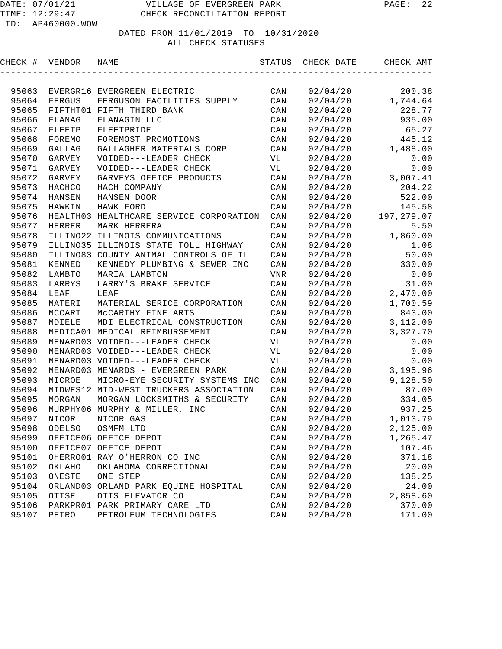| CHECK # | VENDOR       | NAME                                    | STATUS         | CHECK DATE | CHECK AMT  |
|---------|--------------|-----------------------------------------|----------------|------------|------------|
|         |              |                                         |                |            |            |
| 95063   |              | EVERGR16 EVERGREEN ELECTRIC             | CAN            | 02/04/20   | 200.38     |
| 95064   | FERGUS       | FERGUSON FACILITIES SUPPLY              | CAN            | 02/04/20   | 1,744.64   |
| 95065   |              | FIFTHT01 FIFTH THIRD BANK               | CAN            | 02/04/20   | 228.77     |
| 95066   | FLANAG       | FLANAGIN LLC                            | CAN            | 02/04/20   | 935.00     |
| 95067   | FLEETP       | FLEETPRIDE                              | CAN            | 02/04/20   | 65.27      |
| 95068   | FOREMO       | FOREMOST PROMOTIONS                     | CAN            | 02/04/20   | 445.12     |
| 95069   | GALLAG       | GALLAGHER MATERIALS CORP                | CAN            | 02/04/20   | 1,488.00   |
| 95070   | GARVEY       | VOIDED---LEADER CHECK                   | VL             | 02/04/20   | 0.00       |
| 95071   | GARVEY       | VOIDED---LEADER CHECK                   | VL             | 02/04/20   | 0.00       |
| 95072   | GARVEY       | GARVEYS OFFICE PRODUCTS                 | CAN            | 02/04/20   | 3,007.41   |
| 95073   | HACHCO       | HACH COMPANY                            | CAN            | 02/04/20   | 204.22     |
| 95074   | HANSEN       | HANSEN DOOR                             | $\mathtt{CAN}$ | 02/04/20   | 522.00     |
| 95075   | HAWKIN       | HAWK FORD                               | CAN            | 02/04/20   | 145.58     |
| 95076   |              | HEALTH03 HEALTHCARE SERVICE CORPORATION | CAN            | 02/04/20   | 197,279.07 |
| 95077   | HERRER       | MARK HERRERA                            | CAN            | 02/04/20   | 5.50       |
| 95078   |              | ILLINO22 ILLINOIS COMMUNICATIONS        | $\mathtt{CAN}$ | 02/04/20   | 1,860.00   |
| 95079   |              | ILLINO35 ILLINOIS STATE TOLL HIGHWAY    | CAN            | 02/04/20   | 1.08       |
| 95080   |              | ILLINO83 COUNTY ANIMAL CONTROLS OF IL   | CAN            | 02/04/20   | 50.00      |
| 95081   | KENNED       | KENNEDY PLUMBING & SEWER INC            | CAN            | 02/04/20   | 330.00     |
| 95082   | LAMBTO       | MARIA LAMBTON                           | VNR            | 02/04/20   | 0.00       |
| 95083   | LARRYS       | LARRY'S BRAKE SERVICE                   | CAN            | 02/04/20   | 31.00      |
| 95084   | LEAF         | LEAF                                    | CAN            | 02/04/20   | 2,470.00   |
| 95085   | MATERI       | MATERIAL SERICE CORPORATION             | CAN            | 02/04/20   | 1,700.59   |
| 95086   | MCCART       | MCCARTHY FINE ARTS                      | CAN            | 02/04/20   | 843.00     |
| 95087   | MDIELE       | MDI ELECTRICAL CONSTRUCTION             | CAN            | 02/04/20   | 3,112.00   |
| 95088   |              | MEDICA01 MEDICAL REIMBURSEMENT          | CAN            | 02/04/20   | 3,327.70   |
| 95089   |              | MENARD03 VOIDED---LEADER CHECK          | VL             | 02/04/20   | 0.00       |
| 95090   |              | MENARD03 VOIDED---LEADER CHECK          | VL             | 02/04/20   | 0.00       |
| 95091   |              | MENARD03 VOIDED---LEADER CHECK          | VL             | 02/04/20   | 0.00       |
| 95092   |              | MENARD03 MENARDS - EVERGREEN PARK       | CAN            | 02/04/20   | 3,195.96   |
| 95093   | MICROE       | MICRO-EYE SECURITY SYSTEMS INC          | CAN            | 02/04/20   | 9,128.50   |
| 95094   | MIDWES12     | MID-WEST TRUCKERS ASSOCIATION           | CAN            | 02/04/20   | 87.00      |
| 95095   | MORGAN       | MORGAN LOCKSMITHS & SECURITY            | CAN            | 02/04/20   | 334.05     |
| 95096   |              | MURPHY06 MURPHY & MILLER, INC           | CAN            | 02/04/20   | 937.25     |
| 95097   | <b>NICOR</b> | NICOR GAS                               | CAN            | 02/04/20   | 1,013.79   |
| 95098   | ODELSO       | OSMFM LTD                               | $\mathtt{CAN}$ | 02/04/20   | 2,125.00   |
| 95099   |              | OFFICE06 OFFICE DEPOT                   | CAN            | 02/04/20   | 1,265.47   |
| 95100   |              | OFFICE07 OFFICE DEPOT                   | CAN            | 02/04/20   | 107.46     |
| 95101   |              | OHERRO01 RAY O'HERRON CO INC            | $\mathtt{CAN}$ | 02/04/20   | 371.18     |
| 95102   | OKLAHO       | OKLAHOMA CORRECTIONAL                   | CAN            | 02/04/20   | 20.00      |
| 95103   | ONESTE       | ONE STEP                                | $\mathtt{CAN}$ | 02/04/20   | 138.25     |
| 95104   |              | ORLAND03 ORLAND PARK EQUINE HOSPITAL    | CAN            | 02/04/20   | 24.00      |
| 95105   | OTISEL       | OTIS ELEVATOR CO                        | CAN            | 02/04/20   | 2,858.60   |
| 95106   |              | PARKPRO1 PARK PRIMARY CARE LTD          | CAN            | 02/04/20   | 370.00     |
| 95107   | PETROL       | PETROLEUM TECHNOLOGIES                  | CAN            | 02/04/20   | 171.00     |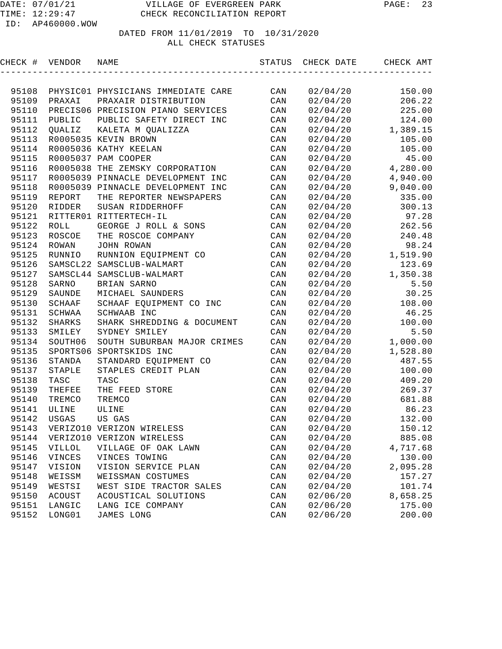| CHECK # VENDOR |               | NAME                               |                | STATUS CHECK DATE | CHECK AMT |
|----------------|---------------|------------------------------------|----------------|-------------------|-----------|
|                |               |                                    |                |                   |           |
| 95108          |               | PHYSIC01 PHYSICIANS IMMEDIATE CARE | CAN            | 02/04/20          | 150.00    |
| 95109          | PRAXAI        | PRAXAIR DISTRIBUTION               | CAN            | 02/04/20          | 206.22    |
| 95110          |               | PRECIS06 PRECISION PIANO SERVICES  | CAN            | 02/04/20          | 225.00    |
| 95111          | PUBLIC        | PUBLIC SAFETY DIRECT INC           | CAN            | 02/04/20          | 124.00    |
| 95112          | OUALIZ        | KALETA M QUALIZZA                  | CAN            | 02/04/20          | 1,389.15  |
| 95113          |               | R0005035 KEVIN BROWN               | CAN            | 02/04/20          | 105.00    |
| 95114          |               | R0005036 KATHY KEELAN              | CAN            | 02/04/20          | 105.00    |
| 95115          |               | R0005037 PAM COOPER                | CAN            | 02/04/20          | 45.00     |
| 95116          |               | R0005038 THE ZEMSKY CORPORATION    | CAN            | 02/04/20          | 4,280.00  |
| 95117          |               | R0005039 PINNACLE DEVELOPMENT INC  | CAN            | 02/04/20          | 4,940.00  |
| 95118          |               | R0005039 PINNACLE DEVELOPMENT INC  | CAN            | 02/04/20          | 9,040.00  |
| 95119          | REPORT        | THE REPORTER NEWSPAPERS            | CAN            | 02/04/20          | 335.00    |
| 95120          | <b>RIDDER</b> | SUSAN RIDDERHOFF                   | CAN            | 02/04/20          | 300.13    |
| 95121          |               | RITTER01 RITTERTECH-IL             | CAN            | 02/04/20          | 97.28     |
| 95122          | <b>ROLL</b>   | GEORGE J ROLL & SONS               | CAN            | 02/04/20          | 262.56    |
| 95123          | ROSCOE        | THE ROSCOE COMPANY                 | CAN            | 02/04/20          | 240.48    |
| 95124          | ROWAN         | JOHN ROWAN                         | CAN            | 02/04/20          | 98.24     |
| 95125          | RUNNIO        | RUNNION EQUIPMENT CO               | CAN            | 02/04/20          | 1,519.90  |
| 95126          |               | SAMSCL22 SAMSCLUB-WALMART          | CAN            | 02/04/20          | 123.69    |
| 95127          |               | SAMSCL44 SAMSCLUB-WALMART          | CAN            | 02/04/20          | 1,350.38  |
| 95128          | SARNO         | BRIAN SARNO                        | CAN            | 02/04/20          | 5.50      |
| 95129          | SAUNDE        | MICHAEL SAUNDERS                   | CAN            | 02/04/20          | 30.25     |
| 95130          | SCHAAF        | SCHAAF EQUIPMENT CO INC            | CAN            | 02/04/20          | 108.00    |
| 95131          | SCHWAA        | SCHWAAB INC                        | CAN            | 02/04/20          | 46.25     |
| 95132          | SHARKS        | SHARK SHREDDING & DOCUMENT         | CAN            | 02/04/20          | 100.00    |
| 95133          | SMILEY        | SYDNEY SMILEY                      | CAN            | 02/04/20          | 5.50      |
| 95134          | SOUTH06       | SOUTH SUBURBAN MAJOR CRIMES        | CAN            | 02/04/20          | 1,000.00  |
| 95135          | SPORTS06      | SPORTSKIDS INC                     | CAN            | 02/04/20          | 1,528.80  |
| 95136          | STANDA        | STANDARD EQUIPMENT CO              | CAN            | 02/04/20          | 487.55    |
| 95137          | STAPLE        | STAPLES CREDIT PLAN                | CAN            | 02/04/20          | 100.00    |
| 95138          | TASC          | TASC                               | CAN            | 02/04/20          | 409.20    |
| 95139          | THEFEE        | THE FEED STORE                     | CAN            | 02/04/20          | 269.37    |
| 95140          | TREMCO        | TREMCO                             | CAN            | 02/04/20          | 681.88    |
| 95141          | ULINE         | ULINE                              | CAN            | 02/04/20          | 86.23     |
| 95142          | USGAS         | US GAS                             | $\mathtt{CAN}$ | 02/04/20          | 132.00    |
| 95143          |               | VERIZO10 VERIZON WIRELESS          | CAN            | 02/04/20          | 150.12    |
| 95144          |               | VERIZO10 VERIZON WIRELESS          | CAN            | 02/04/20          | 885.08    |
| 95145          | <b>VILLOL</b> | VILLAGE OF OAK LAWN                | CAN            | 02/04/20          | 4,717.68  |
| 95146          | VINCES        | VINCES TOWING                      | CAN            | 02/04/20          | 130.00    |
| 95147          | VISION        | VISION SERVICE PLAN                | CAN            | 02/04/20          | 2,095.28  |
| 95148          | WEISSM        | WEISSMAN COSTUMES                  | CAN            | 02/04/20          | 157.27    |
| 95149          | WESTSI        | WEST SIDE TRACTOR SALES            | CAN            | 02/04/20          | 101.74    |
| 95150          | <b>ACOUST</b> | ACOUSTICAL SOLUTIONS               | CAN            | 02/06/20          | 8,658.25  |
| 95151          | LANGIC        | LANG ICE COMPANY                   | CAN            | 02/06/20          | 175.00    |
| 95152          | LONG01        | JAMES LONG                         | $\mathtt{CAN}$ | 02/06/20          | 200.00    |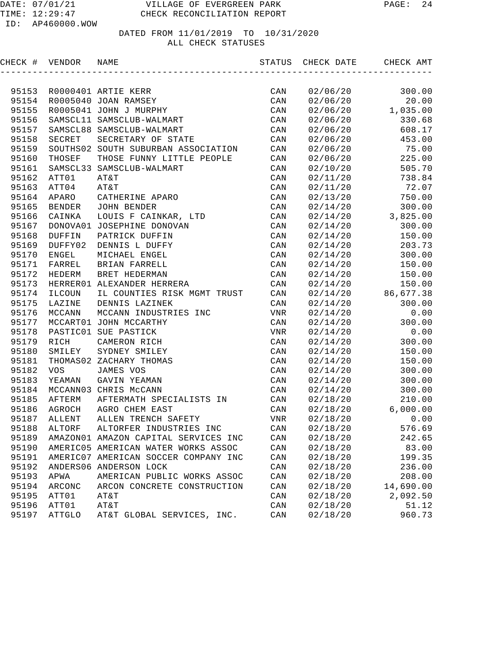| CHECK # | VENDOR        | NAME                                 | STATUS         | CHECK DATE | CHECK AMT |
|---------|---------------|--------------------------------------|----------------|------------|-----------|
|         |               |                                      |                |            |           |
| 95153   |               | R0000401 ARTIE KERR                  | CAN            | 02/06/20   | 300.00    |
| 95154   |               | R0005040 JOAN RAMSEY                 | CAN            | 02/06/20   | 20.00     |
| 95155   |               | R0005041 JOHN J MURPHY               | CAN            | 02/06/20   | 1,035.00  |
| 95156   |               | SAMSCL11 SAMSCLUB-WALMART            | CAN            | 02/06/20   | 330.68    |
| 95157   |               | SAMSCL88 SAMSCLUB-WALMART            | CAN            | 02/06/20   | 608.17    |
| 95158   | SECRET        | SECRETARY OF STATE                   | CAN            | 02/06/20   | 453.00    |
| 95159   |               | SOUTHS02 SOUTH SUBURBAN ASSOCIATION  | CAN            | 02/06/20   | 75.00     |
| 95160   | THOSEF        | THOSE FUNNY LITTLE PEOPLE            | CAN            | 02/06/20   | 225.00    |
| 95161   |               | SAMSCL33 SAMSCLUB-WALMART            | CAN            | 02/10/20   | 505.70    |
| 95162   | ATT01         | AT&T                                 | CAN            | 02/11/20   | 738.84    |
| 95163   | ATT04         | AT&T                                 | CAN            | 02/11/20   | 72.07     |
| 95164   | APARO         | CATHERINE APARO                      | CAN            | 02/13/20   | 750.00    |
| 95165   | BENDER        | JOHN BENDER                          | CAN            | 02/14/20   | 300.00    |
| 95166   | CAINKA        | LOUIS F CAINKAR, LTD                 | CAN            | 02/14/20   | 3,825.00  |
| 95167   |               | DONOVA01 JOSEPHINE DONOVAN           | CAN            | 02/14/20   | 300.00    |
| 95168   | DUFFIN        | PATRICK DUFFIN                       | CAN            | 02/14/20   | 150.00    |
| 95169   | DUFFY02       | DENNIS L DUFFY                       | CAN            | 02/14/20   | 203.73    |
| 95170   | ENGEL         | MICHAEL ENGEL                        | CAN            | 02/14/20   | 300.00    |
| 95171   | FARREL        | BRIAN FARRELL                        | CAN            | 02/14/20   | 150.00    |
| 95172   | HEDERM        | BRET HEDERMAN                        | CAN            | 02/14/20   | 150.00    |
| 95173   |               | HERRER01 ALEXANDER HERRERA           | CAN            | 02/14/20   | 150.00    |
| 95174   | ILCOUN        | IL COUNTIES RISK MGMT TRUST          | CAN            | 02/14/20   | 86,677.38 |
| 95175   | LAZINE        | DENNIS LAZINEK                       | CAN            | 02/14/20   | 300.00    |
| 95176   | MCCANN        | MCCANN INDUSTRIES INC                | VNR            | 02/14/20   | 0.00      |
| 95177   |               | MCCART01 JOHN MCCARTHY               | CAN            | 02/14/20   | 300.00    |
| 95178   |               | PASTIC01 SUE PASTICK                 | VNR            | 02/14/20   | 0.00      |
| 95179   | RICH          | CAMERON RICH                         | CAN            | 02/14/20   | 300.00    |
| 95180   | SMILEY        | SYDNEY SMILEY                        | CAN            | 02/14/20   | 150.00    |
| 95181   |               | THOMAS02 ZACHARY THOMAS              | CAN            | 02/14/20   | 150.00    |
| 95182   | <b>VOS</b>    | JAMES VOS                            | CAN            | 02/14/20   | 300.00    |
| 95183   | YEAMAN        | GAVIN YEAMAN                         | CAN            | 02/14/20   | 300.00    |
| 95184   | MCCANN03      | CHRIS McCANN                         | CAN            | 02/14/20   | 300.00    |
| 95185   | AFTERM        | AFTERMATH SPECIALISTS IN             | CAN            | 02/18/20   | 210.00    |
| 95186   | AGROCH        | AGRO CHEM EAST                       | CAN            | 02/18/20   | 6,000.00  |
| 95187   | ALLENT        | ALLEN TRENCH SAFETY                  | <b>VNR</b>     | 02/18/20   | 0.00      |
|         | 95188 ALTORF  | ALTORFER INDUSTRIES INC              | CAN            | 02/18/20   | 576.69    |
| 95189   |               | AMAZON01 AMAZON CAPITAL SERVICES INC | CAN            | 02/18/20   | 242.65    |
| 95190   |               | AMERIC05 AMERICAN WATER WORKS ASSOC  | $\mathtt{CAN}$ | 02/18/20   | 83.00     |
| 95191   |               | AMERIC07 AMERICAN SOCCER COMPANY INC | $\mathtt{CAN}$ | 02/18/20   | 199.35    |
| 95192   |               | ANDERS06 ANDERSON LOCK               | CAN            | 02/18/20   | 236.00    |
| 95193   | APWA          | AMERICAN PUBLIC WORKS ASSOC          | CAN            | 02/18/20   | 208.00    |
| 95194   | ARCONC        | ARCON CONCRETE CONSTRUCTION          | CAN            | 02/18/20   | 14,690.00 |
| 95195   | ATT01         | AT&T                                 | CAN            | 02/18/20   | 2,092.50  |
| 95196   | ATT01         | AT&T                                 | CAN            | 02/18/20   | 51.12     |
| 95197   | <b>ATTGLO</b> | AT&T GLOBAL SERVICES, INC.           | CAN            | 02/18/20   | 960.73    |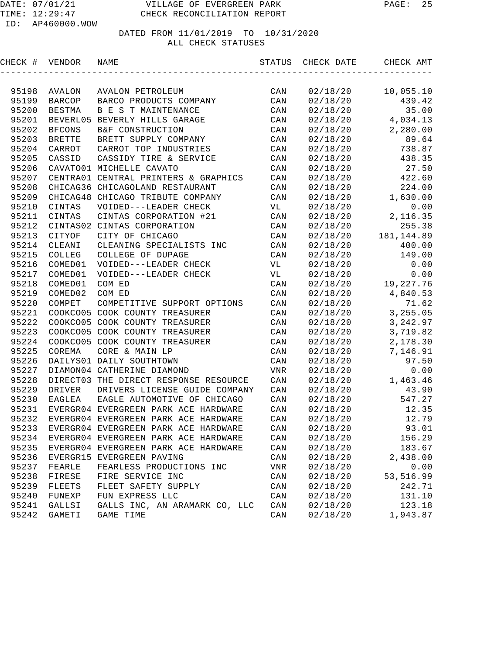| CHECK # | VENDOR        | NAME                                             | STATUS     | CHECK DATE | CHECK AMT   |
|---------|---------------|--------------------------------------------------|------------|------------|-------------|
|         |               |                                                  |            |            |             |
| 95198   | AVALON        | AVALON PETROLEUM                                 | CAN        | 02/18/20   | 10,055.10   |
| 95199   | <b>BARCOP</b> | BARCO PRODUCTS COMPANY                           | CAN        | 02/18/20   | 439.42      |
| 95200   | <b>BESTMA</b> | B E S T MAINTENANCE                              | CAN        | 02/18/20   | 35.00       |
| 95201   | BEVERL05      | BEVERLY HILLS GARAGE                             | CAN        | 02/18/20   | 4,034.13    |
| 95202   | <b>BFCONS</b> | B&F CONSTRUCTION                                 | CAN        | 02/18/20   | 2,280.00    |
| 95203   | <b>BRETTE</b> | BRETT SUPPLY COMPANY                             | CAN        | 02/18/20   | 89.64       |
| 95204   | CARROT        | CARROT TOP INDUSTRIES                            | CAN        | 02/18/20   | 738.87      |
| 95205   | CASSID        | CASSIDY TIRE & SERVICE                           | CAN        | 02/18/20   | 438.35      |
| 95206   |               | CAVATO01 MICHELLE CAVATO                         | CAN        | 02/18/20   | 27.50       |
| 95207   |               | CENTRA01 CENTRAL PRINTERS & GRAPHICS             | CAN        | 02/18/20   | 422.60      |
| 95208   |               | CHICAG36 CHICAGOLAND RESTAURANT                  | CAN        | 02/18/20   | 224.00      |
| 95209   |               | CHICAG48 CHICAGO TRIBUTE COMPANY                 | CAN        | 02/18/20   | 1,630.00    |
| 95210   | CINTAS        | VOIDED---LEADER CHECK                            | VL         | 02/18/20   | 0.00        |
| 95211   | CINTAS        | CINTAS CORPORATION #21                           | CAN        | 02/18/20   | 2,116.35    |
| 95212   |               | CINTAS02 CINTAS CORPORATION                      | CAN        | 02/18/20   | 255.38      |
| 95213   | CITYOF        | CITY OF CHICAGO                                  | CAN        | 02/18/20   | 181, 144.89 |
| 95214   | CLEANI        | CLEANING SPECIALISTS INC                         | CAN        | 02/18/20   | 400.00      |
| 95215   | COLLEG        | COLLEGE OF DUPAGE                                | CAN        | 02/18/20   | 149.00      |
| 95216   | COMED01       | VOIDED---LEADER CHECK                            | VL         | 02/18/20   | 0.00        |
| 95217   | COMED01       | VOIDED---LEADER CHECK                            | VL         | 02/18/20   | 0.00        |
| 95218   | COMED01       | COM ED                                           | CAN        | 02/18/20   | 19, 227.76  |
| 95219   | COMED02       | COM ED                                           | CAN        | 02/18/20   | 4,840.53    |
| 95220   | COMPET        | COMPETITIVE SUPPORT OPTIONS                      | CAN        | 02/18/20   | 71.62       |
| 95221   |               | COOKCO05 COOK COUNTY TREASURER                   | CAN        | 02/18/20   | 3,255.05    |
| 95222   |               | COOKCO05 COOK COUNTY TREASURER                   | CAN        | 02/18/20   | 3, 242.97   |
| 95223   |               | COOKCO05 COOK COUNTY TREASURER                   | CAN        | 02/18/20   | 3,719.82    |
| 95224   |               | COOKCO05 COOK COUNTY TREASURER                   | CAN        | 02/18/20   | 2,178.30    |
| 95225   | COREMA        | CORE & MAIN LP                                   | CAN        | 02/18/20   | 7,146.91    |
| 95226   |               | DAILYS01 DAILY SOUTHTOWN                         | CAN        | 02/18/20   | 97.50       |
| 95227   |               | DIAMON04 CATHERINE DIAMOND                       | <b>VNR</b> | 02/18/20   | 0.00        |
| 95228   |               | DIRECT03 THE DIRECT RESPONSE RESOURCE            | CAN        | 02/18/20   | 1,463.46    |
| 95229   | DRIVER        | DRIVERS LICENSE GUIDE COMPANY                    | CAN        | 02/18/20   | 43.90       |
| 95230   | EAGLEA        | EAGLE AUTOMOTIVE OF CHICAGO                      | CAN        | 02/18/20   | 547.27      |
| 95231   |               | EVERGR04 EVERGREEN PARK ACE HARDWARE             | CAN        | 02/18/20   | 12.35       |
| 95232   |               | EVERGR04 EVERGREEN PARK ACE HARDWARE             | CAN        | 02/18/20   | 12.79       |
| 95233   |               | EVERGR04 EVERGREEN PARK ACE HARDWARE             | CAN        | 02/18/20   | 93.01       |
| 95234   |               | EVERGR04 EVERGREEN PARK ACE HARDWARE             | CAN        | 02/18/20   | 156.29      |
| 95235   |               | EVERGR04 EVERGREEN PARK ACE HARDWARE             | CAN        | 02/18/20   | 183.67      |
| 95236   |               | EVERGR15 EVERGREEN PAVING                        | CAN        | 02/18/20   | 2,438.00    |
| 95237   | FEARLE        | FEARLESS PRODUCTIONS INC                         | VNR        | 02/18/20   | 0.00        |
| 95238   | FIRESE        | FIRE SERVICE INC                                 | CAN        | 02/18/20   | 53,516.99   |
| 95239   | FLEETS        | FLEET SAFETY SUPPLY                              | CAN        | 02/18/20   | 242.71      |
| 95240   | FUNEXP        | FUN EXPRESS LLC<br>GALLS INC, AN ARAMARK CO, LLC | CAN        | 02/18/20   | 131.10      |
| 95241   | GALLSI        |                                                  | CAN        | 02/18/20   | 123.18      |
| 95242   | GAMETI        | GAME TIME                                        | CAN        | 02/18/20   | 1,943.87    |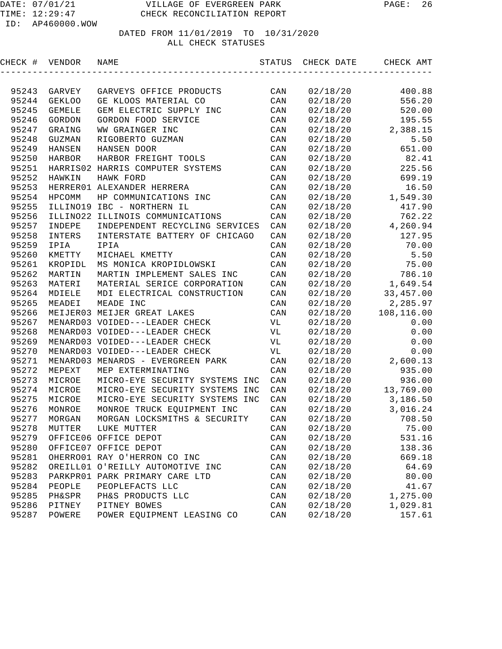| CHECK # | VENDOR            | NAME                             | STATUS | CHECK DATE | CHECK AMT  |
|---------|-------------------|----------------------------------|--------|------------|------------|
|         |                   |                                  |        |            |            |
| 95243   | GARVEY            | GARVEYS OFFICE PRODUCTS          | CAN    | 02/18/20   | 400.88     |
| 95244   | <b>GEKLOO</b>     | GE KLOOS MATERIAL CO             | CAN    | 02/18/20   | 556.20     |
| 95245   | <b>GEMELE</b>     | GEM ELECTRIC SUPPLY INC          | CAN    | 02/18/20   | 520.00     |
| 95246   | GORDON            | GORDON FOOD SERVICE              | CAN    | 02/18/20   | 195.55     |
| 95247   | GRAING            | WW GRAINGER INC                  | CAN    | 02/18/20   | 2,388.15   |
| 95248   | GUZMAN            | RIGOBERTO GUZMAN                 | CAN    | 02/18/20   | 5.50       |
| 95249   | HANSEN            | HANSEN DOOR                      | CAN    | 02/18/20   | 651.00     |
| 95250   | <b>HARBOR</b>     | HARBOR FREIGHT TOOLS             | CAN    | 02/18/20   | 82.41      |
| 95251   |                   | HARRIS02 HARRIS COMPUTER SYSTEMS | CAN    | 02/18/20   | 225.56     |
| 95252   | HAWKIN            | HAWK FORD                        | CAN    | 02/18/20   | 699.19     |
| 95253   |                   | HERRER01 ALEXANDER HERRERA       | CAN    | 02/18/20   | 16.50      |
| 95254   | HPCOMM            | HP COMMUNICATIONS INC            | CAN    | 02/18/20   | 1,549.30   |
| 95255   |                   | ILLINO19 IBC - NORTHERN IL       | CAN    | 02/18/20   | 417.90     |
| 95256   |                   | ILLINO22 ILLINOIS COMMUNICATIONS | CAN    | 02/18/20   | 762.22     |
| 95257   | INDEPE            | INDEPENDENT RECYCLING SERVICES   | CAN    | 02/18/20   | 4,260.94   |
| 95258   | INTERS            | INTERSTATE BATTERY OF CHICAGO    | CAN    | 02/18/20   | 127.95     |
| 95259   | IPIA              | IPIA                             | CAN    | 02/18/20   | 70.00      |
| 95260   | KMETTY            | MICHAEL KMETTY                   | CAN    | 02/18/20   | 5.50       |
| 95261   | KROPIDL           | MS MONICA KROPIDLOWSKI           | CAN    | 02/18/20   | 75.00      |
| 95262   | MARTIN            | MARTIN IMPLEMENT SALES INC       | CAN    | 02/18/20   | 786.10     |
| 95263   | MATERI            | MATERIAL SERICE CORPORATION      | CAN    | 02/18/20   | 1,649.54   |
| 95264   | MDIELE            | MDI ELECTRICAL CONSTRUCTION      | CAN    | 02/18/20   | 33,457.00  |
| 95265   | MEADEI            | MEADE INC                        | CAN    | 02/18/20   | 2,285.97   |
| 95266   |                   | MEIJER03 MEIJER GREAT LAKES      | CAN    | 02/18/20   | 108,116.00 |
| 95267   |                   | MENARD03 VOIDED---LEADER CHECK   | VL     | 02/18/20   | 0.00       |
| 95268   |                   | MENARD03 VOIDED---LEADER CHECK   | VL     | 02/18/20   | 0.00       |
| 95269   |                   | MENARD03 VOIDED---LEADER CHECK   | VL     | 02/18/20   | 0.00       |
| 95270   |                   | MENARD03 VOIDED---LEADER CHECK   | VL     | 02/18/20   | 0.00       |
| 95271   | MENARD03          | MENARDS - EVERGREEN PARK         | CAN    | 02/18/20   | 2,600.13   |
| 95272   | MEPEXT            | MEP EXTERMINATING                | CAN    | 02/18/20   | 935.00     |
| 95273   | MICROE            | MICRO-EYE SECURITY SYSTEMS INC   | CAN    | 02/18/20   | 936.00     |
| 95274   | MICROE            | MICRO-EYE SECURITY SYSTEMS INC   | CAN    | 02/18/20   | 13,769.00  |
| 95275   | MICROE            | MICRO-EYE SECURITY SYSTEMS INC   | CAN    | 02/18/20   | 3,186.50   |
| 95276   | MONROE            | MONROE TRUCK EQUIPMENT INC       | CAN    | 02/18/20   | 3,016.24   |
| 95277   | MORGAN            | MORGAN LOCKSMITHS & SECURITY     | CAN    | 02/18/20   | 708.50     |
| 95278   | MUTTER            | LUKE MUTTER                      | CAN    | 02/18/20   | 75.00      |
| 95279   |                   | OFFICE06 OFFICE DEPOT            | CAN    | 02/18/20   | 531.16     |
| 95280   |                   | OFFICE07 OFFICE DEPOT            | CAN    | 02/18/20   | 138.36     |
| 95281   |                   | OHERRO01 RAY O'HERRON CO INC     | CAN    | 02/18/20   | 669.18     |
| 95282   |                   | OREILL01 O'REILLY AUTOMOTIVE INC | CAN    | 02/18/20   | 64.69      |
| 95283   |                   | PARKPRO1 PARK PRIMARY CARE LTD   | CAN    | 02/18/20   | 80.00      |
| 95284   | PEOPLE            | PEOPLEFACTS LLC                  | CAN    | 02/18/20   | 41.67      |
| 95285   | <b>PH&amp;SPR</b> | PH&S PRODUCTS LLC                | CAN    | 02/18/20   | 1,275.00   |
| 95286   | PITNEY            | PITNEY BOWES                     | CAN    | 02/18/20   | 1,029.81   |
| 95287   | POWERE            | POWER EQUIPMENT LEASING CO       | CAN    | 02/18/20   | 157.61     |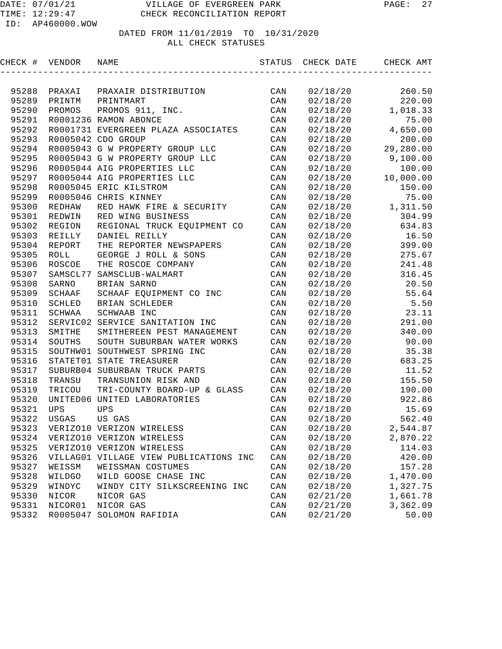| CHECK # | VENDOR      | NAME                                   | STATUS         | CHECK DATE | CHECK AMT |
|---------|-------------|----------------------------------------|----------------|------------|-----------|
|         |             |                                        |                |            |           |
| 95288   | PRAXAI      | PRAXAIR DISTRIBUTION                   | CAN            | 02/18/20   | 260.50    |
| 95289   | PRINTM      | PRINTMART                              | CAN            | 02/18/20   | 220.00    |
| 95290   | PROMOS      | PROMOS 911, INC.                       | CAN            | 02/18/20   | 1,018.33  |
| 95291   |             | R0001236 RAMON ABONCE                  | CAN            | 02/18/20   | 75.00     |
| 95292   |             | R0001731 EVERGREEN PLAZA ASSOCIATES    | CAN            | 02/18/20   | 4,650.00  |
| 95293   |             | R0005042 CDO GROUP                     | CAN            | 02/18/20   | 200.00    |
| 95294   |             | R0005043 G W PROPERTY GROUP LLC        | CAN            | 02/18/20   | 29,280.00 |
| 95295   |             | R0005043 G W PROPERTY GROUP LLC        | CAN            | 02/18/20   | 9,100.00  |
| 95296   |             | R0005044 AIG PROPERTIES LLC            | CAN            | 02/18/20   | 100.00    |
| 95297   |             | R0005044 AIG PROPERTIES LLC            | CAN            | 02/18/20   | 10,000.00 |
| 95298   |             | R0005045 ERIC KILSTROM                 | CAN            | 02/18/20   | 150.00    |
| 95299   |             | R0005046 CHRIS KINNEY                  | CAN            | 02/18/20   | 75.00     |
| 95300   | REDHAW      | RED HAWK FIRE & SECURITY               | CAN            | 02/18/20   | 1,311.50  |
| 95301   | REDWIN      | RED WING BUSINESS                      | CAN            | 02/18/20   | 304.99    |
| 95302   | REGION      | REGIONAL TRUCK EQUIPMENT CO            | CAN            | 02/18/20   | 634.83    |
| 95303   | REILLY      | DANIEL REILLY                          | CAN            | 02/18/20   | 16.50     |
| 95304   | REPORT      | THE REPORTER NEWSPAPERS                | CAN            | 02/18/20   | 399.00    |
| 95305   | <b>ROLL</b> | GEORGE J ROLL & SONS                   | CAN            | 02/18/20   | 275.67    |
| 95306   | ROSCOE      | THE ROSCOE COMPANY                     | CAN            | 02/18/20   | 241.48    |
| 95307   | SAMSCL77    | SAMSCLUB-WALMART                       | CAN            | 02/18/20   | 316.45    |
| 95308   | SARNO       | BRIAN SARNO                            | CAN            | 02/18/20   | 20.50     |
| 95309   | SCHAAF      | SCHAAF EQUIPMENT CO INC                | CAN            | 02/18/20   | 55.64     |
| 95310   | SCHLED      | BRIAN SCHLEDER                         | CAN            | 02/18/20   | 5.50      |
| 95311   | SCHWAA      | SCHWAAB INC                            | CAN            | 02/18/20   | 23.11     |
| 95312   |             | SERVIC02 SERVICE SANITATION INC        | CAN            | 02/18/20   | 291.00    |
| 95313   | SMITHE      | SMITHEREEN PEST MANAGEMENT             | CAN            | 02/18/20   | 340.00    |
| 95314   | SOUTHS      | SOUTH SUBURBAN WATER WORKS             | CAN            | 02/18/20   | 90.00     |
| 95315   |             | SOUTHW01 SOUTHWEST SPRING INC          | CAN            | 02/18/20   | 35.38     |
| 95316   |             | STATET01 STATE TREASURER               | CAN            | 02/18/20   | 683.25    |
| 95317   | SUBURB04    | SUBURBAN TRUCK PARTS                   | CAN            | 02/18/20   | 11.52     |
| 95318   | TRANSU      | TRANSUNION RISK AND                    | CAN            | 02/18/20   | 155.50    |
| 95319   | TRICOU      | TRI-COUNTY BOARD-UP & GLASS            | CAN            | 02/18/20   | 190.00    |
| 95320   |             | UNITED06 UNITED LABORATORIES           | CAN            | 02/18/20   | 922.86    |
| 95321   | UPS         | UPS                                    | CAN            | 02/18/20   | 15.69     |
| 95322   | USGAS       | US GAS                                 | CAN            | 02/18/20   | 562.40    |
| 95323   |             | VERIZO10 VERIZON WIRELESS              | $\mathtt{CAN}$ | 02/18/20   | 2,544.87  |
| 95324   |             | VERIZO10 VERIZON WIRELESS              | $\mathtt{CAN}$ | 02/18/20   | 2,870.22  |
| 95325   |             | VERIZO10 VERIZON WIRELESS              | CAN            | 02/18/20   | 114.03    |
| 95326   |             | VILLAG01 VILLAGE VIEW PUBLICATIONS INC | CAN            | 02/18/20   | 420.00    |
| 95327   | WEISSM      | WEISSMAN COSTUMES                      | CAN            | 02/18/20   | 157.28    |
| 95328   | WILDGO      | WILD GOOSE CHASE INC                   | CAN            | 02/18/20   | 1,470.00  |
| 95329   | WINDYC      | WINDY CITY SILKSCREENING INC           | CAN            | 02/18/20   | 1,327.75  |
| 95330   | NICOR       | NICOR GAS                              | CAN            | 02/21/20   | 1,661.78  |
| 95331   | NICOR01     | NICOR GAS                              | CAN            | 02/21/20   | 3,362.09  |
| 95332   | R0005047    | SOLOMON RAFIDIA                        | CAN            | 02/21/20   | 50.00     |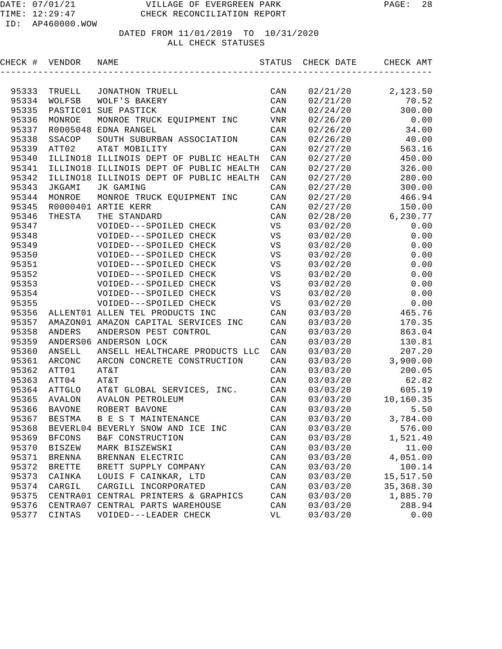| CHECK # | VENDOR        | NAME                                    | STATUS     | CHECK DATE | CHECK AMT  |
|---------|---------------|-----------------------------------------|------------|------------|------------|
|         |               |                                         |            |            |            |
| 95333   | TRUELL        | JONATHON TRUELL                         | CAN        | 02/21/20   | 2,123.50   |
| 95334   | WOLFSB        | WOLF'S BAKERY                           | CAN        | 02/21/20   | 70.52      |
| 95335   | PASTIC01      | SUE PASTICK                             | CAN        | 02/24/20   | 300.00     |
| 95336   | MONROE        | MONROE TRUCK EQUIPMENT INC              | <b>VNR</b> | 02/26/20   | 0.00       |
| 95337   | R0005048      | EDNA RANGEL                             | CAN        | 02/26/20   | 34.00      |
| 95338   | SSACOP        | SOUTH SUBURBAN ASSOCIATION              | CAN        | 02/26/20   | 40.00      |
| 95339   | ATT02         | AT&T MOBILITY                           | CAN        | 02/27/20   | 563.16     |
| 95340   |               | ILLINO18 ILLINOIS DEPT OF PUBLIC HEALTH | CAN        | 02/27/20   | 450.00     |
| 95341   |               | ILLINO18 ILLINOIS DEPT OF PUBLIC HEALTH | CAN        | 02/27/20   | 326.00     |
| 95342   |               | ILLINO18 ILLINOIS DEPT OF PUBLIC HEALTH | CAN        | 02/27/20   | 280.00     |
| 95343   | JKGAMI        | JK GAMING                               | CAN        | 02/27/20   | 300.00     |
| 95344   | MONROE        | MONROE TRUCK EQUIPMENT INC              | CAN        | 02/27/20   | 466.94     |
| 95345   |               | R0000401 ARTIE KERR                     | CAN        | 02/27/20   | 150.00     |
| 95346   | THESTA        | THE STANDARD                            | CAN        | 02/28/20   | 6,230.77   |
| 95347   |               | VOIDED---SPOILED CHECK                  | VS         | 03/02/20   | 0.00       |
| 95348   |               | VOIDED---SPOILED CHECK                  | VS         | 03/02/20   | 0.00       |
| 95349   |               | VOIDED---SPOILED CHECK                  | VS         | 03/02/20   | 0.00       |
| 95350   |               | VOIDED---SPOILED CHECK                  | VS         | 03/02/20   | 0.00       |
| 95351   |               | VOIDED---SPOILED CHECK                  | VS         | 03/02/20   | 0.00       |
| 95352   |               | VOIDED---SPOILED CHECK                  | VS         | 03/02/20   | 0.00       |
| 95353   |               | VOIDED---SPOILED CHECK                  | VS         | 03/02/20   | 0.00       |
| 95354   |               | VOIDED---SPOILED CHECK                  | VS         | 03/02/20   | 0.00       |
| 95355   |               | VOIDED---SPOILED CHECK                  | VS         | 03/02/20   | 0.00       |
| 95356   |               | ALLENT01 ALLEN TEL PRODUCTS INC         | CAN        | 03/03/20   | 465.76     |
| 95357   |               | AMAZON01 AMAZON CAPITAL SERVICES INC    | CAN        | 03/03/20   | 170.35     |
| 95358   | ANDERS        | ANDERSON PEST CONTROL                   | CAN        | 03/03/20   | 863.04     |
| 95359   |               | ANDERS06 ANDERSON LOCK                  | CAN        | 03/03/20   | 130.81     |
| 95360   | ANSELL        | ANSELL HEALTHCARE PRODUCTS LLC          | CAN        | 03/03/20   | 207.20     |
| 95361   | ARCONC        | ARCON CONCRETE CONSTRUCTION             | CAN        | 03/03/20   | 3,900.00   |
| 95362   | ATT01         | AT&T                                    | CAN        | 03/03/20   | 200.05     |
| 95363   | ATT04         | AT&T                                    | CAN        | 03/03/20   | 62.82      |
| 95364   | ATTGLO        | AT&T GLOBAL SERVICES, INC.              | CAN        | 03/03/20   | 605.19     |
| 95365   | <b>AVALON</b> | AVALON PETROLEUM                        | CAN        | 03/03/20   | 10,160.35  |
| 95366   | <b>BAVONE</b> | ROBERT BAVONE                           | CAN        | 03/03/20   | 5.50       |
| 95367   | <b>BESTMA</b> | B E S T MAINTENANCE                     | CAN        | 03/03/20   | 3,784.00   |
| 95368   |               | BEVERL04 BEVERLY SNOW AND ICE INC       | CAN        | 03/03/20   | 576.00     |
| 95369   | <b>BFCONS</b> | B&F CONSTRUCTION                        | CAN        | 03/03/20   | 1,521.40   |
| 95370   | <b>BISZEW</b> | MARK BISZEWSKI                          | CAN        | 03/03/20   | 11.00      |
| 95371   | <b>BRENNA</b> | BRENNAN ELECTRIC                        | CAN        | 03/03/20   | 4,051.00   |
| 95372   | <b>BRETTE</b> | BRETT SUPPLY COMPANY                    | CAN        | 03/03/20   | 100.14     |
| 95373   | CAINKA        | LOUIS F CAINKAR, LTD                    | CAN        | 03/03/20   | 15,517.50  |
| 95374   | CARGIL        | CARGILL INCORPORATED                    | CAN        | 03/03/20   | 35, 368.30 |
| 95375   |               | CENTRA01 CENTRAL PRINTERS & GRAPHICS    | CAN        | 03/03/20   | 1,885.70   |
| 95376   | CENTRA07      | CENTRAL PARTS WAREHOUSE                 | CAN        | 03/03/20   | 288.94     |
| 95377   | CINTAS        | VOIDED---LEADER CHECK                   | VL         | 03/03/20   | 0.00       |
|         |               |                                         |            |            |            |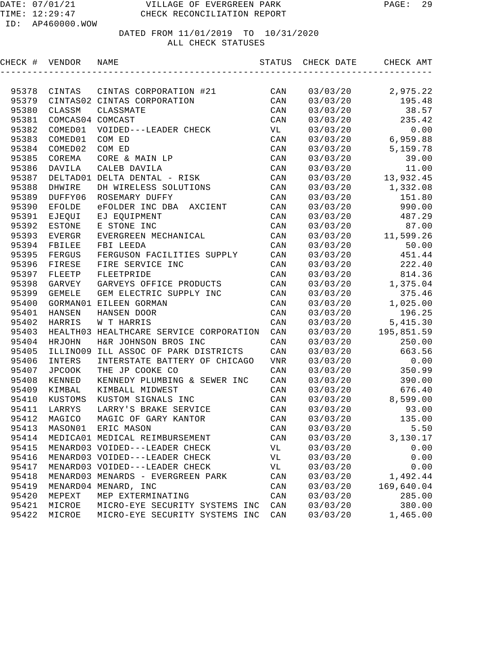| CHECK # VENDOR |                  | NAME                                    | STATUS         | CHECK DATE | CHECK AMT  |
|----------------|------------------|-----------------------------------------|----------------|------------|------------|
|                |                  |                                         |                |            |            |
| 95378          | CINTAS           | CINTAS CORPORATION #21                  | CAN            | 03/03/20   | 2,975.22   |
| 95379          |                  | CINTAS02 CINTAS CORPORATION             | CAN            | 03/03/20   | 195.48     |
| 95380          | CLASSM           | CLASSMATE                               | CAN            | 03/03/20   | 38.57      |
| 95381          | COMCAS04 COMCAST |                                         | CAN            | 03/03/20   | 235.42     |
| 95382          | COMED01          | VOIDED---LEADER CHECK                   | VL             | 03/03/20   | 0.00       |
| 95383          | COMED01          | COM ED                                  | CAN            | 03/03/20   | 6,959.88   |
| 95384          | COMED02          | COM ED                                  | CAN            | 03/03/20   | 5,159.78   |
| 95385          | COREMA           | CORE & MAIN LP                          | CAN            | 03/03/20   | 39.00      |
| 95386          | DAVILA           | CALEB DAVILA                            | CAN            | 03/03/20   | 11.00      |
| 95387          |                  | DELTAD01 DELTA DENTAL - RISK            | CAN            | 03/03/20   | 13,932.45  |
| 95388          | DHWIRE           | DH WIRELESS SOLUTIONS                   | CAN            | 03/03/20   | 1,332.08   |
| 95389          | DUFFY06          | ROSEMARY DUFFY                          | CAN            | 03/03/20   | 151.80     |
| 95390          | <b>EFOLDE</b>    | eFOLDER INC DBA AXCIENT                 | CAN            | 03/03/20   | 990.00     |
| 95391          | EJEQUI           | EJ EQUIPMENT                            | CAN            | 03/03/20   | 487.29     |
| 95392          | <b>ESTONE</b>    | E STONE INC                             | CAN            | 03/03/20   | 87.00      |
| 95393          | <b>EVERGR</b>    | EVERGREEN MECHANICAL                    | CAN            | 03/03/20   | 11,599.26  |
| 95394          | FBILEE           | FBI LEEDA                               | CAN            | 03/03/20   | 50.00      |
| 95395          | FERGUS           | FERGUSON FACILITIES SUPPLY              | CAN            | 03/03/20   | 451.44     |
| 95396          | FIRESE           | FIRE SERVICE INC                        | CAN            | 03/03/20   | 222.40     |
| 95397          | FLEETP           | FLEETPRIDE                              | CAN            | 03/03/20   | 814.36     |
| 95398          | GARVEY           | GARVEYS OFFICE PRODUCTS                 | CAN            | 03/03/20   | 1,375.04   |
| 95399          | <b>GEMELE</b>    | GEM ELECTRIC SUPPLY INC                 | CAN            | 03/03/20   | 375.46     |
| 95400          |                  | GORMAN01 EILEEN GORMAN                  | CAN            | 03/03/20   | 1,025.00   |
| 95401          | HANSEN           | HANSEN DOOR                             | CAN            | 03/03/20   | 196.25     |
| 95402          | HARRIS           | W T HARRIS                              | CAN            | 03/03/20   | 5,415.30   |
| 95403          |                  | HEALTH03 HEALTHCARE SERVICE CORPORATION | CAN            | 03/03/20   | 195,851.59 |
| 95404          | HRJOHN           | H&R JOHNSON BROS INC                    | CAN            | 03/03/20   | 250.00     |
| 95405          | ILLINO09         | ILL ASSOC OF PARK DISTRICTS             | CAN            | 03/03/20   | 663.56     |
| 95406          | INTERS           | INTERSTATE BATTERY OF CHICAGO           | <b>VNR</b>     | 03/03/20   | 0.00       |
| 95407          | <b>JPCOOK</b>    | THE JP COOKE CO                         | CAN            | 03/03/20   | 350.99     |
| 95408          | KENNED           | KENNEDY PLUMBING & SEWER INC            | CAN            | 03/03/20   | 390.00     |
| 95409          | KIMBAL           | KIMBALL MIDWEST                         | CAN            | 03/03/20   | 676.40     |
| 95410          | KUSTOMS          | KUSTOM SIGNALS INC                      | CAN            | 03/03/20   | 8,599.00   |
| 95411          | LARRYS           | LARRY'S BRAKE SERVICE                   | CAN            | 03/03/20   | 93.00      |
| 95412          | MAGICO           | MAGIC OF GARY KANTOR                    | CAN            | 03/03/20   | 135.00     |
|                | 95413 MASON01    | ERIC MASON                              | $\mathtt{CAN}$ | 03/03/20   | 5.50       |
| 95414          |                  | MEDICA01 MEDICAL REIMBURSEMENT          | CAN            | 03/03/20   | 3,130.17   |
| 95415          |                  | MENARD03 VOIDED---LEADER CHECK          | VL             | 03/03/20   | 0.00       |
| 95416          |                  | MENARD03 VOIDED---LEADER CHECK          | VL             | 03/03/20   | 0.00       |
| 95417          |                  | MENARD03 VOIDED---LEADER CHECK          | VL             | 03/03/20   | 0.00       |
| 95418          |                  | MENARD03 MENARDS - EVERGREEN PARK       | CAN            | 03/03/20   | 1,492.44   |
| 95419          |                  | MENARD04 MENARD, INC                    | CAN            | 03/03/20   | 169,640.04 |
| 95420          | MEPEXT           | MEP EXTERMINATING                       | CAN            | 03/03/20   | 285.00     |
| 95421          | MICROE           | MICRO-EYE SECURITY SYSTEMS INC          | CAN            | 03/03/20   | 380.00     |
| 95422          | MICROE           | MICRO-EYE SECURITY SYSTEMS INC          | CAN            | 03/03/20   | 1,465.00   |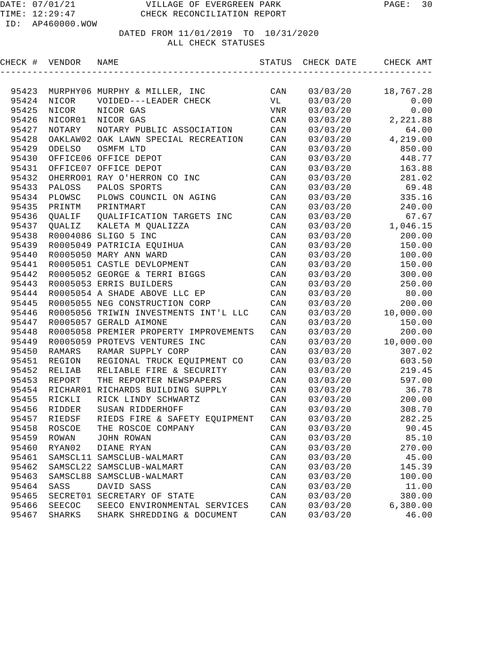| CHECK # VENDOR |                  | NAME                                   | STATUS                  | CHECK DATE | CHECK AMT |
|----------------|------------------|----------------------------------------|-------------------------|------------|-----------|
|                |                  |                                        |                         |            |           |
| 95423          |                  | MURPHY06 MURPHY & MILLER, INC          | CAN                     | 03/03/20   | 18,767.28 |
| 95424          | NICOR            | VOIDED---LEADER CHECK                  | VL                      | 03/03/20   | 0.00      |
| 95425          | NICOR            | NICOR GAS                              | VNR                     | 03/03/20   | 0.00      |
| 95426          | NICOR01          | NICOR GAS                              | CAN                     | 03/03/20   | 2,221.88  |
| 95427          | NOTARY           | NOTARY PUBLIC ASSOCIATION              | CAN                     | 03/03/20   | 64.00     |
| 95428          |                  | OAKLAW02 OAK LAWN SPECIAL RECREATION   | CAN                     | 03/03/20   | 4,219.00  |
| 95429          | ODELSO           | OSMFM LTD                              | CAN                     | 03/03/20   | 850.00    |
| 95430          |                  | OFFICE06 OFFICE DEPOT                  | CAN                     | 03/03/20   | 448.77    |
| 95431          |                  | OFFICE07 OFFICE DEPOT                  | CAN                     | 03/03/20   | 163.88    |
| 95432          |                  | OHERRO01 RAY O'HERRON CO INC           | CAN                     | 03/03/20   | 281.02    |
| 95433          | PALOSS           | PALOS SPORTS                           | CAN                     | 03/03/20   | 69.48     |
| 95434          | PLOWSC           | PLOWS COUNCIL ON AGING                 | CAN                     | 03/03/20   | 335.16    |
| 95435          | PRINTM           | PRINTMART                              | CAN                     | 03/03/20   | 240.00    |
| 95436          | QUALIF           | QUALIFICATION TARGETS INC              | CAN                     | 03/03/20   | 67.67     |
| 95437          | <b>OUALIZ</b>    | KALETA M QUALIZZA                      | CAN                     | 03/03/20   | 1,046.15  |
| 95438          |                  | R0004086 SLIGO 5 INC                   | CAN                     | 03/03/20   | 200.00    |
| 95439          |                  | R0005049 PATRICIA EQUIHUA              | CAN                     | 03/03/20   | 150.00    |
| 95440          |                  | R0005050 MARY ANN WARD                 | CAN                     | 03/03/20   | 100.00    |
| 95441          |                  | R0005051 CASTLE DEVLOPMENT             | CAN                     | 03/03/20   | 150.00    |
| 95442          |                  | R0005052 GEORGE & TERRI BIGGS          | CAN                     | 03/03/20   | 300.00    |
| 95443          |                  | R0005053 ERRIS BUILDERS                | CAN                     | 03/03/20   | 250.00    |
| 95444          |                  | R0005054 A SHADE ABOVE LLC EP          | CAN                     | 03/03/20   | 80.00     |
| 95445          |                  | R0005055 NEG CONSTRUCTION CORP         | CAN                     | 03/03/20   | 200.00    |
| 95446          |                  | R0005056 TRIWIN INVESTMENTS INT'L LLC  | CAN                     | 03/03/20   | 10,000.00 |
| 95447          |                  | R0005057 GERALD AIMONE                 | CAN                     | 03/03/20   | 150.00    |
| 95448          |                  | R0005058 PREMIER PROPERTY IMPROVEMENTS | CAN                     | 03/03/20   | 200.00    |
| 95449          |                  | R0005059 PROTEVS VENTURES INC          | CAN                     | 03/03/20   | 10,000.00 |
| 95450          | RAMARS           | RAMAR SUPPLY CORP                      | CAN                     | 03/03/20   | 307.02    |
| 95451          | REGION           | REGIONAL TRUCK EQUIPMENT CO            | CAN                     | 03/03/20   | 603.50    |
| 95452          | RELIAB           | RELIABLE FIRE & SECURITY               | CAN                     | 03/03/20   | 219.45    |
| 95453          | REPORT           | THE REPORTER NEWSPAPERS                | CAN                     | 03/03/20   | 597.00    |
| 95454          |                  | RICHAR01 RICHARDS BUILDING SUPPLY      | CAN                     | 03/03/20   | 36.78     |
| 95455          | RICKLI           | RICK LINDY SCHWARTZ                    | CAN                     | 03/03/20   | 200.00    |
| 95456          | RIDDER           | SUSAN RIDDERHOFF                       | CAN                     | 03/03/20   | 308.70    |
| 95457          | RIEDSF           | RIEDS FIRE & SAFETY EQUIPMENT          | $\mathtt{CAN}$          | 03/03/20   | 282.25    |
|                | 95458 ROSCOE     | THE ROSCOE COMPANY                     | $\mathop{\mathtt{CAN}}$ | 03/03/20   | 90.45     |
| 95459          | $\texttt{ROWAN}$ | JOHN ROWAN                             | CAN                     | 03/03/20   | 85.10     |
| 95460          | RYAN02           | DIANE RYAN                             | $\mathtt{CAN}$          | 03/03/20   | 270.00    |
| 95461          |                  | SAMSCL11 SAMSCLUB-WALMART              | CAN                     | 03/03/20   | 45.00     |
| 95462          |                  | SAMSCL22 SAMSCLUB-WALMART              | CAN                     | 03/03/20   | 145.39    |
| 95463          |                  | SAMSCL88 SAMSCLUB-WALMART              | CAN                     | 03/03/20   | 100.00    |
| 95464          | SASS             | DAVID SASS                             | CAN                     | 03/03/20   | 11.00     |
| 95465          | SECRET01         | SECRETARY OF STATE                     | $\mathtt{CAN}$          | 03/03/20   | 380.00    |
| 95466          | SEECOC           | SEECO ENVIRONMENTAL SERVICES           | CAN                     | 03/03/20   | 6,380.00  |
| 95467          | SHARKS           | SHARK SHREDDING & DOCUMENT             | CAN                     | 03/03/20   | 46.00     |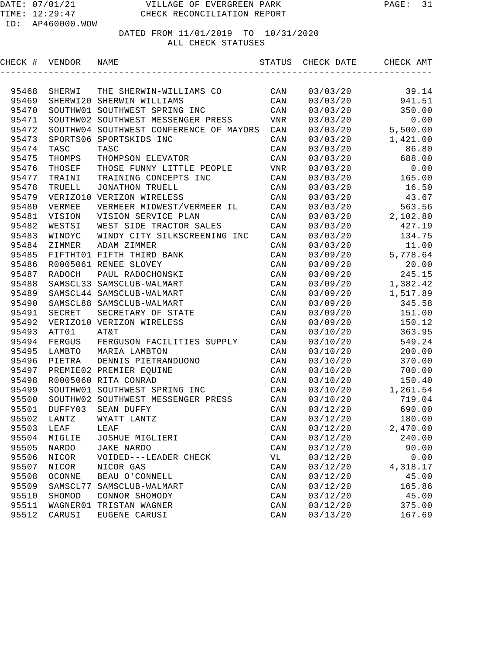|       | CHECK # VENDOR | NAME                                    |        | STATUS CHECK DATE CHECK AMT |                                                                    |
|-------|----------------|-----------------------------------------|--------|-----------------------------|--------------------------------------------------------------------|
|       |                |                                         |        |                             |                                                                    |
| 95468 | SHERWI         | THE SHERWIN-WILLIAMS CO                 | CAN    | 03/03/20                    | 39.14                                                              |
| 95469 | SHERWI20       | SHERWIN WILLIAMS                        | CAN    | 03/03/20                    | 941.51                                                             |
| 95470 | SOUTHW01       | SOUTHWEST SPRING INC                    | CAN    | 03/03/20                    | 350.00                                                             |
| 95471 | SOUTHW02       | SOUTHWEST MESSENGER PRESS               | VNR    | 03/03/20                    | 0.00                                                               |
| 95472 |                | SOUTHW04 SOUTHWEST CONFERENCE OF MAYORS | CAN    | 03/03/20                    | 5,500.00                                                           |
| 95473 | SPORTS06       | SPORTSKIDS INC                          | CAN    | 03/03/20                    | 1,421.00                                                           |
| 95474 | TASC           | TASC                                    | CAN    | 03/03/20                    | 86.80                                                              |
| 95475 | THOMPS         | THOMPSON ELEVATOR                       | CAN    | 03/03/20                    | 688.00                                                             |
| 95476 | THOSEF         | THOSE FUNNY LITTLE PEOPLE               | VNR    | 03/03/20                    | 0.00                                                               |
| 95477 | TRAINI         | TRAINING CONCEPTS INC                   | CAN    | 03/03/20                    | 165.00                                                             |
| 95478 | TRUELL         | JONATHON TRUELL                         | CAN    | 03/03/20                    | 16.50                                                              |
| 95479 | VERIZO10       | VERIZON WIRELESS                        | CAN    | 03/03/20                    | 43.67                                                              |
| 95480 | VERMEE         | VERMEER MIDWEST/VERMEER IL              | CAN    | 03/03/20                    | 563.56                                                             |
| 95481 | VISION         | VISION SERVICE PLAN                     | CAN    | 03/03/20                    | 2,102.80                                                           |
| 95482 | WESTSI         | WEST SIDE TRACTOR SALES                 | CAN    | 03/03/20                    | 427.19                                                             |
| 95483 | WINDYC         | WINDY CITY SILKSCREENING INC            | CAN    | 03/03/20                    | 134.75                                                             |
| 95484 | ZIMMER         | ADAM ZIMMER                             | CAN    | 03/03/20                    | 11.00                                                              |
| 95485 |                | FIFTHT01 FIFTH THIRD BANK               | CAN    | 03/09/20                    | 5,778.64                                                           |
| 95486 | R0005061       | RENEE SLOVEY                            | CAN    | 03/09/20                    | 20.00                                                              |
| 95487 | RADOCH         | PAUL RADOCHONSKI                        | CAN    | 03/09/20                    | 245.15                                                             |
| 95488 |                | SAMSCL33 SAMSCLUB-WALMART               | CAN    | 03/09/20                    | 1,382.42                                                           |
| 95489 |                | SAMSCL44 SAMSCLUB-WALMART               | CAN    | 03/09/20                    | 1,517.89                                                           |
|       |                | AE 400 CAMOCIO O CAMOCITID WAINADE      | C17.7T | 0.2100120                   | $\bigcap_{\alpha \in \mathcal{A}} \mathcal{A} \subset \mathcal{A}$ |

| フンせいこ | <b>WINDIC</b> | MINDI CIII SIDRSCKEEMING INC       | <b>CHIV</b> | U 3 / U 3 / Z U | 154.75   |
|-------|---------------|------------------------------------|-------------|-----------------|----------|
| 95484 | ZIMMER        | ADAM ZIMMER                        | CAN         | 03/03/20        | 11.00    |
| 95485 |               | FIFTHT01 FIFTH THIRD BANK          | CAN         | 03/09/20        | 5,778.64 |
| 95486 |               | R0005061 RENEE SLOVEY              | CAN         | 03/09/20        | 20.00    |
| 95487 | RADOCH        | PAUL RADOCHONSKI                   | CAN         | 03/09/20        | 245.15   |
| 95488 |               | SAMSCL33 SAMSCLUB-WALMART          | CAN         | 03/09/20        | 1,382.42 |
| 95489 |               | SAMSCL44 SAMSCLUB-WALMART          | CAN         | 03/09/20        | 1,517.89 |
| 95490 |               | SAMSCL88 SAMSCLUB-WALMART          | CAN         | 03/09/20        | 345.58   |
| 95491 | SECRET        | SECRETARY OF STATE                 | CAN         | 03/09/20        | 151.00   |
| 95492 |               | VERIZO10 VERIZON WIRELESS          | CAN         | 03/09/20        | 150.12   |
| 95493 | ATT01         | AT&T                               | CAN         | 03/10/20        | 363.95   |
| 95494 |               | FERGUS FERGUSON FACILITIES SUPPLY  | CAN         | 03/10/20        | 549.24   |
| 95495 | LAMBTO        | MARIA LAMBTON                      | CAN         | 03/10/20        | 200.00   |
| 95496 | PIETRA        | DENNIS PIETRANDUONO                | CAN         | 03/10/20        | 370.00   |
| 95497 |               | PREMIE02 PREMIER EQUINE            | CAN         | 03/10/20        | 700.00   |
| 95498 |               | R0005060 RITA CONRAD               | CAN         | 03/10/20        | 150.40   |
| 95499 |               | SOUTHW01 SOUTHWEST SPRING INC      | CAN         | 03/10/20        | 1,261.54 |
| 95500 |               | SOUTHW02 SOUTHWEST MESSENGER PRESS | CAN         | 03/10/20        | 719.04   |
| 95501 | DUFFY03       | SEAN DUFFY                         | CAN         | 03/12/20        | 690.00   |
| 95502 | LANTZ         | WYATT LANTZ                        | CAN         | 03/12/20        | 180.00   |
| 95503 | LEAF          | LEAF                               | CAN         | 03/12/20        | 2,470.00 |
| 95504 | MIGLIE        | JOSHUE MIGLIERI                    | CAN         | 03/12/20        | 240.00   |
| 95505 | NARDO         | JAKE NARDO                         | CAN         | 03/12/20        | 90.00    |
| 95506 | NICOR         | VOIDED---LEADER CHECK              | VL          | 03/12/20        | 0.00     |
| 95507 | NICOR         | NICOR GAS                          | CAN         | 03/12/20        | 4,318.17 |
| 95508 | OCONNE        | BEAU O'CONNELL                     | CAN         | 03/12/20        | 45.00    |
| 95509 | SAMSCL77      | SAMSCLUB-WALMART                   | CAN         | 03/12/20        | 165.86   |
| 95510 | SHOMOD        | CONNOR SHOMODY                     | CAN         | 03/12/20        | 45.00    |
| 95511 | WAGNER01      | TRISTAN WAGNER                     | CAN         | 03/12/20        | 375.00   |
| 95512 | CARUSI        | EUGENE CARUSI                      | CAN         | 03/13/20        | 167.69   |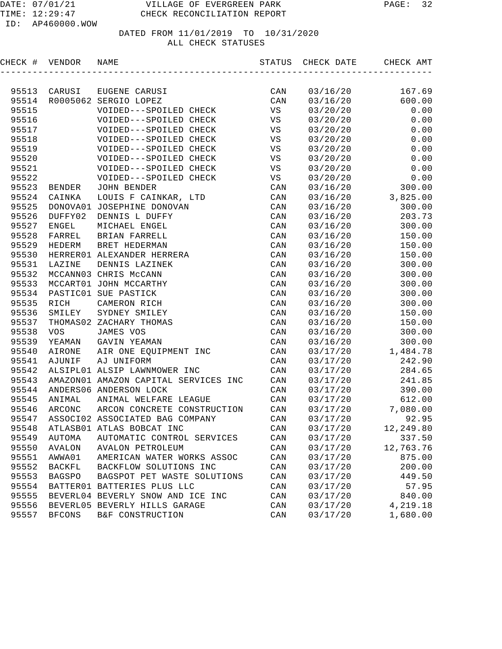TIME: 12:29:47 CHECK RECONCILIATION REPORT

| CHECK # | VENDOR        | NAME                                  |                | STATUS CHECK DATE | CHECK AMT      |
|---------|---------------|---------------------------------------|----------------|-------------------|----------------|
|         |               |                                       |                |                   |                |
| 95513   | CARUSI        | EUGENE CARUSI                         | CAN            | 03/16/20          | 167.69         |
| 95514   |               | R0005062 SERGIO LOPEZ                 | CAN            | 03/16/20          | 600.00         |
| 95515   |               | VOIDED---SPOILED CHECK                | VS             | 03/20/20          | 0.00           |
| 95516   |               | VOIDED---SPOILED CHECK                | VS             | 03/20/20          | 0.00           |
| 95517   |               | VOIDED---SPOILED CHECK                | VS             | 03/20/20          | 0.00           |
| 95518   |               | VOIDED---SPOILED CHECK                | VS             | 03/20/20          | 0.00           |
| 95519   |               | VOIDED---SPOILED CHECK                | VS             | 03/20/20          | 0.00           |
| 95520   |               | VOIDED---SPOILED CHECK                | VS             | 03/20/20          | 0.00           |
| 95521   |               | VOIDED---SPOILED CHECK                | VS             | 03/20/20          | 0.00           |
| 95522   |               | VOIDED---SPOILED CHECK                | VS             | 03/20/20          | 0.00           |
| 95523   | BENDER        | JOHN BENDER                           | CAN            | 03/16/20          | 300.00         |
| 95524   | CAINKA        | LOUIS F CAINKAR, LTD                  | CAN            | 03/16/20          | 3,825.00       |
| 95525   |               | DONOVA01 JOSEPHINE DONOVAN            | CAN            | 03/16/20          | 300.00         |
| 95526   | DUFFY02       | DENNIS L DUFFY                        | CAN            | 03/16/20          | 203.73         |
| 95527   | <b>ENGEL</b>  | MICHAEL ENGEL                         | CAN            | 03/16/20          | 300.00         |
| 95528   | FARREL        | BRIAN FARRELL                         | CAN            | 03/16/20          | 150.00         |
| 95529   | HEDERM        | BRET HEDERMAN                         | CAN            | 03/16/20          | 150.00         |
| 95530   |               | HERRER01 ALEXANDER HERRERA            | CAN            | 03/16/20          | 150.00         |
| 95531   | LAZINE        | DENNIS LAZINEK                        | CAN            | 03/16/20          | 300.00         |
| 95532   |               | MCCANN03 CHRIS McCANN                 | CAN            | 03/16/20          | 300.00         |
| 95533   |               | MCCART01 JOHN MCCARTHY                | CAN            | 03/16/20          | 300.00         |
| 95534   |               | PASTIC01 SUE PASTICK                  | CAN            | 03/16/20          | 300.00         |
| 95535   | RICH          | CAMERON RICH                          | CAN            | 03/16/20          | 300.00         |
| 95536   | SMILEY        | SYDNEY SMILEY                         | CAN            | 03/16/20          | 150.00         |
| 95537   |               | THOMAS02 ZACHARY THOMAS               | CAN            | 03/16/20          | 150.00         |
| 95538   | <b>VOS</b>    | JAMES VOS                             | CAN            | 03/16/20          | 300.00         |
| 95539   | YEAMAN        | GAVIN YEAMAN                          | CAN            | 03/16/20          | 300.00         |
| 95540   | AIRONE        | AIR ONE EQUIPMENT INC                 | CAN            | 03/17/20          | 1,484.78       |
| 95541   | AJUNIF        | AJ UNIFORM                            | CAN            | 03/17/20          | 242.90         |
| 95542   |               | ALSIPL01 ALSIP LAWNMOWER INC          | CAN            | 03/17/20          | 284.65         |
| 95543   |               | AMAZON01 AMAZON CAPITAL SERVICES INC  | CAN            | 03/17/20          | 241.85         |
| 95544   |               | ANDERS06 ANDERSON LOCK                | CAN            | 03/17/20          | 390.00         |
| 95545   | ANIMAL        | ANIMAL WELFARE LEAGUE                 | CAN            | 03/17/20          | 612.00         |
| 95546   | ARCONC        | ARCON CONCRETE CONSTRUCTION           | CAN            | 03/17/20          | 7,080.00       |
|         |               | 95547 ASSOCI02 ASSOCIATED BAG COMPANY | CAN            |                   | 03/17/20 92.95 |
| 95548   |               | ATLASB01 ATLAS BOBCAT INC             | CAN            | 03/17/20          | 12,249.80      |
| 95549   | AUTOMA        | AUTOMATIC CONTROL SERVICES            | $\mathtt{CAN}$ | 03/17/20          | 337.50         |
| 95550   | AVALON        | AVALON PETROLEUM                      | CAN            | 03/17/20          | 12,763.76      |
| 95551   | AWWA01        | AMERICAN WATER WORKS ASSOC            | CAN            | 03/17/20          | 875.00         |
| 95552   | BACKFL        | BACKFLOW SOLUTIONS INC                | CAN            | 03/17/20          | 200.00         |
| 95553   | <b>BAGSPO</b> | BAGSPOT PET WASTE SOLUTIONS           | CAN            | 03/17/20          | 449.50         |
| 95554   |               | BATTER01 BATTERIES PLUS LLC           | CAN            | 03/17/20          | 57.95          |
| 95555   |               | BEVERL04 BEVERLY SNOW AND ICE INC     | CAN            | 03/17/20          | 840.00         |
| 95556   |               | BEVERL05 BEVERLY HILLS GARAGE         | CAN            | 03/17/20          | 4,219.18       |
| 95557   | <b>BFCONS</b> | B&F CONSTRUCTION                      | CAN            | 03/17/20          | 1,680.00       |
|         |               |                                       |                |                   |                |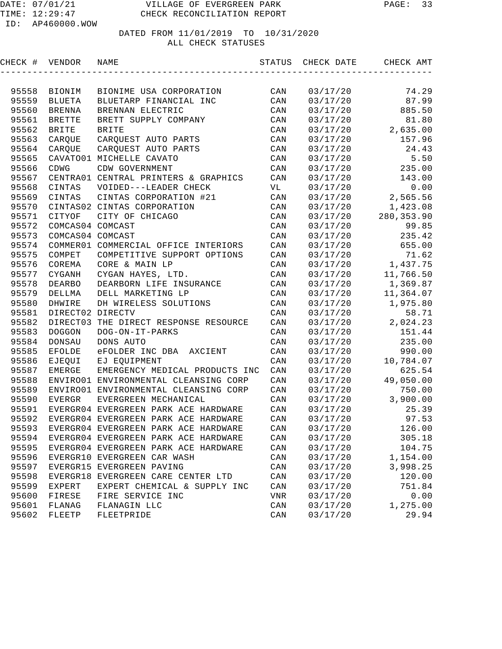| CHECK #        | VENDOR                       | NAME                                  | STATUS         | CHECK DATE           | CHECK AMT         |
|----------------|------------------------------|---------------------------------------|----------------|----------------------|-------------------|
|                |                              |                                       |                |                      |                   |
| 95558          | BIONIM                       | BIONIME USA CORPORATION               | CAN            | 03/17/20             | 74.29             |
| 95559          | <b>BLUETA</b>                | BLUETARP FINANCIAL INC                | CAN            | 03/17/20             | 87.99             |
| 95560          | <b>BRENNA</b>                | BRENNAN ELECTRIC                      | CAN            | 03/17/20             | 885.50            |
| 95561          | <b>BRETTE</b>                | BRETT SUPPLY COMPANY                  | CAN            | 03/17/20             | 81.80             |
| 95562          | <b>BRITE</b>                 | <b>BRITE</b>                          | CAN            | 03/17/20             | 2,635.00          |
| 95563          | CARQUE                       | CARQUEST AUTO PARTS                   | CAN            | 03/17/20             | 157.96            |
| 95564          | CARQUE                       | CARQUEST AUTO PARTS                   | CAN            | 03/17/20             | 24.43             |
| 95565          |                              | CAVATO01 MICHELLE CAVATO              | CAN            | 03/17/20             | 5.50              |
| 95566          | CDWG                         | CDW GOVERNMENT                        | CAN            | 03/17/20             | 235.00            |
| 95567          |                              | CENTRA01 CENTRAL PRINTERS & GRAPHICS  | CAN            | 03/17/20             | 143.00            |
| 95568          | CINTAS                       | VOIDED---LEADER CHECK                 | VL             | 03/17/20             | 0.00              |
| 95569          | CINTAS                       | CINTAS CORPORATION #21                | CAN            | 03/17/20             | 2,565.56          |
| 95570          |                              | CINTAS02 CINTAS CORPORATION           | CAN            | 03/17/20             | 1,423.08          |
| 95571          | CITYOF                       | CITY OF CHICAGO                       | CAN            | 03/17/20             | 280, 353.90       |
| 95572          | COMCAS04 COMCAST             |                                       | CAN            | 03/17/20             | 99.85             |
| 95573          | COMCAS04 COMCAST             |                                       | CAN            | 03/17/20             | 235.42            |
| 95574          |                              | COMMER01 COMMERCIAL OFFICE INTERIORS  | CAN            | 03/17/20             | 655.00            |
| 95575          | COMPET                       | COMPETITIVE SUPPORT OPTIONS           | CAN            | 03/17/20             | 71.62             |
| 95576          | COREMA                       | CORE & MAIN LP                        | CAN            | 03/17/20             | 1,437.75          |
| 95577          | CYGANH                       | CYGAN HAYES, LTD.                     | CAN            | 03/17/20             | 11,766.50         |
| 95578          | <b>DEARBO</b>                | DEARBORN LIFE INSURANCE               | CAN            | 03/17/20             | 1,369.87          |
| 95579          | DELLMA<br>DHWIRE             | DELL MARKETING LP                     | CAN            | 03/17/20             | 11,364.07         |
| 95580          |                              | DH WIRELESS SOLUTIONS                 | CAN            | 03/17/20             | 1,975.80          |
| 95581<br>95582 | DIRECT02 DIRECTV<br>DIRECT03 | THE DIRECT RESPONSE RESOURCE          | CAN<br>CAN     | 03/17/20<br>03/17/20 | 58.71<br>2,024.23 |
| 95583          | <b>DOGGON</b>                | DOG-ON-IT-PARKS                       | CAN            | 03/17/20             | 151.44            |
| 95584          | DONSAU                       | DONS AUTO                             | CAN            | 03/17/20             | 235.00            |
| 95585          | <b>EFOLDE</b>                | eFOLDER INC DBA<br>AXCIENT            | CAN            | 03/17/20             | 990.00            |
| 95586          | EJEQUI                       | EJ EQUIPMENT                          | CAN            | 03/17/20             | 10,784.07         |
| 95587          | <b>EMERGE</b>                | EMERGENCY MEDICAL PRODUCTS INC        | CAN            | 03/17/20             | 625.54            |
| 95588          |                              | ENVIRO01 ENVIRONMENTAL CLEANSING CORP | CAN            | 03/17/20             | 49,050.00         |
| 95589          |                              | ENVIRO01 ENVIRONMENTAL CLEANSING CORP | CAN            | 03/17/20             | 750.00            |
| 95590          | <b>EVERGR</b>                | EVERGREEN MECHANICAL                  | CAN            | 03/17/20             | 3,900.00          |
| 95591          |                              | EVERGR04 EVERGREEN PARK ACE HARDWARE  | CAN            | 03/17/20             | 25.39             |
| 95592          |                              | EVERGR04 EVERGREEN PARK ACE HARDWARE  | CAN            | 03/17/20             | 97.53             |
| 95593          |                              | EVERGR04 EVERGREEN PARK ACE HARDWARE  | CAN            | 03/17/20             | 126.00            |
| 95594          |                              | EVERGR04 EVERGREEN PARK ACE HARDWARE  | CAN            | 03/17/20             | 305.18            |
| 95595          |                              | EVERGR04 EVERGREEN PARK ACE HARDWARE  | $\mathtt{CAN}$ | 03/17/20             | 104.75            |
| 95596          |                              | EVERGR10 EVERGREEN CAR WASH           | CAN            | 03/17/20             | 1,154.00          |
| 95597          |                              | EVERGR15 EVERGREEN PAVING             | CAN            | 03/17/20             | 3,998.25          |
| 95598          |                              | EVERGR18 EVERGREEN CARE CENTER LTD    | CAN            | 03/17/20             | 120.00            |
| 95599          | EXPERT                       | EXPERT CHEMICAL & SUPPLY INC          | CAN            | 03/17/20             | 751.84            |
| 95600          | FIRESE                       | FIRE SERVICE INC                      | VNR            | 03/17/20             | 0.00              |
| 95601          | FLANAG                       | FLANAGIN LLC                          | CAN            | 03/17/20             | 1,275.00          |
| 95602          | FLEETP                       | FLEETPRIDE                            | $\mathtt{CAN}$ | 03/17/20             | 29.94             |
|                |                              |                                       |                |                      |                   |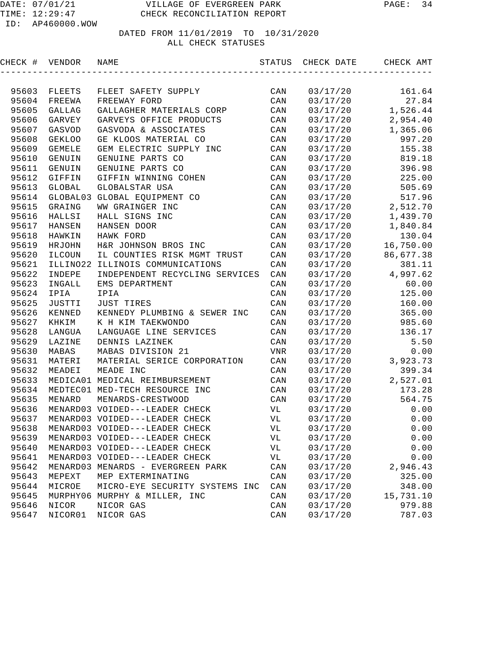| CHECK # | VENDOR        | NAME                              | STATUS         | CHECK DATE | CHECK AMT |
|---------|---------------|-----------------------------------|----------------|------------|-----------|
|         |               |                                   |                |            |           |
| 95603   | FLEETS        | FLEET SAFETY SUPPLY               | CAN            | 03/17/20   | 161.64    |
| 95604   | FREEWA        | FREEWAY FORD                      | CAN            | 03/17/20   | 27.84     |
| 95605   | GALLAG        | GALLAGHER MATERIALS CORP          | CAN            | 03/17/20   | 1,526.44  |
| 95606   | GARVEY        | GARVEYS OFFICE PRODUCTS           | CAN            | 03/17/20   | 2,954.40  |
| 95607   | GASVOD        | GASVODA & ASSOCIATES              | CAN            | 03/17/20   | 1,365.06  |
| 95608   | <b>GEKLOO</b> | GE KLOOS MATERIAL CO              | CAN            | 03/17/20   | 997.20    |
| 95609   | <b>GEMELE</b> | GEM ELECTRIC SUPPLY INC           | CAN            | 03/17/20   | 155.38    |
| 95610   | GENUIN        | GENUINE PARTS CO                  | CAN            | 03/17/20   | 819.18    |
| 95611   | GENUIN        | GENUINE PARTS CO                  | CAN            | 03/17/20   | 396.98    |
| 95612   | GIFFIN        | GIFFIN WINNING COHEN              | CAN            | 03/17/20   | 225.00    |
| 95613   | GLOBAL        | GLOBALSTAR USA                    | CAN            | 03/17/20   | 505.69    |
| 95614   | GLOBAL03      | GLOBAL EQUIPMENT CO               | CAN            | 03/17/20   | 517.96    |
| 95615   | GRAING        | WW GRAINGER INC                   | CAN            | 03/17/20   | 2,512.70  |
| 95616   | HALLSI        | HALL SIGNS INC                    | CAN            | 03/17/20   | 1,439.70  |
| 95617   | HANSEN        | HANSEN DOOR                       | CAN            | 03/17/20   | 1,840.84  |
| 95618   | HAWKIN        | HAWK FORD                         | CAN            | 03/17/20   | 130.04    |
| 95619   | HRJOHN        | H&R JOHNSON BROS INC              | $\mathtt{CAN}$ | 03/17/20   | 16,750.00 |
| 95620   | ILCOUN        | IL COUNTIES RISK MGMT TRUST       | $\mathtt{CAN}$ | 03/17/20   | 86,677.38 |
| 95621   | ILLINO22      | ILLINOIS COMMUNICATIONS           | CAN            | 03/17/20   | 381.11    |
| 95622   | INDEPE        | INDEPENDENT RECYCLING SERVICES    | CAN            | 03/17/20   | 4,997.62  |
| 95623   | INGALL        | EMS DEPARTMENT                    | CAN            | 03/17/20   | 60.00     |
| 95624   | IPIA          | IPIA                              | CAN            | 03/17/20   | 125.00    |
| 95625   | JUSTTI        | <b>JUST TIRES</b>                 | CAN            | 03/17/20   | 160.00    |
| 95626   | KENNED        | KENNEDY PLUMBING & SEWER INC      | CAN            | 03/17/20   | 365.00    |
| 95627   | KHKIM         | K H KIM TAEKWONDO                 | CAN            | 03/17/20   | 985.60    |
| 95628   | LANGUA        | LANGUAGE LINE SERVICES            | CAN            | 03/17/20   | 136.17    |
| 95629   | LAZINE        | DENNIS LAZINEK                    | CAN            | 03/17/20   | 5.50      |
| 95630   | MABAS         | MABAS DIVISION 21                 | <b>VNR</b>     | 03/17/20   | 0.00      |
| 95631   | MATERI        | MATERIAL SERICE CORPORATION       | CAN            | 03/17/20   | 3,923.73  |
| 95632   | MEADEI        | MEADE INC                         | CAN            | 03/17/20   | 399.34    |
| 95633   |               | MEDICA01 MEDICAL REIMBURSEMENT    | CAN            | 03/17/20   | 2,527.01  |
| 95634   |               | MEDTEC01 MED-TECH RESOURCE INC    | CAN            | 03/17/20   | 173.28    |
| 95635   | MENARD        | MENARDS-CRESTWOOD                 | CAN            | 03/17/20   | 564.75    |
| 95636   |               | MENARD03 VOIDED---LEADER CHECK    | VL             | 03/17/20   | 0.00      |
| 95637   |               | MENARD03 VOIDED---LEADER CHECK    | VL             | 03/17/20   | 0.00      |
| 95638   |               | MENARD03 VOIDED---LEADER CHECK    | VL             | 03/17/20   | 0.00      |
| 95639   |               | MENARD03 VOIDED---LEADER CHECK    | VL             | 03/17/20   | 0.00      |
| 95640   |               | MENARD03 VOIDED---LEADER CHECK    | VL             | 03/17/20   | 0.00      |
| 95641   |               | MENARD03 VOIDED---LEADER CHECK    | VL             | 03/17/20   | 0.00      |
| 95642   |               | MENARD03 MENARDS - EVERGREEN PARK | CAN            | 03/17/20   | 2,946.43  |
| 95643   | MEPEXT        | MEP EXTERMINATING                 | CAN            | 03/17/20   | 325.00    |
| 95644   | MICROE        | MICRO-EYE SECURITY SYSTEMS INC    | CAN            | 03/17/20   | 348.00    |
| 95645   |               | MURPHY06 MURPHY & MILLER, INC     | CAN            | 03/17/20   | 15,731.10 |
| 95646   | NICOR         | NICOR GAS                         | CAN            | 03/17/20   | 979.88    |
| 95647   | NICOR01       | NICOR GAS                         | CAN            | 03/17/20   | 787.03    |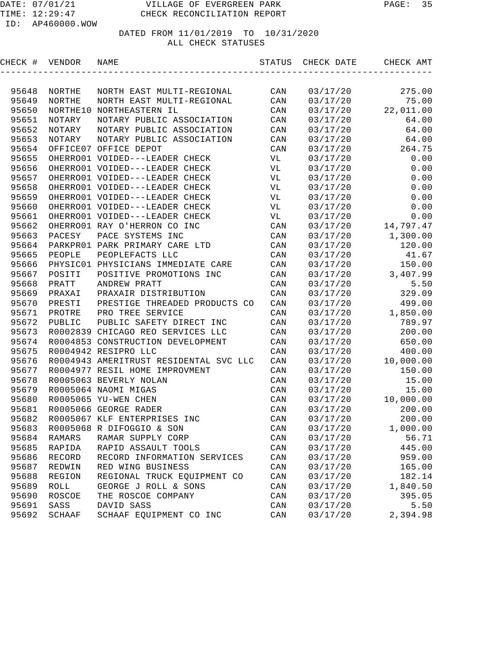| CHECK # | VENDOR   | NAME                                   | STATUS | CHECK DATE | CHECK AMT |
|---------|----------|----------------------------------------|--------|------------|-----------|
|         |          |                                        |        |            |           |
| 95648   | NORTHE   | NORTH EAST MULTI-REGIONAL              | CAN    | 03/17/20   | 275.00    |
| 95649   | NORTHE   | NORTH EAST MULTI-REGIONAL              | CAN    | 03/17/20   | 75.00     |
| 95650   | NORTHE10 | NORTHEASTERN IL                        | CAN    | 03/17/20   | 22,011.00 |
| 95651   | NOTARY   | NOTARY PUBLIC ASSOCIATION              | CAN    | 03/17/20   | 64.00     |
| 95652   | NOTARY   | NOTARY PUBLIC ASSOCIATION              | CAN    | 03/17/20   | 64.00     |
| 95653   | NOTARY   | NOTARY PUBLIC ASSOCIATION              | CAN    | 03/17/20   | 64.00     |
| 95654   |          | OFFICE07 OFFICE DEPOT                  | CAN    | 03/17/20   | 264.75    |
| 95655   |          | OHERRO01 VOIDED---LEADER CHECK         | VL     | 03/17/20   | 0.00      |
| 95656   |          | OHERRO01 VOIDED---LEADER CHECK         | VL     | 03/17/20   | 0.00      |
| 95657   |          | OHERRO01 VOIDED---LEADER CHECK         | VL     | 03/17/20   | 0.00      |
| 95658   |          | OHERRO01 VOIDED---LEADER CHECK         | VL     | 03/17/20   | 0.00      |
| 95659   |          | OHERRO01 VOIDED---LEADER CHECK         | VL     | 03/17/20   | 0.00      |
| 95660   |          | OHERRO01 VOIDED---LEADER CHECK         | VL     | 03/17/20   | 0.00      |
| 95661   |          | OHERRO01 VOIDED---LEADER CHECK         | VL     | 03/17/20   | 0.00      |
| 95662   |          | OHERRO01 RAY O'HERRON CO INC           | CAN    | 03/17/20   | 14,797.47 |
| 95663   | PACESY   | PACE SYSTEMS INC                       | CAN    | 03/17/20   | 1,300.00  |
| 95664   |          | PARKPRO1 PARK PRIMARY CARE LTD         | CAN    | 03/17/20   | 120.00    |
| 95665   | PEOPLE   | PEOPLEFACTS LLC                        | CAN    | 03/17/20   | 41.67     |
| 95666   |          | PHYSIC01 PHYSICIANS IMMEDIATE CARE     | CAN    | 03/17/20   | 150.00    |
| 95667   | POSITI   | POSITIVE PROMOTIONS INC                | CAN    | 03/17/20   | 3,407.99  |
| 95668   | PRATT    | ANDREW PRATT                           | CAN    | 03/17/20   | 5.50      |
| 95669   | PRAXAI   | PRAXAIR DISTRIBUTION                   | CAN    | 03/17/20   | 329.09    |
| 95670   | PRESTI   | PRESTIGE THREADED PRODUCTS CO          | CAN    | 03/17/20   | 499.00    |
| 95671   | PROTRE   | PRO TREE SERVICE                       | CAN    | 03/17/20   | 1,850.00  |
| 95672   | PUBLIC   | PUBLIC SAFETY DIRECT INC               | CAN    | 03/17/20   | 789.97    |
| 95673   |          | R0002839 CHICAGO REO SERVICES LLC      | CAN    | 03/17/20   | 200.00    |
| 95674   |          | R0004853 CONSTRUCTION DEVELOPMENT      | CAN    | 03/17/20   | 650.00    |
| 95675   |          | R0004942 RESIPRO LLC                   | CAN    | 03/17/20   | 400.00    |
| 95676   |          | R0004943 AMERITRUST RESIDENTAL SVC LLC | CAN    | 03/17/20   | 10,000.00 |
| 95677   |          | R0004977 RESIL HOME IMPROVMENT         | CAN    | 03/17/20   | 150.00    |
| 95678   |          | R0005063 BEVERLY NOLAN                 | CAN    | 03/17/20   | 15.00     |
| 95679   |          | R0005064 NAOMI MIGAS                   | CAN    | 03/17/20   | 15.00     |
| 95680   |          | R0005065 YU-WEN CHEN                   | CAN    | 03/17/20   | 10,000.00 |
| 95681   |          | R0005066 GEORGE RADER                  | CAN    | 03/17/20   | 200.00    |
| 95682   |          | R0005067 KLF ENTERPRISES INC           | CAN    | 03/17/20   | 200.00    |
| 95683   |          | R0005068 R DIFOGGIO & SON              | CAN    | 03/17/20   | 1,000.00  |
| 95684   | RAMARS   | RAMAR SUPPLY CORP                      | CAN    | 03/17/20   | 56.71     |
| 95685   | RAPIDA   | RAPID ASSAULT TOOLS                    | CAN    | 03/17/20   | 445.00    |
| 95686   | RECORD   | RECORD INFORMATION SERVICES            | CAN    | 03/17/20   | 959.00    |
| 95687   | REDWIN   | RED WING BUSINESS                      | CAN    | 03/17/20   | 165.00    |
| 95688   | REGION   | REGIONAL TRUCK EQUIPMENT CO            | CAN    | 03/17/20   | 182.14    |
| 95689   | ROLL     | GEORGE J ROLL & SONS                   | CAN    | 03/17/20   | 1,840.50  |
| 95690   | ROSCOE   | THE ROSCOE COMPANY                     | CAN    | 03/17/20   | 395.05    |
| 95691   | SASS     | DAVID SASS                             | CAN    | 03/17/20   | 5.50      |
| 95692   | SCHAAF   | SCHAAF EQUIPMENT CO INC                | CAN    | 03/17/20   | 2,394.98  |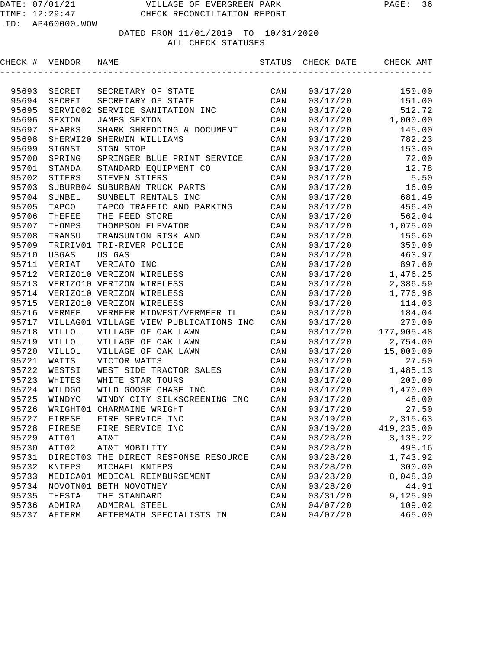| CHECK # | VENDOR        | NAME                                   | STATUS                  | CHECK DATE | CHECK AMT  |
|---------|---------------|----------------------------------------|-------------------------|------------|------------|
|         |               |                                        |                         |            |            |
| 95693   | SECRET        | SECRETARY OF STATE                     | CAN                     | 03/17/20   | 150.00     |
| 95694   | SECRET        | SECRETARY OF STATE                     | CAN                     | 03/17/20   | 151.00     |
| 95695   | SERVIC02      | SERVICE SANITATION INC                 | CAN                     | 03/17/20   | 512.72     |
| 95696   | SEXTON        | <b>JAMES SEXTON</b>                    | CAN                     | 03/17/20   | 1,000.00   |
| 95697   | <b>SHARKS</b> | SHARK SHREDDING & DOCUMENT             | CAN                     | 03/17/20   | 145.00     |
| 95698   | SHERWI20      | SHERWIN WILLIAMS                       | CAN                     | 03/17/20   | 782.23     |
| 95699   | SIGNST        | SIGN STOP                              | CAN                     | 03/17/20   | 153.00     |
| 95700   | SPRING        | SPRINGER BLUE PRINT SERVICE            | CAN                     | 03/17/20   | 72.00      |
| 95701   | STANDA        | STANDARD EQUIPMENT CO                  | CAN                     | 03/17/20   | 12.78      |
| 95702   | STIERS        | STEVEN STIERS                          | CAN                     | 03/17/20   | 5.50       |
| 95703   | SUBURB04      | SUBURBAN TRUCK PARTS                   | CAN                     | 03/17/20   | 16.09      |
| 95704   | SUNBEL        | SUNBELT RENTALS INC                    | CAN                     | 03/17/20   | 681.49     |
| 95705   | TAPCO         | TAPCO TRAFFIC AND PARKING              | CAN                     | 03/17/20   | 456.40     |
| 95706   | THEFEE        | THE FEED STORE                         | CAN                     | 03/17/20   | 562.04     |
| 95707   | THOMPS        | THOMPSON ELEVATOR                      | CAN                     | 03/17/20   | 1,075.00   |
| 95708   | TRANSU        | TRANSUNION RISK AND                    | CAN                     | 03/17/20   | 156.60     |
| 95709   |               | TRIRIV01 TRI-RIVER POLICE              | CAN                     | 03/17/20   | 350.00     |
| 95710   | USGAS         | US GAS                                 | CAN                     | 03/17/20   | 463.97     |
| 95711   | VERIAT        | VERIATO INC                            | CAN                     | 03/17/20   | 897.60     |
| 95712   |               | VERIZO10 VERIZON WIRELESS              | CAN                     | 03/17/20   | 1,476.25   |
| 95713   |               | VERIZO10 VERIZON WIRELESS              | CAN                     | 03/17/20   | 2,386.59   |
| 95714   |               | VERIZO10 VERIZON WIRELESS              | CAN                     | 03/17/20   | 1,776.96   |
| 95715   |               | VERIZO10 VERIZON WIRELESS              | CAN                     | 03/17/20   | 114.03     |
| 95716   | VERMEE        | VERMEER MIDWEST/VERMEER IL             | CAN                     | 03/17/20   | 184.04     |
| 95717   |               | VILLAG01 VILLAGE VIEW PUBLICATIONS INC | CAN                     | 03/17/20   | 270.00     |
| 95718   | <b>VILLOL</b> | VILLAGE OF OAK LAWN                    | CAN                     | 03/17/20   | 177,905.48 |
| 95719   | <b>VILLOL</b> | VILLAGE OF OAK LAWN                    | CAN                     | 03/17/20   | 2,754.00   |
| 95720   | <b>AILLOL</b> | VILLAGE OF OAK LAWN                    | CAN                     | 03/17/20   | 15,000.00  |
| 95721   | WATTS         | VICTOR WATTS                           | CAN                     | 03/17/20   | 27.50      |
| 95722   | WESTSI        | WEST SIDE TRACTOR SALES                | CAN                     | 03/17/20   | 1,485.13   |
| 95723   | WHITES        | WHITE STAR TOURS                       | CAN                     | 03/17/20   | 200.00     |
| 95724   | WILDGO        | WILD GOOSE CHASE INC                   | CAN                     | 03/17/20   | 1,470.00   |
| 95725   | WINDYC        | WINDY CITY SILKSCREENING INC           | CAN                     | 03/17/20   | 48.00      |
| 95726   | WRIGHT01      | CHARMAINE WRIGHT                       | CAN                     | 03/17/20   | 27.50      |
| 95727   | FIRESE        | FIRE SERVICE INC                       | CAN                     | 03/19/20   | 2,315.63   |
| 95728   | FIRESE        | FIRE SERVICE INC                       | $\mathop{\mathtt{CAN}}$ | 03/19/20   | 419,235.00 |
| 95729   | ATT01         | AT&T                                   | CAN                     | 03/28/20   | 3,138.22   |
| 95730   | ATT02         | AT&T MOBILITY                          | CAN                     | 03/28/20   | 498.16     |
| 95731   |               | DIRECT03 THE DIRECT RESPONSE RESOURCE  | CAN                     | 03/28/20   | 1,743.92   |
| 95732   | KNIEPS        | MICHAEL KNIEPS                         | CAN                     | 03/28/20   | 300.00     |
| 95733   |               | MEDICA01 MEDICAL REIMBURSEMENT         | CAN                     | 03/28/20   | 8,048.30   |
| 95734   |               | NOVOTN01 BETH NOVOTNEY                 | CAN                     | 03/28/20   | 44.91      |
| 95735   | THESTA        | THE STANDARD                           | CAN                     | 03/31/20   | 9,125.90   |
| 95736   | ADMIRA        | ADMIRAL STEEL                          | CAN                     | 04/07/20   | 109.02     |
| 95737   | AFTERM        | AFTERMATH SPECIALISTS IN               | CAN                     | 04/07/20   | 465.00     |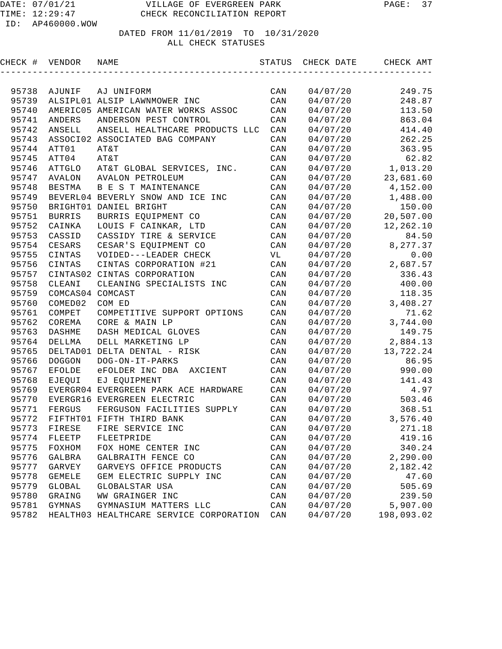| CHECK # | VENDOR           | NAME                                    | STATUS         | CHECK DATE | CHECK AMT  |
|---------|------------------|-----------------------------------------|----------------|------------|------------|
|         |                  |                                         |                |            |            |
| 95738   | AJUNIF           | AJ UNIFORM                              | CAN            | 04/07/20   | 249.75     |
| 95739   |                  | ALSIPL01 ALSIP LAWNMOWER INC            | CAN            | 04/07/20   | 248.87     |
| 95740   |                  | AMERIC05 AMERICAN WATER WORKS ASSOC     | CAN            | 04/07/20   | 113.50     |
| 95741   | <b>ANDERS</b>    | ANDERSON PEST CONTROL                   | CAN            | 04/07/20   | 863.04     |
| 95742   | ANSELL           | ANSELL HEALTHCARE PRODUCTS LLC          | CAN            | 04/07/20   | 414.40     |
| 95743   |                  | ASSOCI02 ASSOCIATED BAG COMPANY         | CAN            | 04/07/20   | 262.25     |
| 95744   | ATT01            | AT&T                                    | CAN            | 04/07/20   | 363.95     |
| 95745   | ATT04            | AT&T                                    | CAN            | 04/07/20   | 62.82      |
| 95746   | ATTGLO           | AT&T GLOBAL SERVICES, INC.              | CAN            | 04/07/20   | 1,013.20   |
| 95747   | <b>AVALON</b>    | AVALON PETROLEUM                        | CAN            | 04/07/20   | 23,681.60  |
| 95748   | <b>BESTMA</b>    | B E S T MAINTENANCE                     | CAN            | 04/07/20   | 4,152.00   |
| 95749   |                  | BEVERL04 BEVERLY SNOW AND ICE INC       | CAN            | 04/07/20   | 1,488.00   |
| 95750   |                  | BRIGHT01 DANIEL BRIGHT                  | CAN            | 04/07/20   | 150.00     |
| 95751   | <b>BURRIS</b>    | BURRIS EQUIPMENT CO                     | CAN            | 04/07/20   | 20,507.00  |
| 95752   | CAINKA           | LOUIS F CAINKAR, LTD                    | CAN            | 04/07/20   | 12,262.10  |
| 95753   | CASSID           | CASSIDY TIRE & SERVICE                  | $\mathtt{CAN}$ | 04/07/20   | 84.50      |
| 95754   | CESARS           | CESAR'S EQUIPMENT CO                    | CAN            | 04/07/20   | 8, 277.37  |
| 95755   | CINTAS           | VOIDED---LEADER CHECK                   | VL             | 04/07/20   | 0.00       |
| 95756   | CINTAS           | CINTAS CORPORATION #21                  | CAN            | 04/07/20   | 2,687.57   |
| 95757   |                  | CINTAS02 CINTAS CORPORATION             | CAN            | 04/07/20   | 336.43     |
| 95758   | CLEANI           | CLEANING SPECIALISTS INC                | CAN            | 04/07/20   | 400.00     |
| 95759   | COMCAS04 COMCAST |                                         | CAN            | 04/07/20   | 118.35     |
| 95760   | COMED02          | COM ED                                  | CAN            | 04/07/20   | 3,408.27   |
| 95761   | COMPET           | COMPETITIVE SUPPORT OPTIONS             | CAN            | 04/07/20   | 71.62      |
| 95762   | COREMA           | CORE & MAIN LP                          | CAN            | 04/07/20   | 3,744.00   |
| 95763   | <b>DASHME</b>    | DASH MEDICAL GLOVES                     | CAN            | 04/07/20   | 149.75     |
| 95764   | DELLMA           | DELL MARKETING LP                       | CAN            | 04/07/20   | 2,884.13   |
| 95765   |                  | DELTAD01 DELTA DENTAL - RISK            | CAN            | 04/07/20   | 13,722.24  |
| 95766   | <b>DOGGON</b>    | DOG-ON-IT-PARKS                         | CAN            | 04/07/20   | 86.95      |
| 95767   | <b>EFOLDE</b>    | eFOLDER INC DBA<br>AXCIENT              | CAN            | 04/07/20   | 990.00     |
| 95768   | EJEQUI           | EJ EQUIPMENT                            | CAN            | 04/07/20   | 141.43     |
| 95769   |                  | EVERGR04 EVERGREEN PARK ACE HARDWARE    | CAN            | 04/07/20   | 4.97       |
| 95770   |                  | EVERGR16 EVERGREEN ELECTRIC             | CAN            | 04/07/20   | 503.46     |
| 95771   | FERGUS           | FERGUSON FACILITIES SUPPLY              | CAN            | 04/07/20   | 368.51     |
| 95772   |                  | FIFTHT01 FIFTH THIRD BANK               | CAN            | 04/07/20   | 3,576.40   |
| 95773   | ${\tt FIRESE}$   | FIRE SERVICE INC                        | CAN            | 04/07/20   | 271.18     |
| 95774   | FLEETP           | FLEETPRIDE                              | CAN            | 04/07/20   | 419.16     |
| 95775   | FOXHOM           | FOX HOME CENTER INC                     | $\mathtt{CAN}$ | 04/07/20   | 340.24     |
| 95776   | GALBRA           | GALBRAITH FENCE CO                      | $\mathtt{CAN}$ | 04/07/20   | 2,290.00   |
| 95777   | GARVEY           | GARVEYS OFFICE PRODUCTS                 | CAN            | 04/07/20   | 2,182.42   |
| 95778   | <b>GEMELE</b>    | GEM ELECTRIC SUPPLY INC                 | CAN            | 04/07/20   | 47.60      |
| 95779   | GLOBAL           | GLOBALSTAR USA                          | CAN            | 04/07/20   | 505.69     |
| 95780   | GRAING           | WW GRAINGER INC                         | CAN            | 04/07/20   | 239.50     |
| 95781   | GYMNAS           | GYMNASIUM MATTERS LLC                   | CAN            | 04/07/20   | 5,907.00   |
| 95782   |                  | HEALTH03 HEALTHCARE SERVICE CORPORATION | CAN            | 04/07/20   | 198,093.02 |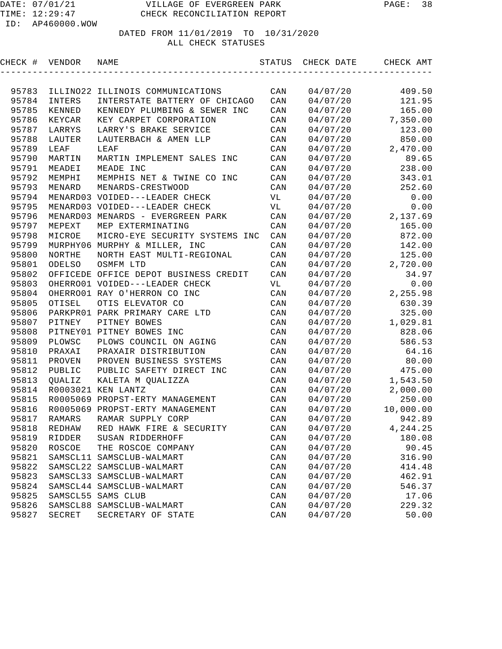| CHECK # | VENDOR NAME |                                       |                         | STATUS CHECK DATE CHECK AMT |                     |
|---------|-------------|---------------------------------------|-------------------------|-----------------------------|---------------------|
|         |             |                                       |                         |                             |                     |
| 95783   |             | ILLINO22 ILLINOIS COMMUNICATIONS      | CAN                     | 04/07/20                    | 409.50              |
| 95784   | INTERS      | INTERSTATE BATTERY OF CHICAGO         | CAN                     | 04/07/20                    | 121.95              |
| 95785   | KENNED      | KENNEDY PLUMBING & SEWER INC          | CAN                     | 04/07/20                    | 165.00              |
| 95786   | KEYCAR      | KEY CARPET CORPORATION                | CAN                     |                             | $04/07/20$ 7,350.00 |
| 95787   | LARRYS      | LARRY'S BRAKE SERVICE                 | CAN                     | 04/07/20                    | 123.00              |
| 95788   | LAUTER      | LAUTERBACH & AMEN LLP                 | CAN                     | 04/07/20                    | 850.00              |
| 95789   | LEAF        | LEAF                                  | CAN                     | 04/07/20                    | 2,470.00            |
| 95790   | MARTIN      | MARTIN IMPLEMENT SALES INC            | CAN                     | 04/07/20                    | 89.65               |
| 95791   | MEADEI      | MEADE INC                             | CAN                     | 04/07/20                    | 238.00              |
| 95792   | MEMPHI      | MEMPHIS NET & TWINE CO INC            | CAN                     | 04/07/20                    | 343.01              |
| 95793   | MENARD      | MENARDS-CRESTWOOD                     | CAN                     | 04/07/20                    | 252.60              |
| 95794   |             | MENARD03 VOIDED---LEADER CHECK        | VL                      | 04/07/20                    | 0.00                |
| 95795   |             | MENARD03 VOIDED---LEADER CHECK        | VL                      | 04/07/20                    | 0.00                |
| 95796   |             | MENARD03 MENARDS - EVERGREEN PARK     | CAN                     | 04/07/20                    | 2,137.69            |
| 95797   | MEPEXT      | MEP EXTERMINATING                     | CAN                     | 04/07/20                    | 165.00              |
| 95798   | MICROE      | MICRO-EYE SECURITY SYSTEMS INC        | CAN                     | 04/07/20                    | 872.00              |
| 95799   |             | MURPHY06 MURPHY & MILLER, INC         | CAN                     | 04/07/20                    | 142.00              |
| 95800   | NORTHE      | NORTH EAST MULTI-REGIONAL             | CAN                     | 04/07/20                    | 125.00              |
| 95801   | ODELSO      | OSMFM LTD                             | CAN                     | 04/07/20                    | 2,720.00            |
| 95802   |             | OFFICEDE OFFICE DEPOT BUSINESS CREDIT | CAN                     | 04/07/20                    | 34.97               |
| 95803   |             | OHERRO01 VOIDED---LEADER CHECK        | VL                      | 04/07/20                    | 0.00                |
| 95804   |             | OHERRO01 RAY O'HERRON CO INC          | CAN                     | 04/07/20                    | 2,255.98            |
| 95805   | OTISEL      | OTIS ELEVATOR CO                      | CAN                     | 04/07/20                    | 630.39              |
| 95806   |             | PARKPRO1 PARK PRIMARY CARE LTD        | CAN                     | 04/07/20                    | 325.00              |
| 95807   | PITNEY      | PITNEY BOWES                          | CAN                     | 04/07/20                    | 1,029.81            |
| 95808   |             | PITNEY01 PITNEY BOWES INC             | CAN                     | 04/07/20                    | 828.06              |
| 95809   | PLOWSC      | PLOWS COUNCIL ON AGING                | CAN                     | 04/07/20                    | 586.53              |
| 95810   | PRAXAI      | PRAXAIR DISTRIBUTION                  | CAN                     | 04/07/20                    | 64.16               |
| 95811   | PROVEN      | PROVEN BUSINESS SYSTEMS               | CAN                     | 04/07/20                    | 80.00               |
| 95812   | PUBLIC      | PUBLIC SAFETY DIRECT INC              | CAN                     | 04/07/20                    | 475.00              |
| 95813   | QUALIZ      | KALETA M QUALIZZA                     | CAN                     |                             | 04/07/20 1,543.50   |
| 95814   |             | R0003021 KEN LANTZ                    | CAN                     |                             | $04/07/20$ 2,000.00 |
| 95815   |             | R0005069 PROPST-ERTY MANAGEMENT       | CAN                     | 04/07/20                    | 250.00              |
| 95816   |             | R0005069 PROPST-ERTY MANAGEMENT       | CAN                     | 04/07/20                    | 10,000.00           |
| 95817   | RAMARS      | RAMAR SUPPLY CORP                     | CAN                     | 04/07/20                    | 942.89              |
| 95818   | REDHAW      | RED HAWK FIRE & SECURITY              | CAN                     | 04/07/20                    | 4,244.25            |
| 95819   | RIDDER      | SUSAN RIDDERHOFF                      | $\mathop{\mathtt{CAN}}$ | 04/07/20                    | 180.08              |
| 95820   | ROSCOE      | THE ROSCOE COMPANY                    | $\mathtt{CAN}$          | 04/07/20                    | 90.45               |
| 95821   | SAMSCL11    | SAMSCLUB-WALMART                      | $\mathtt{CAN}$          | 04/07/20                    | 316.90              |
| 95822   |             | SAMSCL22 SAMSCLUB-WALMART             |                         | 04/07/20                    |                     |
| 95823   |             |                                       | $\mathtt{CAN}$          |                             | 414.48              |
| 95824   |             | SAMSCL33 SAMSCLUB-WALMART             | CAN                     | 04/07/20                    | 462.91              |
|         |             | SAMSCL44 SAMSCLUB-WALMART             | $\mathtt{CAN}$          | 04/07/20                    | 546.37              |
| 95825   | SAMSCL55    | SAMS CLUB                             | CAN                     | 04/07/20                    | 17.06               |
| 95826   | SAMSCL88    | SAMSCLUB-WALMART                      | $\mathtt{CAN}$          | 04/07/20                    | 229.32              |
| 95827   | SECRET      | SECRETARY OF STATE                    | CAN                     | 04/07/20                    | 50.00               |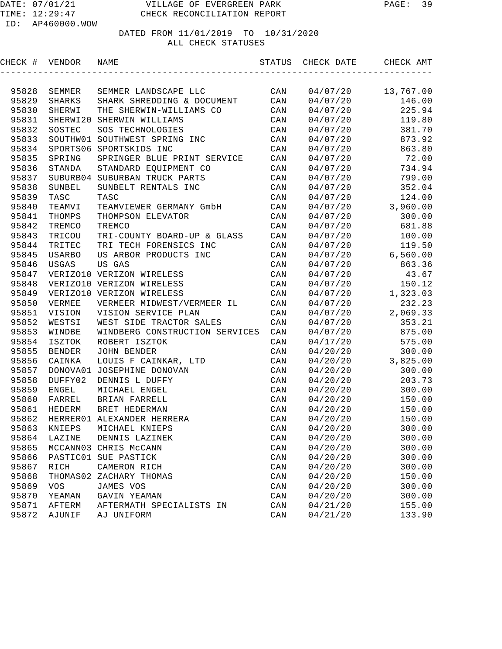## DATED FROM 11/01/2019 TO 10/31/2020

ALL CHECK STATUSES

| CHECK # | VENDOR        | NAME                           | STATUS         | CHECK DATE | CHECK AMT        |
|---------|---------------|--------------------------------|----------------|------------|------------------|
|         |               |                                |                |            |                  |
| 95828   | SEMMER        | SEMMER LANDSCAPE LLC           | CAN            | 04/07/20   | 13,767.00        |
| 95829   | SHARKS        | SHARK SHREDDING & DOCUMENT     | CAN            | 04/07/20   | 146.00           |
| 95830   | SHERWI        | THE SHERWIN-WILLIAMS CO        | CAN            | 04/07/20   | 225.94           |
| 95831   |               | SHERWI20 SHERWIN WILLIAMS      | CAN            | 04/07/20   | 119.80           |
| 95832   | SOSTEC        | SOS TECHNOLOGIES               | CAN            | 04/07/20   | 381.70           |
| 95833   |               | SOUTHW01 SOUTHWEST SPRING INC  | CAN            | 04/07/20   | 873.92           |
| 95834   |               | SPORTS06 SPORTSKIDS INC        | CAN            | 04/07/20   | 863.80           |
| 95835   | SPRING        | SPRINGER BLUE PRINT SERVICE    | CAN            | 04/07/20   | 72.00            |
| 95836   | STANDA        | STANDARD EQUIPMENT CO          | CAN            | 04/07/20   | 734.94           |
| 95837   |               | SUBURB04 SUBURBAN TRUCK PARTS  | CAN            | 04/07/20   | 799.00           |
| 95838   | SUNBEL        | SUNBELT RENTALS INC            | CAN            | 04/07/20   | 352.04           |
| 95839   | TASC          | TASC                           | CAN            | 04/07/20   | 124.00           |
| 95840   | TEAMVI        | TEAMVIEWER GERMANY GmbH        | CAN            | 04/07/20   | 3,960.00         |
| 95841   | THOMPS        | THOMPSON ELEVATOR              | CAN            | 04/07/20   | 300.00           |
| 95842   | TREMCO        | TREMCO                         | CAN            | 04/07/20   | 681.88           |
| 95843   | TRICOU        | TRI-COUNTY BOARD-UP & GLASS    | CAN            | 04/07/20   | 100.00           |
| 95844   | TRITEC        | TRI TECH FORENSICS INC         | CAN            | 04/07/20   | 119.50           |
| 95845   | <b>USARBO</b> | US ARBOR PRODUCTS INC          | CAN            | 04/07/20   | 6,560.00         |
| 95846   | USGAS         | US GAS                         | CAN            | 04/07/20   | 863.36           |
| 95847   |               | VERIZO10 VERIZON WIRELESS      | CAN            | 04/07/20   | 43.67            |
| 95848   |               | VERIZO10 VERIZON WIRELESS      | CAN            | 04/07/20   | 150.12           |
| 95849   |               | VERIZO10 VERIZON WIRELESS      | CAN            | 04/07/20   | 1,323.03         |
| 95850   | VERMEE        | VERMEER MIDWEST/VERMEER IL     | CAN            | 04/07/20   | 232.23           |
| 95851   | VISION        | VISION SERVICE PLAN            | CAN            | 04/07/20   | 2,069.33         |
| 95852   | WESTSI        | WEST SIDE TRACTOR SALES        | CAN            | 04/07/20   | 353.21           |
| 95853   | WINDBE        | WINDBERG CONSTRUCTION SERVICES | CAN            | 04/07/20   | 875.00           |
| 95854   | ISZTOK        | ROBERT ISZTOK                  | CAN            | 04/17/20   | 575.00           |
| 95855   | <b>BENDER</b> | JOHN BENDER                    | CAN            | 04/20/20   | 300.00           |
| 95856   | CAINKA        | LOUIS F CAINKAR, LTD           | CAN            | 04/20/20   | 3,825.00         |
| 95857   |               | DONOVA01 JOSEPHINE DONOVAN     | CAN            | 04/20/20   | 300.00           |
| 95858   | DUFFY02       | DENNIS L DUFFY                 | CAN            | 04/20/20   | 203.73           |
| 95859   | <b>ENGEL</b>  | MICHAEL ENGEL                  | CAN            | 04/20/20   | 300.00           |
| 95860   | FARREL        | BRIAN FARRELL                  | CAN            | 04/20/20   | 150.00           |
| 95861   | HEDERM        | BRET HEDERMAN                  | CAN            | 04/20/20   | 150.00           |
| 95862   |               | HERRER01 ALEXANDER HERRERA     | CAN            | 04/20/20   | 150.00           |
| 95863   | KNIEPS        | MICHAEL KNIEPS                 | $\mathtt{CAN}$ | 04/20/20   | 300.00           |
| 95864   | LAZINE        | DENNIS LAZINEK                 | CAN            | 04/20/20   | 300.00           |
| 95865   |               | MCCANN03 CHRIS McCANN          | $\mathtt{CAN}$ | 04/20/20   | 300.00           |
| 95866   |               | PASTIC01 SUE PASTICK           | $\mathtt{CAN}$ | 04/20/20   | 300.00           |
| 95867   | RICH          | CAMERON RICH                   | $\mathtt{CAN}$ | 04/20/20   | 300.00           |
|         |               |                                |                |            |                  |
| 95868   | THOMAS02      | ZACHARY THOMAS                 | CAN            | 04/20/20   | 150.00<br>300.00 |
| 95869   | VOS           | JAMES VOS                      | CAN            | 04/20/20   |                  |
| 95870   | YEAMAN        | GAVIN YEAMAN                   | CAN            | 04/20/20   | 300.00           |
| 95871   | AFTERM        | AFTERMATH SPECIALISTS IN       | CAN            | 04/21/20   | 155.00           |
| 95872   | AJUNIF        | AJ UNIFORM                     | CAN            | 04/21/20   | 133.90           |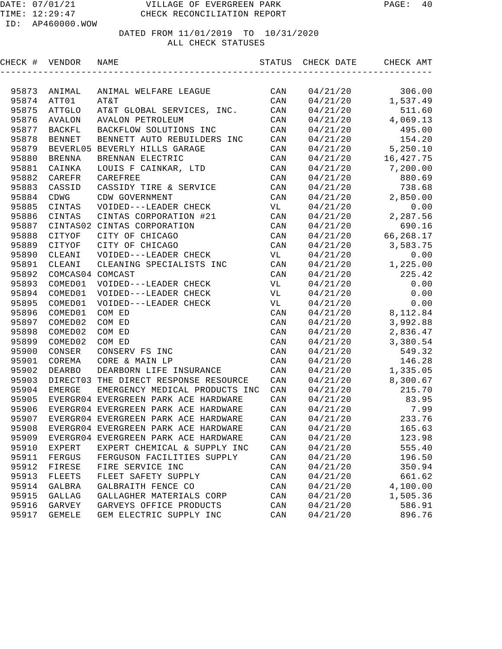| CHECK # | VENDOR           | NAME                                 | STATUS         | CHECK DATE | CHECK AMT |
|---------|------------------|--------------------------------------|----------------|------------|-----------|
|         |                  |                                      |                |            |           |
| 95873   | ANIMAL           | ANIMAL WELFARE LEAGUE                | CAN            | 04/21/20   | 306.00    |
| 95874   | ATT01            | AT&T                                 | CAN            | 04/21/20   | 1,537.49  |
| 95875   | <b>ATTGLO</b>    | AT&T GLOBAL SERVICES, INC.           | CAN            | 04/21/20   | 511.60    |
| 95876   | <b>AVALON</b>    | <b>AVALON PETROLEUM</b>              | CAN            | 04/21/20   | 4,069.13  |
| 95877   | <b>BACKFL</b>    | BACKFLOW SOLUTIONS INC               | CAN            | 04/21/20   | 495.00    |
| 95878   | <b>BENNET</b>    | BENNETT AUTO REBUILDERS INC          | CAN            | 04/21/20   | 154.20    |
| 95879   |                  | BEVERL05 BEVERLY HILLS GARAGE        | CAN            | 04/21/20   | 5,250.10  |
| 95880   | <b>BRENNA</b>    | BRENNAN ELECTRIC                     | CAN            | 04/21/20   | 16,427.75 |
| 95881   | CAINKA           | LOUIS F CAINKAR, LTD                 | CAN            | 04/21/20   | 7,200.00  |
| 95882   | CAREFR           | CAREFREE                             | CAN            | 04/21/20   | 880.69    |
| 95883   | CASSID           | CASSIDY TIRE & SERVICE               | CAN            | 04/21/20   | 738.68    |
| 95884   | CDWG             | CDW GOVERNMENT                       | CAN            | 04/21/20   | 2,850.00  |
| 95885   | CINTAS           | VOIDED---LEADER CHECK                | VL             | 04/21/20   | 0.00      |
| 95886   | CINTAS           | CINTAS CORPORATION #21               | CAN            | 04/21/20   | 2,287.56  |
| 95887   |                  | CINTAS02 CINTAS CORPORATION          | CAN            | 04/21/20   | 690.16    |
| 95888   | CITYOF           | CITY OF CHICAGO                      | CAN            | 04/21/20   | 66,268.17 |
| 95889   | CITYOF           | CITY OF CHICAGO                      | CAN            | 04/21/20   | 3,583.75  |
| 95890   | CLEANI           | VOIDED---LEADER CHECK                | VL             | 04/21/20   | 0.00      |
| 95891   | CLEANI           | CLEANING SPECIALISTS INC             | CAN            | 04/21/20   | 1,225.00  |
| 95892   | COMCAS04 COMCAST |                                      | CAN            | 04/21/20   | 225.42    |
| 95893   | COMED01          | VOIDED---LEADER CHECK                | VL             | 04/21/20   | 0.00      |
| 95894   | COMED01          | VOIDED---LEADER CHECK                | VL             | 04/21/20   | 0.00      |
| 95895   | COMED01          | VOIDED---LEADER CHECK                | VL             | 04/21/20   | 0.00      |
| 95896   | COMED01          | COM ED                               | CAN            | 04/21/20   | 8,112.84  |
| 95897   | COMED02          | COM ED                               | CAN            | 04/21/20   | 3,992.88  |
| 95898   | COMED02          | COM ED                               | CAN            | 04/21/20   | 2,836.47  |
| 95899   | COMED02          | COM ED                               | CAN            | 04/21/20   | 3,380.54  |
| 95900   | CONSER           | CONSERV FS INC                       | CAN            | 04/21/20   | 549.32    |
| 95901   | COREMA           | CORE & MAIN LP                       | CAN            | 04/21/20   | 146.28    |
| 95902   | <b>DEARBO</b>    | DEARBORN LIFE INSURANCE              | CAN            | 04/21/20   | 1,335.05  |
| 95903   | DIRECT03         | THE DIRECT RESPONSE RESOURCE         | CAN            | 04/21/20   | 8,300.67  |
| 95904   | <b>EMERGE</b>    | EMERGENCY MEDICAL PRODUCTS INC       | CAN            | 04/21/20   | 215.70    |
| 95905   |                  | EVERGR04 EVERGREEN PARK ACE HARDWARE | CAN            | 04/21/20   | 83.95     |
| 95906   |                  | EVERGR04 EVERGREEN PARK ACE HARDWARE | CAN            | 04/21/20   | 7.99      |
| 95907   |                  | EVERGR04 EVERGREEN PARK ACE HARDWARE | CAN            | 04/21/20   | 233.76    |
| 95908   |                  | EVERGR04 EVERGREEN PARK ACE HARDWARE | $\mathtt{CAN}$ | 04/21/20   | 165.63    |
| 95909   |                  | EVERGR04 EVERGREEN PARK ACE HARDWARE | CAN            | 04/21/20   | 123.98    |
| 95910   | <b>EXPERT</b>    | EXPERT CHEMICAL & SUPPLY INC         | CAN            | 04/21/20   | 555.40    |
| 95911   | FERGUS           | FERGUSON FACILITIES SUPPLY           | CAN            | 04/21/20   | 196.50    |
| 95912   | FIRESE           | FIRE SERVICE INC                     | CAN            | 04/21/20   | 350.94    |
| 95913   | <b>FLEETS</b>    | FLEET SAFETY SUPPLY                  | CAN            | 04/21/20   | 661.62    |
| 95914   | GALBRA           | GALBRAITH FENCE CO                   | CAN            | 04/21/20   | 4,100.00  |
| 95915   | <b>GALLAG</b>    | GALLAGHER MATERIALS CORP             | CAN            | 04/21/20   | 1,505.36  |
| 95916   | GARVEY           | GARVEYS OFFICE PRODUCTS              | CAN            | 04/21/20   | 586.91    |
| 95917   | <b>GEMELE</b>    | GEM ELECTRIC SUPPLY INC              | CAN            | 04/21/20   | 896.76    |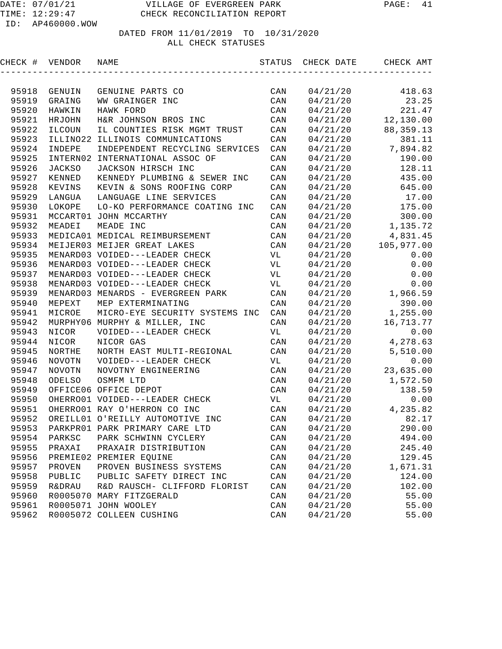| CHECK # VENDOR |                   | NAME                              | STATUS | CHECK DATE | CHECK AMT   |
|----------------|-------------------|-----------------------------------|--------|------------|-------------|
|                |                   |                                   |        |            |             |
| 95918          | GENUIN            | GENUINE PARTS CO                  | CAN    | 04/21/20   | 418.63      |
| 95919          | GRAING            | WW GRAINGER INC                   | CAN    | 04/21/20   | 23.25       |
| 95920          | HAWKIN            | HAWK FORD                         | CAN    | 04/21/20   | 221.47      |
| 95921          | HRJOHN            | H&R JOHNSON BROS INC              | CAN    | 04/21/20   | 12,130.00   |
| 95922          | ILCOUN            | IL COUNTIES RISK MGMT TRUST       | CAN    | 04/21/20   | 88, 359. 13 |
| 95923          | ILLINO22          | ILLINOIS COMMUNICATIONS           | CAN    | 04/21/20   | 381.11      |
| 95924          | INDEPE            | INDEPENDENT RECYCLING SERVICES    | CAN    | 04/21/20   | 7,894.82    |
| 95925          | INTERN02          | INTERNATIONAL ASSOC OF            | CAN    | 04/21/20   | 190.00      |
| 95926          | <b>JACKSO</b>     | JACKSON HIRSCH INC                | CAN    | 04/21/20   | 128.11      |
| 95927          | KENNED            | KENNEDY PLUMBING & SEWER INC      | CAN    | 04/21/20   | 435.00      |
| 95928          | KEVINS            | KEVIN & SONS ROOFING CORP         | CAN    | 04/21/20   | 645.00      |
| 95929          | LANGUA            | LANGUAGE LINE SERVICES            | CAN    | 04/21/20   | 17.00       |
| 95930          | LOKOPE            | LO-KO PERFORMANCE COATING INC     | CAN    | 04/21/20   | 175.00      |
| 95931          |                   | MCCART01 JOHN MCCARTHY            | CAN    | 04/21/20   | 300.00      |
| 95932          | MEADEI            | MEADE INC                         | CAN    | 04/21/20   | 1,135.72    |
| 95933          |                   | MEDICA01 MEDICAL REIMBURSEMENT    | CAN    | 04/21/20   | 4,831.45    |
| 95934          |                   | MEIJER03 MEIJER GREAT LAKES       | CAN    | 04/21/20   | 105,977.00  |
| 95935          |                   | MENARD03 VOIDED---LEADER CHECK    | VL     | 04/21/20   | 0.00        |
| 95936          |                   | MENARD03 VOIDED---LEADER CHECK    | VL     | 04/21/20   | 0.00        |
| 95937          |                   | MENARD03 VOIDED---LEADER CHECK    | VL     | 04/21/20   | 0.00        |
| 95938          |                   | MENARD03 VOIDED---LEADER CHECK    | VL     | 04/21/20   | 0.00        |
| 95939          |                   | MENARD03 MENARDS - EVERGREEN PARK | CAN    | 04/21/20   | 1,966.59    |
| 95940          | MEPEXT            | MEP EXTERMINATING                 | CAN    | 04/21/20   | 390.00      |
| 95941          | MICROE            | MICRO-EYE SECURITY SYSTEMS INC    | CAN    | 04/21/20   | 1,255.00    |
| 95942          |                   | MURPHY06 MURPHY & MILLER, INC     | CAN    | 04/21/20   | 16,713.77   |
| 95943          | NICOR             | VOIDED---LEADER CHECK             | VL     | 04/21/20   | 0.00        |
| 95944          | NICOR             | NICOR GAS                         | CAN    | 04/21/20   | 4,278.63    |
| 95945          | NORTHE            | NORTH EAST MULTI-REGIONAL         | CAN    | 04/21/20   | 5,510.00    |
| 95946          | <b>NOVOTN</b>     | VOIDED---LEADER CHECK             | VL     | 04/21/20   | 0.00        |
| 95947          | <b>NOVOTN</b>     | NOVOTNY ENGINEERING               | CAN    | 04/21/20   | 23,635.00   |
| 95948          | <b>ODELSO</b>     | OSMFM LTD                         | CAN    | 04/21/20   | 1,572.50    |
| 95949          |                   | OFFICE06 OFFICE DEPOT             | CAN    | 04/21/20   | 138.59      |
| 95950          |                   | OHERRO01 VOIDED---LEADER CHECK    | VL     | 04/21/20   | 0.00        |
| 95951          |                   | OHERRO01 RAY O'HERRON CO INC      | CAN    | 04/21/20   | 4,235.82    |
| 95952          |                   | OREILL01 O'REILLY AUTOMOTIVE INC  | CAN    | 04/21/20   | 82.17       |
| 95953          |                   | PARKPR01 PARK PRIMARY CARE LTD    | CAN    | 04/21/20   | 290.00      |
| 95954          | PARKSC            | PARK SCHWINN CYCLERY              | CAN    | 04/21/20   | 494.00      |
| 95955          | PRAXAI            | PRAXAIR DISTRIBUTION              | CAN    | 04/21/20   | 245.40      |
| 95956          |                   | PREMIE02 PREMIER EQUINE           | CAN    | 04/21/20   | 129.45      |
| 95957          | PROVEN            | PROVEN BUSINESS SYSTEMS           | CAN    | 04/21/20   | 1,671.31    |
| 95958          | PUBLIC            | PUBLIC SAFETY DIRECT INC          | CAN    | 04/21/20   | 124.00      |
| 95959          | <b>R&amp;DRAU</b> | R&D RAUSCH- CLIFFORD FLORIST      | CAN    | 04/21/20   | 102.00      |
| 95960          |                   | R0005070 MARY FITZGERALD          | CAN    | 04/21/20   | 55.00       |
| 95961          |                   | R0005071 JOHN WOOLEY              | CAN    | 04/21/20   | 55.00       |
| 95962          |                   | R0005072 COLLEEN CUSHING          | CAN    | 04/21/20   | 55.00       |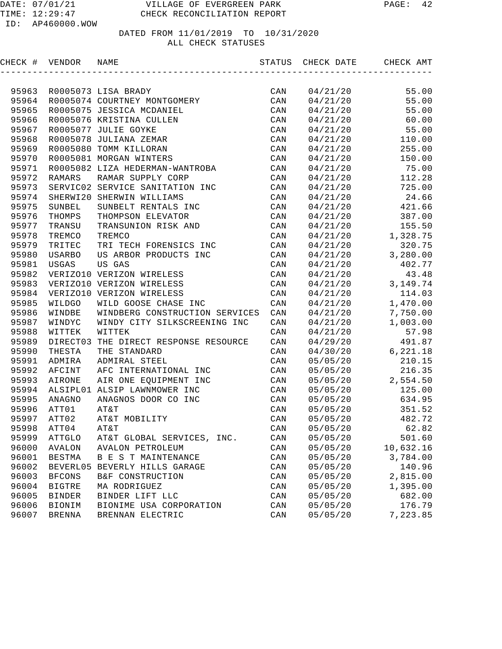ID: AP460000.WOW

| CHECK # VENDOR |               | NAME                            | STATUS | CHECK DATE | CHECK AMT  |
|----------------|---------------|---------------------------------|--------|------------|------------|
|                |               |                                 |        |            |            |
| 95963          |               | R0005073 LISA BRADY             | CAN    | 04/21/20   | 55.00      |
| 95964          |               | R0005074 COURTNEY MONTGOMERY    | CAN    | 04/21/20   | 55.00      |
| 95965          |               | R0005075 JESSICA MCDANIEL       | CAN    | 04/21/20   | 55.00      |
| 95966          |               | R0005076 KRISTINA CULLEN        | CAN    | 04/21/20   | 60.00      |
| 95967          |               | R0005077 JULIE GOYKE            | CAN    | 04/21/20   | 55.00      |
| 95968          |               | R0005078 JULIANA ZEMAR          | CAN    | 04/21/20   | 110.00     |
| 95969          |               | R0005080 TOMM KILLORAN          | CAN    | 04/21/20   | 255.00     |
| 95970          |               | R0005081 MORGAN WINTERS         | CAN    | 04/21/20   | 150.00     |
| 95971          |               | R0005082 LIZA HEDERMAN-WANTROBA | CAN    | 04/21/20   | 75.00      |
| 95972          | RAMARS        | RAMAR SUPPLY CORP               | CAN    | 04/21/20   | 112.28     |
| 95973          |               | SERVIC02 SERVICE SANITATION INC | CAN    | 04/21/20   | 725.00     |
| 95974          |               | SHERWI20 SHERWIN WILLIAMS       | CAN    | 04/21/20   | 24.66      |
| 95975          | SUNBEL        | SUNBELT RENTALS INC             | CAN    | 04/21/20   | 421.66     |
| 95976          | THOMPS        | THOMPSON ELEVATOR               | CAN    | 04/21/20   | 387.00     |
| 95977          | TRANSU        | TRANSUNION RISK AND             | CAN    | 04/21/20   | 155.50     |
| 95978          | TREMCO        | TREMCO                          | CAN    | 04/21/20   | 1,328.75   |
| 95979          | TRITEC        | TRI TECH FORENSICS INC          | CAN    | 04/21/20   | 320.75     |
| 95980          | <b>USARBO</b> | US ARBOR PRODUCTS INC           | CAN    | 04/21/20   | 3,280.00   |
| 95981          | USGAS         | US GAS                          | CAN    | 04/21/20   | 402.77     |
| 95982          |               | VERIZO10 VERIZON WIRELESS       | CAN    | 04/21/20   | 43.48      |
| 95983          |               | VERIZO10 VERIZON WIRELESS       | CAN    | 04/21/20   | 3, 149. 74 |
| 95984          |               | VERIZO10 VERIZON WIRELESS       | CAN    | 04/21/20   | 114.03     |
| 95985          | WILDGO        | WILD GOOSE CHASE INC            | CAN    | 04/21/20   | 1,470.00   |
| 95986          | WINDBE        | WINDBERG CONSTRUCTION SERVICES  | CAN    | 04/21/20   | 7,750.00   |
| 95987          | WINDYC        | WINDY CITY SILKSCREENING INC    | CAN    | 04/21/20   | 1,003.00   |
| 95988          | WITTEK        | WITTEK                          | CAN    | 04/21/20   | 57.98      |
| 95989          | DIRECT03      | THE DIRECT RESPONSE RESOURCE    | CAN    | 04/29/20   | 491.87     |
| 95990          | THESTA        | THE STANDARD                    | CAN    | 04/30/20   | 6,221.18   |
| 95991          | ADMIRA        | ADMIRAL STEEL                   | CAN    | 05/05/20   | 210.15     |
| 95992          | AFCINT        | AFC INTERNATIONAL INC           | CAN    | 05/05/20   | 216.35     |
| 95993          | AIRONE        | AIR ONE EQUIPMENT INC           | CAN    | 05/05/20   | 2,554.50   |
| 95994          |               | ALSIPL01 ALSIP LAWNMOWER INC    | CAN    | 05/05/20   | 125.00     |
| 95995          | ANAGNO        | ANAGNOS DOOR CO INC             | CAN    | 05/05/20   | 634.95     |
| 95996          | ATT01         | AT&T                            | CAN    | 05/05/20   | 351.52     |
| 95997          | ATT02         | AT&T MOBILITY                   | CAN    | 05/05/20   | 482.72     |
|                | 95998 ATT04   | AT&T                            | CAN    | 05/05/20   | 62.82      |
| 95999          | ATTGLO        | AT&T GLOBAL SERVICES, INC.      | CAN    | 05/05/20   | 501.60     |
| 96000          | <b>AVALON</b> | <b>AVALON PETROLEUM</b>         | CAN    | 05/05/20   | 10,632.16  |
| 96001          | BESTMA        | B E S T MAINTENANCE             | CAN    | 05/05/20   | 3,784.00   |
| 96002          | BEVERL05      | BEVERLY HILLS GARAGE            | CAN    | 05/05/20   | 140.96     |
| 96003          | <b>BFCONS</b> | B&F CONSTRUCTION                | CAN    | 05/05/20   | 2,815.00   |
| 96004          | <b>BIGTRE</b> | MA RODRIGUEZ                    | CAN    | 05/05/20   | 1,395.00   |
| 96005          | <b>BINDER</b> | BINDER LIFT LLC                 | CAN    | 05/05/20   | 682.00     |
| 96006          | <b>BIONIM</b> | BIONIME USA CORPORATION         | CAN    | 05/05/20   | 176.79     |
| 96007          | <b>BRENNA</b> | BRENNAN ELECTRIC                | CAN    | 05/05/20   | 7,223.85   |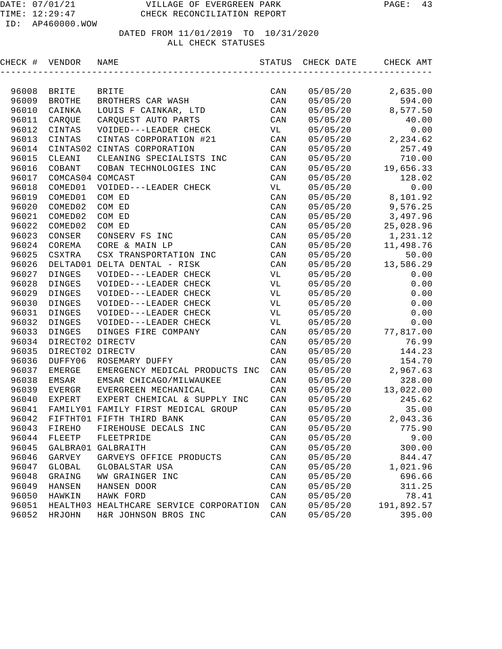| CHECK # | VENDOR           | NAME                                    | STATUS         | CHECK DATE | CHECK AMT  |
|---------|------------------|-----------------------------------------|----------------|------------|------------|
|         |                  |                                         |                |            |            |
| 96008   | BRITE            | <b>BRITE</b>                            | CAN            | 05/05/20   | 2,635.00   |
| 96009   | <b>BROTHE</b>    | BROTHERS CAR WASH                       | CAN            | 05/05/20   | 594.00     |
| 96010   | CAINKA           | LOUIS F CAINKAR, LTD                    | CAN            | 05/05/20   | 8,577.50   |
| 96011   | CARQUE           | CARQUEST AUTO PARTS                     | CAN            | 05/05/20   | 40.00      |
| 96012   | CINTAS           | VOIDED---LEADER CHECK                   | VL             | 05/05/20   | 0.00       |
| 96013   | CINTAS           | CINTAS CORPORATION #21                  | CAN            | 05/05/20   | 2,234.62   |
| 96014   |                  | CINTAS02 CINTAS CORPORATION             | CAN            | 05/05/20   | 257.49     |
| 96015   | CLEANI           | CLEANING SPECIALISTS INC                | CAN            | 05/05/20   | 710.00     |
| 96016   | COBANT           | COBAN TECHNOLOGIES INC                  | CAN            | 05/05/20   | 19,656.33  |
| 96017   | COMCAS04 COMCAST |                                         | CAN            | 05/05/20   | 128.02     |
| 96018   | COMED01          | VOIDED---LEADER CHECK                   | VL             | 05/05/20   | 0.00       |
| 96019   | COMED01          | COM ED                                  | CAN            | 05/05/20   | 8,101.92   |
| 96020   | COMED02          | COM ED                                  | CAN            | 05/05/20   | 9,576.25   |
| 96021   | COMED02          | COM ED                                  | CAN            | 05/05/20   | 3,497.96   |
| 96022   | COMED02          | COM ED                                  | CAN            | 05/05/20   | 25,028.96  |
| 96023   | CONSER           | CONSERV FS INC                          | CAN            | 05/05/20   | 1,231.12   |
| 96024   | COREMA           | CORE & MAIN LP                          | CAN            | 05/05/20   | 11,498.76  |
| 96025   | CSXTRA           | CSX TRANSPORTATION INC                  | CAN            | 05/05/20   | 50.00      |
| 96026   |                  | DELTAD01 DELTA DENTAL - RISK            | CAN            | 05/05/20   | 13,586.29  |
| 96027   | DINGES           | VOIDED---LEADER CHECK                   | VL             | 05/05/20   | 0.00       |
| 96028   | <b>DINGES</b>    | VOIDED---LEADER CHECK                   | VL             | 05/05/20   | 0.00       |
| 96029   | DINGES           | VOIDED---LEADER CHECK                   | VL             | 05/05/20   | 0.00       |
| 96030   | DINGES           | VOIDED---LEADER CHECK                   | VL             | 05/05/20   | 0.00       |
| 96031   | DINGES           | VOIDED---LEADER CHECK                   | VL             | 05/05/20   | 0.00       |
| 96032   | DINGES           | VOIDED---LEADER CHECK                   | VL             | 05/05/20   | 0.00       |
| 96033   | DINGES           | DINGES FIRE COMPANY                     | CAN            | 05/05/20   | 77,817.00  |
| 96034   | DIRECT02 DIRECTV |                                         | CAN            | 05/05/20   | 76.99      |
| 96035   | DIRECT02 DIRECTV |                                         | CAN            | 05/05/20   | 144.23     |
| 96036   | DUFFY06          | ROSEMARY DUFFY                          | CAN            | 05/05/20   | 154.70     |
| 96037   | EMERGE           | EMERGENCY MEDICAL PRODUCTS INC          | CAN            | 05/05/20   | 2,967.63   |
| 96038   | EMSAR            | EMSAR CHICAGO/MILWAUKEE                 | CAN            | 05/05/20   | 328.00     |
| 96039   | EVERGR           | EVERGREEN MECHANICAL                    | CAN            | 05/05/20   | 13,022.00  |
| 96040   | EXPERT           | EXPERT CHEMICAL & SUPPLY INC            | CAN            | 05/05/20   | 245.62     |
| 96041   |                  | FAMILY01 FAMILY FIRST MEDICAL GROUP     | CAN            | 05/05/20   | 35.00      |
| 96042   |                  | FIFTHT01 FIFTH THIRD BANK               | CAN            | 05/05/20   | 2,043.36   |
|         | 96043 FIREHO     | FIREHOUSE DECALS INC                    | $\mathtt{CAN}$ | 05/05/20   | 775.90     |
| 96044   | FLEETP           | FLEETPRIDE                              | CAN            | 05/05/20   | 9.00       |
| 96045   | GALBRA01         | GALBRAITH                               | $\mathtt{CAN}$ | 05/05/20   | 300.00     |
| 96046   | GARVEY           | GARVEYS OFFICE PRODUCTS                 | CAN            | 05/05/20   | 844.47     |
| 96047   | GLOBAL           | GLOBALSTAR USA                          | CAN            | 05/05/20   | 1,021.96   |
| 96048   | GRAING           | WW GRAINGER INC                         | CAN            | 05/05/20   | 696.66     |
| 96049   | HANSEN           | HANSEN DOOR                             | CAN            | 05/05/20   | 311.25     |
| 96050   | HAWKIN           | HAWK FORD                               | $\mathtt{CAN}$ | 05/05/20   | 78.41      |
| 96051   |                  | HEALTH03 HEALTHCARE SERVICE CORPORATION | CAN            | 05/05/20   | 191,892.57 |
| 96052   | HRJOHN           | H&R JOHNSON BROS INC                    | CAN            | 05/05/20   | 395.00     |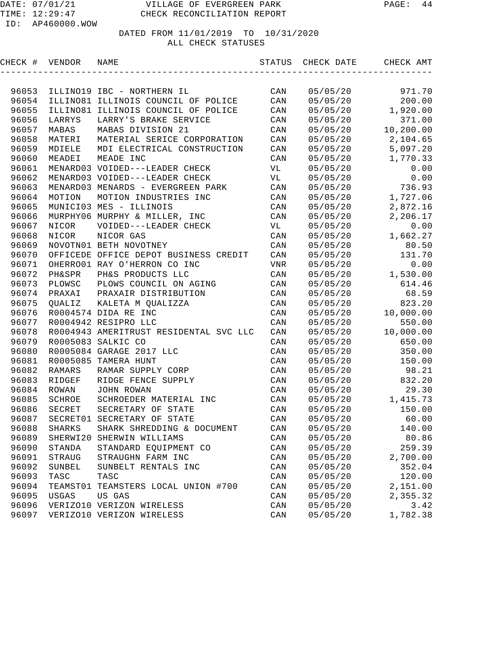| CHECK # | VENDOR   | NAME                                   |                | STATUS CHECK DATE | CHECK AMT |
|---------|----------|----------------------------------------|----------------|-------------------|-----------|
|         |          |                                        |                |                   |           |
| 96053   |          | ILLINO19 IBC - NORTHERN IL             | CAN            | 05/05/20          | 971.70    |
| 96054   |          | ILLINO81 ILLINOIS COUNCIL OF POLICE    | CAN            | 05/05/20          | 200.00    |
| 96055   |          | ILLINO81 ILLINOIS COUNCIL OF POLICE    | CAN            | 05/05/20          | 1,920.00  |
| 96056   | LARRYS   | LARRY'S BRAKE SERVICE                  | CAN            | 05/05/20          | 371.00    |
| 96057   | MABAS    | MABAS DIVISION 21                      | CAN            | 05/05/20          | 10,200.00 |
| 96058   | MATERI   | MATERIAL SERICE CORPORATION            | CAN            | 05/05/20          | 2,104.65  |
| 96059   | MDIELE   | MDI ELECTRICAL CONSTRUCTION            | CAN            | 05/05/20          | 5,097.20  |
| 96060   | MEADEI   | MEADE INC                              | CAN            | 05/05/20          | 1,770.33  |
| 96061   |          | MENARD03 VOIDED---LEADER CHECK         | VL             | 05/05/20          | 0.00      |
| 96062   |          | MENARD03 VOIDED---LEADER CHECK         | VL             | 05/05/20          | 0.00      |
| 96063   |          | MENARD03 MENARDS - EVERGREEN PARK      | CAN            | 05/05/20          | 736.93    |
| 96064   | MOTION   | MOTION INDUSTRIES INC                  | CAN            | 05/05/20          | 1,727.06  |
| 96065   |          | MUNICI03 MES - ILLINOIS                | CAN            | 05/05/20          | 2,872.16  |
| 96066   |          | MURPHY06 MURPHY & MILLER, INC          | CAN            | 05/05/20          | 2,206.17  |
| 96067   | NICOR    | VOIDED---LEADER CHECK                  | VL             | 05/05/20          | 0.00      |
| 96068   | NICOR    | NICOR GAS                              | CAN            | 05/05/20          | 1,662.27  |
| 96069   |          | NOVOTN01 BETH NOVOTNEY                 | CAN            | 05/05/20          | 80.50     |
| 96070   |          | OFFICEDE OFFICE DEPOT BUSINESS CREDIT  | CAN            | 05/05/20          | 131.70    |
| 96071   |          | OHERRO01 RAY O'HERRON CO INC           | VNR            | 05/05/20          | 0.00      |
| 96072   | PH&SPR   | PH&S PRODUCTS LLC                      | CAN            | 05/05/20          | 1,530.00  |
| 96073   | PLOWSC   | PLOWS COUNCIL ON AGING                 | CAN            | 05/05/20          | 614.46    |
| 96074   | PRAXAI   | PRAXAIR DISTRIBUTION                   | CAN            | 05/05/20          | 68.59     |
| 96075   | QUALIZ   | KALETA M QUALIZZA                      | CAN            | 05/05/20          | 823.20    |
| 96076   |          | R0004574 DIDA RE INC                   | CAN            | 05/05/20          | 10,000.00 |
| 96077   |          | R0004942 RESIPRO LLC                   | CAN            | 05/05/20          | 550.00    |
| 96078   |          | R0004943 AMERITRUST RESIDENTAL SVC LLC | CAN            | 05/05/20          | 10,000.00 |
| 96079   |          | R0005083 SALKIC CO                     | CAN            | 05/05/20          | 650.00    |
| 96080   |          | R0005084 GARAGE 2017 LLC               | CAN            | 05/05/20          | 350.00    |
| 96081   | R0005085 | TAMERA HUNT                            | CAN            | 05/05/20          | 150.00    |
| 96082   | RAMARS   | RAMAR SUPPLY CORP                      | CAN            | 05/05/20          | 98.21     |
| 96083   | RIDGEF   | RIDGE FENCE SUPPLY                     | CAN            | 05/05/20          | 832.20    |
| 96084   | ROWAN    | JOHN ROWAN                             | CAN            | 05/05/20          | 29.30     |
| 96085   | SCHROE   | SCHROEDER MATERIAL INC                 | CAN            | 05/05/20          | 1,415.73  |
| 96086   | SECRET   | SECRETARY OF STATE                     | CAN            | 05/05/20          | 150.00    |
| 96087   |          | SECRET01 SECRETARY OF STATE            | CAN            | 05/05/20          | 60.00     |
| 96088   | SHARKS   | SHARK SHREDDING & DOCUMENT             | CAN            | 05/05/20          | 140.00    |
| 96089   | SHERWI20 | SHERWIN WILLIAMS                       | CAN            | 05/05/20          | 80.86     |
| 96090   | STANDA   | STANDARD EQUIPMENT CO                  | CAN            | 05/05/20          | 259.39    |
| 96091   | STRAUG   | STRAUGHN FARM INC                      | CAN            | 05/05/20          | 2,700.00  |
| 96092   | SUNBEL   | SUNBELT RENTALS INC                    | CAN            | 05/05/20          | 352.04    |
| 96093   | TASC     | TASC                                   | CAN            | 05/05/20          | 120.00    |
| 96094   | TEAMST01 | TEAMSTERS LOCAL UNION #700             | CAN            | 05/05/20          | 2,151.00  |
| 96095   | USGAS    | US GAS                                 | CAN            | 05/05/20          | 2,355.32  |
| 96096   |          | VERIZO10 VERIZON WIRELESS              | $\mathtt{CAN}$ | 05/05/20          | 3.42      |
| 96097   |          | VERIZO10 VERIZON WIRELESS              | CAN            | 05/05/20          | 1,782.38  |
|         |          |                                        |                |                   |           |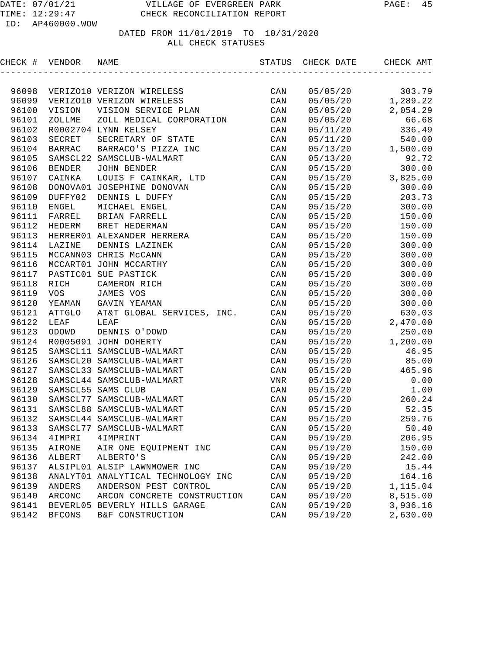| CHECK # VENDOR |               | NAME                               | STATUS         | CHECK DATE | CHECK AMT |
|----------------|---------------|------------------------------------|----------------|------------|-----------|
|                |               |                                    |                |            |           |
| 96098          |               | VERIZO10 VERIZON WIRELESS          | CAN            | 05/05/20   | 303.79    |
| 96099          |               | VERIZO10 VERIZON WIRELESS          | CAN            | 05/05/20   | 1,289.22  |
| 96100          | VISION        | VISION SERVICE PLAN                | CAN            | 05/05/20   | 2,054.29  |
| 96101          | ZOLLME        | ZOLL MEDICAL CORPORATION           | CAN            | 05/05/20   | 66.68     |
| 96102          |               | R0002704 LYNN KELSEY               | CAN            | 05/11/20   | 336.49    |
| 96103          | SECRET        | SECRETARY OF STATE                 | CAN            | 05/11/20   | 540.00    |
| 96104          | <b>BARRAC</b> | BARRACO'S PIZZA INC                | CAN            | 05/13/20   | 1,500.00  |
| 96105          |               | SAMSCL22 SAMSCLUB-WALMART          | CAN            | 05/13/20   | 92.72     |
| 96106          | <b>BENDER</b> | JOHN BENDER                        | CAN            | 05/15/20   | 300.00    |
| 96107          | CAINKA        | LOUIS F CAINKAR, LTD               | CAN            | 05/15/20   | 3,825.00  |
| 96108          |               | DONOVA01 JOSEPHINE DONOVAN         | CAN            | 05/15/20   | 300.00    |
| 96109          | DUFFY02       | DENNIS L DUFFY                     | CAN            | 05/15/20   | 203.73    |
| 96110          | ENGEL         | MICHAEL ENGEL                      | CAN            | 05/15/20   | 300.00    |
| 96111          | FARREL        | BRIAN FARRELL                      | CAN            | 05/15/20   | 150.00    |
| 96112          | HEDERM        | BRET HEDERMAN                      | CAN            | 05/15/20   | 150.00    |
| 96113          |               | HERRER01 ALEXANDER HERRERA         | CAN            | 05/15/20   | 150.00    |
| 96114          | LAZINE        | DENNIS LAZINEK                     | CAN            | 05/15/20   | 300.00    |
| 96115          |               | MCCANN03 CHRIS McCANN              | CAN            | 05/15/20   | 300.00    |
| 96116          |               | MCCART01 JOHN MCCARTHY             | CAN            | 05/15/20   | 300.00    |
| 96117          |               | PASTIC01 SUE PASTICK               | CAN            | 05/15/20   | 300.00    |
| 96118          | RICH          | CAMERON RICH                       | CAN            | 05/15/20   | 300.00    |
| 96119          | VOS           | JAMES VOS                          | CAN            | 05/15/20   | 300.00    |
| 96120          | YEAMAN        | GAVIN YEAMAN                       | CAN            | 05/15/20   | 300.00    |
| 96121          | ATTGLO        | AT&T GLOBAL SERVICES, INC.         | CAN            | 05/15/20   | 630.03    |
| 96122          | LEAF          | LEAF                               | CAN            | 05/15/20   | 2,470.00  |
| 96123          | ODOWD         | DENNIS O'DOWD                      | CAN            | 05/15/20   | 250.00    |
| 96124          |               | R0005091 JOHN DOHERTY              | CAN            | 05/15/20   | 1,200.00  |
| 96125          |               | SAMSCL11 SAMSCLUB-WALMART          | CAN            | 05/15/20   | 46.95     |
| 96126          |               | SAMSCL20 SAMSCLUB-WALMART          | CAN            | 05/15/20   | 85.00     |
| 96127          |               | SAMSCL33 SAMSCLUB-WALMART          | CAN            | 05/15/20   | 465.96    |
| 96128          |               | SAMSCL44 SAMSCLUB-WALMART          | VNR            | 05/15/20   | 0.00      |
| 96129          |               | SAMSCL55 SAMS CLUB                 | CAN            | 05/15/20   | 1.00      |
| 96130          |               | SAMSCL77 SAMSCLUB-WALMART          | CAN            | 05/15/20   | 260.24    |
| 96131          |               | SAMSCL88 SAMSCLUB-WALMART          | CAN            | 05/15/20   | 52.35     |
| 96132          |               | SAMSCL44 SAMSCLUB-WALMART          | $\mathtt{CAN}$ | 05/15/20   | 259.76    |
|                |               | 96133 SAMSCL77 SAMSCLUB-WALMART    | CAN            | 05/15/20   | $50.40$   |
| 96134          | 4IMPRI        | 4IMPRINT                           | CAN            | 05/19/20   | 206.95    |
| 96135          | AIRONE        | AIR ONE EQUIPMENT INC              | $\mathtt{CAN}$ | 05/19/20   | 150.00    |
| 96136          | ALBERT        | ALBERTO'S                          | CAN            | 05/19/20   | 242.00    |
| 96137          |               | ALSIPL01 ALSIP LAWNMOWER INC       | CAN            | 05/19/20   | 15.44     |
| 96138          |               | ANALYT01 ANALYTICAL TECHNOLOGY INC | CAN            | 05/19/20   | 164.16    |
| 96139          | ANDERS        | ANDERSON PEST CONTROL              | CAN            | 05/19/20   | 1,115.04  |
| 96140          | ARCONC        | ARCON CONCRETE CONSTRUCTION        | CAN            | 05/19/20   | 8,515.00  |
| 96141          |               | BEVERL05 BEVERLY HILLS GARAGE      | CAN            | 05/19/20   | 3,936.16  |
| 96142          | <b>BFCONS</b> | B&F CONSTRUCTION                   | CAN            | 05/19/20   | 2,630.00  |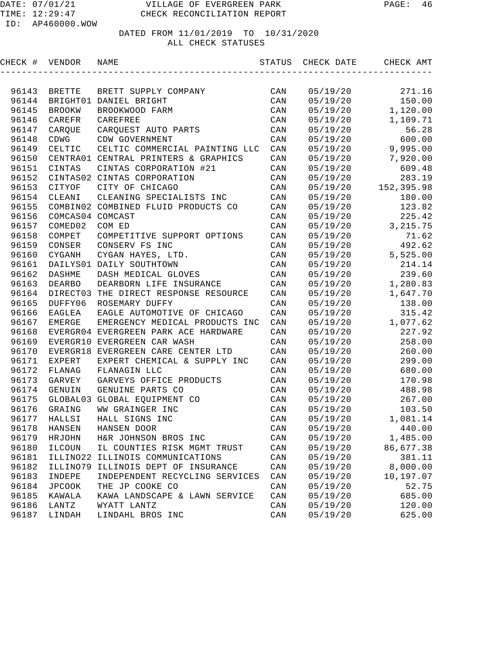| CHECK # VENDOR |                  | NAME                                  | STATUS         | CHECK DATE | CHECK AMT  |
|----------------|------------------|---------------------------------------|----------------|------------|------------|
|                |                  |                                       |                |            |            |
| 96143          | <b>BRETTE</b>    | BRETT SUPPLY COMPANY                  | CAN            | 05/19/20   | 271.16     |
| 96144          |                  | BRIGHT01 DANIEL BRIGHT                | CAN            | 05/19/20   | 150.00     |
| 96145          | <b>BROOKW</b>    | BROOKWOOD FARM                        | CAN            | 05/19/20   | 1,120.00   |
| 96146          | CAREFR           | CAREFREE                              | CAN            | 05/19/20   | 1,109.71   |
| 96147          | CARQUE           | CARQUEST AUTO PARTS                   | CAN            | 05/19/20   | 56.28      |
| 96148          | <b>CDWG</b>      | CDW GOVERNMENT                        | CAN            | 05/19/20   | 600.00     |
| 96149          | CELTIC           | CELTIC COMMERCIAL PAINTING LLC        | CAN            | 05/19/20   | 9,995.00   |
| 96150          |                  | CENTRA01 CENTRAL PRINTERS & GRAPHICS  | CAN            | 05/19/20   | 7,920.00   |
| 96151          | CINTAS           | CINTAS CORPORATION #21                | CAN            | 05/19/20   | 609.48     |
| 96152          |                  | CINTAS02 CINTAS CORPORATION           | CAN            | 05/19/20   | 283.19     |
| 96153          | CITYOF           | CITY OF CHICAGO                       | CAN            | 05/19/20   | 152,395.98 |
| 96154          | CLEANI           | CLEANING SPECIALISTS INC              | CAN            | 05/19/20   | 180.00     |
| 96155          |                  | COMBIN02 COMBINED FLUID PRODUCTS CO   | CAN            | 05/19/20   | 123.82     |
| 96156          | COMCAS04 COMCAST |                                       | CAN            | 05/19/20   | 225.42     |
| 96157          | COMED02          | COM ED                                | CAN            | 05/19/20   | 3, 215.75  |
| 96158          | COMPET           | COMPETITIVE SUPPORT OPTIONS           | CAN            | 05/19/20   | 71.62      |
| 96159          | CONSER           | CONSERV FS INC                        | CAN            | 05/19/20   | 492.62     |
| 96160          | CYGANH           | CYGAN HAYES, LTD.                     | CAN            | 05/19/20   | 5,525.00   |
| 96161          |                  | DAILYS01 DAILY SOUTHTOWN              | CAN            | 05/19/20   | 214.14     |
| 96162          | <b>DASHME</b>    | DASH MEDICAL GLOVES                   | CAN            | 05/19/20   | 239.60     |
| 96163          | <b>DEARBO</b>    | DEARBORN LIFE INSURANCE               | CAN            | 05/19/20   | 1,280.83   |
| 96164          |                  | DIRECT03 THE DIRECT RESPONSE RESOURCE | CAN            | 05/19/20   | 1,647.70   |
| 96165          | DUFFY06          | ROSEMARY DUFFY                        | CAN            | 05/19/20   | 138.00     |
| 96166          | EAGLEA           | EAGLE AUTOMOTIVE OF CHICAGO           | CAN            | 05/19/20   | 315.42     |
| 96167          | <b>EMERGE</b>    | EMERGENCY MEDICAL PRODUCTS INC        | CAN            | 05/19/20   | 1,077.62   |
| 96168          |                  | EVERGR04 EVERGREEN PARK ACE HARDWARE  | CAN            | 05/19/20   | 227.92     |
| 96169          |                  | EVERGR10 EVERGREEN CAR WASH           | CAN            | 05/19/20   | 258.00     |
| 96170          |                  | EVERGR18 EVERGREEN CARE CENTER LTD    | CAN            | 05/19/20   | 260.00     |
| 96171          | <b>EXPERT</b>    | EXPERT CHEMICAL & SUPPLY INC          | CAN            | 05/19/20   | 299.00     |
| 96172          | FLANAG           | FLANAGIN LLC                          | CAN            | 05/19/20   | 680.00     |
| 96173          | GARVEY           | GARVEYS OFFICE PRODUCTS               | CAN            | 05/19/20   | 170.98     |
| 96174          | GENUIN           | GENUINE PARTS CO                      | CAN            | 05/19/20   | 488.98     |
| 96175          | GLOBAL03         | GLOBAL EQUIPMENT CO                   | CAN            | 05/19/20   | 267.00     |
| 96176          | GRAING           | WW GRAINGER INC                       | CAN            | 05/19/20   | 103.50     |
| 96177          | HALLSI           | HALL SIGNS INC                        | CAN            | 05/19/20   | 1,081.14   |
| 96178          | HANSEN           | HANSEN DOOR                           | $\mathtt{CAN}$ | 05/19/20   | 440.00     |
| 96179          | HRJOHN           | H&R JOHNSON BROS INC                  | CAN            | 05/19/20   | 1,485.00   |
| 96180          | ILCOUN           | IL COUNTIES RISK MGMT TRUST           | CAN            | 05/19/20   | 86,677.38  |
| 96181          | ILLINO22         | ILLINOIS COMMUNICATIONS               | CAN            | 05/19/20   | 381.11     |
| 96182          | ILLINO79         | ILLINOIS DEPT OF INSURANCE            | CAN            | 05/19/20   | 8,000.00   |
| 96183          | INDEPE           | INDEPENDENT RECYCLING SERVICES        | CAN            | 05/19/20   | 10,197.07  |
| 96184          | JPCOOK           | THE JP COOKE CO                       | CAN            | 05/19/20   | 52.75      |
| 96185          | KAWALA           | KAWA LANDSCAPE & LAWN SERVICE         | CAN            | 05/19/20   | 685.00     |
| 96186          | LANTZ            | WYATT LANTZ                           | CAN            | 05/19/20   | 120.00     |
| 96187          | LINDAH           | LINDAHL BROS INC                      | CAN            | 05/19/20   | 625.00     |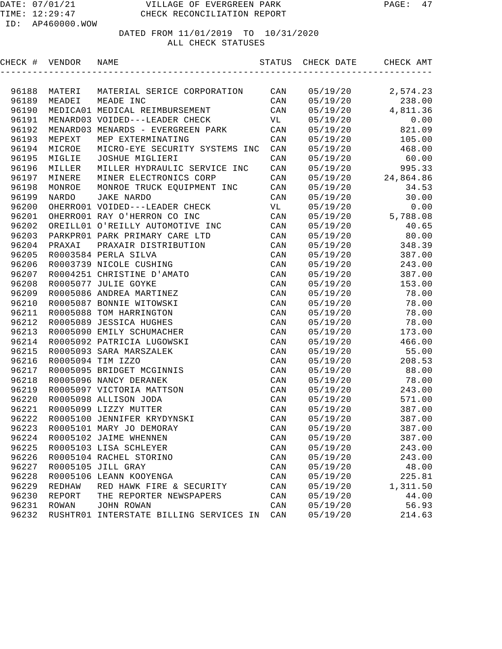DATED FROM 11/01/2019 TO 10/31/2020

#### ALL CHECK STATUSES

|       | CHECK # VENDOR NAME |                                         |                |          | STATUS CHECK DATE CHECK AMT |
|-------|---------------------|-----------------------------------------|----------------|----------|-----------------------------|
|       |                     |                                         |                |          |                             |
| 96188 |                     | MATERI MATERIAL SERICE CORPORATION CAN  |                |          | $05/19/20$ 2,574.23         |
| 96189 | MEADEI              | MEADE INC                               | CAN            | 05/19/20 | 238.00                      |
| 96190 |                     | MEDICA01 MEDICAL REIMBURSEMENT          | CAN            |          | $05/19/20$ 4,811.36         |
| 96191 |                     | MENARD03 VOIDED---LEADER CHECK          | VL             | 05/19/20 | 0.00                        |
| 96192 |                     | MENARD03 MENARDS - EVERGREEN PARK       | CAN            |          | 05/19/20 821.09             |
| 96193 | MEPEXT              | MEP EXTERMINATING                       | CAN            |          | 05/19/20 105.00             |
| 96194 | MICROE              | MICRO-EYE SECURITY SYSTEMS INC          | CAN            |          | 05/19/20 468.00             |
| 96195 | MIGLIE              | JOSHUE MIGLIERI                         | CAN            | 05/19/20 | 60.00                       |
| 96196 | MILLER              | MILLER HYDRAULIC SERVICE INC            | CAN            | 05/19/20 | 995.33                      |
| 96197 | MINERE              | MINER ELECTRONICS CORP                  | CAN            |          | 05/19/20 24,864.86          |
| 96198 | MONROE              | MONROE TRUCK EQUIPMENT INC CAN          |                | 05/19/20 | 34.53                       |
| 96199 | NARDO               | JAKE NARDO                              | $\mathtt{CAN}$ |          | 05/19/20 30.00              |
| 96200 |                     | OHERRO01 VOIDED---LEADER CHECK          | <b>VL</b>      |          | $05/19/20$ 0.00             |
| 96201 |                     | OHERRO01 RAY O'HERRON CO INC            | CAN            |          | $05/19/20$ 5,788.08         |
| 96202 |                     | OREILL01 O'REILLY AUTOMOTIVE INC CAN    |                |          | 05/19/20 40.65              |
| 96203 |                     | PARKPRO1 PARK PRIMARY CARE LTD CAN      |                | 05/19/20 | 80.00                       |
| 96204 | PRAXAI              | PRAXAIR DISTRIBUTION                    | CAN            |          | 05/19/20 348.39             |
| 96205 |                     | R0003584 PERLA SILVA                    | CAN            |          | 05/19/20 387.00             |
| 96206 |                     | R0003739 NICOLE CUSHING                 | CAN            | 05/19/20 | 243.00                      |
| 96207 |                     | R0004251 CHRISTINE D'AMATO              | CAN            | 05/19/20 | 387.00                      |
| 96208 |                     | R0005077 JULIE GOYKE                    | CAN            | 05/19/20 | 153.00                      |
| 96209 |                     | R0005086 ANDREA MARTINEZ                | CAN            | 05/19/20 | 78.00                       |
| 96210 |                     | R0005087 BONNIE WITOWSKI                | CAN            | 05/19/20 | 78.00                       |
| 96211 |                     | R0005088 TOM HARRINGTON                 | CAN            | 05/19/20 | 78.00                       |
| 96212 |                     | R0005089 JESSICA HUGHES                 | CAN            | 05/19/20 | 78.00                       |
| 96213 |                     | R0005090 EMILY SCHUMACHER               | CAN            | 05/19/20 | 173.00                      |
| 96214 |                     | R0005092 PATRICIA LUGOWSKI              | CAN            | 05/19/20 | 466.00                      |
| 96215 |                     | R0005093 SARA MARSZALEK                 | CAN            | 05/19/20 | 55.00                       |
| 96216 |                     | R0005094 TIM IZZO                       | CAN            | 05/19/20 | 208.53                      |
| 96217 |                     | R0005095 BRIDGET MCGINNIS               | CAN            | 05/19/20 | 88.00                       |
| 96218 |                     | R0005096 NANCY DERANEK                  | CAN            | 05/19/20 | 78.00                       |
| 96219 |                     | R0005097 VICTORIA MATTSON               | CAN            | 05/19/20 | 243.00                      |
| 96220 |                     | R0005098 ALLISON JODA                   | CAN            | 05/19/20 | 571.00                      |
| 96221 |                     | R0005099 LIZZY MUTTER                   | CAN            | 05/19/20 | 387.00                      |
| 96222 |                     | R0005100 JENNIFER KRYDYNSKI             | CAN            | 05/19/20 | 387.00                      |
| 96223 |                     | R0005101 MARY JO DEMORAY                | CAN            | 05/19/20 | 387.00                      |
| 96224 |                     | R0005102 JAIME WHENNEN                  | CAN            | 05/19/20 | 387.00                      |
| 96225 |                     | R0005103 LISA SCHLEYER                  | CAN            | 05/19/20 | 243.00                      |
| 96226 |                     | R0005104 RACHEL STORINO                 | CAN            | 05/19/20 | 243.00                      |
| 96227 |                     | R0005105 JILL GRAY                      | CAN            | 05/19/20 | 48.00                       |
| 96228 |                     | R0005106 LEANN KOOYENGA                 | CAN            | 05/19/20 | 225.81                      |
| 96229 | REDHAW              | RED HAWK FIRE & SECURITY                | CAN            | 05/19/20 | 1,311.50                    |
| 96230 | REPORT              | THE REPORTER NEWSPAPERS                 | CAN            | 05/19/20 | 44.00                       |
| 96231 | <b>ROWAN</b>        | JOHN ROWAN                              | CAN            | 05/19/20 | 56.93                       |
| 96232 |                     | RUSHTR01 INTERSTATE BILLING SERVICES IN | CAN            | 05/19/20 | 214.63                      |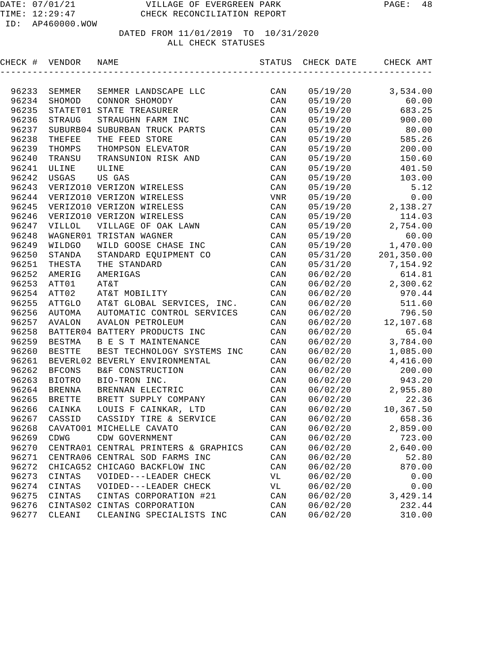| CHECK #        | VENDOR        | NAME                                                  | STATUS         | CHECK DATE           | CHECK AMT         |
|----------------|---------------|-------------------------------------------------------|----------------|----------------------|-------------------|
|                |               |                                                       |                |                      |                   |
| 96233          | SEMMER        | SEMMER LANDSCAPE LLC                                  | CAN            | 05/19/20             | 3,534.00          |
| 96234          | SHOMOD        | CONNOR SHOMODY                                        | CAN            | 05/19/20             | 60.00             |
| 96235          |               | STATET01 STATE TREASURER                              | CAN            | 05/19/20             | 683.25            |
| 96236          | <b>STRAUG</b> | STRAUGHN FARM INC                                     | CAN            | 05/19/20             | 900.00            |
| 96237          | SUBURB04      | SUBURBAN TRUCK PARTS                                  | CAN            | 05/19/20             | 80.00             |
| 96238          | THEFEE        | THE FEED STORE                                        | CAN            | 05/19/20             | 585.26            |
| 96239          | THOMPS        | THOMPSON ELEVATOR                                     | CAN            | 05/19/20             | 200.00            |
| 96240          | TRANSU        | TRANSUNION RISK AND                                   | CAN            | 05/19/20             | 150.60            |
| 96241          | ULINE         | ULINE                                                 | CAN            | 05/19/20             | 401.50            |
| 96242          | USGAS         | US GAS                                                | CAN            | 05/19/20             | 103.00            |
| 96243          |               | VERIZO10 VERIZON WIRELESS                             | CAN            | 05/19/20             | 5.12              |
| 96244          |               | VERIZO10 VERIZON WIRELESS                             | VNR            | 05/19/20             | 0.00              |
| 96245          |               | VERIZO10 VERIZON WIRELESS                             | CAN            | 05/19/20             | 2,138.27          |
| 96246          |               | VERIZO10 VERIZON WIRELESS                             | CAN            | 05/19/20             | 114.03            |
| 96247          | VILLOL        | VILLAGE OF OAK LAWN                                   | CAN            | 05/19/20             | 2,754.00          |
| 96248          |               | WAGNER01 TRISTAN WAGNER                               | CAN            | 05/19/20             | 60.00             |
| 96249          | WILDGO        | WILD GOOSE CHASE INC                                  | CAN            | 05/19/20             | 1,470.00          |
| 96250          | STANDA        | STANDARD EQUIPMENT CO                                 | CAN            | 05/31/20             | 201,350.00        |
| 96251          | THESTA        | THE STANDARD                                          | CAN            | 05/31/20             | 7,154.92          |
| 96252          | AMERIG        | AMERIGAS                                              | CAN            | 06/02/20             | 614.81            |
| 96253          | ATT01         | AT&T                                                  | CAN            | 06/02/20             | 2,300.62          |
| 96254          | ATT02         | AT&T MOBILITY                                         | CAN            | 06/02/20             | 970.44            |
| 96255          | ATTGLO        | AT&T GLOBAL SERVICES, INC.                            | CAN            | 06/02/20             | 511.60            |
| 96256          | AUTOMA        | AUTOMATIC CONTROL SERVICES                            | CAN            | 06/02/20             | 796.50            |
| 96257          | AVALON        | AVALON PETROLEUM                                      | CAN            | 06/02/20             | 12,107.68         |
| 96258          |               | BATTER04 BATTERY PRODUCTS INC                         | CAN            | 06/02/20             | 65.04             |
| 96259          | BESTMA        | B E S T MAINTENANCE                                   | CAN            | 06/02/20             | 3,784.00          |
| 96260          | <b>BESTTE</b> | BEST TECHNOLOGY SYSTEMS INC                           | CAN            | 06/02/20             | 1,085.00          |
| 96261          |               | BEVERL02 BEVERLY ENVIRONMENTAL                        | CAN            | 06/02/20             | 4,416.00          |
| 96262          | <b>BFCONS</b> | B&F CONSTRUCTION                                      | CAN            | 06/02/20             | 200.00            |
| 96263          | <b>BIOTRO</b> | BIO-TRON INC.                                         | CAN            | 06/02/20             | 943.20            |
| 96264          | <b>BRENNA</b> | BRENNAN ELECTRIC                                      | CAN            | 06/02/20             | 2,955.80          |
| 96265          | <b>BRETTE</b> | BRETT SUPPLY COMPANY                                  | CAN            | 06/02/20             | 22.36             |
| 96266          | CAINKA        | LOUIS F CAINKAR, LTD                                  | CAN            | 06/02/20             | 10,367.50         |
| 96267          | CASSID        | CASSIDY TIRE & SERVICE                                | CAN            | 06/02/20             | 658.36            |
|                |               | 96268 CAVATO01 MICHELLE CAVATO                        | CAN            | 06/02/20             | 2,859.00          |
| 96269          | CDWG          | CDW GOVERNMENT                                        | $\mathtt{CAN}$ | 06/02/20             | 723.00            |
| 96270          |               | CENTRA01 CENTRAL PRINTERS & GRAPHICS                  | CAN            | 06/02/20             | 2,640.00          |
| 96271          |               | CENTRA06 CENTRAL SOD FARMS INC                        | CAN            | 06/02/20             | 52.80             |
| 96272          |               | CHICAG52 CHICAGO BACKFLOW INC                         | CAN            | 06/02/20             | 870.00            |
| 96273          | CINTAS        | VOIDED---LEADER CHECK                                 | VL             | 06/02/20             | 0.00              |
| 96274<br>96275 | CINTAS        | VOIDED---LEADER CHECK                                 | VL             | 06/02/20             | 0.00<br>3, 429.14 |
| 96276          | CINTAS        | CINTAS CORPORATION #21<br>CINTAS02 CINTAS CORPORATION | CAN<br>CAN     | 06/02/20<br>06/02/20 | 232.44            |
| 96277          | CLEANI        | CLEANING SPECIALISTS INC                              | CAN            | 06/02/20             | 310.00            |
|                |               |                                                       |                |                      |                   |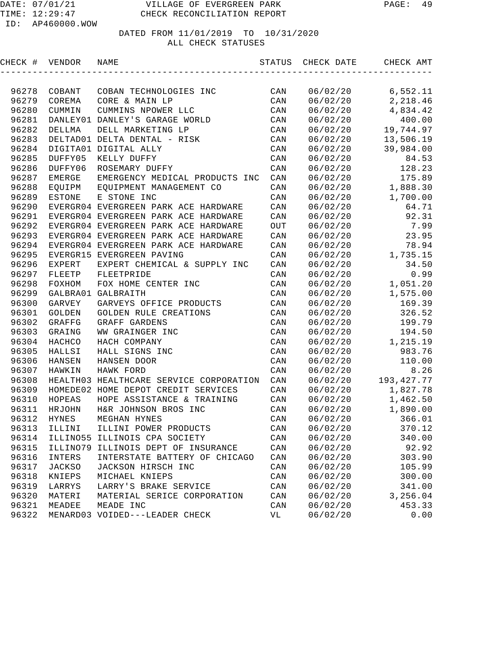| CHECK # | VENDOR   | NAME                                    | STATUS         | CHECK DATE | CHECK AMT         |
|---------|----------|-----------------------------------------|----------------|------------|-------------------|
|         |          |                                         |                |            |                   |
| 96278   | COBANT   | COBAN TECHNOLOGIES INC                  | CAN            | 06/02/20   | 6,552.11          |
| 96279   | COREMA   | CORE & MAIN LP                          | CAN            | 06/02/20   | 2,218.46          |
| 96280   | CUMMIN   | CUMMINS NPOWER LLC                      | CAN            | 06/02/20   | 4,834.42          |
| 96281   |          | DANLEY01 DANLEY'S GARAGE WORLD          | CAN            | 06/02/20   | 400.00            |
| 96282   | DELLMA   | DELL MARKETING LP                       | CAN            | 06/02/20   | 19,744.97         |
| 96283   |          | DELTAD01 DELTA DENTAL - RISK            | CAN            | 06/02/20   | 13,506.19         |
| 96284   |          | DIGITA01 DIGITAL ALLY                   | CAN            | 06/02/20   | 39,984.00         |
| 96285   | DUFFY05  | KELLY DUFFY                             | CAN            | 06/02/20   | 84.53             |
| 96286   | DUFFY06  | ROSEMARY DUFFY                          | CAN            | 06/02/20   | 128.23            |
| 96287   | EMERGE   | EMERGENCY MEDICAL PRODUCTS INC          | CAN            | 06/02/20   | 175.89            |
| 96288   |          | EQUIPM EQUIPMENT MANAGEMENT CO          | CAN            |            | 06/02/20 1,888.30 |
| 96289   | ESTONE   | E STONE INC                             | CAN            | 06/02/20   | 1,700.00          |
| 96290   |          | EVERGR04 EVERGREEN PARK ACE HARDWARE    | CAN            | 06/02/20   | 64.71             |
| 96291   |          | EVERGR04 EVERGREEN PARK ACE HARDWARE    | CAN            | 06/02/20   | 92.31             |
| 96292   |          | EVERGR04 EVERGREEN PARK ACE HARDWARE    | OUT            | 06/02/20   | 7.99              |
| 96293   |          | EVERGR04 EVERGREEN PARK ACE HARDWARE    | CAN            | 06/02/20   | 23.95             |
| 96294   |          | EVERGR04 EVERGREEN PARK ACE HARDWARE    | CAN            | 06/02/20   | 78.94             |
| 96295   |          | EVERGR15 EVERGREEN PAVING               | CAN            |            | 06/02/20 1,735.15 |
| 96296   | EXPERT   | EXPERT CHEMICAL & SUPPLY INC            | CAN            | 06/02/20   | 34.50             |
| 96297   | FLEETP   | FLEETPRIDE                              | CAN            | 06/02/20   | 0.99              |
| 96298   | FOXHOM   | FOX HOME CENTER INC                     | CAN            | 06/02/20   | 1,051.20          |
| 96299   |          | GALBRA01 GALBRAITH                      | CAN            | 06/02/20   | 1,575.00          |
| 96300   | GARVEY   | GARVEYS OFFICE PRODUCTS                 | CAN            | 06/02/20   | 169.39            |
| 96301   | GOLDEN   | GOLDEN RULE CREATIONS                   | CAN            | 06/02/20   | 326.52            |
| 96302   | GRAFFG   | GRAFF GARDENS                           | CAN            | 06/02/20   | 199.79            |
| 96303   | GRAING   | WW GRAINGER INC                         | CAN            | 06/02/20   | 194.50            |
| 96304   | HACHCO   | HACH COMPANY                            | $\mathtt{CAN}$ | 06/02/20   | 1,215.19          |
| 96305   | HALLSI   | HALL SIGNS INC                          | CAN            | 06/02/20   | 983.76            |
| 96306   | HANSEN   | HANSEN DOOR                             | CAN            | 06/02/20   | 110.00            |
| 96307   | HAWKIN   | HAWK FORD                               | CAN            | 06/02/20   | 8.26              |
| 96308   |          | HEALTH03 HEALTHCARE SERVICE CORPORATION | CAN            | 06/02/20   | 193, 427. 77      |
| 96309   |          | HOMEDE02 HOME DEPOT CREDIT SERVICES     | CAN            | 06/02/20   | 1,827.78          |
| 96310   | HOPEAS   | HOPE ASSISTANCE & TRAINING              | CAN            | 06/02/20   | 1,462.50          |
| 96311   | HRJOHN   | H&R JOHNSON BROS INC                    | CAN            | 06/02/20   | 1,890.00          |
| 96312   | HYNES    | MEGHAN HYNES                            | CAN            | 06/02/20   | 366.01            |
| 96313   | ILLINI   | ILLINI POWER PRODUCTS                   | CAN            | 06/02/20   | 370.12            |
| 96314   |          | ILLINO55 ILLINOIS CPA SOCIETY           | CAN            | 06/02/20   | 340.00            |
| 96315   | ILLINO79 | ILLINOIS DEPT OF INSURANCE              | CAN            | 06/02/20   | 92.92             |
| 96316   | INTERS   | INTERSTATE BATTERY OF CHICAGO           | CAN            | 06/02/20   | 303.90            |
| 96317   | JACKSO   | JACKSON HIRSCH INC                      | CAN            | 06/02/20   | 105.99            |
| 96318   | KNIEPS   | MICHAEL KNIEPS                          | CAN            | 06/02/20   | 300.00            |
| 96319   | LARRYS   | LARRY'S BRAKE SERVICE                   | CAN            | 06/02/20   | 341.00            |
| 96320   | MATERI   | MATERIAL SERICE CORPORATION             | $\mathtt{CAN}$ | 06/02/20   | 3,256.04          |
| 96321   | MEADEE   | MEADE INC                               | CAN            | 06/02/20   | 453.33            |
| 96322   |          | MENARD03 VOIDED---LEADER CHECK          | VL             | 06/02/20   | 0.00              |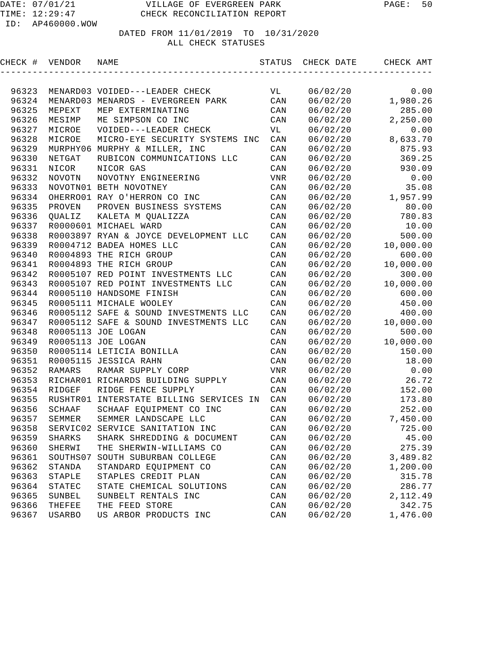| CHECK # | VENDOR        | NAME                                  | STATUS                  | CHECK DATE | CHECK AMT |
|---------|---------------|---------------------------------------|-------------------------|------------|-----------|
|         |               |                                       |                         |            |           |
| 96323   |               | MENARD03 VOIDED---LEADER CHECK        | VL                      | 06/02/20   | 0.00      |
| 96324   |               | MENARD03 MENARDS - EVERGREEN PARK     | CAN                     | 06/02/20   | 1,980.26  |
| 96325   | MEPEXT        | MEP EXTERMINATING                     | CAN                     | 06/02/20   | 285.00    |
| 96326   | MESIMP        | ME SIMPSON CO INC                     | CAN                     | 06/02/20   | 2,250.00  |
| 96327   | MICROE        | VOIDED---LEADER CHECK                 | VL                      | 06/02/20   | 0.00      |
| 96328   | MICROE        | MICRO-EYE SECURITY SYSTEMS INC        | CAN                     | 06/02/20   | 8,633.70  |
| 96329   |               | MURPHY06 MURPHY & MILLER, INC         | CAN                     | 06/02/20   | 875.93    |
| 96330   | NETGAT        | RUBICON COMMUNICATIONS LLC            | CAN                     | 06/02/20   | 369.25    |
| 96331   | NICOR         | NICOR GAS                             | CAN                     | 06/02/20   | 930.09    |
| 96332   | <b>NOVOTN</b> | NOVOTNY ENGINEERING                   | VNR                     | 06/02/20   | 0.00      |
| 96333   |               | NOVOTN01 BETH NOVOTNEY                | CAN                     | 06/02/20   | 35.08     |
| 96334   |               | OHERRO01 RAY O'HERRON CO INC          | CAN                     | 06/02/20   | 1,957.99  |
| 96335   | PROVEN        | PROVEN BUSINESS SYSTEMS               | CAN                     | 06/02/20   | 80.00     |
| 96336   | QUALIZ        | KALETA M QUALIZZA                     | CAN                     | 06/02/20   | 780.83    |
| 96337   |               | R0000601 MICHAEL WARD                 | $\mathtt{CAN}$          | 06/02/20   | 10.00     |
| 96338   |               | R0003897 RYAN & JOYCE DEVELOPMENT LLC | $\mathtt{CAN}$          | 06/02/20   | 500.00    |
| 96339   |               | R0004712 BADEA HOMES LLC              | $\mathtt{CAN}$          | 06/02/20   | 10,000.00 |
| 96340   |               | R0004893 THE RICH GROUP               | $\mathtt{CAN}$          | 06/02/20   | 600.00    |
| 96341   |               | R0004893 THE RICH GROUP               | CAN                     | 06/02/20   | 10,000.00 |
| 96342   |               | R0005107 RED POINT INVESTMENTS LLC    | CAN                     | 06/02/20   | 300.00    |
| 96343   |               | R0005107 RED POINT INVESTMENTS LLC    | CAN                     | 06/02/20   | 10,000.00 |
| 96344   |               | R0005110 HANDSOME FINISH              | CAN                     | 06/02/20   | 600.00    |
| 96345   |               | R0005111 MICHALE WOOLEY               | CAN                     | 06/02/20   | 450.00    |
| 96346   |               | R0005112 SAFE & SOUND INVESTMENTS LLC | CAN                     | 06/02/20   | 400.00    |
| 96347   |               | R0005112 SAFE & SOUND INVESTMENTS LLC | CAN                     | 06/02/20   | 10,000.00 |
| 96348   |               | R0005113 JOE LOGAN                    | CAN                     | 06/02/20   | 500.00    |
| 96349   |               | R0005113 JOE LOGAN                    | CAN                     | 06/02/20   | 10,000.00 |
| 96350   |               | R0005114 LETICIA BONILLA              | CAN                     | 06/02/20   | 150.00    |
| 96351   |               | R0005115 JESSICA RAHN                 | CAN                     | 06/02/20   | 18.00     |
| 96352   | <b>RAMARS</b> | RAMAR SUPPLY CORP                     | VNR                     | 06/02/20   | 0.00      |
| 96353   |               | RICHAR01 RICHARDS BUILDING SUPPLY     | CAN                     | 06/02/20   | 26.72     |
| 96354   | RIDGEF        | RIDGE FENCE SUPPLY                    | CAN                     | 06/02/20   | 152.00    |
| 96355   | RUSHTR01      | INTERSTATE BILLING SERVICES IN        | CAN                     | 06/02/20   | 173.80    |
| 96356   | SCHAAF        | SCHAAF EQUIPMENT CO INC               | CAN                     | 06/02/20   | 252.00    |
| 96357   | SEMMER        | SEMMER LANDSCAPE LLC                  | CAN                     | 06/02/20   | 7,450.00  |
| 96358   |               | SERVIC02 SERVICE SANITATION INC       | $\mathop{\mathtt{CAN}}$ | 06/02/20   | 725.00    |
| 96359   | SHARKS        | SHARK SHREDDING & DOCUMENT            | CAN                     | 06/02/20   | 45.00     |
| 96360   | SHERWI        | THE SHERWIN-WILLIAMS CO               | CAN                     | 06/02/20   | 275.39    |
| 96361   | SOUTHS07      | SOUTH SUBURBAN COLLEGE                | CAN                     | 06/02/20   | 3,489.82  |
| 96362   | STANDA        | STANDARD EQUIPMENT CO                 | CAN                     | 06/02/20   | 1,200.00  |
| 96363   | STAPLE        | STAPLES CREDIT PLAN                   | CAN                     | 06/02/20   | 315.78    |
| 96364   | STATEC        | STATE CHEMICAL SOLUTIONS              | CAN                     | 06/02/20   | 286.77    |
| 96365   | SUNBEL        | SUNBELT RENTALS INC                   | CAN                     | 06/02/20   | 2,112.49  |
| 96366   | THEFEE        | THE FEED STORE                        | CAN                     | 06/02/20   | 342.75    |
| 96367   | USARBO        | US ARBOR PRODUCTS INC                 | CAN                     | 06/02/20   | 1,476.00  |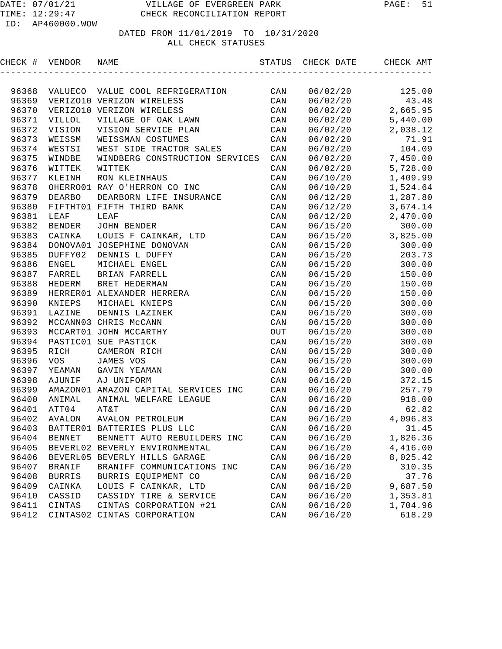| CHECK # | VENDOR        | NAME                                 |     | STATUS CHECK DATE | CHECK AMT           |
|---------|---------------|--------------------------------------|-----|-------------------|---------------------|
|         |               |                                      |     |                   |                     |
| 96368   |               | VALUECO VALUE COOL REFRIGERATION     | CAN | 06/02/20          | 125.00              |
| 96369   |               | VERIZO10 VERIZON WIRELESS            | CAN | 06/02/20          | 43.48               |
| 96370   |               | VERIZO10 VERIZON WIRELESS            | CAN | 06/02/20          | 2,665.95            |
| 96371   | VILLOL        | VILLAGE OF OAK LAWN                  | CAN | 06/02/20          | 5,440.00            |
| 96372   | VISION        | VISION SERVICE PLAN                  | CAN | 06/02/20          | 2,038.12            |
| 96373   | WEISSM        | WEISSMAN COSTUMES                    | CAN | 06/02/20          | 71.91               |
| 96374   | WESTSI        | WEST SIDE TRACTOR SALES              | CAN | 06/02/20          | 104.09              |
| 96375   | WINDBE        | WINDBERG CONSTRUCTION SERVICES       | CAN | 06/02/20          | 7,450.00            |
| 96376   | WITTEK        | WITTEK                               | CAN | 06/02/20          | 5,728.00            |
| 96377   | KLEINH        | RON KLEINHAUS                        | CAN | 06/10/20          | 1,409.99            |
| 96378   |               | OHERRO01 RAY O'HERRON CO INC         | CAN | 06/10/20          | 1,524.64            |
| 96379   | <b>DEARBO</b> | DEARBORN LIFE INSURANCE              | CAN | 06/12/20          | 1,287.80            |
| 96380   |               | FIFTHT01 FIFTH THIRD BANK            | CAN | 06/12/20          | 3,674.14            |
| 96381   | LEAF          | LEAF                                 | CAN | 06/12/20          | 2,470.00            |
| 96382   | BENDER        | JOHN BENDER                          | CAN | 06/15/20          | 300.00              |
| 96383   | CAINKA        | LOUIS F CAINKAR, LTD                 | CAN |                   | $06/15/20$ 3,825.00 |
| 96384   |               | DONOVA01 JOSEPHINE DONOVAN           | CAN | 06/15/20          | 300.00              |
| 96385   | DUFFY02       | DENNIS L DUFFY                       | CAN | 06/15/20          | 203.73              |
| 96386   | <b>ENGEL</b>  | MICHAEL ENGEL                        | CAN | 06/15/20          | 300.00              |
| 96387   | FARREL        | BRIAN FARRELL                        | CAN | 06/15/20          | 150.00              |
| 96388   | HEDERM        | BRET HEDERMAN                        | CAN | 06/15/20          | 150.00              |
| 96389   |               | HERRER01 ALEXANDER HERRERA           | CAN | 06/15/20          | 150.00              |
| 96390   | KNIEPS        | MICHAEL KNIEPS                       | CAN | 06/15/20          | 300.00              |
| 96391   | LAZINE        | DENNIS LAZINEK                       | CAN | 06/15/20          | 300.00              |
| 96392   |               | MCCANN03 CHRIS McCANN                | CAN | 06/15/20          | 300.00              |
| 96393   |               | MCCART01 JOHN MCCARTHY               | OUT | 06/15/20          | 300.00              |
| 96394   |               | PASTIC01 SUE PASTICK                 | CAN | 06/15/20          | 300.00              |
| 96395   | RICH          | CAMERON RICH                         | CAN | 06/15/20          | 300.00              |
| 96396   | VOS           | JAMES VOS                            | CAN | 06/15/20          | 300.00              |
| 96397   | YEAMAN        | GAVIN YEAMAN                         | CAN | 06/15/20          | 300.00              |
| 96398   | AJUNIF        | AJ UNIFORM                           | CAN | 06/16/20          | 372.15              |
| 96399   |               | AMAZON01 AMAZON CAPITAL SERVICES INC | CAN | 06/16/20          | 257.79              |
| 96400   | ANIMAL        | ANIMAL WELFARE LEAGUE                | CAN | 06/16/20          | 918.00              |
| 96401   | ATT04         | AT&T                                 | CAN | 06/16/20          | 62.82               |
|         |               | 96402 AVALON AVALON PETROLEUM        | CAN | 06/16/20          | 4,096.83            |
| 96403   |               | BATTER01 BATTERIES PLUS LLC          | CAN | 06/16/20          | 31.45               |
| 96404   | <b>BENNET</b> | BENNETT AUTO REBUILDERS INC          | CAN | 06/16/20          | 1,826.36            |
| 96405   |               | BEVERL02 BEVERLY ENVIRONMENTAL       | CAN | 06/16/20          | 4,416.00            |
| 96406   |               | BEVERL05 BEVERLY HILLS GARAGE        | CAN | 06/16/20          | 8,025.42            |
| 96407   | <b>BRANIF</b> | BRANIFF COMMUNICATIONS INC           | CAN | 06/16/20          | 310.35              |
| 96408   | <b>BURRIS</b> | BURRIS EQUIPMENT CO                  | CAN | 06/16/20          | 37.76               |
| 96409   | CAINKA        | LOUIS F CAINKAR, LTD                 | CAN | 06/16/20          | 9,687.50            |
| 96410   | CASSID        | CASSIDY TIRE & SERVICE               | CAN | 06/16/20          | 1,353.81            |
| 96411   | CINTAS        | CINTAS CORPORATION #21               | CAN | 06/16/20          | 1,704.96            |
| 96412   |               | CINTAS02 CINTAS CORPORATION          | CAN | 06/16/20          | 618.29              |
|         |               |                                      |     |                   |                     |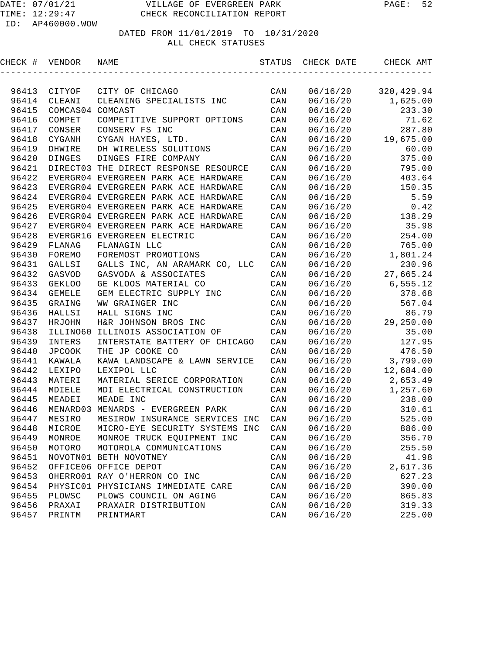TIME: 12:29:47 CHECK RECONCILIATION REPORT

| CHECK # | VENDOR           | NAME                                  | STATUS         | CHECK DATE | CHECK AMT          |
|---------|------------------|---------------------------------------|----------------|------------|--------------------|
|         |                  |                                       |                |            |                    |
| 96413   | CITYOF           | CITY OF CHICAGO                       | CAN            | 06/16/20   | 320,429.94         |
| 96414   | CLEANI           | CLEANING SPECIALISTS INC              | CAN            | 06/16/20   | 1,625.00           |
| 96415   | COMCAS04 COMCAST |                                       | CAN            | 06/16/20   | 233.30             |
| 96416   | COMPET           | COMPETITIVE SUPPORT OPTIONS           | CAN            | 06/16/20   | 71.62              |
| 96417   | CONSER           | CONSERV FS INC                        | CAN            | 06/16/20   | 287.80             |
| 96418   | CYGANH           | CYGAN HAYES, LTD.                     | CAN            | 06/16/20   | 19,675.00          |
| 96419   | DHWIRE           | DH WIRELESS SOLUTIONS                 | CAN            | 06/16/20   | 60.00              |
| 96420   | DINGES           | DINGES FIRE COMPANY                   | CAN            | 06/16/20   | 375.00             |
| 96421   |                  | DIRECT03 THE DIRECT RESPONSE RESOURCE | CAN            | 06/16/20   | 795.00             |
| 96422   |                  | EVERGR04 EVERGREEN PARK ACE HARDWARE  | CAN            | 06/16/20   | 403.64             |
| 96423   |                  | EVERGR04 EVERGREEN PARK ACE HARDWARE  | CAN            | 06/16/20   | 150.35             |
| 96424   |                  | EVERGR04 EVERGREEN PARK ACE HARDWARE  | CAN            | 06/16/20   | 5.59               |
| 96425   |                  | EVERGR04 EVERGREEN PARK ACE HARDWARE  | CAN            | 06/16/20   | 0.42               |
| 96426   |                  | EVERGR04 EVERGREEN PARK ACE HARDWARE  | CAN            | 06/16/20   | 138.29             |
| 96427   |                  | EVERGR04 EVERGREEN PARK ACE HARDWARE  | CAN            | 06/16/20   | 35.98              |
| 96428   |                  | EVERGR16 EVERGREEN ELECTRIC           | CAN            | 06/16/20   | 254.00             |
| 96429   | FLANAG           | FLANAGIN LLC                          | CAN            | 06/16/20   | 765.00             |
| 96430   | FOREMO           | FOREMOST PROMOTIONS                   | CAN            | 06/16/20   | 1,801.24           |
| 96431   | GALLSI           | GALLS INC, AN ARAMARK CO, LLC         | CAN            | 06/16/20   | 230.96             |
| 96432   | GASVOD           | GASVODA & ASSOCIATES                  | CAN            |            | 06/16/20 27,665.24 |
| 96433   | <b>GEKLOO</b>    | GE KLOOS MATERIAL CO                  | CAN            | 06/16/20   | 6,555.12           |
| 96434   | <b>GEMELE</b>    | GEM ELECTRIC SUPPLY INC               | CAN            | 06/16/20   | 378.68             |
| 96435   | GRAING           | WW GRAINGER INC                       | CAN            | 06/16/20   | 567.04             |
| 96436   | HALLSI           | HALL SIGNS INC                        | CAN            | 06/16/20   | 86.79              |
| 96437   | HRJOHN           | H&R JOHNSON BROS INC                  | CAN            | 06/16/20   | 29,250.00          |
| 96438   | ILLINO60         | ILLINOIS ASSOCIATION OF               | CAN            | 06/16/20   | 35.00              |
| 96439   | INTERS           | INTERSTATE BATTERY OF CHICAGO         | CAN            | 06/16/20   | 127.95             |
| 96440   | JPCOOK           | THE JP COOKE CO                       | CAN            | 06/16/20   | 476.50             |
| 96441   | KAWALA           | KAWA LANDSCAPE & LAWN SERVICE         | $\mathtt{CAN}$ | 06/16/20   | 3,799.00           |
| 96442   | LEXIPO           | LEXIPOL LLC                           | CAN            | 06/16/20   | 12,684.00          |
| 96443   | MATERI           | MATERIAL SERICE CORPORATION           | CAN            | 06/16/20   | 2,653.49           |
| 96444   | MDIELE           | MDI ELECTRICAL CONSTRUCTION           | CAN            | 06/16/20   | 1,257.60           |
| 96445   | MEADEI           | MEADE INC                             | CAN            | 06/16/20   | 238.00             |
| 96446   |                  | MENARD03 MENARDS - EVERGREEN PARK     | CAN            | 06/16/20   | 310.61             |
|         | 96447 MESIRO     | MESIROW INSURANCE SERVICES INC        | CAN            | 06/16/20   | 525.00             |
| 96448   | MICROE           | MICRO-EYE SECURITY SYSTEMS INC        | CAN            | 06/16/20   | 886.00             |
| 96449   | MONROE           | MONROE TRUCK EQUIPMENT INC            | CAN            | 06/16/20   | 356.70             |
| 96450   | MOTORO           | MOTOROLA COMMUNICATIONS               | CAN            | 06/16/20   | 255.50             |
| 96451   |                  | NOVOTN01 BETH NOVOTNEY                | CAN            | 06/16/20   | 41.98              |
| 96452   |                  | OFFICE06 OFFICE DEPOT                 | CAN            | 06/16/20   | 2,617.36           |
| 96453   |                  | OHERRO01 RAY O'HERRON CO INC          | CAN            | 06/16/20   | 627.23             |
| 96454   |                  | PHYSIC01 PHYSICIANS IMMEDIATE CARE    | CAN            | 06/16/20   | 390.00             |
| 96455   | PLOWSC           | PLOWS COUNCIL ON AGING                | CAN            | 06/16/20   | 865.83             |
| 96456   | PRAXAI           | PRAXAIR DISTRIBUTION                  | CAN            | 06/16/20   | 319.33             |
| 96457   | PRINTM           | PRINTMART                             | CAN            | 06/16/20   | 225.00             |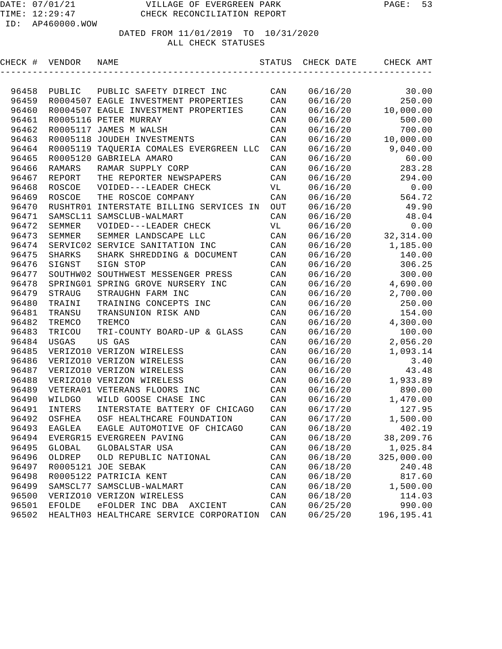| CHECK # | VENDOR        | NAME                                    | STATUS | CHECK DATE | CHECK AMT            |
|---------|---------------|-----------------------------------------|--------|------------|----------------------|
|         |               |                                         |        |            |                      |
| 96458   | PUBLIC        | PUBLIC SAFETY DIRECT INC                | CAN    | 06/16/20   | 30.00                |
| 96459   |               | R0004507 EAGLE INVESTMENT PROPERTIES    | CAN    | 06/16/20   | 250.00               |
| 96460   |               | R0004507 EAGLE INVESTMENT PROPERTIES    | CAN    | 06/16/20   | 10,000.00            |
| 96461   |               | R0005116 PETER MURRAY                   | CAN    | 06/16/20   | 500.00               |
| 96462   |               | R0005117 JAMES M WALSH                  | CAN    | 06/16/20   | 700.00               |
| 96463   |               | R0005118 JOUDEH INVESTMENTS             | CAN    | 06/16/20   | 10,000.00            |
| 96464   |               | R0005119 TAQUERIA COMALES EVERGREEN LLC | CAN    | 06/16/20   | 9,040.00             |
| 96465   |               | R0005120 GABRIELA AMARO                 | CAN    | 06/16/20   | 60.00                |
| 96466   | <b>RAMARS</b> | RAMAR SUPPLY CORP                       | CAN    | 06/16/20   | 283.28               |
| 96467   | REPORT        | THE REPORTER NEWSPAPERS                 | CAN    | 06/16/20   | 294.00               |
| 96468   | ROSCOE        | VOIDED---LEADER CHECK                   | VL     | 06/16/20   | 0.00                 |
| 96469   | ROSCOE        | THE ROSCOE COMPANY                      | CAN    | 06/16/20   | 564.72               |
| 96470   |               | RUSHTR01 INTERSTATE BILLING SERVICES IN | OUT    | 06/16/20   | 49.90                |
| 96471   |               | SAMSCL11 SAMSCLUB-WALMART               | CAN    | 06/16/20   | 48.04                |
| 96472   | SEMMER        | VOIDED---LEADER CHECK                   | VL     | 06/16/20   | 0.00                 |
| 96473   | SEMMER        | SEMMER LANDSCAPE LLC                    | CAN    |            | $06/16/20$ 32,314.00 |
| 96474   |               | SERVIC02 SERVICE SANITATION INC         | CAN    | 06/16/20   | 1,185.00             |
| 96475   | <b>SHARKS</b> | SHARK SHREDDING & DOCUMENT              | CAN    | 06/16/20   | 140.00               |
| 96476   | SIGNST        | SIGN STOP                               | CAN    | 06/16/20   | 306.25               |
| 96477   |               | SOUTHW02 SOUTHWEST MESSENGER PRESS      | CAN    | 06/16/20   | 300.00               |
| 96478   | SPRING01      | SPRING GROVE NURSERY INC                | CAN    | 06/16/20   | 4,690.00             |
| 96479   | STRAUG        | STRAUGHN FARM INC                       | CAN    | 06/16/20   | 2,700.00             |
| 96480   | TRAINI        | TRAINING CONCEPTS INC                   | CAN    | 06/16/20   | 250.00               |
| 96481   | TRANSU        | TRANSUNION RISK AND                     | CAN    | 06/16/20   | 154.00               |
| 96482   | TREMCO        | TREMCO                                  | CAN    | 06/16/20   | 4,300.00             |
| 96483   | TRICOU        | TRI-COUNTY BOARD-UP & GLASS             | CAN    | 06/16/20   | 100.00               |
| 96484   | USGAS         | US GAS                                  | CAN    | 06/16/20   | 2,056.20             |
| 96485   |               | VERIZO10 VERIZON WIRELESS               | CAN    | 06/16/20   | 1,093.14             |
| 96486   |               | VERIZO10 VERIZON WIRELESS               | CAN    | 06/16/20   | 3.40                 |
| 96487   |               | VERIZO10 VERIZON WIRELESS               | CAN    | 06/16/20   | 43.48                |
| 96488   |               | VERIZO10 VERIZON WIRELESS               | CAN    | 06/16/20   | 1,933.89             |
| 96489   |               | VETERA01 VETERANS FLOORS INC            | CAN    | 06/16/20   | 890.00               |
| 96490   | WILDGO        | WILD GOOSE CHASE INC                    | CAN    | 06/16/20   | 1,470.00             |
| 96491   | INTERS        | INTERSTATE BATTERY OF CHICAGO           | CAN    | 06/17/20   | 127.95               |
| 96492   |               | OSFHEA OSF HEALTHCARE FOUNDATION        | CAN    | 06/17/20   | 1,500.00             |
| 96493   | EAGLEA        | EAGLE AUTOMOTIVE OF CHICAGO             | CAN    | 06/18/20   | 402.19               |
| 96494   |               | EVERGR15 EVERGREEN PAVING               | CAN    | 06/18/20   | 38,209.76            |
| 96495   | GLOBAL        | GLOBALSTAR USA                          | CAN    | 06/18/20   | 1,025.84             |
| 96496   | OLDREP        | OLD REPUBLIC NATIONAL                   | CAN    | 06/18/20   | 325,000.00           |
| 96497   |               | R0005121 JOE SEBAK                      | CAN    | 06/18/20   | 240.48               |
| 96498   |               | R0005122 PATRICIA KENT                  | CAN    | 06/18/20   | 817.60               |
| 96499   |               | SAMSCL77 SAMSCLUB-WALMART               | CAN    | 06/18/20   | 1,500.00             |
| 96500   |               | VERIZO10 VERIZON WIRELESS               | CAN    | 06/18/20   | 114.03               |
| 96501   | EFOLDE        | eFOLDER INC DBA<br>AXCIENT              | CAN    | 06/25/20   | 990.00               |
| 96502   |               | HEALTH03 HEALTHCARE SERVICE CORPORATION | CAN    | 06/25/20   | 196, 195.41          |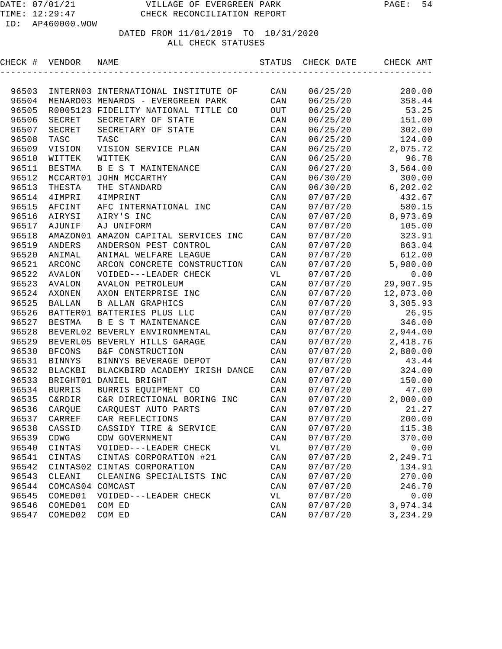| CHECK # | VENDOR            | NAME                                 | STATUS         | CHECK DATE | CHECK AMT |
|---------|-------------------|--------------------------------------|----------------|------------|-----------|
|         |                   |                                      |                |            |           |
| 96503   |                   | INTERN03 INTERNATIONAL INSTITUTE OF  | CAN            | 06/25/20   | 280.00    |
| 96504   |                   | MENARD03 MENARDS - EVERGREEN PARK    | CAN            | 06/25/20   | 358.44    |
| 96505   |                   | R0005123 FIDELITY NATIONAL TITLE CO  | OUT            | 06/25/20   | 53.25     |
| 96506   | SECRET            | SECRETARY OF STATE                   | CAN            | 06/25/20   | 151.00    |
| 96507   | SECRET            | SECRETARY OF STATE                   | CAN            | 06/25/20   | 302.00    |
| 96508   | TASC              | TASC                                 | CAN            | 06/25/20   | 124.00    |
| 96509   | VISION            | VISION SERVICE PLAN                  | CAN            | 06/25/20   | 2,075.72  |
| 96510   | WITTEK            | WITTEK                               | CAN            | 06/25/20   | 96.78     |
| 96511   | BESTMA            | B E S T MAINTENANCE                  | CAN            | 06/27/20   | 3,564.00  |
| 96512   |                   | MCCART01 JOHN MCCARTHY               | CAN            | 06/30/20   | 300.00    |
| 96513   | THESTA            | THE STANDARD                         | CAN            | 06/30/20   | 6, 202.02 |
| 96514   | 4IMPRI            | <b>4IMPRINT</b>                      | CAN            | 07/07/20   | 432.67    |
| 96515   | AFCINT            | AFC INTERNATIONAL INC                | CAN            | 07/07/20   | 580.15    |
| 96516   | AIRYSI            | AIRY'S INC                           | CAN            | 07/07/20   | 8,973.69  |
| 96517   | AJUNIF            | AJ UNIFORM                           | CAN            | 07/07/20   | 105.00    |
| 96518   |                   | AMAZON01 AMAZON CAPITAL SERVICES INC | CAN            | 07/07/20   | 323.91    |
| 96519   | ANDERS            | ANDERSON PEST CONTROL                | CAN            | 07/07/20   | 863.04    |
| 96520   | ANIMAL            | ANIMAL WELFARE LEAGUE                | CAN            | 07/07/20   | 612.00    |
| 96521   | ARCONC            | ARCON CONCRETE CONSTRUCTION          | CAN            | 07/07/20   | 5,980.00  |
| 96522   | AVALON            | VOIDED---LEADER CHECK                | VL             | 07/07/20   | 0.00      |
| 96523   | AVALON            | <b>AVALON PETROLEUM</b>              | $\mathtt{CAN}$ | 07/07/20   | 29,907.95 |
| 96524   | AXONEN            | AXON ENTERPRISE INC                  | CAN            | 07/07/20   | 12,073.00 |
| 96525   | BALLAN            | <b>B ALLAN GRAPHICS</b>              | CAN            | 07/07/20   | 3,305.93  |
| 96526   |                   | BATTER01 BATTERIES PLUS LLC          | CAN            | 07/07/20   | 26.95     |
| 96527   | BESTMA            | B E S T MAINTENANCE                  | CAN            | 07/07/20   | 346.00    |
| 96528   |                   | BEVERL02 BEVERLY ENVIRONMENTAL       | CAN            | 07/07/20   | 2,944.00  |
| 96529   |                   | BEVERL05 BEVERLY HILLS GARAGE        | CAN            | 07/07/20   | 2,418.76  |
| 96530   | <b>BFCONS</b>     | B&F CONSTRUCTION                     | CAN            | 07/07/20   | 2,880.00  |
| 96531   | <b>BINNYS</b>     | BINNYS BEVERAGE DEPOT                | CAN            | 07/07/20   | 43.44     |
| 96532   | BLACKBI           | BLACKBIRD ACADEMY IRISH DANCE        | CAN            | 07/07/20   | 324.00    |
| 96533   |                   | BRIGHT01 DANIEL BRIGHT               | CAN            | 07/07/20   | 150.00    |
| 96534   | <b>BURRIS</b>     | BURRIS EQUIPMENT CO                  | CAN            | 07/07/20   | 47.00     |
| 96535   | <b>C&amp;RDIR</b> | C&R DIRECTIONAL BORING INC           | $\mathtt{CAN}$ | 07/07/20   | 2,000.00  |
| 96536   | CARQUE            | CARQUEST AUTO PARTS                  | CAN            | 07/07/20   | 21.27     |
|         | 96537 CARREF      | CAR REFLECTIONS                      | CAN            | 07/07/20   | 200.00    |
| 96538   | CASSID            | CASSIDY TIRE & SERVICE               | CAN            | 07/07/20   | 115.38    |
| 96539   | CDWG              | CDW GOVERNMENT                       | CAN            | 07/07/20   | 370.00    |
| 96540   | CINTAS            | VOIDED---LEADER CHECK                | VL             | 07/07/20   | 0.00      |
| 96541   | CINTAS            | CINTAS CORPORATION #21               | CAN            | 07/07/20   | 2,249.71  |
| 96542   |                   | CINTAS02 CINTAS CORPORATION          | CAN            | 07/07/20   | 134.91    |
| 96543   | CLEANI            | CLEANING SPECIALISTS INC             | CAN            | 07/07/20   | 270.00    |
| 96544   | COMCAS04 COMCAST  |                                      | CAN            | 07/07/20   | 246.70    |
| 96545   | COMED01           | VOIDED---LEADER CHECK                | VL             | 07/07/20   | 0.00      |
| 96546   | COMED01           | COM ED                               | CAN            | 07/07/20   | 3,974.34  |
| 96547   | COMED02           | COM ED                               | CAN            | 07/07/20   | 3, 234.29 |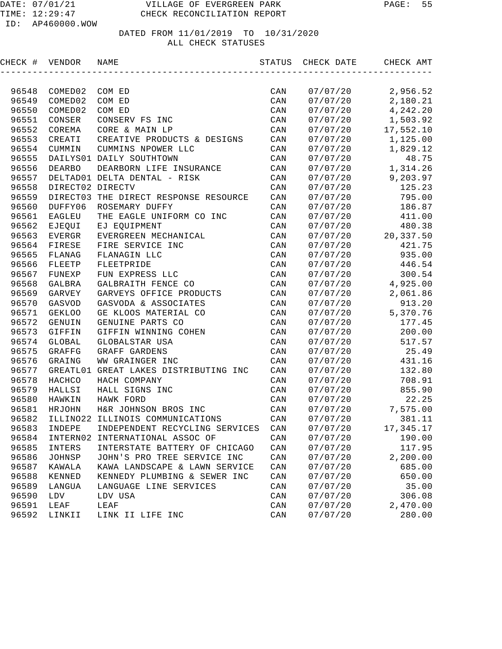| CHECK # | VENDOR           | NAME                                  | STATUS         | CHECK DATE | CHECK AMT |
|---------|------------------|---------------------------------------|----------------|------------|-----------|
|         |                  |                                       |                |            |           |
| 96548   | COMED02          | COM ED                                | CAN            | 07/07/20   | 2,956.52  |
| 96549   | COMED02          | COM ED                                | CAN            | 07/07/20   | 2,180.21  |
| 96550   | COMED02          | COM ED                                | CAN            | 07/07/20   | 4,242.20  |
| 96551   | CONSER           | CONSERV FS INC                        | CAN            | 07/07/20   | 1,503.92  |
| 96552   | COREMA           | CORE & MAIN LP                        | CAN            | 07/07/20   | 17,552.10 |
| 96553   | CREATI           | CREATIVE PRODUCTS & DESIGNS           | CAN            | 07/07/20   | 1,125.00  |
| 96554   | CUMMIN           | CUMMINS NPOWER LLC                    | CAN            | 07/07/20   | 1,829.12  |
| 96555   |                  | DAILYS01 DAILY SOUTHTOWN              | CAN            | 07/07/20   | 48.75     |
| 96556   | <b>DEARBO</b>    | DEARBORN LIFE INSURANCE               | CAN            | 07/07/20   | 1,314.26  |
| 96557   |                  | DELTAD01 DELTA DENTAL - RISK          | CAN            | 07/07/20   | 9,203.97  |
| 96558   | DIRECT02 DIRECTV |                                       | $\mathtt{CAN}$ | 07/07/20   | 125.23    |
| 96559   |                  | DIRECT03 THE DIRECT RESPONSE RESOURCE | $\mathtt{CAN}$ | 07/07/20   | 795.00    |
| 96560   | DUFFY06          | ROSEMARY DUFFY                        | CAN            | 07/07/20   | 186.87    |
| 96561   | EAGLEU           | THE EAGLE UNIFORM CO INC              | CAN            | 07/07/20   | 411.00    |
| 96562   | EJEQUI           | EJ EQUIPMENT                          | CAN            | 07/07/20   | 480.38    |
| 96563   | EVERGR           | EVERGREEN MECHANICAL                  | $\mathtt{CAN}$ | 07/07/20   | 20,337.50 |
| 96564   | FIRESE           | FIRE SERVICE INC                      | $\mathtt{CAN}$ | 07/07/20   | 421.75    |
| 96565   | FLANAG           | FLANAGIN LLC                          | CAN            | 07/07/20   | 935.00    |
| 96566   | FLEETP           | FLEETPRIDE                            | CAN            | 07/07/20   | 446.54    |
| 96567   | FUNEXP           | FUN EXPRESS LLC                       | CAN            | 07/07/20   | 300.54    |
| 96568   | GALBRA           | GALBRAITH FENCE CO                    | CAN            | 07/07/20   | 4,925.00  |
| 96569   | GARVEY           | GARVEYS OFFICE PRODUCTS               | CAN            | 07/07/20   | 2,061.86  |
| 96570   | GASVOD           | GASVODA & ASSOCIATES                  | CAN            | 07/07/20   | 913.20    |
| 96571   | <b>GEKLOO</b>    | GE KLOOS MATERIAL CO                  | CAN            | 07/07/20   | 5,370.76  |
| 96572   | GENUIN           | GENUINE PARTS CO                      | CAN            | 07/07/20   | 177.45    |
| 96573   | GIFFIN           | GIFFIN WINNING COHEN                  | CAN            | 07/07/20   | 200.00    |
| 96574   | GLOBAL           | GLOBALSTAR USA                        | CAN            | 07/07/20   | 517.57    |
| 96575   | GRAFFG           | GRAFF GARDENS                         | CAN            | 07/07/20   | 25.49     |
| 96576   | GRAING           | WW GRAINGER INC                       | CAN            | 07/07/20   | 431.16    |
| 96577   | GREATL01         | GREAT LAKES DISTRIBUTING INC          | CAN            | 07/07/20   | 132.80    |
| 96578   | HACHCO           | HACH COMPANY                          | CAN            | 07/07/20   | 708.91    |
| 96579   | HALLSI           | HALL SIGNS INC                        | CAN            | 07/07/20   | 855.90    |
| 96580   | HAWKIN           | HAWK FORD                             | CAN            | 07/07/20   | 22.25     |
| 96581   | HRJOHN           | H&R JOHNSON BROS INC                  | CAN            | 07/07/20   | 7,575.00  |
| 96582   |                  | ILLINO22 ILLINOIS COMMUNICATIONS      | CAN            | 07/07/20   | 381.11    |
| 96583   | INDEPE           | INDEPENDENT RECYCLING SERVICES        | $\mathtt{CAN}$ | 07/07/20   | 17,345.17 |
| 96584   | INTERN02         | INTERNATIONAL ASSOC OF                | CAN            | 07/07/20   | 190.00    |
| 96585   | INTERS           | INTERSTATE BATTERY OF CHICAGO         | $\mathtt{CAN}$ | 07/07/20   | 117.95    |
| 96586   | JOHNSP           | JOHN'S PRO TREE SERVICE INC           | $\mathtt{CAN}$ | 07/07/20   | 2,200.00  |
| 96587   | KAWALA           | KAWA LANDSCAPE & LAWN SERVICE         | CAN            | 07/07/20   | 685.00    |
| 96588   | KENNED           | KENNEDY PLUMBING & SEWER INC          | CAN            | 07/07/20   | 650.00    |
| 96589   | LANGUA           | LANGUAGE LINE SERVICES                | $\mathtt{CAN}$ | 07/07/20   | 35.00     |
| 96590   | LDV              | LDV USA                               | CAN            | 07/07/20   | 306.08    |
| 96591   | LEAF             | LEAF                                  | CAN            | 07/07/20   | 2,470.00  |
| 96592   | LINKII           | LINK II LIFE INC                      | $\mathtt{CAN}$ | 07/07/20   | 280.00    |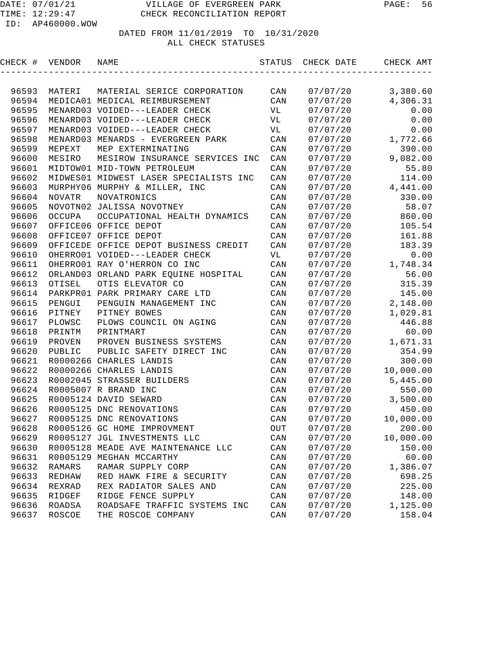DATED FROM 11/01/2019 TO 10/31/2020

### ALL CHECK STATUSES

|       | CHECK # VENDOR NAME |                                        |                |          | STATUS CHECK DATE CHECK AMT |
|-------|---------------------|----------------------------------------|----------------|----------|-----------------------------|
|       |                     |                                        |                |          |                             |
| 96593 | MATERI              | MATERIAL SERICE CORPORATION CAN        |                | 07/07/20 | 3,380.60                    |
| 96594 |                     | MEDICA01 MEDICAL REIMBURSEMENT         | CAN            | 07/07/20 | 4,306.31                    |
| 96595 |                     | MENARD03 VOIDED---LEADER CHECK         | <b>VL</b>      | 07/07/20 | 0.00                        |
| 96596 |                     | MENARD03 VOIDED---LEADER CHECK         | <b>VL</b>      | 07/07/20 | 0.00                        |
| 96597 |                     | MENARD03 VOIDED---LEADER CHECK         | <b>VL</b>      | 07/07/20 | 0.00                        |
| 96598 |                     | MENARD03 MENARDS - EVERGREEN PARK      | CAN            |          | $07/07/20$ 1,772.66         |
| 96599 | MEPEXT              | MEP EXTERMINATING                      | CAN            | 07/07/20 | 390.00                      |
| 96600 | MESIRO              | MESIROW INSURANCE SERVICES INC         | CAN            |          | $07/07/20$ 9,082.00         |
| 96601 |                     | MIDTOW01 MID-TOWN PETROLEUM            | CAN            | 07/07/20 | 55.80                       |
| 96602 |                     | MIDWES01 MIDWEST LASER SPECIALISTS INC | CAN            | 07/07/20 | 114.00                      |
| 96603 |                     | MURPHY06 MURPHY & MILLER, INC          | CAN            |          | $07/07/20$ 4,441.00         |
| 96604 | NOVATR              | NOVATRONICS                            | CAN            | 07/07/20 | 330.00                      |
| 96605 |                     | NOVOTN02 JALISSA NOVOTNEY              | CAN            | 07/07/20 | 58.07                       |
| 96606 | OCCUPA              | OCCUPATIONAL HEALTH DYNAMICS           | CAN            | 07/07/20 | 860.00                      |
| 96607 |                     | OFFICE06 OFFICE DEPOT                  | CAN            | 07/07/20 | 105.54                      |
| 96608 |                     | OFFICE07 OFFICE DEPOT                  | CAN            | 07/07/20 | 161.88                      |
| 96609 |                     | OFFICEDE OFFICE DEPOT BUSINESS CREDIT  | CAN            | 07/07/20 | 183.39                      |
| 96610 |                     | OHERRO01 VOIDED---LEADER CHECK         | VL             | 07/07/20 | 0.00                        |
| 96611 |                     | OHERRO01 RAY O'HERRON CO INC           | CAN            | 07/07/20 | 1,748.34                    |
| 96612 |                     | ORLAND03 ORLAND PARK EQUINE HOSPITAL   | CAN            | 07/07/20 | 56.00                       |
| 96613 | OTISEL              | OTIS ELEVATOR CO                       | CAN            | 07/07/20 | 315.39                      |
| 96614 |                     | PARKPRO1 PARK PRIMARY CARE LTD         | CAN            | 07/07/20 | 145.00                      |
| 96615 | PENGUI              | PENGUIN MANAGEMENT INC                 | CAN            | 07/07/20 | 2,148.00                    |
| 96616 | PITNEY              | PITNEY BOWES                           | CAN            | 07/07/20 | 1,029.81                    |
| 96617 | PLOWSC              | PLOWS COUNCIL ON AGING                 | CAN            | 07/07/20 | 446.88                      |
| 96618 | PRINTM              | PRINTMART                              | CAN            | 07/07/20 | 60.00                       |
| 96619 | PROVEN              | PROVEN BUSINESS SYSTEMS                | CAN            |          | 07/07/20 1,671.31           |
| 96620 | PUBLIC              | PUBLIC SAFETY DIRECT INC               | CAN            | 07/07/20 | 354.99                      |
| 96621 |                     | R0000266 CHARLES LANDIS                | CAN            | 07/07/20 | 300.00                      |
| 96622 |                     | R0000266 CHARLES LANDIS                | CAN            |          | $07/07/20$ 10,000.00        |
| 96623 |                     | R0002045 STRASSER BUILDERS             | CAN            |          | $07/07/20$ 5,445.00         |
| 96624 |                     | R0005007 R BRAND INC                   | CAN            | 07/07/20 | 550.00                      |
| 96625 |                     | R0005124 DAVID SEWARD                  | CAN            |          | $07/07/20$ 3,500.00         |
| 96626 |                     | R0005125 DNC RENOVATIONS               | CAN            | 07/07/20 | 450.00                      |
| 96627 |                     | R0005125 DNC RENOVATIONS               | $\mathtt{CAN}$ | 07/07/20 | 10,000.00                   |
| 96628 |                     | R0005126 GC HOME IMPROVMENT            | OUT            | 07/07/20 | 200.00                      |
| 96629 |                     | R0005127 JGL INVESTMENTS LLC           | $\mathtt{CAN}$ | 07/07/20 | 10,000.00                   |
| 96630 |                     | R0005128 MEADE AVE MAINTENANCE LLC     | $\mathtt{CAN}$ | 07/07/20 | 150.00                      |
| 96631 |                     | R0005129 MEGHAN MCCARTHY               | $\mathtt{CAN}$ | 07/07/20 | 60.00                       |
| 96632 | RAMARS              | RAMAR SUPPLY CORP                      | $\mathtt{CAN}$ | 07/07/20 | 1,386.07                    |
| 96633 | REDHAW              | RED HAWK FIRE & SECURITY               | $\mathtt{CAN}$ | 07/07/20 | 698.25                      |
| 96634 | REXRAD              | REX RADIATOR SALES AND                 | CAN            | 07/07/20 | 225.00                      |
| 96635 | RIDGEF              | RIDGE FENCE SUPPLY                     | $\mathtt{CAN}$ | 07/07/20 | 148.00                      |
| 96636 | <b>ROADSA</b>       | ROADSAFE TRAFFIC SYSTEMS INC           | $\mathtt{CAN}$ | 07/07/20 | 1,125.00                    |
| 96637 | <b>ROSCOE</b>       | THE ROSCOE COMPANY                     | CAN            | 07/07/20 | 158.04                      |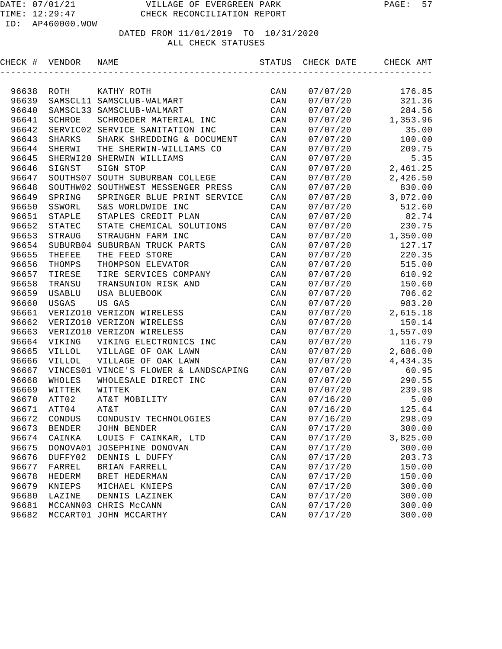| CHECK # | VENDOR        | NAME                                  | STATUS | CHECK DATE | CHECK AMT |
|---------|---------------|---------------------------------------|--------|------------|-----------|
|         |               |                                       |        |            |           |
| 96638   | ROTH          | KATHY ROTH                            | CAN    | 07/07/20   | 176.85    |
| 96639   |               | SAMSCL11 SAMSCLUB-WALMART             | CAN    | 07/07/20   | 321.36    |
| 96640   |               | SAMSCL33 SAMSCLUB-WALMART             | CAN    | 07/07/20   | 284.56    |
| 96641   | SCHROE        | SCHROEDER MATERIAL INC                | CAN    | 07/07/20   | 1,353.96  |
| 96642   | SERVIC02      | SERVICE SANITATION INC                | CAN    | 07/07/20   | 35.00     |
| 96643   | SHARKS        | SHARK SHREDDING & DOCUMENT            | CAN    | 07/07/20   | 100.00    |
| 96644   | SHERWI        | THE SHERWIN-WILLIAMS CO               | CAN    | 07/07/20   | 209.75    |
| 96645   | SHERWI20      | SHERWIN WILLIAMS                      | CAN    | 07/07/20   | 5.35      |
| 96646   | SIGNST        | SIGN STOP                             | CAN    | 07/07/20   | 2,461.25  |
| 96647   | SOUTHS07      | SOUTH SUBURBAN COLLEGE                | CAN    | 07/07/20   | 2,426.50  |
| 96648   | SOUTHW02      | SOUTHWEST MESSENGER PRESS             | CAN    | 07/07/20   | 830.00    |
| 96649   | SPRING        | SPRINGER BLUE PRINT SERVICE           | CAN    | 07/07/20   | 3,072.00  |
| 96650   | SSWORL        | S&S WORLDWIDE INC                     | CAN    | 07/07/20   | 512.60    |
| 96651   | STAPLE        | STAPLES CREDIT PLAN                   | CAN    | 07/07/20   | 82.74     |
| 96652   | STATEC        | STATE CHEMICAL SOLUTIONS              | CAN    | 07/07/20   | 230.75    |
| 96653   | STRAUG        | STRAUGHN FARM INC                     | CAN    | 07/07/20   | 1,350.00  |
| 96654   | SUBURB04      | SUBURBAN TRUCK PARTS                  | CAN    | 07/07/20   | 127.17    |
| 96655   | THEFEE        | THE FEED STORE                        | CAN    | 07/07/20   | 220.35    |
| 96656   | THOMPS        | THOMPSON ELEVATOR                     | CAN    | 07/07/20   | 515.00    |
| 96657   | TIRESE        | TIRE SERVICES COMPANY                 | CAN    | 07/07/20   | 610.92    |
| 96658   | TRANSU        | TRANSUNION RISK AND                   | CAN    | 07/07/20   | 150.60    |
| 96659   | USABLU        | USA BLUEBOOK                          | CAN    | 07/07/20   | 706.62    |
| 96660   | USGAS         | US GAS                                | CAN    | 07/07/20   | 983.20    |
| 96661   |               | VERIZO10 VERIZON WIRELESS             | CAN    | 07/07/20   | 2,615.18  |
| 96662   |               | VERIZO10 VERIZON WIRELESS             | CAN    | 07/07/20   | 150.14    |
| 96663   |               | VERIZO10 VERIZON WIRELESS             | CAN    | 07/07/20   | 1,557.09  |
| 96664   | VIKING        | VIKING ELECTRONICS INC                | CAN    | 07/07/20   | 116.79    |
| 96665   | <b>AILLOL</b> | VILLAGE OF OAK LAWN                   | CAN    | 07/07/20   | 2,686.00  |
| 96666   | <b>VILLOL</b> | VILLAGE OF OAK LAWN                   | CAN    | 07/07/20   | 4,434.35  |
| 96667   |               | VINCES01 VINCE'S FLOWER & LANDSCAPING | CAN    | 07/07/20   | 60.95     |
| 96668   | WHOLES        | WHOLESALE DIRECT INC                  | CAN    | 07/07/20   | 290.55    |
| 96669   | WITTEK        | WITTEK                                | CAN    | 07/07/20   | 239.98    |
| 96670   | ATT02         | AT&T MOBILITY                         | CAN    | 07/16/20   | 5.00      |
| 96671   | ATT04         | AT&T                                  | CAN    | 07/16/20   | 125.64    |
| 96672   | CONDUS        | CONDUSIV TECHNOLOGIES                 | CAN    | 07/16/20   | 298.09    |
| 96673   | <b>BENDER</b> | JOHN BENDER                           | CAN    | 07/17/20   | 300.00    |
| 96674   | CAINKA        | LOUIS F CAINKAR, LTD                  | CAN    | 07/17/20   | 3,825.00  |
| 96675   | DONOVA01      | JOSEPHINE DONOVAN                     | CAN    | 07/17/20   | 300.00    |
| 96676   | DUFFY02       | DENNIS L DUFFY                        | CAN    | 07/17/20   | 203.73    |
| 96677   | FARREL        | BRIAN FARRELL                         | CAN    | 07/17/20   | 150.00    |
| 96678   | HEDERM        | BRET HEDERMAN                         | CAN    | 07/17/20   | 150.00    |
| 96679   | KNIEPS        | MICHAEL KNIEPS                        | CAN    | 07/17/20   | 300.00    |
| 96680   | LAZINE        | DENNIS LAZINEK                        | CAN    | 07/17/20   | 300.00    |
| 96681   |               | MCCANN03 CHRIS McCANN                 | CAN    | 07/17/20   | 300.00    |
| 96682   |               | MCCART01 JOHN MCCARTHY                | CAN    | 07/17/20   | 300.00    |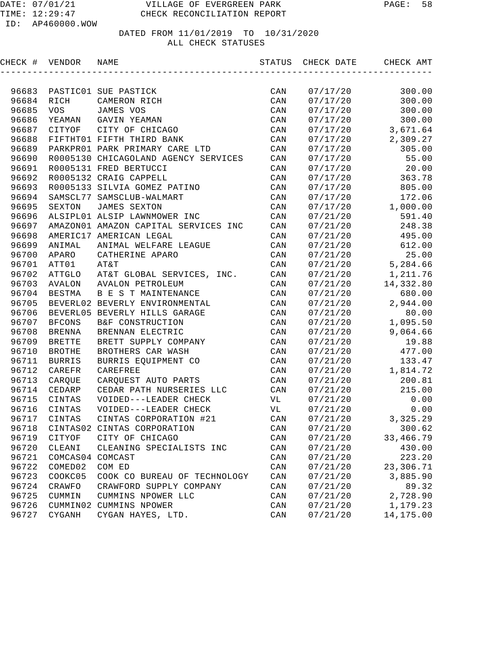| CHECK # | VENDOR           | NAME                                 | STATUS         | CHECK DATE | CHECK AMT |
|---------|------------------|--------------------------------------|----------------|------------|-----------|
|         |                  |                                      |                |            |           |
| 96683   |                  | PASTIC01 SUE PASTICK                 | CAN            | 07/17/20   | 300.00    |
| 96684   | RICH             | CAMERON RICH                         | CAN            | 07/17/20   | 300.00    |
| 96685   | <b>VOS</b>       | JAMES VOS                            | CAN            | 07/17/20   | 300.00    |
| 96686   |                  | YEAMAN GAVIN YEAMAN                  | CAN            | 07/17/20   | 300.00    |
| 96687   | CITYOF           | CITY OF CHICAGO                      | CAN            | 07/17/20   | 3,671.64  |
| 96688   |                  | FIFTHT01 FIFTH THIRD BANK            | CAN            | 07/17/20   | 2,309.27  |
| 96689   |                  | PARKPRO1 PARK PRIMARY CARE LTD       | CAN            | 07/17/20   | 305.00    |
| 96690   |                  | R0005130 CHICAGOLAND AGENCY SERVICES | CAN            | 07/17/20   | 55.00     |
| 96691   |                  | R0005131 FRED BERTUCCI               | CAN            | 07/17/20   | 20.00     |
| 96692   |                  | R0005132 CRAIG CAPPELL               | CAN            | 07/17/20   | 363.78    |
| 96693   |                  | R0005133 SILVIA GOMEZ PATINO         | CAN            | 07/17/20   | 805.00    |
| 96694   |                  | SAMSCL77 SAMSCLUB-WALMART            | CAN            | 07/17/20   | 172.06    |
| 96695   | SEXTON           | <b>JAMES SEXTON</b>                  | CAN            | 07/17/20   | 1,000.00  |
| 96696   |                  | ALSIPL01 ALSIP LAWNMOWER INC         | CAN            | 07/21/20   | 591.40    |
| 96697   |                  | AMAZON01 AMAZON CAPITAL SERVICES INC | CAN            | 07/21/20   | 248.38    |
| 96698   |                  | AMERIC17 AMERICAN LEGAL              | CAN            | 07/21/20   | 495.00    |
| 96699   | ANIMAL           | ANIMAL WELFARE LEAGUE                | CAN            | 07/21/20   | 612.00    |
| 96700   | APARO            | CATHERINE APARO                      | CAN            | 07/21/20   | 25.00     |
| 96701   | ATT01            | AT&T                                 | CAN            | 07/21/20   | 5,284.66  |
| 96702   | ATTGLO           | AT&T GLOBAL SERVICES, INC.           | CAN            | 07/21/20   | 1,211.76  |
| 96703   | AVALON           | AVALON PETROLEUM                     | CAN            | 07/21/20   | 14,332.80 |
| 96704   | BESTMA           | B E S T MAINTENANCE                  | CAN            | 07/21/20   | 680.00    |
| 96705   |                  | BEVERL02 BEVERLY ENVIRONMENTAL       | CAN            | 07/21/20   | 2,944.00  |
| 96706   |                  | BEVERL05 BEVERLY HILLS GARAGE        | CAN            | 07/21/20   | 80.00     |
| 96707   | <b>BFCONS</b>    | B&F CONSTRUCTION                     | CAN            | 07/21/20   | 1,095.50  |
| 96708   | BRENNA           | BRENNAN ELECTRIC                     | CAN            | 07/21/20   | 9,064.66  |
| 96709   | <b>BRETTE</b>    | BRETT SUPPLY COMPANY                 | CAN            | 07/21/20   | 19.88     |
| 96710   | <b>BROTHE</b>    | BROTHERS CAR WASH                    | CAN            | 07/21/20   | 477.00    |
| 96711   | <b>BURRIS</b>    | BURRIS EQUIPMENT CO                  | CAN            | 07/21/20   | 133.47    |
| 96712   | CAREFR           | CAREFREE                             | CAN            | 07/21/20   | 1,814.72  |
| 96713   | CARQUE           | CARQUEST AUTO PARTS                  | CAN            | 07/21/20   | 200.81    |
| 96714   | CEDARP           | CEDAR PATH NURSERIES LLC             | CAN            | 07/21/20   | 215.00    |
| 96715   | CINTAS           | VOIDED---LEADER CHECK                | VL             | 07/21/20   | 0.00      |
| 96716   | CINTAS           | VOIDED---LEADER CHECK                | VL             | 07/21/20   | 0.00      |
| 96717   | CINTAS           | CINTAS CORPORATION #21               | $\mathtt{CAN}$ | 07/21/20   | 3, 325.29 |
| 96718   |                  | CINTAS02 CINTAS CORPORATION          | CAN            | 07/21/20   | 300.62    |
| 96719   | CITYOF           | CITY OF CHICAGO                      | CAN            | 07/21/20   | 33,466.79 |
| 96720   | CLEANI           | CLEANING SPECIALISTS INC             | CAN            | 07/21/20   | 430.00    |
| 96721   | COMCAS04 COMCAST |                                      | CAN            | 07/21/20   | 223.20    |
| 96722   | COMED02          | COM ED                               | CAN            | 07/21/20   | 23,306.71 |
| 96723   | COOKC05          | COOK CO BUREAU OF TECHNOLOGY         | CAN            | 07/21/20   | 3,885.90  |
| 96724   | CRAWFO           | CRAWFORD SUPPLY COMPANY              | CAN            | 07/21/20   | 89.32     |
| 96725   | CUMMIN           | CUMMINS NPOWER LLC                   | CAN            | 07/21/20   | 2,728.90  |
| 96726   |                  | CUMMIN02 CUMMINS NPOWER              | CAN            | 07/21/20   | 1,179.23  |
| 96727   | CYGANH           | CYGAN HAYES, LTD.                    | CAN            | 07/21/20   | 14,175.00 |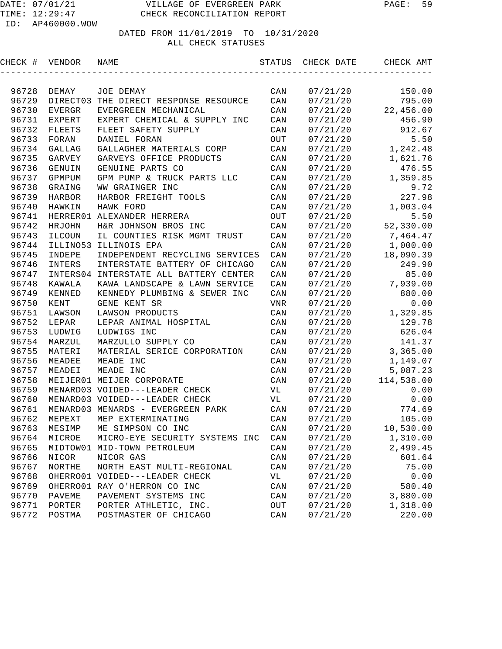| CHECK # | VENDOR        | NAME                              | STATUS         | CHECK DATE | CHECK AMT  |
|---------|---------------|-----------------------------------|----------------|------------|------------|
|         |               |                                   |                |            |            |
| 96728   | DEMAY         | JOE DEMAY                         | CAN            | 07/21/20   | 150.00     |
| 96729   | DIRECT03      | THE DIRECT RESPONSE RESOURCE      | CAN            | 07/21/20   | 795.00     |
| 96730   | EVERGR        | EVERGREEN MECHANICAL              | CAN            | 07/21/20   | 22,456.00  |
| 96731   | EXPERT        | EXPERT CHEMICAL & SUPPLY INC      | CAN            | 07/21/20   | 456.90     |
| 96732   | <b>FLEETS</b> | FLEET SAFETY SUPPLY               | CAN            | 07/21/20   | 912.67     |
| 96733   | FORAN         | DANIEL FORAN                      | OUT            | 07/21/20   | 5.50       |
| 96734   | <b>GALLAG</b> | GALLAGHER MATERIALS CORP          | CAN            | 07/21/20   | 1,242.48   |
| 96735   | GARVEY        | GARVEYS OFFICE PRODUCTS           | CAN            | 07/21/20   | 1,621.76   |
| 96736   | GENUIN        | GENUINE PARTS CO                  | CAN            | 07/21/20   | 476.55     |
| 96737   | GPMPUM        | GPM PUMP & TRUCK PARTS LLC        | CAN            | 07/21/20   | 1,359.85   |
| 96738   | GRAING        | WW GRAINGER INC                   | CAN            | 07/21/20   | 9.72       |
| 96739   | <b>HARBOR</b> | HARBOR FREIGHT TOOLS              | CAN            | 07/21/20   | 227.98     |
| 96740   | HAWKIN        | HAWK FORD                         | CAN            | 07/21/20   | 1,003.04   |
| 96741   |               | HERRER01 ALEXANDER HERRERA        | OUT            | 07/21/20   | 5.50       |
| 96742   | HRJOHN        | H&R JOHNSON BROS INC              | $\mathtt{CAN}$ | 07/21/20   | 52,330.00  |
| 96743   | ILCOUN        | IL COUNTIES RISK MGMT TRUST       | CAN            | 07/21/20   | 7,464.47   |
| 96744   | ILLINO53      | ILLINOIS EPA                      | $\mathtt{CAN}$ | 07/21/20   | 1,000.00   |
| 96745   | INDEPE        | INDEPENDENT RECYCLING SERVICES    | CAN            | 07/21/20   | 18,090.39  |
| 96746   | INTERS        | INTERSTATE BATTERY OF CHICAGO     | CAN            | 07/21/20   | 249.90     |
| 96747   | INTERS04      | INTERSTATE ALL BATTERY CENTER     | CAN            | 07/21/20   | 85.00      |
| 96748   | KAWALA        | KAWA LANDSCAPE & LAWN SERVICE     | CAN            | 07/21/20   | 7,939.00   |
| 96749   | KENNED        | KENNEDY PLUMBING & SEWER INC      | CAN            | 07/21/20   | 880.00     |
| 96750   | KENT          | GENE KENT SR                      | VNR            | 07/21/20   | 0.00       |
| 96751   | LAWSON        | LAWSON PRODUCTS                   | CAN            | 07/21/20   | 1,329.85   |
| 96752   | LEPAR         | LEPAR ANIMAL HOSPITAL             | CAN            | 07/21/20   | 129.78     |
| 96753   | LUDWIG        | LUDWIGS INC                       | CAN            | 07/21/20   | 626.04     |
| 96754   | MARZUL        | MARZULLO SUPPLY CO                | $\mathtt{CAN}$ | 07/21/20   | 141.37     |
| 96755   | MATERI        | MATERIAL SERICE CORPORATION       | CAN            | 07/21/20   | 3,365.00   |
| 96756   | MEADEE        | MEADE INC                         | CAN            | 07/21/20   | 1,149.07   |
| 96757   | MEADEI        | MEADE INC                         | CAN            | 07/21/20   | 5,087.23   |
| 96758   |               | MEIJER01 MEIJER CORPORATE         | CAN            | 07/21/20   | 114,538.00 |
| 96759   |               | MENARD03 VOIDED---LEADER CHECK    | VL             | 07/21/20   | 0.00       |
| 96760   |               | MENARD03 VOIDED---LEADER CHECK    | VL             | 07/21/20   | 0.00       |
| 96761   |               | MENARD03 MENARDS - EVERGREEN PARK | CAN            | 07/21/20   | 774.69     |
| 96762   | MEPEXT        | MEP EXTERMINATING                 | CAN            | 07/21/20   | 105.00     |
| 96763   | MESIMP        | ME SIMPSON CO INC                 | CAN            | 07/21/20   | 10,530.00  |
| 96764   | MICROE        | MICRO-EYE SECURITY SYSTEMS INC    | $\mathtt{CAN}$ | 07/21/20   | 1,310.00   |
| 96765   |               | MIDTOW01 MID-TOWN PETROLEUM       | CAN            | 07/21/20   | 2,499.45   |
| 96766   | NICOR         | NICOR GAS                         | CAN            | 07/21/20   | 601.64     |
| 96767   | NORTHE        | NORTH EAST MULTI-REGIONAL         | CAN            | 07/21/20   | 75.00      |
| 96768   |               | OHERRO01 VOIDED---LEADER CHECK    | VL             | 07/21/20   | 0.00       |
| 96769   |               | OHERRO01 RAY O'HERRON CO INC      | CAN            | 07/21/20   | 580.40     |
| 96770   | PAVEME        | PAVEMENT SYSTEMS INC              | CAN            | 07/21/20   | 3,880.00   |
| 96771   | PORTER        | PORTER ATHLETIC, INC.             | OUT            | 07/21/20   | 1,318.00   |
| 96772   | POSTMA        | POSTMASTER OF CHICAGO             | CAN            | 07/21/20   | 220.00     |
|         |               |                                   |                |            |            |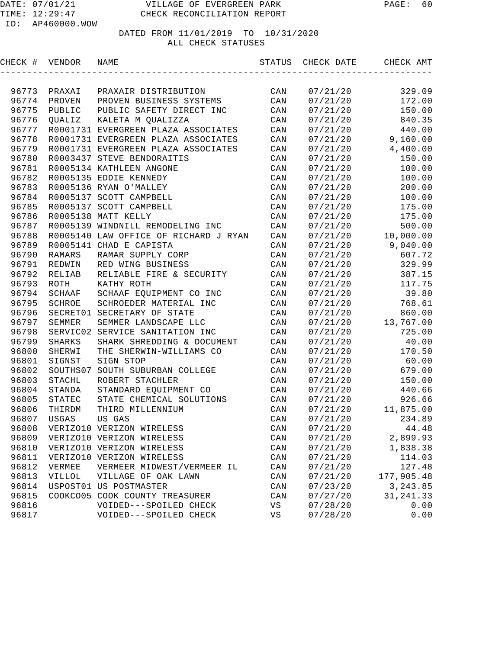| CHECK # VENDOR |               | NAME                                  | STATUS      | CHECK DATE | CHECK AMT  |
|----------------|---------------|---------------------------------------|-------------|------------|------------|
|                |               |                                       |             |            |            |
| 96773          | PRAXAI        | PRAXAIR DISTRIBUTION                  | CAN         | 07/21/20   | 329.09     |
| 96774          | PROVEN        | PROVEN BUSINESS SYSTEMS               | CAN         | 07/21/20   | 172.00     |
| 96775          | PUBLIC        | PUBLIC SAFETY DIRECT INC              | CAN         | 07/21/20   | 150.00     |
| 96776          | OUALIZ        | KALETA M QUALIZZA                     | CAN         | 07/21/20   | 840.35     |
| 96777          |               | R0001731 EVERGREEN PLAZA ASSOCIATES   | CAN         | 07/21/20   | 440.00     |
| 96778          |               | R0001731 EVERGREEN PLAZA ASSOCIATES   | CAN         | 07/21/20   | 9,160.00   |
| 96779          |               | R0001731 EVERGREEN PLAZA ASSOCIATES   | CAN         | 07/21/20   | 4,400.00   |
| 96780          |               | R0003437 STEVE BENDORAITIS            | CAN         | 07/21/20   | 150.00     |
| 96781          |               | R0005134 KATHLEEN ANGONE              | CAN         | 07/21/20   | 100.00     |
| 96782          |               | R0005135 EDDIE KENNEDY                | CAN         | 07/21/20   | 100.00     |
| 96783          |               | R0005136 RYAN O'MALLEY                | CAN         | 07/21/20   | 200.00     |
| 96784          |               | R0005137 SCOTT CAMPBELL               | CAN         | 07/21/20   | 100.00     |
| 96785          |               | R0005137 SCOTT CAMPBELL               | CAN         | 07/21/20   | 175.00     |
| 96786          |               | R0005138 MATT KELLY                   | CAN         | 07/21/20   | 175.00     |
| 96787          |               | R0005139 WINDNILL REMODELING INC      | CAN         | 07/21/20   | 500.00     |
| 96788          |               | R0005140 LAW OFFICE OF RICHARD J RYAN | CAN         | 07/21/20   | 10,000.00  |
| 96789          |               | R0005141 CHAD E CAPISTA               | CAN         | 07/21/20   | 9,040.00   |
| 96790          | RAMARS        | RAMAR SUPPLY CORP                     | CAN         | 07/21/20   | 607.72     |
| 96791          | REDWIN        | RED WING BUSINESS                     | CAN         | 07/21/20   | 329.99     |
| 96792          | <b>RELIAB</b> | RELIABLE FIRE & SECURITY              | CAN         | 07/21/20   | 387.15     |
| 96793          | ROTH          | KATHY ROTH                            | CAN         | 07/21/20   | 117.75     |
| 96794          | SCHAAF        | SCHAAF EQUIPMENT CO INC               | CAN         | 07/21/20   | 39.80      |
| 96795          | SCHROE        | SCHROEDER MATERIAL INC                | CAN         | 07/21/20   | 768.61     |
| 96796          | SECRET01      | SECRETARY OF STATE                    | CAN         | 07/21/20   | 860.00     |
| 96797          | SEMMER        | SEMMER LANDSCAPE LLC                  | CAN         | 07/21/20   | 13,767.00  |
| 96798          | SERVIC02      | SERVICE SANITATION INC                | CAN         | 07/21/20   | 725.00     |
| 96799          | SHARKS        | SHARK SHREDDING & DOCUMENT            | CAN         | 07/21/20   | 40.00      |
| 96800          | SHERWI        | THE SHERWIN-WILLIAMS CO               | CAN         | 07/21/20   | 170.50     |
| 96801          | SIGNST        | SIGN STOP                             | CAN         | 07/21/20   | 60.00      |
| 96802          | SOUTHS07      | SOUTH SUBURBAN COLLEGE                | CAN         | 07/21/20   | 679.00     |
| 96803          | STACHL        | ROBERT STACHLER                       | CAN         | 07/21/20   | 150.00     |
| 96804          | STANDA        | STANDARD EQUIPMENT CO                 | CAN         | 07/21/20   | 440.66     |
| 96805          | STATEC        | STATE CHEMICAL SOLUTIONS              | CAN         | 07/21/20   | 926.66     |
| 96806          | THIRDM        | THIRD MILLENNIUM                      | CAN         | 07/21/20   | 11,875.00  |
| 96807          | <b>USGAS</b>  | US GAS                                | CAN         | 07/21/20   | 234.89     |
| 96808          |               | VERIZO10 VERIZON WIRELESS             | CAN         | 07/21/20   | 44.48      |
| 96809          |               | VERIZO10 VERIZON WIRELESS             | CAN         | 07/21/20   | 2,899.93   |
| 96810          |               | VERIZO10 VERIZON WIRELESS             | CAN         | 07/21/20   | 1,838.38   |
| 96811          |               | VERIZO10 VERIZON WIRELESS             | CAN         | 07/21/20   | 114.03     |
| 96812          | VERMEE        | VERMEER MIDWEST/VERMEER IL            | CAN         | 07/21/20   | 127.48     |
| 96813          | VILLOL        | VILLAGE OF OAK LAWN                   | CAN         | 07/21/20   | 177,905.48 |
| 96814          |               | USPOST01 US POSTMASTER                | CAN         | 07/23/20   | 3, 243.85  |
| 96815          |               | COOKCO05 COOK COUNTY TREASURER        | CAN         | 07/27/20   | 31, 241.33 |
| 96816          |               | VOIDED---SPOILED CHECK                | $_{\rm VS}$ | 07/28/20   | 0.00       |
| 96817          |               | VOIDED---SPOILED CHECK                | VS          | 07/28/20   | 0.00       |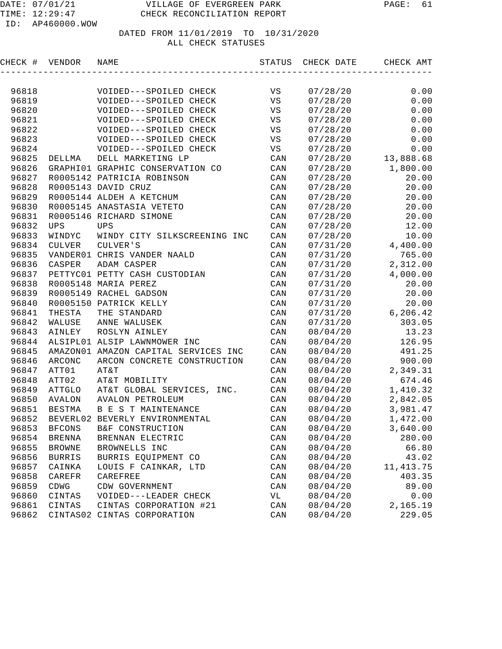| VS<br>96818<br>VOIDED---SPOILED CHECK<br>07/28/20<br>VS<br>96819<br>07/28/20<br>VOIDED---SPOILED CHECK<br>96820<br>VOIDED---SPOILED CHECK<br>VS<br>07/28/20<br>96821<br>VOIDED---SPOILED CHECK<br>VS<br>07/28/20<br>96822<br>VOIDED---SPOILED CHECK<br>VS<br>07/28/20<br>96823<br>VS<br>VOIDED---SPOILED CHECK<br>07/28/20<br>96824<br>VS<br>VOIDED---SPOILED CHECK<br>07/28/20<br>96825<br>DELL MARKETING LP<br>CAN<br>07/28/20<br>DELLMA<br>96826<br>GRAPHI01 GRAPHIC CONSERVATION CO<br>CAN<br>07/28/20<br>96827<br>R0005142 PATRICIA ROBINSON<br>CAN<br>07/28/20<br>96828<br>R0005143 DAVID CRUZ<br>CAN<br>07/28/20<br>96829<br>R0005144 ALDEH A KETCHUM<br>CAN<br>07/28/20<br>96830<br>R0005145 ANASTASIA VETETO<br>CAN<br>07/28/20<br>96831<br>R0005146 RICHARD SIMONE<br>CAN<br>07/28/20<br>96832<br><b>UPS</b><br>CAN<br><b>UPS</b><br>07/28/20<br>96833<br>CAN<br>WINDYC<br>WINDY CITY SILKSCREENING INC<br>07/28/20<br>96834<br>CULVER<br>CULVER'S<br>CAN<br>07/31/20<br>96835<br>VANDER01 CHRIS VANDER NAALD<br>CAN<br>07/31/20<br>96836<br>ADAM CASPER<br>CASPER<br>CAN<br>07/31/20<br>96837<br>PETTYC01 PETTY CASH CUSTODIAN<br>CAN<br>07/31/20<br>96838<br>R0005148 MARIA PEREZ<br>CAN<br>07/31/20<br>96839<br>R0005149 RACHEL GADSON<br>CAN<br>07/31/20<br>96840<br>R0005150 PATRICK KELLY<br>CAN<br>07/31/20<br>96841<br>THE STANDARD<br>CAN<br>THESTA<br>07/31/20<br>96842<br>ANNE WALUSEK<br>WALUSE<br>CAN<br>07/31/20<br>96843<br>AINLEY<br>ROSLYN AINLEY<br>CAN<br>08/04/20<br>96844<br>ALSIPL01 ALSIP LAWNMOWER INC<br>CAN<br>08/04/20<br>96845<br>AMAZON01 AMAZON CAPITAL SERVICES INC<br>CAN<br>08/04/20<br>96846<br>ARCONC<br>ARCON CONCRETE CONSTRUCTION<br>CAN<br>08/04/20<br>96847<br>ATT01<br>AT&T<br>CAN<br>08/04/20<br>96848<br>ATT02<br>AT&T MOBILITY<br>CAN<br>08/04/20<br>96849<br>ATTGLO<br>AT&T GLOBAL SERVICES, INC.<br>CAN<br>08/04/20<br>96850<br>AVALON<br>AVALON PETROLEUM<br>CAN<br>08/04/20<br>96851<br>BESTMA<br>B E S T MAINTENANCE<br>CAN<br>08/04/20<br>96852<br>08/04/20<br>BEVERL02 BEVERLY ENVIRONMENTAL<br>CAN<br>08/04/20<br>96853<br><b>BFCONS</b><br>B&F CONSTRUCTION<br>$\mathop{\mathtt{CAN}}$<br>96854<br>CAN<br>08/04/20<br><b>BRENNA</b><br>BRENNAN ELECTRIC<br>96855<br>$\mathtt{CAN}$<br><b>BROWNE</b><br>BROWNELLS INC<br>08/04/20<br>96856<br><b>BURRIS</b><br>BURRIS EQUIPMENT CO<br>CAN<br>08/04/20 | CHECK # | VENDOR | NAME                 | STATUS | CHECK DATE | CHECK AMT  |
|---------------------------------------------------------------------------------------------------------------------------------------------------------------------------------------------------------------------------------------------------------------------------------------------------------------------------------------------------------------------------------------------------------------------------------------------------------------------------------------------------------------------------------------------------------------------------------------------------------------------------------------------------------------------------------------------------------------------------------------------------------------------------------------------------------------------------------------------------------------------------------------------------------------------------------------------------------------------------------------------------------------------------------------------------------------------------------------------------------------------------------------------------------------------------------------------------------------------------------------------------------------------------------------------------------------------------------------------------------------------------------------------------------------------------------------------------------------------------------------------------------------------------------------------------------------------------------------------------------------------------------------------------------------------------------------------------------------------------------------------------------------------------------------------------------------------------------------------------------------------------------------------------------------------------------------------------------------------------------------------------------------------------------------------------------------------------------------------------------------------------------------------------------------------------------------------------------------------------------------------------------------------------------------------------------------------------------------------------------------------|---------|--------|----------------------|--------|------------|------------|
|                                                                                                                                                                                                                                                                                                                                                                                                                                                                                                                                                                                                                                                                                                                                                                                                                                                                                                                                                                                                                                                                                                                                                                                                                                                                                                                                                                                                                                                                                                                                                                                                                                                                                                                                                                                                                                                                                                                                                                                                                                                                                                                                                                                                                                                                                                                                                                     |         |        |                      |        |            |            |
|                                                                                                                                                                                                                                                                                                                                                                                                                                                                                                                                                                                                                                                                                                                                                                                                                                                                                                                                                                                                                                                                                                                                                                                                                                                                                                                                                                                                                                                                                                                                                                                                                                                                                                                                                                                                                                                                                                                                                                                                                                                                                                                                                                                                                                                                                                                                                                     |         |        |                      |        |            | 0.00       |
|                                                                                                                                                                                                                                                                                                                                                                                                                                                                                                                                                                                                                                                                                                                                                                                                                                                                                                                                                                                                                                                                                                                                                                                                                                                                                                                                                                                                                                                                                                                                                                                                                                                                                                                                                                                                                                                                                                                                                                                                                                                                                                                                                                                                                                                                                                                                                                     |         |        |                      |        |            | 0.00       |
|                                                                                                                                                                                                                                                                                                                                                                                                                                                                                                                                                                                                                                                                                                                                                                                                                                                                                                                                                                                                                                                                                                                                                                                                                                                                                                                                                                                                                                                                                                                                                                                                                                                                                                                                                                                                                                                                                                                                                                                                                                                                                                                                                                                                                                                                                                                                                                     |         |        |                      |        |            | 0.00       |
|                                                                                                                                                                                                                                                                                                                                                                                                                                                                                                                                                                                                                                                                                                                                                                                                                                                                                                                                                                                                                                                                                                                                                                                                                                                                                                                                                                                                                                                                                                                                                                                                                                                                                                                                                                                                                                                                                                                                                                                                                                                                                                                                                                                                                                                                                                                                                                     |         |        |                      |        |            | 0.00       |
|                                                                                                                                                                                                                                                                                                                                                                                                                                                                                                                                                                                                                                                                                                                                                                                                                                                                                                                                                                                                                                                                                                                                                                                                                                                                                                                                                                                                                                                                                                                                                                                                                                                                                                                                                                                                                                                                                                                                                                                                                                                                                                                                                                                                                                                                                                                                                                     |         |        |                      |        |            | 0.00       |
|                                                                                                                                                                                                                                                                                                                                                                                                                                                                                                                                                                                                                                                                                                                                                                                                                                                                                                                                                                                                                                                                                                                                                                                                                                                                                                                                                                                                                                                                                                                                                                                                                                                                                                                                                                                                                                                                                                                                                                                                                                                                                                                                                                                                                                                                                                                                                                     |         |        |                      |        |            | 0.00       |
|                                                                                                                                                                                                                                                                                                                                                                                                                                                                                                                                                                                                                                                                                                                                                                                                                                                                                                                                                                                                                                                                                                                                                                                                                                                                                                                                                                                                                                                                                                                                                                                                                                                                                                                                                                                                                                                                                                                                                                                                                                                                                                                                                                                                                                                                                                                                                                     |         |        |                      |        |            | 0.00       |
|                                                                                                                                                                                                                                                                                                                                                                                                                                                                                                                                                                                                                                                                                                                                                                                                                                                                                                                                                                                                                                                                                                                                                                                                                                                                                                                                                                                                                                                                                                                                                                                                                                                                                                                                                                                                                                                                                                                                                                                                                                                                                                                                                                                                                                                                                                                                                                     |         |        |                      |        |            | 13,888.68  |
|                                                                                                                                                                                                                                                                                                                                                                                                                                                                                                                                                                                                                                                                                                                                                                                                                                                                                                                                                                                                                                                                                                                                                                                                                                                                                                                                                                                                                                                                                                                                                                                                                                                                                                                                                                                                                                                                                                                                                                                                                                                                                                                                                                                                                                                                                                                                                                     |         |        |                      |        |            | 1,800.00   |
|                                                                                                                                                                                                                                                                                                                                                                                                                                                                                                                                                                                                                                                                                                                                                                                                                                                                                                                                                                                                                                                                                                                                                                                                                                                                                                                                                                                                                                                                                                                                                                                                                                                                                                                                                                                                                                                                                                                                                                                                                                                                                                                                                                                                                                                                                                                                                                     |         |        |                      |        |            | 20.00      |
|                                                                                                                                                                                                                                                                                                                                                                                                                                                                                                                                                                                                                                                                                                                                                                                                                                                                                                                                                                                                                                                                                                                                                                                                                                                                                                                                                                                                                                                                                                                                                                                                                                                                                                                                                                                                                                                                                                                                                                                                                                                                                                                                                                                                                                                                                                                                                                     |         |        |                      |        |            | 20.00      |
|                                                                                                                                                                                                                                                                                                                                                                                                                                                                                                                                                                                                                                                                                                                                                                                                                                                                                                                                                                                                                                                                                                                                                                                                                                                                                                                                                                                                                                                                                                                                                                                                                                                                                                                                                                                                                                                                                                                                                                                                                                                                                                                                                                                                                                                                                                                                                                     |         |        |                      |        |            | 20.00      |
|                                                                                                                                                                                                                                                                                                                                                                                                                                                                                                                                                                                                                                                                                                                                                                                                                                                                                                                                                                                                                                                                                                                                                                                                                                                                                                                                                                                                                                                                                                                                                                                                                                                                                                                                                                                                                                                                                                                                                                                                                                                                                                                                                                                                                                                                                                                                                                     |         |        |                      |        |            | 20.00      |
|                                                                                                                                                                                                                                                                                                                                                                                                                                                                                                                                                                                                                                                                                                                                                                                                                                                                                                                                                                                                                                                                                                                                                                                                                                                                                                                                                                                                                                                                                                                                                                                                                                                                                                                                                                                                                                                                                                                                                                                                                                                                                                                                                                                                                                                                                                                                                                     |         |        |                      |        |            | 20.00      |
|                                                                                                                                                                                                                                                                                                                                                                                                                                                                                                                                                                                                                                                                                                                                                                                                                                                                                                                                                                                                                                                                                                                                                                                                                                                                                                                                                                                                                                                                                                                                                                                                                                                                                                                                                                                                                                                                                                                                                                                                                                                                                                                                                                                                                                                                                                                                                                     |         |        |                      |        |            | 12.00      |
|                                                                                                                                                                                                                                                                                                                                                                                                                                                                                                                                                                                                                                                                                                                                                                                                                                                                                                                                                                                                                                                                                                                                                                                                                                                                                                                                                                                                                                                                                                                                                                                                                                                                                                                                                                                                                                                                                                                                                                                                                                                                                                                                                                                                                                                                                                                                                                     |         |        |                      |        |            | 10.00      |
|                                                                                                                                                                                                                                                                                                                                                                                                                                                                                                                                                                                                                                                                                                                                                                                                                                                                                                                                                                                                                                                                                                                                                                                                                                                                                                                                                                                                                                                                                                                                                                                                                                                                                                                                                                                                                                                                                                                                                                                                                                                                                                                                                                                                                                                                                                                                                                     |         |        |                      |        |            | 4,400.00   |
|                                                                                                                                                                                                                                                                                                                                                                                                                                                                                                                                                                                                                                                                                                                                                                                                                                                                                                                                                                                                                                                                                                                                                                                                                                                                                                                                                                                                                                                                                                                                                                                                                                                                                                                                                                                                                                                                                                                                                                                                                                                                                                                                                                                                                                                                                                                                                                     |         |        |                      |        |            | 765.00     |
|                                                                                                                                                                                                                                                                                                                                                                                                                                                                                                                                                                                                                                                                                                                                                                                                                                                                                                                                                                                                                                                                                                                                                                                                                                                                                                                                                                                                                                                                                                                                                                                                                                                                                                                                                                                                                                                                                                                                                                                                                                                                                                                                                                                                                                                                                                                                                                     |         |        |                      |        |            | 2,312.00   |
|                                                                                                                                                                                                                                                                                                                                                                                                                                                                                                                                                                                                                                                                                                                                                                                                                                                                                                                                                                                                                                                                                                                                                                                                                                                                                                                                                                                                                                                                                                                                                                                                                                                                                                                                                                                                                                                                                                                                                                                                                                                                                                                                                                                                                                                                                                                                                                     |         |        |                      |        |            | 4,000.00   |
|                                                                                                                                                                                                                                                                                                                                                                                                                                                                                                                                                                                                                                                                                                                                                                                                                                                                                                                                                                                                                                                                                                                                                                                                                                                                                                                                                                                                                                                                                                                                                                                                                                                                                                                                                                                                                                                                                                                                                                                                                                                                                                                                                                                                                                                                                                                                                                     |         |        |                      |        |            | 20.00      |
|                                                                                                                                                                                                                                                                                                                                                                                                                                                                                                                                                                                                                                                                                                                                                                                                                                                                                                                                                                                                                                                                                                                                                                                                                                                                                                                                                                                                                                                                                                                                                                                                                                                                                                                                                                                                                                                                                                                                                                                                                                                                                                                                                                                                                                                                                                                                                                     |         |        |                      |        |            | 20.00      |
|                                                                                                                                                                                                                                                                                                                                                                                                                                                                                                                                                                                                                                                                                                                                                                                                                                                                                                                                                                                                                                                                                                                                                                                                                                                                                                                                                                                                                                                                                                                                                                                                                                                                                                                                                                                                                                                                                                                                                                                                                                                                                                                                                                                                                                                                                                                                                                     |         |        |                      |        |            | 20.00      |
|                                                                                                                                                                                                                                                                                                                                                                                                                                                                                                                                                                                                                                                                                                                                                                                                                                                                                                                                                                                                                                                                                                                                                                                                                                                                                                                                                                                                                                                                                                                                                                                                                                                                                                                                                                                                                                                                                                                                                                                                                                                                                                                                                                                                                                                                                                                                                                     |         |        |                      |        |            | 6,206.42   |
|                                                                                                                                                                                                                                                                                                                                                                                                                                                                                                                                                                                                                                                                                                                                                                                                                                                                                                                                                                                                                                                                                                                                                                                                                                                                                                                                                                                                                                                                                                                                                                                                                                                                                                                                                                                                                                                                                                                                                                                                                                                                                                                                                                                                                                                                                                                                                                     |         |        |                      |        |            | 303.05     |
|                                                                                                                                                                                                                                                                                                                                                                                                                                                                                                                                                                                                                                                                                                                                                                                                                                                                                                                                                                                                                                                                                                                                                                                                                                                                                                                                                                                                                                                                                                                                                                                                                                                                                                                                                                                                                                                                                                                                                                                                                                                                                                                                                                                                                                                                                                                                                                     |         |        |                      |        |            | 13.23      |
|                                                                                                                                                                                                                                                                                                                                                                                                                                                                                                                                                                                                                                                                                                                                                                                                                                                                                                                                                                                                                                                                                                                                                                                                                                                                                                                                                                                                                                                                                                                                                                                                                                                                                                                                                                                                                                                                                                                                                                                                                                                                                                                                                                                                                                                                                                                                                                     |         |        |                      |        |            | 126.95     |
|                                                                                                                                                                                                                                                                                                                                                                                                                                                                                                                                                                                                                                                                                                                                                                                                                                                                                                                                                                                                                                                                                                                                                                                                                                                                                                                                                                                                                                                                                                                                                                                                                                                                                                                                                                                                                                                                                                                                                                                                                                                                                                                                                                                                                                                                                                                                                                     |         |        |                      |        |            | 491.25     |
|                                                                                                                                                                                                                                                                                                                                                                                                                                                                                                                                                                                                                                                                                                                                                                                                                                                                                                                                                                                                                                                                                                                                                                                                                                                                                                                                                                                                                                                                                                                                                                                                                                                                                                                                                                                                                                                                                                                                                                                                                                                                                                                                                                                                                                                                                                                                                                     |         |        |                      |        |            | 900.00     |
|                                                                                                                                                                                                                                                                                                                                                                                                                                                                                                                                                                                                                                                                                                                                                                                                                                                                                                                                                                                                                                                                                                                                                                                                                                                                                                                                                                                                                                                                                                                                                                                                                                                                                                                                                                                                                                                                                                                                                                                                                                                                                                                                                                                                                                                                                                                                                                     |         |        |                      |        |            | 2,349.31   |
|                                                                                                                                                                                                                                                                                                                                                                                                                                                                                                                                                                                                                                                                                                                                                                                                                                                                                                                                                                                                                                                                                                                                                                                                                                                                                                                                                                                                                                                                                                                                                                                                                                                                                                                                                                                                                                                                                                                                                                                                                                                                                                                                                                                                                                                                                                                                                                     |         |        |                      |        |            | 674.46     |
|                                                                                                                                                                                                                                                                                                                                                                                                                                                                                                                                                                                                                                                                                                                                                                                                                                                                                                                                                                                                                                                                                                                                                                                                                                                                                                                                                                                                                                                                                                                                                                                                                                                                                                                                                                                                                                                                                                                                                                                                                                                                                                                                                                                                                                                                                                                                                                     |         |        |                      |        |            | 1,410.32   |
|                                                                                                                                                                                                                                                                                                                                                                                                                                                                                                                                                                                                                                                                                                                                                                                                                                                                                                                                                                                                                                                                                                                                                                                                                                                                                                                                                                                                                                                                                                                                                                                                                                                                                                                                                                                                                                                                                                                                                                                                                                                                                                                                                                                                                                                                                                                                                                     |         |        |                      |        |            | 2,842.05   |
|                                                                                                                                                                                                                                                                                                                                                                                                                                                                                                                                                                                                                                                                                                                                                                                                                                                                                                                                                                                                                                                                                                                                                                                                                                                                                                                                                                                                                                                                                                                                                                                                                                                                                                                                                                                                                                                                                                                                                                                                                                                                                                                                                                                                                                                                                                                                                                     |         |        |                      |        |            | 3,981.47   |
|                                                                                                                                                                                                                                                                                                                                                                                                                                                                                                                                                                                                                                                                                                                                                                                                                                                                                                                                                                                                                                                                                                                                                                                                                                                                                                                                                                                                                                                                                                                                                                                                                                                                                                                                                                                                                                                                                                                                                                                                                                                                                                                                                                                                                                                                                                                                                                     |         |        |                      |        |            | 1,472.00   |
|                                                                                                                                                                                                                                                                                                                                                                                                                                                                                                                                                                                                                                                                                                                                                                                                                                                                                                                                                                                                                                                                                                                                                                                                                                                                                                                                                                                                                                                                                                                                                                                                                                                                                                                                                                                                                                                                                                                                                                                                                                                                                                                                                                                                                                                                                                                                                                     |         |        |                      |        |            | 3,640.00   |
|                                                                                                                                                                                                                                                                                                                                                                                                                                                                                                                                                                                                                                                                                                                                                                                                                                                                                                                                                                                                                                                                                                                                                                                                                                                                                                                                                                                                                                                                                                                                                                                                                                                                                                                                                                                                                                                                                                                                                                                                                                                                                                                                                                                                                                                                                                                                                                     |         |        |                      |        |            | 280.00     |
|                                                                                                                                                                                                                                                                                                                                                                                                                                                                                                                                                                                                                                                                                                                                                                                                                                                                                                                                                                                                                                                                                                                                                                                                                                                                                                                                                                                                                                                                                                                                                                                                                                                                                                                                                                                                                                                                                                                                                                                                                                                                                                                                                                                                                                                                                                                                                                     |         |        |                      |        |            | 66.80      |
|                                                                                                                                                                                                                                                                                                                                                                                                                                                                                                                                                                                                                                                                                                                                                                                                                                                                                                                                                                                                                                                                                                                                                                                                                                                                                                                                                                                                                                                                                                                                                                                                                                                                                                                                                                                                                                                                                                                                                                                                                                                                                                                                                                                                                                                                                                                                                                     |         |        |                      |        |            | 43.02      |
|                                                                                                                                                                                                                                                                                                                                                                                                                                                                                                                                                                                                                                                                                                                                                                                                                                                                                                                                                                                                                                                                                                                                                                                                                                                                                                                                                                                                                                                                                                                                                                                                                                                                                                                                                                                                                                                                                                                                                                                                                                                                                                                                                                                                                                                                                                                                                                     | 96857   | CAINKA | LOUIS F CAINKAR, LTD | CAN    | 08/04/20   | 11, 413.75 |
| 96858<br>CAREFR<br>CAN<br>08/04/20<br>CAREFREE                                                                                                                                                                                                                                                                                                                                                                                                                                                                                                                                                                                                                                                                                                                                                                                                                                                                                                                                                                                                                                                                                                                                                                                                                                                                                                                                                                                                                                                                                                                                                                                                                                                                                                                                                                                                                                                                                                                                                                                                                                                                                                                                                                                                                                                                                                                      |         |        |                      |        |            | 403.35     |
| 96859<br>CDWG<br>CDW GOVERNMENT<br>CAN<br>08/04/20                                                                                                                                                                                                                                                                                                                                                                                                                                                                                                                                                                                                                                                                                                                                                                                                                                                                                                                                                                                                                                                                                                                                                                                                                                                                                                                                                                                                                                                                                                                                                                                                                                                                                                                                                                                                                                                                                                                                                                                                                                                                                                                                                                                                                                                                                                                  |         |        |                      |        |            | 89.00      |
| 96860<br>CINTAS<br>VOIDED---LEADER CHECK<br>VL<br>08/04/20                                                                                                                                                                                                                                                                                                                                                                                                                                                                                                                                                                                                                                                                                                                                                                                                                                                                                                                                                                                                                                                                                                                                                                                                                                                                                                                                                                                                                                                                                                                                                                                                                                                                                                                                                                                                                                                                                                                                                                                                                                                                                                                                                                                                                                                                                                          |         |        |                      |        |            | 0.00       |
| 96861<br>CINTAS<br>CINTAS CORPORATION #21<br>CAN<br>08/04/20                                                                                                                                                                                                                                                                                                                                                                                                                                                                                                                                                                                                                                                                                                                                                                                                                                                                                                                                                                                                                                                                                                                                                                                                                                                                                                                                                                                                                                                                                                                                                                                                                                                                                                                                                                                                                                                                                                                                                                                                                                                                                                                                                                                                                                                                                                        |         |        |                      |        |            | 2,165.19   |
| 96862<br>CINTAS02 CINTAS CORPORATION<br>CAN<br>08/04/20                                                                                                                                                                                                                                                                                                                                                                                                                                                                                                                                                                                                                                                                                                                                                                                                                                                                                                                                                                                                                                                                                                                                                                                                                                                                                                                                                                                                                                                                                                                                                                                                                                                                                                                                                                                                                                                                                                                                                                                                                                                                                                                                                                                                                                                                                                             |         |        |                      |        |            | 229.05     |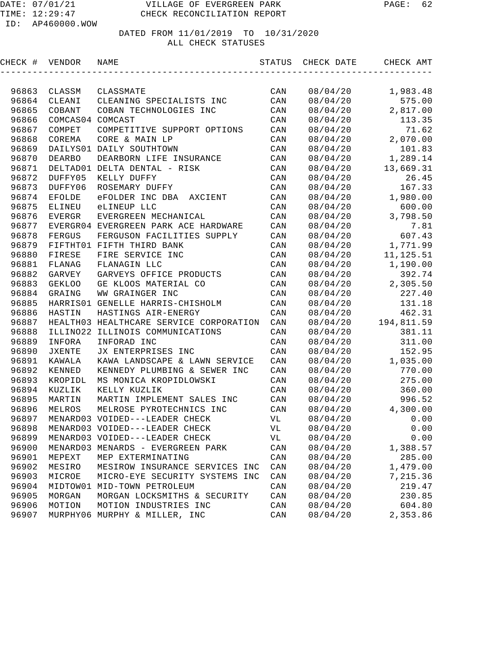| CHECK # | VENDOR           | NAME                                    | STATUS | CHECK DATE | CHECK AMT  |
|---------|------------------|-----------------------------------------|--------|------------|------------|
|         |                  |                                         |        |            |            |
| 96863   | CLASSM           | CLASSMATE                               | CAN    | 08/04/20   | 1,983.48   |
| 96864   | CLEANI           | CLEANING SPECIALISTS INC                | CAN    | 08/04/20   | 575.00     |
| 96865   | COBANT           | COBAN TECHNOLOGIES INC                  | CAN    | 08/04/20   | 2,817.00   |
| 96866   | COMCAS04 COMCAST |                                         | CAN    | 08/04/20   | 113.35     |
| 96867   | COMPET           | COMPETITIVE SUPPORT OPTIONS             | CAN    | 08/04/20   | 71.62      |
| 96868   | COREMA           | CORE & MAIN LP                          | CAN    | 08/04/20   | 2,070.00   |
| 96869   |                  | DAILYS01 DAILY SOUTHTOWN                | CAN    | 08/04/20   | 101.83     |
| 96870   | <b>DEARBO</b>    | DEARBORN LIFE INSURANCE                 | CAN    | 08/04/20   | 1,289.14   |
| 96871   |                  | DELTAD01 DELTA DENTAL - RISK            | CAN    | 08/04/20   | 13,669.31  |
| 96872   | DUFFY05          | KELLY DUFFY                             | CAN    | 08/04/20   | 26.45      |
| 96873   | DUFFY06          | ROSEMARY DUFFY                          | CAN    | 08/04/20   | 167.33     |
| 96874   | EFOLDE           | eFOLDER INC DBA<br>AXCIENT              | CAN    | 08/04/20   | 1,980.00   |
| 96875   | ELINEU           | eLINEUP LLC                             | CAN    | 08/04/20   | 600.00     |
| 96876   | EVERGR           | EVERGREEN MECHANICAL                    | CAN    | 08/04/20   | 3,798.50   |
| 96877   |                  | EVERGR04 EVERGREEN PARK ACE HARDWARE    | CAN    | 08/04/20   | 7.81       |
| 96878   | FERGUS           | FERGUSON FACILITIES SUPPLY              | CAN    | 08/04/20   | 607.43     |
| 96879   |                  | FIFTHT01 FIFTH THIRD BANK               | CAN    | 08/04/20   | 1,771.99   |
| 96880   | FIRESE           | FIRE SERVICE INC                        | CAN    | 08/04/20   | 11, 125.51 |
| 96881   | FLANAG           | FLANAGIN LLC                            | CAN    | 08/04/20   | 1,190.00   |
| 96882   | GARVEY           | GARVEYS OFFICE PRODUCTS                 | CAN    | 08/04/20   | 392.74     |
| 96883   | <b>GEKLOO</b>    | GE KLOOS MATERIAL CO                    | CAN    | 08/04/20   | 2,305.50   |
| 96884   | GRAING           | WW GRAINGER INC                         | CAN    | 08/04/20   | 227.40     |
| 96885   |                  | HARRISO1 GENELLE HARRIS-CHISHOLM        | CAN    | 08/04/20   | 131.18     |
| 96886   | HASTIN           | HASTINGS AIR-ENERGY                     | CAN    | 08/04/20   | 462.31     |
| 96887   |                  | HEALTH03 HEALTHCARE SERVICE CORPORATION | CAN    | 08/04/20   | 194,811.59 |
| 96888   | ILLINO22         | ILLINOIS COMMUNICATIONS                 | CAN    | 08/04/20   | 381.11     |
| 96889   | INFORA           | INFORAD INC                             | CAN    | 08/04/20   | 311.00     |
| 96890   | JXENTE           | JX ENTERPRISES INC                      | CAN    | 08/04/20   | 152.95     |
| 96891   | KAWALA           | KAWA LANDSCAPE & LAWN SERVICE           | CAN    | 08/04/20   | 1,035.00   |
| 96892   | KENNED           | KENNEDY PLUMBING & SEWER INC            | CAN    | 08/04/20   | 770.00     |
| 96893   | KROPIDL          | MS MONICA KROPIDLOWSKI                  | CAN    | 08/04/20   | 275.00     |
| 96894   | KUZLIK           | KELLY KUZLIK                            | CAN    | 08/04/20   | 360.00     |
| 96895   | MARTIN           | MARTIN IMPLEMENT SALES INC              | CAN    | 08/04/20   | 996.52     |
| 96896   | MELROS           | MELROSE PYROTECHNICS INC                | CAN    | 08/04/20   | 4,300.00   |
| 96897   |                  | MENARD03 VOIDED---LEADER CHECK          | VL     | 08/04/20   | 0.00       |
| 96898   |                  | MENARD03 VOIDED---LEADER CHECK          | VL     | 08/04/20   | 0.00       |
| 96899   |                  | MENARD03 VOIDED---LEADER CHECK          | VL     | 08/04/20   | 0.00       |
| 96900   |                  | MENARD03 MENARDS - EVERGREEN PARK       | CAN    | 08/04/20   | 1,388.57   |
| 96901   | MEPEXT           | MEP EXTERMINATING                       | CAN    | 08/04/20   | 285.00     |
| 96902   | MESIRO           | MESIROW INSURANCE SERVICES INC          | CAN    | 08/04/20   | 1,479.00   |
| 96903   | MICROE           | MICRO-EYE SECURITY SYSTEMS INC          | CAN    | 08/04/20   | 7,215.36   |
| 96904   |                  | MIDTOW01 MID-TOWN PETROLEUM             | CAN    | 08/04/20   | 219.47     |
| 96905   | MORGAN           | MORGAN LOCKSMITHS & SECURITY            | CAN    | 08/04/20   | 230.85     |
| 96906   | MOTION           | MOTION INDUSTRIES INC                   | CAN    | 08/04/20   | 604.80     |
| 96907   |                  | MURPHY06 MURPHY & MILLER, INC           | CAN    | 08/04/20   | 2,353.86   |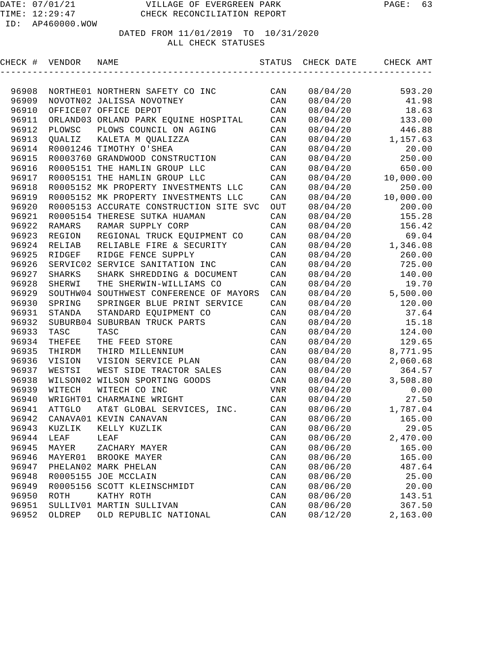| CHECK #        | VENDOR        | NAME                                         | STATUS         | CHECK DATE           | CHECK AMT        |
|----------------|---------------|----------------------------------------------|----------------|----------------------|------------------|
|                |               |                                              |                |                      |                  |
| 96908          |               | NORTHE01 NORTHERN SAFETY CO INC              | CAN            | 08/04/20             | 593.20           |
| 96909          |               | NOVOTN02 JALISSA NOVOTNEY                    | CAN            | 08/04/20             | 41.98            |
| 96910          |               | OFFICE07 OFFICE DEPOT                        | CAN            | 08/04/20             | 18.63            |
| 96911          |               | ORLAND03 ORLAND PARK EQUINE HOSPITAL         | CAN            | 08/04/20             | 133.00           |
| 96912          | PLOWSC        | PLOWS COUNCIL ON AGING                       | CAN            | 08/04/20             | 446.88           |
| 96913          | QUALIZ        | KALETA M QUALIZZA                            | CAN            | 08/04/20             | 1,157.63         |
| 96914          |               | R0001246 TIMOTHY O'SHEA                      | CAN            | 08/04/20             | 20.00            |
| 96915          |               | R0003760 GRANDWOOD CONSTRUCTION              | CAN            | 08/04/20             | 250.00           |
| 96916          |               | R0005151 THE HAMLIN GROUP LLC                | CAN            | 08/04/20             | 650.00           |
| 96917          |               | R0005151 THE HAMLIN GROUP LLC                | CAN            | 08/04/20             | 10,000.00        |
| 96918          |               | R0005152 MK PROPERTY INVESTMENTS LLC         | $\mathtt{CAN}$ | 08/04/20             | 250.00           |
| 96919          |               | R0005152 MK PROPERTY INVESTMENTS LLC         | $\mathtt{CAN}$ | 08/04/20             | 10,000.00        |
| 96920          |               | R0005153 ACCURATE CONSTRUCTION SITE SVC      | OUT            | 08/04/20             | 200.00           |
| 96921          |               | R0005154 THERESE SUTKA HUAMAN                | CAN            | 08/04/20             | 155.28           |
| 96922          | RAMARS        | RAMAR SUPPLY CORP                            | CAN            | 08/04/20             | 156.42           |
| 96923          | REGION        | REGIONAL TRUCK EQUIPMENT CO                  | $\mathtt{CAN}$ | 08/04/20             | 69.04            |
| 96924          | RELIAB        | RELIABLE FIRE & SECURITY                     | CAN            | 08/04/20             | 1,346.08         |
| 96925          | RIDGEF        | RIDGE FENCE SUPPLY                           | CAN            | 08/04/20             | 260.00           |
| 96926          |               | SERVIC02 SERVICE SANITATION INC              | CAN            | 08/04/20             | 725.00           |
| 96927          | SHARKS        | SHARK SHREDDING & DOCUMENT                   | CAN            | 08/04/20             | 140.00           |
| 96928          | SHERWI        | THE SHERWIN-WILLIAMS CO                      | CAN            | 08/04/20             | 19.70            |
| 96929          |               | SOUTHW04 SOUTHWEST CONFERENCE OF MAYORS      | CAN            | 08/04/20             | 5,500.00         |
| 96930          | SPRING        | SPRINGER BLUE PRINT SERVICE                  | CAN            | 08/04/20             | 120.00           |
| 96931          | STANDA        | STANDARD EQUIPMENT CO                        | CAN            | 08/04/20             | 37.64            |
| 96932          |               | SUBURB04 SUBURBAN TRUCK PARTS                | CAN            | 08/04/20             | 15.18            |
| 96933          | TASC          | TASC                                         | CAN            | 08/04/20             | 124.00           |
| 96934          | THEFEE        | THE FEED STORE                               | CAN            | 08/04/20             | 129.65           |
| 96935          | THIRDM        | THIRD MILLENNIUM                             | CAN            | 08/04/20             | 8,771.95         |
| 96936          | VISION        | VISION SERVICE PLAN                          | CAN            | 08/04/20             | 2,060.68         |
| 96937          | WESTSI        | WEST SIDE TRACTOR SALES                      | CAN            | 08/04/20             | 364.57           |
| 96938          | WILSON02      | WILSON SPORTING GOODS                        | CAN            | 08/04/20             | 3,508.80         |
| 96939          | WITECH        | WITECH CO INC                                | VNR            | 08/04/20             | 0.00             |
| 96940          |               | WRIGHT01 CHARMAINE WRIGHT                    | CAN            | 08/04/20             | 27.50            |
| 96941          | <b>ATTGLO</b> | AT&T GLOBAL SERVICES, INC.                   | CAN            | 08/06/20             | 1,787.04         |
| 96942          |               | CANAVA01 KEVIN CANAVAN                       | CAN            | 08/06/20             | 165.00           |
|                | 96943 KUZLIK  | KELLY KUZLIK                                 | $\mathtt{CAN}$ | 08/06/20             | 29.05            |
| 96944          | LEAF          | LEAF                                         | CAN            | 08/06/20             | 2,470.00         |
| 96945          | MAYER         | ZACHARY MAYER                                | $\mathtt{CAN}$ | 08/06/20             | 165.00           |
| 96946          | MAYER01       | BROOKE MAYER                                 | $\mathtt{CAN}$ | 08/06/20             | 165.00           |
| 96947          |               | PHELAN02 MARK PHELAN<br>R0005155 JOE MCCLAIN | $\mathtt{CAN}$ | 08/06/20             | 487.64           |
| 96948          |               |                                              | $\mathtt{CAN}$ | 08/06/20             | 25.00            |
| 96949<br>96950 |               | R0005156 SCOTT KLEINSCHMIDT                  | $\mathtt{CAN}$ | 08/06/20             | 20.00            |
| 96951          | ROTH          | KATHY ROTH<br>SULLIV01 MARTIN SULLIVAN       | CAN<br>CAN     | 08/06/20<br>08/06/20 | 143.51<br>367.50 |
| 96952          | OLDREP        | OLD REPUBLIC NATIONAL                        | $\mathtt{CAN}$ | 08/12/20             | 2,163.00         |
|                |               |                                              |                |                      |                  |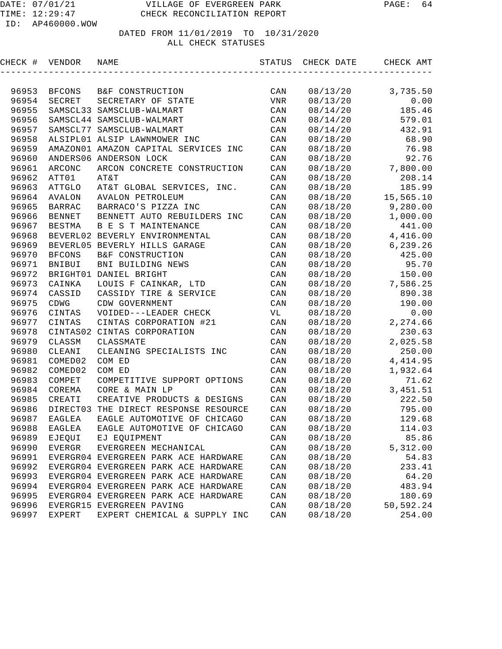| CHECK # | VENDOR        | NAME                                 | STATUS         | CHECK DATE | CHECK AMT |
|---------|---------------|--------------------------------------|----------------|------------|-----------|
|         |               |                                      |                |            |           |
| 96953   | BFCONS        | B&F CONSTRUCTION                     | CAN            | 08/13/20   | 3,735.50  |
| 96954   | SECRET        | SECRETARY OF STATE                   | VNR            | 08/13/20   | 0.00      |
| 96955   |               | SAMSCL33 SAMSCLUB-WALMART            | CAN            | 08/14/20   | 185.46    |
| 96956   |               | SAMSCL44 SAMSCLUB-WALMART            | CAN            | 08/14/20   | 579.01    |
| 96957   |               | SAMSCL77 SAMSCLUB-WALMART            | CAN            | 08/14/20   | 432.91    |
| 96958   |               | ALSIPL01 ALSIP LAWNMOWER INC         | CAN            | 08/18/20   | 68.90     |
| 96959   |               | AMAZON01 AMAZON CAPITAL SERVICES INC | CAN            | 08/18/20   | 76.98     |
| 96960   |               | ANDERS06 ANDERSON LOCK               | CAN            | 08/18/20   | 92.76     |
| 96961   | ARCONC        | ARCON CONCRETE CONSTRUCTION          | CAN            | 08/18/20   | 7,800.00  |
| 96962   | ATT01         | AT&T                                 | CAN            | 08/18/20   | 208.14    |
| 96963   | <b>ATTGLO</b> | AT&T GLOBAL SERVICES, INC.           | CAN            | 08/18/20   | 185.99    |
| 96964   | AVALON        | AVALON PETROLEUM                     | CAN            | 08/18/20   | 15,565.10 |
| 96965   | <b>BARRAC</b> | BARRACO'S PIZZA INC                  | CAN            | 08/18/20   | 9,280.00  |
| 96966   | <b>BENNET</b> | BENNETT AUTO REBUILDERS INC          | CAN            | 08/18/20   | 1,000.00  |
| 96967   | <b>BESTMA</b> | B E S T MAINTENANCE                  | CAN            | 08/18/20   | 441.00    |
| 96968   |               | BEVERL02 BEVERLY ENVIRONMENTAL       | CAN            | 08/18/20   | 4,416.00  |
| 96969   |               | BEVERL05 BEVERLY HILLS GARAGE        | CAN            | 08/18/20   | 6,239.26  |
| 96970   | <b>BFCONS</b> | B&F CONSTRUCTION                     | CAN            | 08/18/20   | 425.00    |
| 96971   | BNIBUI        | BNI BUILDING NEWS                    | CAN            | 08/18/20   | 95.70     |
| 96972   |               | BRIGHT01 DANIEL BRIGHT               | CAN            | 08/18/20   | 150.00    |
| 96973   | CAINKA        | LOUIS F CAINKAR, LTD                 | CAN            | 08/18/20   | 7,586.25  |
| 96974   | CASSID        | CASSIDY TIRE & SERVICE               | CAN            | 08/18/20   | 890.38    |
| 96975   | CDWG          | CDW GOVERNMENT                       | CAN            | 08/18/20   | 190.00    |
| 96976   | CINTAS        | VOIDED---LEADER CHECK                | VL             | 08/18/20   | 0.00      |
| 96977   | CINTAS        | CINTAS CORPORATION #21               | CAN            | 08/18/20   | 2,274.66  |
| 96978   |               | CINTAS02 CINTAS CORPORATION          | CAN            | 08/18/20   | 230.63    |
| 96979   | CLASSM        | CLASSMATE                            | CAN            | 08/18/20   | 2,025.58  |
| 96980   | CLEANI        | CLEANING SPECIALISTS INC             | CAN            | 08/18/20   | 250.00    |
| 96981   | COMED02       | COM ED                               | CAN            | 08/18/20   | 4, 414.95 |
| 96982   | COMED02       | COM ED                               | CAN            | 08/18/20   | 1,932.64  |
| 96983   | COMPET        | COMPETITIVE SUPPORT OPTIONS          | CAN            | 08/18/20   | 71.62     |
| 96984   | COREMA        | CORE & MAIN LP                       | CAN            | 08/18/20   | 3,451.51  |
| 96985   | CREATI        | CREATIVE PRODUCTS & DESIGNS          | CAN            | 08/18/20   | 222.50    |
| 96986   | DIRECT03      | THE DIRECT RESPONSE RESOURCE         | CAN            | 08/18/20   | 795.00    |
| 96987   | EAGLEA        | EAGLE AUTOMOTIVE OF CHICAGO          | CAN            | 08/18/20   | 129.68    |
| 96988   | EAGLEA        | EAGLE AUTOMOTIVE OF CHICAGO          | $\mathtt{CAN}$ | 08/18/20   | 114.03    |
| 96989   | EJEQUI        | EJ EQUIPMENT                         | CAN            | 08/18/20   | 85.86     |
| 96990   | EVERGR        | EVERGREEN MECHANICAL                 | CAN            | 08/18/20   | 5,312.00  |
| 96991   |               | EVERGR04 EVERGREEN PARK ACE HARDWARE | CAN            | 08/18/20   | 54.83     |
| 96992   |               | EVERGR04 EVERGREEN PARK ACE HARDWARE | CAN            | 08/18/20   | 233.41    |
| 96993   |               | EVERGR04 EVERGREEN PARK ACE HARDWARE | CAN            | 08/18/20   | 64.20     |
| 96994   |               | EVERGR04 EVERGREEN PARK ACE HARDWARE | CAN            | 08/18/20   | 483.94    |
| 96995   |               | EVERGR04 EVERGREEN PARK ACE HARDWARE | CAN            | 08/18/20   | 180.69    |
| 96996   |               | EVERGR15 EVERGREEN PAVING            | CAN            | 08/18/20   | 50,592.24 |
| 96997   | EXPERT        | EXPERT CHEMICAL & SUPPLY INC         | CAN            | 08/18/20   | 254.00    |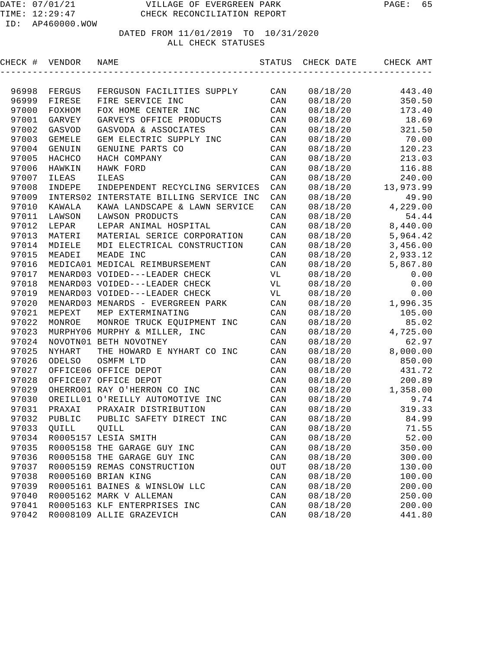| CHECK # | VENDOR        | NAME                                    | STATUS                  | CHECK DATE | CHECK AMT |
|---------|---------------|-----------------------------------------|-------------------------|------------|-----------|
|         |               |                                         |                         |            |           |
| 96998   | FERGUS        | FERGUSON FACILITIES SUPPLY              | CAN                     | 08/18/20   | 443.40    |
| 96999   | FIRESE        | FIRE SERVICE INC                        | CAN                     | 08/18/20   | 350.50    |
| 97000   | FOXHOM        | FOX HOME CENTER INC                     | CAN                     | 08/18/20   | 173.40    |
| 97001   | GARVEY        | GARVEYS OFFICE PRODUCTS                 | CAN                     | 08/18/20   | 18.69     |
| 97002   | GASVOD        | GASVODA & ASSOCIATES                    | CAN                     | 08/18/20   | 321.50    |
| 97003   | <b>GEMELE</b> | GEM ELECTRIC SUPPLY INC                 | CAN                     | 08/18/20   | 70.00     |
| 97004   | GENUIN        | GENUINE PARTS CO                        | CAN                     | 08/18/20   | 120.23    |
| 97005   | HACHCO        | HACH COMPANY                            | CAN                     | 08/18/20   | 213.03    |
| 97006   | HAWKIN        | HAWK FORD                               | CAN                     | 08/18/20   | 116.88    |
| 97007   | <b>ILEAS</b>  | <b>ILEAS</b>                            | $\mathtt{CAN}$          | 08/18/20   | 240.00    |
| 97008   | INDEPE        | INDEPENDENT RECYCLING SERVICES          | CAN                     | 08/18/20   | 13,973.99 |
| 97009   |               | INTERS02 INTERSTATE BILLING SERVICE INC | CAN                     | 08/18/20   | 49.90     |
| 97010   | KAWALA        | KAWA LANDSCAPE & LAWN SERVICE           | CAN                     | 08/18/20   | 4,229.00  |
| 97011   | LAWSON        | LAWSON PRODUCTS                         | $\mathtt{CAN}$          | 08/18/20   | 54.44     |
| 97012   | LEPAR         | LEPAR ANIMAL HOSPITAL                   | CAN                     | 08/18/20   | 8,440.00  |
| 97013   | MATERI        | MATERIAL SERICE CORPORATION             | $\mathtt{CAN}$          | 08/18/20   | 5,964.42  |
| 97014   | MDIELE        | MDI ELECTRICAL CONSTRUCTION             | CAN                     | 08/18/20   | 3,456.00  |
| 97015   | MEADEI        | MEADE INC                               | CAN                     | 08/18/20   | 2,933.12  |
| 97016   |               | MEDICA01 MEDICAL REIMBURSEMENT          | CAN                     | 08/18/20   | 5,867.80  |
| 97017   |               | MENARD03 VOIDED---LEADER CHECK          | VL                      | 08/18/20   | 0.00      |
| 97018   |               | MENARD03 VOIDED---LEADER CHECK          | VL                      | 08/18/20   | 0.00      |
| 97019   |               | MENARD03 VOIDED---LEADER CHECK          | VL                      | 08/18/20   | 0.00      |
| 97020   |               | MENARD03 MENARDS - EVERGREEN PARK       | CAN                     | 08/18/20   | 1,996.35  |
| 97021   | MEPEXT        | MEP EXTERMINATING                       | CAN                     | 08/18/20   | 105.00    |
| 97022   | MONROE        | MONROE TRUCK EQUIPMENT INC              | CAN                     | 08/18/20   | 85.02     |
| 97023   |               | MURPHY06 MURPHY & MILLER, INC           | CAN                     | 08/18/20   | 4,725.00  |
| 97024   |               | NOVOTN01 BETH NOVOTNEY                  | CAN                     | 08/18/20   | 62.97     |
| 97025   | <b>NYHART</b> | THE HOWARD E NYHART CO INC              | CAN                     | 08/18/20   | 8,000.00  |
| 97026   | <b>ODELSO</b> | OSMFM LTD                               | CAN                     | 08/18/20   | 850.00    |
| 97027   |               | OFFICE06 OFFICE DEPOT                   | CAN                     | 08/18/20   | 431.72    |
| 97028   |               | OFFICE07 OFFICE DEPOT                   | CAN                     | 08/18/20   | 200.89    |
| 97029   |               | OHERRO01 RAY O'HERRON CO INC            | CAN                     | 08/18/20   | 1,358.00  |
| 97030   |               | OREILL01 O'REILLY AUTOMOTIVE INC        | CAN                     | 08/18/20   | 9.74      |
| 97031   | PRAXAI        | PRAXAIR DISTRIBUTION                    | CAN                     | 08/18/20   | 319.33    |
| 97032   | PUBLIC        | PUBLIC SAFETY DIRECT INC                | CAN                     | 08/18/20   | 84.99     |
| 97033   | QUILL         | QUILL                                   | $\mathop{\mathtt{CAN}}$ | 08/18/20   | 71.55     |
| 97034   |               | R0005157 LESIA SMITH                    | CAN                     | 08/18/20   | 52.00     |
| 97035   |               | R0005158 THE GARAGE GUY INC             | $\mathtt{CAN}$          | 08/18/20   | 350.00    |
| 97036   |               | R0005158 THE GARAGE GUY INC             | $\mathtt{CAN}$          | 08/18/20   | 300.00    |
| 97037   |               | R0005159 REMAS CONSTRUCTION             | OUT                     | 08/18/20   | 130.00    |
| 97038   |               | R0005160 BRIAN KING                     | $\mathtt{CAN}$          | 08/18/20   | 100.00    |
| 97039   |               | R0005161 BAINES & WINSLOW LLC           | CAN                     | 08/18/20   | 200.00    |
| 97040   |               | R0005162 MARK V ALLEMAN                 | $\mathtt{CAN}$          | 08/18/20   | 250.00    |
| 97041   |               | R0005163 KLF ENTERPRISES INC            | CAN                     | 08/18/20   | 200.00    |
| 97042   |               | R0008109 ALLIE GRAZEVICH                | CAN                     | 08/18/20   | 441.80    |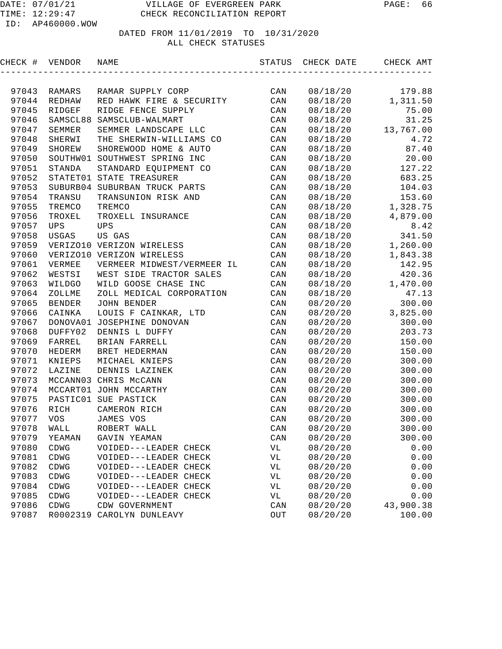# DATED FROM 11/01/2019 TO 10/31/2020

#### ALL CHECK STATUSES

| CHECK # | VENDOR     | NAME                          |                | STATUS CHECK DATE | CHECK AMT            |
|---------|------------|-------------------------------|----------------|-------------------|----------------------|
|         |            |                               |                |                   |                      |
| 97043   | RAMARS     | RAMAR SUPPLY CORP             | CAN            | 08/18/20          | 179.88               |
| 97044   | REDHAW     | RED HAWK FIRE & SECURITY      | CAN            | 08/18/20          | 1,311.50             |
| 97045   | RIDGEF     | RIDGE FENCE SUPPLY            | CAN            | 08/18/20          | 75.00                |
| 97046   |            | SAMSCL88 SAMSCLUB-WALMART     | CAN            | 08/18/20          | 31.25                |
| 97047   | SEMMER     | SEMMER LANDSCAPE LLC          | CAN            |                   | $08/18/20$ 13,767.00 |
| 97048   | SHERWI     | THE SHERWIN-WILLIAMS CO       | CAN            | 08/18/20          | 4.72                 |
| 97049   | SHOREW     | SHOREWOOD HOME & AUTO         | CAN            | 08/18/20          | 87.40                |
| 97050   |            | SOUTHW01 SOUTHWEST SPRING INC | CAN            | 08/18/20          | 20.00                |
| 97051   | STANDA     | STANDARD EQUIPMENT CO         | CAN            | 08/18/20          | 127.22               |
| 97052   |            | STATET01 STATE TREASURER      | CAN            |                   | 08/18/20 683.25      |
| 97053   |            | SUBURB04 SUBURBAN TRUCK PARTS | CAN            | 08/18/20          | 104.03               |
| 97054   | TRANSU     | TRANSUNION RISK AND           | CAN            |                   | 08/18/20 153.60      |
| 97055   | TREMCO     | TREMCO                        | CAN            |                   | 08/18/20 1,328.75    |
| 97056   | TROXEL     | TROXELL INSURANCE             | CAN            |                   | $08/18/20$ 4,879.00  |
| 97057   | <b>UPS</b> | UPS                           | CAN            | 08/18/20          | 8.42                 |
| 97058   | USGAS      | US GAS                        | CAN            | 08/18/20          | 341.50               |
| 97059   |            | VERIZO10 VERIZON WIRELESS     | CAN            |                   | $08/18/20$ 1,260.00  |
| 97060   |            | VERIZO10 VERIZON WIRELESS     | CAN            |                   | 08/18/20 1,843.38    |
| 97061   | VERMEE     | VERMEER MIDWEST/VERMEER IL    | CAN            | 08/18/20          | 142.95               |
| 97062   | WESTSI     | WEST SIDE TRACTOR SALES       | CAN            | 08/18/20          | 420.36               |
| 97063   | WILDGO     | WILD GOOSE CHASE INC          | CAN            |                   | $08/18/20$ 1,470.00  |
| 97064   | ZOLLME     | ZOLL MEDICAL CORPORATION      | CAN            | 08/18/20          | 47.13                |
| 97065   | BENDER     | JOHN BENDER                   | CAN            | 08/20/20          | 300.00               |
| 97066   | CAINKA     | LOUIS F CAINKAR, LTD          | CAN            | 08/20/20          | 3,825.00             |
| 97067   |            | DONOVA01 JOSEPHINE DONOVAN    | CAN            | 08/20/20          | 300.00               |
| 97068   | DUFFY02    | DENNIS L DUFFY                | CAN            | 08/20/20          | 203.73               |
| 97069   | FARREL     | BRIAN FARRELL                 | CAN            | 08/20/20          | 150.00               |
| 97070   | HEDERM     | BRET HEDERMAN                 | CAN            | 08/20/20          | 150.00               |
| 97071   | KNIEPS     | MICHAEL KNIEPS                | CAN            | 08/20/20          | 300.00               |
| 97072   | LAZINE     | DENNIS LAZINEK                | CAN            | 08/20/20          | 300.00               |
| 97073   |            | MCCANN03 CHRIS McCANN         | CAN            | 08/20/20          | 300.00               |
| 97074   |            | MCCART01 JOHN MCCARTHY        | CAN            | 08/20/20          | 300.00               |
| 97075   |            | PASTIC01 SUE PASTICK          | CAN            | 08/20/20          | 300.00               |
| 97076   | RICH       | CAMERON RICH                  | CAN            | 08/20/20          | 300.00               |
|         |            | 97077 VOS JAMES VOS           | CAN            | 08/20/20          | 300.00               |
| 97078   | WALL       | ROBERT WALL                   | CAN            | 08/20/20          | 300.00               |
| 97079   | YEAMAN     | GAVIN YEAMAN                  | $\mathtt{CAN}$ | 08/20/20          | 300.00               |
| 97080   | CDWG       | VOIDED---LEADER CHECK         | VL             | 08/20/20          | 0.00                 |
| 97081   | CDWG       | VOIDED---LEADER CHECK         | VL             | 08/20/20          | 0.00                 |
| 97082   | CDWG       | VOIDED---LEADER CHECK         | VL             | 08/20/20          | 0.00                 |
| 97083   | CDWG       | VOIDED---LEADER CHECK         | VL             | 08/20/20          | 0.00                 |
| 97084   | CDWG       | VOIDED---LEADER CHECK         | VL             | 08/20/20          | 0.00                 |
| 97085   | CDWG       | VOIDED---LEADER CHECK         | VL             | 08/20/20          | 0.00                 |
| 97086   | CDWG       | CDW GOVERNMENT                | CAN            | 08/20/20          | 43,900.38            |
| 97087   |            | R0002319 CAROLYN DUNLEAVY     | OUT            | 08/20/20          | 100.00               |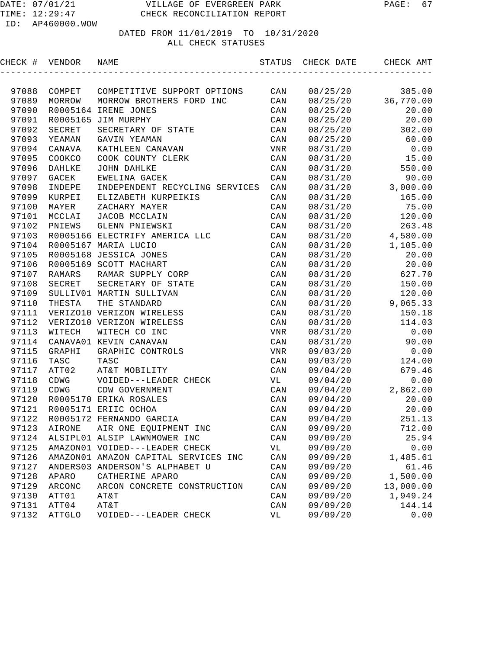| CHECK # | VENDOR        | NAME                                 | STATUS         | CHECK DATE | CHECK AMT |
|---------|---------------|--------------------------------------|----------------|------------|-----------|
|         |               |                                      |                |            |           |
| 97088   | COMPET        | COMPETITIVE SUPPORT OPTIONS          | CAN            | 08/25/20   | 385.00    |
| 97089   | MORROW        | MORROW BROTHERS FORD INC             | CAN            | 08/25/20   | 36,770.00 |
| 97090   |               | R0005164 IRENE JONES                 | CAN            | 08/25/20   | 20.00     |
| 97091   |               | R0005165 JIM MURPHY                  | CAN            | 08/25/20   | 20.00     |
| 97092   | SECRET        | SECRETARY OF STATE                   | CAN            | 08/25/20   | 302.00    |
| 97093   | YEAMAN        | GAVIN YEAMAN                         | CAN            | 08/25/20   | 60.00     |
| 97094   | CANAVA        | KATHLEEN CANAVAN                     | VNR            | 08/31/20   | 0.00      |
| 97095   | COOKCO        | COOK COUNTY CLERK                    | CAN            | 08/31/20   | 15.00     |
| 97096   | DAHLKE        | JOHN DAHLKE                          | CAN            | 08/31/20   | 550.00    |
| 97097   | GACEK         | EWELINA GACEK                        | CAN            | 08/31/20   | 90.00     |
| 97098   | INDEPE        | INDEPENDENT RECYCLING SERVICES       | CAN            | 08/31/20   | 3,000.00  |
| 97099   | KURPEI        | ELIZABETH KURPEIKIS                  | CAN            | 08/31/20   | 165.00    |
| 97100   | MAYER         | ZACHARY MAYER                        | CAN            | 08/31/20   | 75.00     |
| 97101   | MCCLAI        | JACOB MCCLAIN                        | CAN            | 08/31/20   | 120.00    |
| 97102   | PNIEWS        | GLENN PNIEWSKI                       | CAN            | 08/31/20   | 263.48    |
| 97103   |               | R0005166 ELECTRIFY AMERICA LLC       | CAN            | 08/31/20   | 4,580.00  |
| 97104   |               | R0005167 MARIA LUCIO                 | CAN            | 08/31/20   | 1,105.00  |
| 97105   |               | R0005168 JESSICA JONES               | CAN            | 08/31/20   | 20.00     |
| 97106   |               | R0005169 SCOTT MACHART               | CAN            | 08/31/20   | 20.00     |
| 97107   | RAMARS        | RAMAR SUPPLY CORP                    | CAN            | 08/31/20   | 627.70    |
| 97108   | SECRET        | SECRETARY OF STATE                   | CAN            | 08/31/20   | 150.00    |
| 97109   |               | SULLIV01 MARTIN SULLIVAN             | CAN            | 08/31/20   | 120.00    |
| 97110   | THESTA        | THE STANDARD                         | CAN            | 08/31/20   | 9,065.33  |
| 97111   |               | VERIZO10 VERIZON WIRELESS            | CAN            | 08/31/20   | 150.18    |
| 97112   |               | VERIZO10 VERIZON WIRELESS            | CAN            | 08/31/20   | 114.03    |
| 97113   | WITECH        | WITECH CO INC                        | VNR            | 08/31/20   | 0.00      |
| 97114   |               | CANAVA01 KEVIN CANAVAN               | CAN            | 08/31/20   | 90.00     |
| 97115   | GRAPHI        | GRAPHIC CONTROLS                     | VNR            | 09/03/20   | 0.00      |
| 97116   | TASC          | TASC                                 | CAN            | 09/03/20   | 124.00    |
| 97117   | ATT02         | AT&T MOBILITY                        | CAN            | 09/04/20   | 679.46    |
| 97118   | CDWG          | VOIDED---LEADER CHECK                | VL             | 09/04/20   | 0.00      |
| 97119   | CDWG          | CDW GOVERNMENT                       | CAN            | 09/04/20   | 2,862.00  |
| 97120   |               | R0005170 ERIKA ROSALES               | CAN            | 09/04/20   | 20.00     |
| 97121   |               | R0005171 ERIIC OCHOA                 | CAN            | 09/04/20   | 20.00     |
| 97122   |               | R0005172 FERNANDO GARCIA             | $\mathtt{CAN}$ | 09/04/20   | 251.13    |
| 97123   | AIRONE        | AIR ONE EQUIPMENT INC                | $\mathtt{CAN}$ | 09/09/20   | 712.00    |
| 97124   |               | ALSIPL01 ALSIP LAWNMOWER INC         | CAN            | 09/09/20   | 25.94     |
| 97125   |               | AMAZON01 VOIDED---LEADER CHECK       | VL             | 09/09/20   | 0.00      |
| 97126   |               | AMAZON01 AMAZON CAPITAL SERVICES INC | CAN            | 09/09/20   | 1,485.61  |
| 97127   |               | ANDERS03 ANDERSON'S ALPHABET U       | CAN            | 09/09/20   | 61.46     |
| 97128   | APARO         | CATHERINE APARO                      | CAN            | 09/09/20   | 1,500.00  |
| 97129   | ARCONC        | ARCON CONCRETE CONSTRUCTION          | CAN            | 09/09/20   | 13,000.00 |
| 97130   | ATT01         | AT&T                                 | $\mathtt{CAN}$ | 09/09/20   | 1,949.24  |
| 97131   | ATT04         | AT&T                                 | CAN            | 09/09/20   | 144.14    |
| 97132   | <b>ATTGLO</b> | VOIDED---LEADER CHECK                | VL             | 09/09/20   | 0.00      |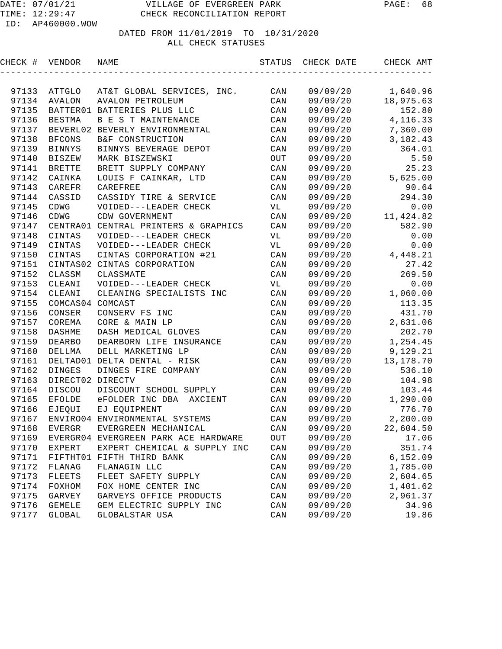| CHECK # | VENDOR           | NAME                                 | STATUS         | CHECK DATE | CHECK AMT   |
|---------|------------------|--------------------------------------|----------------|------------|-------------|
|         |                  |                                      |                |            |             |
| 97133   | ATTGLO           | AT&T GLOBAL SERVICES, INC.           | CAN            | 09/09/20   | 1,640.96    |
| 97134   | <b>AVALON</b>    | <b>AVALON PETROLEUM</b>              | CAN            | 09/09/20   | 18,975.63   |
| 97135   |                  | BATTER01 BATTERIES PLUS LLC          | CAN            | 09/09/20   | 152.80      |
| 97136   | <b>BESTMA</b>    | B E S T MAINTENANCE                  | CAN            | 09/09/20   | 4, 116.33   |
| 97137   |                  | BEVERL02 BEVERLY ENVIRONMENTAL       | CAN            | 09/09/20   | 7,360.00    |
| 97138   | <b>BFCONS</b>    | B&F CONSTRUCTION                     | CAN            | 09/09/20   | 3, 182. 43  |
| 97139   | <b>BINNYS</b>    | BINNYS BEVERAGE DEPOT                | CAN            | 09/09/20   | 364.01      |
| 97140   | <b>BISZEW</b>    | MARK BISZEWSKI                       | OUT            | 09/09/20   | 5.50        |
| 97141   | <b>BRETTE</b>    | BRETT SUPPLY COMPANY                 | CAN            | 09/09/20   | 25.23       |
| 97142   | CAINKA           | LOUIS F CAINKAR, LTD                 | CAN            | 09/09/20   | 5,625.00    |
| 97143   | CAREFR           | CAREFREE                             | $\mathtt{CAN}$ | 09/09/20   | 90.64       |
| 97144   | CASSID           | CASSIDY TIRE & SERVICE               | CAN            | 09/09/20   | 294.30      |
| 97145   | CDWG             | VOIDED---LEADER CHECK                | VL             | 09/09/20   | 0.00        |
| 97146   | CDWG             | CDW GOVERNMENT                       | CAN            | 09/09/20   | 11,424.82   |
| 97147   |                  | CENTRA01 CENTRAL PRINTERS & GRAPHICS | CAN            | 09/09/20   | 582.90      |
| 97148   | CINTAS           | VOIDED---LEADER CHECK                | VL             | 09/09/20   | 0.00        |
| 97149   | CINTAS           | VOIDED---LEADER CHECK                | VL             | 09/09/20   | 0.00        |
| 97150   | CINTAS           | CINTAS CORPORATION #21               | CAN            | 09/09/20   | 4,448.21    |
| 97151   |                  | CINTAS02 CINTAS CORPORATION          | CAN            | 09/09/20   | 27.42       |
| 97152   | CLASSM           | CLASSMATE                            | CAN            | 09/09/20   | 269.50      |
| 97153   | CLEANI           | VOIDED---LEADER CHECK                | VL             | 09/09/20   | 0.00        |
| 97154   | CLEANI           | CLEANING SPECIALISTS INC             | CAN            | 09/09/20   | 1,060.00    |
| 97155   | COMCAS04 COMCAST |                                      | CAN            | 09/09/20   | 113.35      |
| 97156   | CONSER           | CONSERV FS INC                       | CAN            | 09/09/20   | 431.70      |
| 97157   | COREMA           | CORE & MAIN LP                       | CAN            | 09/09/20   | 2,631.06    |
| 97158   | DASHME           | DASH MEDICAL GLOVES                  | CAN            | 09/09/20   | 202.70      |
| 97159   | <b>DEARBO</b>    | DEARBORN LIFE INSURANCE              | CAN            | 09/09/20   | 1,254.45    |
| 97160   | DELLMA           | DELL MARKETING LP                    | CAN            | 09/09/20   | 9,129.21    |
| 97161   |                  | DELTAD01 DELTA DENTAL - RISK         | CAN            | 09/09/20   | 13, 178. 70 |
| 97162   | <b>DINGES</b>    | DINGES FIRE COMPANY                  | CAN            | 09/09/20   | 536.10      |
| 97163   | DIRECT02 DIRECTV |                                      | CAN            | 09/09/20   | 104.98      |
| 97164   | <b>DISCOU</b>    | DISCOUNT SCHOOL SUPPLY               | CAN            | 09/09/20   | 103.44      |
| 97165   | <b>EFOLDE</b>    | eFOLDER INC DBA<br>AXCIENT           | CAN            | 09/09/20   | 1,290.00    |
| 97166   | EJEQUI           | EJ EQUIPMENT                         | CAN            | 09/09/20   | 776.70      |
| 97167   |                  | ENVIRO04 ENVIRONMENTAL SYSTEMS       | $\mathtt{CAN}$ | 09/09/20   | 2,200.00    |
| 97168   | <b>EVERGR</b>    | EVERGREEN MECHANICAL                 | $\mathtt{CAN}$ | 09/09/20   | 22,604.50   |
| 97169   |                  | EVERGR04 EVERGREEN PARK ACE HARDWARE | OUT            | 09/09/20   | 17.06       |
| 97170   | EXPERT           | EXPERT CHEMICAL & SUPPLY INC         | CAN            | 09/09/20   | 351.74      |
| 97171   |                  | FIFTHT01 FIFTH THIRD BANK            | CAN            | 09/09/20   | 6,152.09    |
| 97172   | FLANAG           | FLANAGIN LLC                         | CAN            | 09/09/20   | 1,785.00    |
| 97173   | <b>FLEETS</b>    | FLEET SAFETY SUPPLY                  | CAN            | 09/09/20   | 2,604.65    |
| 97174   | FOXHOM           | FOX HOME CENTER INC                  | CAN            | 09/09/20   | 1,401.62    |
| 97175   | GARVEY           | GARVEYS OFFICE PRODUCTS              | CAN            | 09/09/20   | 2,961.37    |
| 97176   | <b>GEMELE</b>    | GEM ELECTRIC SUPPLY INC              | CAN            | 09/09/20   | 34.96       |
| 97177   | <b>GLOBAL</b>    | GLOBALSTAR USA                       | CAN            | 09/09/20   | 19.86       |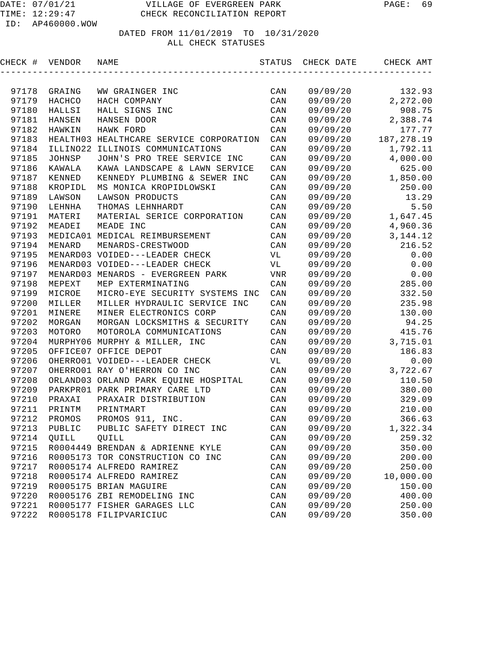| CHECK # VENDOR |               | NAME                                    | STATUS         | CHECK DATE | CHECK AMT   |
|----------------|---------------|-----------------------------------------|----------------|------------|-------------|
|                |               |                                         |                |            |             |
| 97178          | GRAING        | WW GRAINGER INC                         | CAN            | 09/09/20   | 132.93      |
| 97179          | HACHCO        | HACH COMPANY                            | CAN            | 09/09/20   | 2,272.00    |
| 97180          | HALLSI        | HALL SIGNS INC                          | CAN            | 09/09/20   | 908.75      |
| 97181          | HANSEN        | HANSEN DOOR                             | CAN            | 09/09/20   | 2,388.74    |
| 97182          | <b>HAWKIN</b> | HAWK FORD                               | CAN            | 09/09/20   | 177.77      |
| 97183          |               | HEALTH03 HEALTHCARE SERVICE CORPORATION | CAN            | 09/09/20   | 187, 278.19 |
| 97184          | ILLINO22      | ILLINOIS COMMUNICATIONS                 | CAN            | 09/09/20   | 1,792.11    |
| 97185          | JOHNSP        | JOHN'S PRO TREE SERVICE INC             | CAN            | 09/09/20   | 4,000.00    |
| 97186          | KAWALA        | KAWA LANDSCAPE & LAWN SERVICE           | CAN            | 09/09/20   | 625.00      |
| 97187          | KENNED        | KENNEDY PLUMBING & SEWER INC            | CAN            | 09/09/20   | 1,850.00    |
| 97188          | KROPIDL       | MS MONICA KROPIDLOWSKI                  | CAN            | 09/09/20   | 250.00      |
| 97189          | LAWSON        | LAWSON PRODUCTS                         | CAN            | 09/09/20   | 13.29       |
| 97190          | LEHNHA        | THOMAS LEHNHARDT                        | CAN            | 09/09/20   | 5.50        |
| 97191          | MATERI        | MATERIAL SERICE CORPORATION             | CAN            | 09/09/20   | 1,647.45    |
| 97192          | MEADEI        | MEADE INC                               | CAN            | 09/09/20   | 4,960.36    |
| 97193          |               | MEDICA01 MEDICAL REIMBURSEMENT          | CAN            | 09/09/20   | 3, 144. 12  |
| 97194          | MENARD        | MENARDS-CRESTWOOD                       | $\mathtt{CAN}$ | 09/09/20   | 216.52      |
| 97195          |               | MENARD03 VOIDED---LEADER CHECK          | VL             | 09/09/20   | 0.00        |
| 97196          |               | MENARD03 VOIDED---LEADER CHECK          | VL             | 09/09/20   | 0.00        |
| 97197          |               | MENARD03 MENARDS - EVERGREEN PARK       | VNR            | 09/09/20   | 0.00        |
| 97198          | MEPEXT        | MEP EXTERMINATING                       | CAN            | 09/09/20   | 285.00      |
| 97199          | MICROE        | MICRO-EYE SECURITY SYSTEMS INC          | CAN            | 09/09/20   | 332.50      |
| 97200          | MILLER        | MILLER HYDRAULIC SERVICE INC            | CAN            | 09/09/20   | 235.98      |
| 97201          | MINERE        | MINER ELECTRONICS CORP                  | CAN            | 09/09/20   | 130.00      |
| 97202          | MORGAN        | MORGAN LOCKSMITHS & SECURITY            | CAN            | 09/09/20   | 94.25       |
| 97203          | MOTORO        | MOTOROLA COMMUNICATIONS                 | CAN            | 09/09/20   | 415.76      |
| 97204          |               | MURPHY06 MURPHY & MILLER, INC           | CAN            | 09/09/20   | 3,715.01    |
| 97205          |               | OFFICE07 OFFICE DEPOT                   | CAN            | 09/09/20   | 186.83      |
| 97206          |               | OHERRO01 VOIDED---LEADER CHECK          | VL             | 09/09/20   | 0.00        |
| 97207          |               | OHERRO01 RAY O'HERRON CO INC            | CAN            | 09/09/20   | 3,722.67    |
| 97208          |               | ORLAND03 ORLAND PARK EQUINE HOSPITAL    | CAN            | 09/09/20   | 110.50      |
| 97209          |               | PARKPRO1 PARK PRIMARY CARE LTD          | CAN            | 09/09/20   | 380.00      |
| 97210          | PRAXAI        | PRAXAIR DISTRIBUTION                    | CAN            | 09/09/20   | 329.09      |
| 97211          | PRINTM        | PRINTMART                               | CAN            | 09/09/20   | 210.00      |
| 97212          | PROMOS        | PROMOS 911, INC.                        | CAN            | 09/09/20   | 366.63      |
|                | 97213 PUBLIC  | PUBLIC SAFETY DIRECT INC                | $\mathtt{CAN}$ | 09/09/20   | 1,322.34    |
| 97214          | QUILL         | QUILL                                   | CAN            | 09/09/20   | 259.32      |
| 97215          |               | R0004449 BRENDAN & ADRIENNE KYLE        | CAN            | 09/09/20   | 350.00      |
| 97216          |               | R0005173 TOR CONSTRUCTION CO INC        | CAN            | 09/09/20   | 200.00      |
| 97217          |               | R0005174 ALFREDO RAMIREZ                | CAN            | 09/09/20   | 250.00      |
| 97218          |               | R0005174 ALFREDO RAMIREZ                | CAN            | 09/09/20   | 10,000.00   |
| 97219          |               | R0005175 BRIAN MAGUIRE                  | CAN            | 09/09/20   | 150.00      |
| 97220          |               | R0005176 ZBI REMODELING INC             | CAN            | 09/09/20   | 400.00      |
| 97221          |               | R0005177 FISHER GARAGES LLC             | CAN            | 09/09/20   | 250.00      |
| 97222          |               | R0005178 FILIPVARICIUC                  | CAN            | 09/09/20   | 350.00      |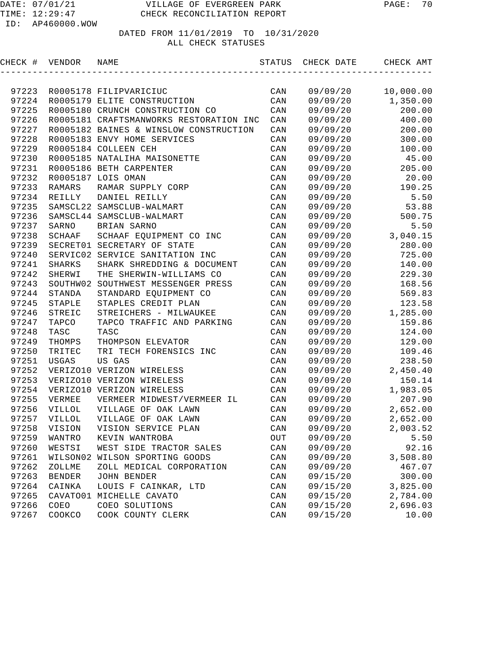| CHECK # VENDOR |               | NAME                                    | STATUS         | CHECK DATE | CHECK AMT |
|----------------|---------------|-----------------------------------------|----------------|------------|-----------|
|                |               |                                         |                |            |           |
| 97223          |               | R0005178 FILIPVARICIUC                  | CAN            | 09/09/20   | 10,000.00 |
| 97224          |               | R0005179 ELITE CONSTRUCTION             | CAN            | 09/09/20   | 1,350.00  |
| 97225          |               | R0005180 CRUNCH CONSTRUCTION CO         | CAN            | 09/09/20   | 200.00    |
| 97226          |               | R0005181 CRAFTSMANWORKS RESTORATION INC | CAN            | 09/09/20   | 400.00    |
| 97227          |               | R0005182 BAINES & WINSLOW CONSTRUCTION  | CAN            | 09/09/20   | 200.00    |
| 97228          |               | R0005183 ENVY HOME SERVICES             | CAN            | 09/09/20   | 300.00    |
| 97229          |               | R0005184 COLLEEN CEH                    | CAN            | 09/09/20   | 100.00    |
| 97230          |               | R0005185 NATALIHA MAISONETTE            | CAN            | 09/09/20   | 45.00     |
| 97231          |               | R0005186 BETH CARPENTER                 | CAN            | 09/09/20   | 205.00    |
| 97232          |               | R0005187 LOIS OMAN                      | CAN            | 09/09/20   | 20.00     |
| 97233          | RAMARS        | RAMAR SUPPLY CORP                       | CAN            | 09/09/20   | 190.25    |
| 97234          | REILLY        | DANIEL REILLY                           | CAN            | 09/09/20   | 5.50      |
| 97235          |               | SAMSCL22 SAMSCLUB-WALMART               | CAN            | 09/09/20   | 53.88     |
| 97236          |               | SAMSCL44 SAMSCLUB-WALMART               | CAN            | 09/09/20   | 500.75    |
| 97237          | SARNO         | BRIAN SARNO                             | CAN            | 09/09/20   | 5.50      |
| 97238          | SCHAAF        | SCHAAF EQUIPMENT CO INC                 | CAN            | 09/09/20   | 3,040.15  |
| 97239          |               | SECRET01 SECRETARY OF STATE             | CAN            | 09/09/20   | 280.00    |
| 97240          |               | SERVIC02 SERVICE SANITATION INC         | CAN            | 09/09/20   | 725.00    |
| 97241          | SHARKS        | SHARK SHREDDING & DOCUMENT              | CAN            | 09/09/20   | 140.00    |
| 97242          | SHERWI        | THE SHERWIN-WILLIAMS CO                 | CAN            | 09/09/20   | 229.30    |
| 97243          |               | SOUTHW02 SOUTHWEST MESSENGER PRESS      | CAN            | 09/09/20   | 168.56    |
| 97244          | STANDA        | STANDARD EQUIPMENT CO                   | CAN            | 09/09/20   | 569.83    |
| 97245          | STAPLE        | STAPLES CREDIT PLAN                     | CAN            | 09/09/20   | 123.58    |
| 97246          | STREIC        | STREICHERS - MILWAUKEE                  | CAN            | 09/09/20   | 1,285.00  |
| 97247          | TAPCO         | TAPCO TRAFFIC AND PARKING               | CAN            | 09/09/20   | 159.86    |
| 97248          | TASC          | TASC                                    | CAN            | 09/09/20   | 124.00    |
| 97249          | THOMPS        | THOMPSON ELEVATOR                       | CAN            | 09/09/20   | 129.00    |
| 97250          | TRITEC        | TRI TECH FORENSICS INC                  | CAN            | 09/09/20   | 109.46    |
| 97251          | USGAS         | US GAS                                  | CAN            | 09/09/20   | 238.50    |
| 97252          |               | VERIZO10 VERIZON WIRELESS               | CAN            | 09/09/20   | 2,450.40  |
| 97253          |               | VERIZO10 VERIZON WIRELESS               | CAN            | 09/09/20   | 150.14    |
| 97254          |               | VERIZO10 VERIZON WIRELESS               | CAN            | 09/09/20   | 1,983.05  |
| 97255          | VERMEE        | VERMEER MIDWEST/VERMEER IL              | CAN            | 09/09/20   | 207.90    |
| 97256          | <b>VILLOL</b> | VILLAGE OF OAK LAWN                     | CAN            | 09/09/20   | 2,652.00  |
| 97257          | VILLOL        | VILLAGE OF OAK LAWN                     | CAN            | 09/09/20   | 2,652.00  |
|                | 97258 VISION  | VISION SERVICE PLAN                     | $\mathtt{CAN}$ | 09/09/20   | 2,003.52  |
| 97259          | WANTRO        | KEVIN WANTROBA                          | OUT            | 09/09/20   | 5.50      |
| 97260          | WESTSI        | WEST SIDE TRACTOR SALES                 | CAN            | 09/09/20   | 92.16     |
| 97261          | WILSON02      | WILSON SPORTING GOODS                   | CAN            | 09/09/20   | 3,508.80  |
| 97262          | ZOLLME        | ZOLL MEDICAL CORPORATION                | CAN            | 09/09/20   | 467.07    |
| 97263          | <b>BENDER</b> | JOHN BENDER                             | CAN            | 09/15/20   | 300.00    |
| 97264          | CAINKA        | LOUIS F CAINKAR, LTD                    | CAN            | 09/15/20   | 3,825.00  |
| 97265          |               | CAVATO01 MICHELLE CAVATO                | CAN            | 09/15/20   | 2,784.00  |
| 97266          | COEO          | COEO SOLUTIONS                          | CAN            | 09/15/20   | 2,696.03  |
| 97267          | COOKCO        | COOK COUNTY CLERK                       | CAN            | 09/15/20   | 10.00     |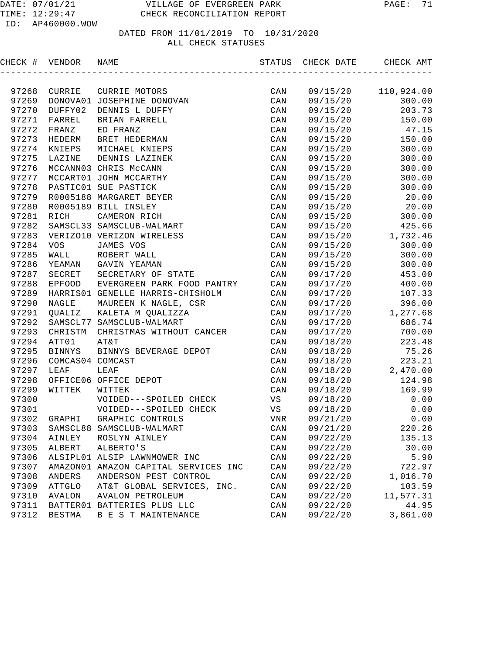| CHECK # VENDOR |                  | NAME                                 | STATUS         | CHECK DATE | CHECK AMT  |
|----------------|------------------|--------------------------------------|----------------|------------|------------|
|                |                  |                                      |                |            |            |
| 97268          | CURRIE           | CURRIE MOTORS                        | CAN            | 09/15/20   | 110,924.00 |
| 97269          |                  | DONOVA01 JOSEPHINE DONOVAN           | CAN            | 09/15/20   | 300.00     |
| 97270          | DUFFY02          | DENNIS L DUFFY                       | CAN            | 09/15/20   | 203.73     |
| 97271          | FARREL           | BRIAN FARRELL                        | CAN            | 09/15/20   | 150.00     |
| 97272          | FRANZ            | ED FRANZ                             | CAN            | 09/15/20   | 47.15      |
| 97273          | HEDERM           | BRET HEDERMAN                        | CAN            | 09/15/20   | 150.00     |
| 97274          | KNIEPS           | MICHAEL KNIEPS                       | CAN            | 09/15/20   | 300.00     |
| 97275          | LAZINE           | DENNIS LAZINEK                       | CAN            | 09/15/20   | 300.00     |
| 97276          |                  | MCCANN03 CHRIS McCANN                | CAN            | 09/15/20   | 300.00     |
| 97277          |                  | MCCART01 JOHN MCCARTHY               | CAN            | 09/15/20   | 300.00     |
| 97278          |                  | PASTIC01 SUE PASTICK                 | CAN            | 09/15/20   | 300.00     |
| 97279          |                  | R0005188 MARGARET BEYER              | CAN            | 09/15/20   | 20.00      |
| 97280          |                  | R0005189 BILL INSLEY                 | CAN            | 09/15/20   | 20.00      |
| 97281          | RICH             | CAMERON RICH                         | CAN            | 09/15/20   | 300.00     |
| 97282          |                  | SAMSCL33 SAMSCLUB-WALMART            | CAN            | 09/15/20   | 425.66     |
| 97283          |                  | VERIZO10 VERIZON WIRELESS            | CAN            | 09/15/20   | 1,732.46   |
| 97284          | VOS              | JAMES VOS                            | CAN            | 09/15/20   | 300.00     |
| 97285          | WALL             | ROBERT WALL                          | CAN            | 09/15/20   | 300.00     |
| 97286          | YEAMAN           | GAVIN YEAMAN                         | CAN            | 09/15/20   | 300.00     |
| 97287          | SECRET           | SECRETARY OF STATE                   | CAN            | 09/17/20   | 453.00     |
| 97288          | EPFOOD           | EVERGREEN PARK FOOD PANTRY           | CAN            | 09/17/20   | 400.00     |
| 97289          |                  | HARRISO1 GENELLE HARRIS-CHISHOLM     | CAN            | 09/17/20   | 107.33     |
| 97290          | NAGLE            | MAUREEN K NAGLE, CSR                 | CAN            | 09/17/20   | 396.00     |
| 97291          | QUALIZ           | KALETA M QUALIZZA                    | CAN            | 09/17/20   | 1,277.68   |
| 97292          |                  | SAMSCL77 SAMSCLUB-WALMART            | CAN            | 09/17/20   | 686.74     |
| 97293          | CHRISTM          | CHRISTMAS WITHOUT CANCER             | CAN            | 09/17/20   | 700.00     |
| 97294          | ATT01            | AT&T                                 | CAN            | 09/18/20   | 223.48     |
| 97295          | <b>BINNYS</b>    | BINNYS BEVERAGE DEPOT                | CAN            | 09/18/20   | 75.26      |
| 97296          | COMCAS04 COMCAST |                                      | CAN            | 09/18/20   | 223.21     |
| 97297          | LEAF             | LEAF                                 | CAN            | 09/18/20   | 2,470.00   |
| 97298          |                  | OFFICE06 OFFICE DEPOT                | CAN            | 09/18/20   | 124.98     |
| 97299          | WITTEK           | WITTEK                               | CAN            | 09/18/20   | 169.99     |
| 97300          |                  | VOIDED---SPOILED CHECK               | VS             | 09/18/20   | 0.00       |
| 97301          |                  | VOIDED---SPOILED CHECK               | VS             | 09/18/20   | 0.00       |
| 97302          | GRAPHI           | GRAPHIC CONTROLS                     | <b>VNR</b>     | 09/21/20   | 0.00       |
| 97303          |                  | SAMSCL88 SAMSCLUB-WALMART            | $\mathtt{CAN}$ | 09/21/20   | 220.26     |
| 97304          | AINLEY           | ROSLYN AINLEY                        | CAN            | 09/22/20   | 135.13     |
| 97305          | ALBERT           | ALBERTO'S                            | CAN            | 09/22/20   | 30.00      |
| 97306          |                  | ALSIPL01 ALSIP LAWNMOWER INC         | $\mathtt{CAN}$ | 09/22/20   | 5.90       |
| 97307          |                  | AMAZON01 AMAZON CAPITAL SERVICES INC | CAN            | 09/22/20   | 722.97     |
| 97308          | ANDERS           | ANDERSON PEST CONTROL                | CAN            | 09/22/20   | 1,016.70   |
| 97309          | <b>ATTGLO</b>    | AT&T GLOBAL SERVICES, INC.           | CAN            | 09/22/20   | 103.59     |
| 97310          | <b>AVALON</b>    | <b>AVALON PETROLEUM</b>              | CAN            | 09/22/20   | 11,577.31  |
| 97311          |                  | BATTER01 BATTERIES PLUS LLC          | CAN            | 09/22/20   | 44.95      |
| 97312          | <b>BESTMA</b>    | B E S T MAINTENANCE                  | CAN            | 09/22/20   | 3,861.00   |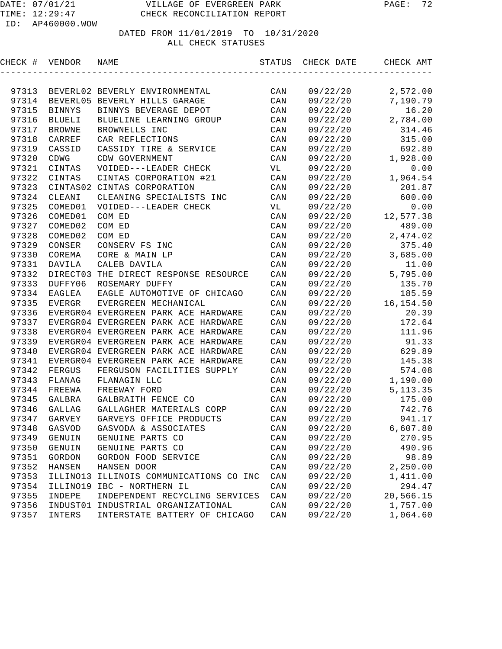| CHECK # VENDOR |               | NAME                                  | STATUS         | CHECK DATE | CHECK AMT  |
|----------------|---------------|---------------------------------------|----------------|------------|------------|
|                |               |                                       |                |            |            |
| 97313          |               | BEVERL02 BEVERLY ENVIRONMENTAL        | CAN            | 09/22/20   | 2,572.00   |
| 97314          |               | BEVERL05 BEVERLY HILLS GARAGE         | CAN            | 09/22/20   | 7,190.79   |
| 97315          | <b>BINNYS</b> | BINNYS BEVERAGE DEPOT                 | CAN            | 09/22/20   | 16.20      |
| 97316          | <b>BLUELI</b> | BLUELINE LEARNING GROUP               | CAN            | 09/22/20   | 2,784.00   |
| 97317          | <b>BROWNE</b> | BROWNELLS INC                         | CAN            | 09/22/20   | 314.46     |
| 97318          | CARREF        | CAR REFLECTIONS                       | CAN            | 09/22/20   | 315.00     |
| 97319          | CASSID        | CASSIDY TIRE & SERVICE                | CAN            | 09/22/20   | 692.80     |
| 97320          | CDWG          | CDW GOVERNMENT                        | CAN            | 09/22/20   | 1,928.00   |
| 97321          | CINTAS        | VOIDED---LEADER CHECK                 | VL             | 09/22/20   | 0.00       |
| 97322          | CINTAS        | CINTAS CORPORATION #21                | CAN            | 09/22/20   | 1,964.54   |
| 97323          | CINTAS02      | CINTAS CORPORATION                    | CAN            | 09/22/20   | 201.87     |
| 97324          | CLEANI        | CLEANING SPECIALISTS INC              | CAN            | 09/22/20   | 600.00     |
| 97325          | COMED01       | VOIDED---LEADER CHECK                 | VL             | 09/22/20   | 0.00       |
| 97326          | COMED01       | COM ED                                | $\mathtt{CAN}$ | 09/22/20   | 12,577.38  |
| 97327          | COMED02       | COM ED                                | CAN            | 09/22/20   | 489.00     |
| 97328          | COMED02       | COM ED                                | CAN            | 09/22/20   | 2,474.02   |
| 97329          | CONSER        | CONSERV FS INC                        | CAN            | 09/22/20   | 375.40     |
| 97330          | COREMA        | CORE & MAIN LP                        | CAN            | 09/22/20   | 3,685.00   |
| 97331          | DAVILA        | CALEB DAVILA                          | $\mathtt{CAN}$ | 09/22/20   | 11.00      |
| 97332          |               | DIRECT03 THE DIRECT RESPONSE RESOURCE | $\mathtt{CAN}$ | 09/22/20   | 5,795.00   |
| 97333          | DUFFY06       | ROSEMARY DUFFY                        | $\mathtt{CAN}$ | 09/22/20   | 135.70     |
| 97334          | EAGLEA        | EAGLE AUTOMOTIVE OF CHICAGO           | CAN            | 09/22/20   | 185.59     |
| 97335          | EVERGR        | EVERGREEN MECHANICAL                  | CAN            | 09/22/20   | 16, 154.50 |
| 97336          |               | EVERGR04 EVERGREEN PARK ACE HARDWARE  | CAN            | 09/22/20   | 20.39      |
| 97337          |               | EVERGR04 EVERGREEN PARK ACE HARDWARE  | CAN            | 09/22/20   | 172.64     |
| 97338          |               | EVERGR04 EVERGREEN PARK ACE HARDWARE  | CAN            | 09/22/20   | 111.96     |
| 97339          |               | EVERGR04 EVERGREEN PARK ACE HARDWARE  | CAN            | 09/22/20   | 91.33      |
| 97340          |               | EVERGR04 EVERGREEN PARK ACE HARDWARE  | CAN            | 09/22/20   | 629.89     |
| 97341          |               | EVERGR04 EVERGREEN PARK ACE HARDWARE  | CAN            | 09/22/20   | 145.38     |
| 97342          | FERGUS        | FERGUSON FACILITIES SUPPLY            | CAN            | 09/22/20   | 574.08     |
| 97343          | FLANAG        | FLANAGIN LLC                          | CAN            | 09/22/20   | 1,190.00   |
| 97344          | FREEWA        | FREEWAY FORD                          | CAN            | 09/22/20   | 5, 113.35  |
| 97345          | GALBRA        | GALBRAITH FENCE CO                    | CAN            | 09/22/20   | 175.00     |
| 97346          | GALLAG        | GALLAGHER MATERIALS CORP              | CAN            | 09/22/20   | 742.76     |
| 97347          | GARVEY        | GARVEYS OFFICE PRODUCTS               | CAN            | 09/22/20   | 941.17     |
| 97348          | GASVOD        | GASVODA & ASSOCIATES                  | CAN            | 09/22/20   | 6,607.80   |
| 97349          | GENUIN        | GENUINE PARTS CO                      | CAN            | 09/22/20   | 270.95     |
| 97350          | GENUIN        | GENUINE PARTS CO                      | CAN            | 09/22/20   | 490.96     |
| 97351          | GORDON        | GORDON FOOD SERVICE                   | CAN            | 09/22/20   | 98.89      |
| 97352          | HANSEN        | HANSEN DOOR                           | CAN            | 09/22/20   | 2,250.00   |
| 97353          | ILLINO13      | ILLINOIS COMMUNICATIONS CO INC        | CAN            | 09/22/20   | 1,411.00   |
| 97354          | ILLINO19      | IBC - NORTHERN IL                     | CAN            | 09/22/20   | 294.47     |
| 97355          | INDEPE        | INDEPENDENT RECYCLING SERVICES        | CAN            | 09/22/20   | 20,566.15  |
| 97356          | INDUST01      | INDUSTRIAL ORGANIZATIONAL             | CAN            | 09/22/20   | 1,757.00   |
| 97357          | INTERS        | INTERSTATE BATTERY OF CHICAGO         | CAN            | 09/22/20   | 1,064.60   |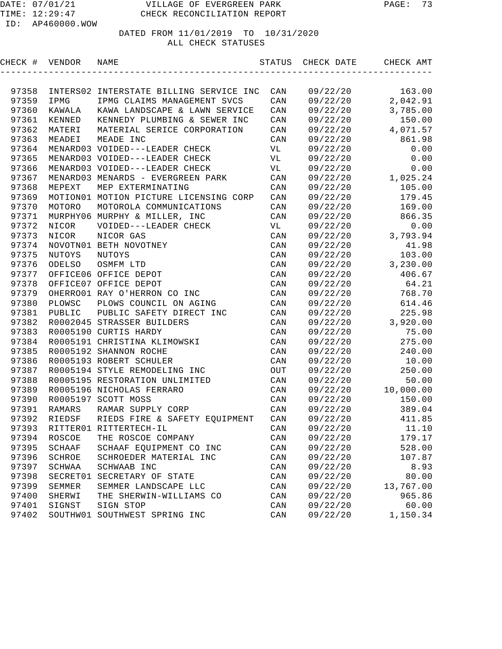## DATED FROM 11/01/2019 TO 10/31/2020

#### ALL CHECK STATUSES

| CHECK # VENDOR |        | NAME                                    | STATUS                  | CHECK DATE | CHECK AMT |
|----------------|--------|-----------------------------------------|-------------------------|------------|-----------|
|                |        |                                         |                         |            |           |
| 97358          |        | INTERS02 INTERSTATE BILLING SERVICE INC | CAN                     | 09/22/20   | 163.00    |
| 97359          | IPMG   | IPMG CLAIMS MANAGEMENT SVCS             | CAN                     | 09/22/20   | 2,042.91  |
| 97360          | KAWALA | KAWA LANDSCAPE & LAWN SERVICE           | CAN                     | 09/22/20   | 3,785.00  |
| 97361          | KENNED | KENNEDY PLUMBING & SEWER INC            | CAN                     | 09/22/20   | 150.00    |
| 97362          | MATERI | MATERIAL SERICE CORPORATION             | CAN                     | 09/22/20   | 4,071.57  |
| 97363          | MEADEI | MEADE INC                               | CAN                     | 09/22/20   | 861.98    |
| 97364          |        | MENARD03 VOIDED---LEADER CHECK          | VL                      | 09/22/20   | 0.00      |
| 97365          |        | MENARD03 VOIDED---LEADER CHECK          | VL                      | 09/22/20   | 0.00      |
| 97366          |        | MENARD03 VOIDED---LEADER CHECK          | VL                      | 09/22/20   | 0.00      |
| 97367          |        | MENARD03 MENARDS - EVERGREEN PARK       | CAN                     | 09/22/20   | 1,025.24  |
| 97368          | MEPEXT | MEP EXTERMINATING                       | CAN                     | 09/22/20   | 105.00    |
| 97369          |        | MOTION01 MOTION PICTURE LICENSING CORP  | CAN                     | 09/22/20   | 179.45    |
| 97370          | MOTORO | MOTOROLA COMMUNICATIONS                 | CAN                     | 09/22/20   | 169.00    |
| 97371          |        | MURPHY06 MURPHY & MILLER, INC           | CAN                     | 09/22/20   | 866.35    |
| 97372          | NICOR  | VOIDED---LEADER CHECK                   | VL                      | 09/22/20   | 0.00      |
| 97373          | NICOR  | NICOR GAS                               | CAN                     | 09/22/20   | 3,793.94  |
| 97374          |        | NOVOTN01 BETH NOVOTNEY                  | CAN                     | 09/22/20   | 41.98     |
| 97375          | NUTOYS | NUTOYS                                  | CAN                     | 09/22/20   | 103.00    |
| 97376          | ODELSO | OSMFM LTD                               | CAN                     | 09/22/20   | 3,230.00  |
| 97377          |        | OFFICE06 OFFICE DEPOT                   | CAN                     | 09/22/20   | 406.67    |
| 97378          |        | OFFICE07 OFFICE DEPOT                   | CAN                     | 09/22/20   | 64.21     |
| 97379          |        | OHERRO01 RAY O'HERRON CO INC            | CAN                     | 09/22/20   | 768.70    |
| 97380          | PLOWSC | PLOWS COUNCIL ON AGING                  | CAN                     | 09/22/20   | 614.46    |
| 97381          | PUBLIC | PUBLIC SAFETY DIRECT INC                | CAN                     | 09/22/20   | 225.98    |
| 97382          |        | R0002045 STRASSER BUILDERS              | CAN                     | 09/22/20   | 3,920.00  |
| 97383          |        | R0005190 CURTIS HARDY                   | CAN                     | 09/22/20   | 75.00     |
| 97384          |        | R0005191 CHRISTINA KLIMOWSKI            | CAN                     | 09/22/20   | 275.00    |
| 97385          |        | R0005192 SHANNON ROCHE                  | CAN                     | 09/22/20   | 240.00    |
| 97386          |        | R0005193 ROBERT SCHULER                 | CAN                     | 09/22/20   | 10.00     |
| 97387          |        | R0005194 STYLE REMODELING INC           | OUT                     | 09/22/20   | 250.00    |
| 97388          |        | R0005195 RESTORATION UNLIMITED          | CAN                     | 09/22/20   | 50.00     |
| 97389          |        | R0005196 NICHOLAS FERRARO               | CAN                     | 09/22/20   | 10,000.00 |
| 97390          |        | R0005197 SCOTT MOSS                     | CAN                     | 09/22/20   | 150.00    |
| 97391          | RAMARS | RAMAR SUPPLY CORP                       | CAN                     | 09/22/20   | 389.04    |
| 97392          | RIEDSF | RIEDS FIRE & SAFETY EQUIPMENT           | CAN                     | 09/22/20   | 411.85    |
|                |        | 97393 RITTER01 RITTERTECH-IL            | $\mathop{\mathtt{CAN}}$ | 09/22/20   | 11.10     |
| 97394          | ROSCOE | THE ROSCOE COMPANY                      | CAN                     | 09/22/20   | 179.17    |
| 97395          | SCHAAF | SCHAAF EQUIPMENT CO INC                 | CAN                     | 09/22/20   | 528.00    |
| 97396          | SCHROE | SCHROEDER MATERIAL INC                  | CAN                     | 09/22/20   | 107.87    |
| 97397          | SCHWAA | SCHWAAB INC                             | CAN                     | 09/22/20   | 8.93      |
| 97398          |        | SECRET01 SECRETARY OF STATE             | CAN                     | 09/22/20   | 80.00     |
| 97399          | SEMMER | SEMMER LANDSCAPE LLC                    | CAN                     | 09/22/20   | 13,767.00 |
| 97400          | SHERWI | THE SHERWIN-WILLIAMS CO                 | CAN                     | 09/22/20   | 965.86    |
| 97401          | SIGNST | SIGN STOP                               | CAN                     | 09/22/20   | 60.00     |
| 97402          |        | SOUTHW01 SOUTHWEST SPRING INC           | CAN                     | 09/22/20   | 1,150.34  |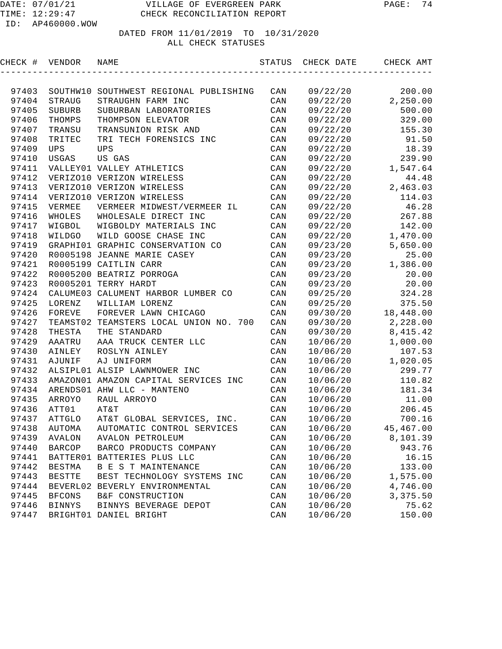# DATED FROM 11/01/2019 TO 10/31/2020

#### ALL CHECK STATUSES

| CHECK # | VENDOR        | NAME                                    |                | STATUS CHECK DATE | CHECK AMT           |
|---------|---------------|-----------------------------------------|----------------|-------------------|---------------------|
|         |               |                                         |                |                   |                     |
| 97403   |               | SOUTHW10 SOUTHWEST REGIONAL PUBLISHING  | CAN            | 09/22/20          | 200.00              |
| 97404   | STRAUG        | STRAUGHN FARM INC                       | CAN            | 09/22/20          | 2,250.00            |
| 97405   | SUBURB        | SUBURBAN LABORATORIES                   | CAN            | 09/22/20          | 500.00              |
| 97406   | THOMPS        | THOMPSON ELEVATOR                       | CAN            | 09/22/20          | 329.00              |
| 97407   | TRANSU        | TRANSUNION RISK AND                     | CAN            | 09/22/20          | 155.30              |
| 97408   | TRITEC        | TRI TECH FORENSICS INC                  | CAN            | 09/22/20          | 91.50               |
| 97409   | <b>UPS</b>    | <b>UPS</b>                              | CAN            | 09/22/20          | 18.39               |
| 97410   | USGAS         | US GAS                                  | CAN            | 09/22/20          | 239.90              |
| 97411   |               | VALLEY01 VALLEY ATHLETICS               | CAN            | 09/22/20          | 1,547.64            |
| 97412   |               | VERIZO10 VERIZON WIRELESS               | CAN            | 09/22/20          | 44.48               |
| 97413   |               | VERIZO10 VERIZON WIRELESS               | CAN            |                   | $09/22/20$ 2,463.03 |
| 97414   |               | VERIZO10 VERIZON WIRELESS               | CAN            | 09/22/20          | 114.03              |
| 97415   | VERMEE        | VERMEER MIDWEST/VERMEER IL              | CAN            | 09/22/20          | 46.28               |
| 97416   | WHOLES        | WHOLESALE DIRECT INC                    | CAN            |                   | 09/22/20 267.88     |
| 97417   | WIGBOL        | WIGBOLDY MATERIALS INC                  | CAN            |                   | 09/22/20 142.00     |
| 97418   | WILDGO        | WILD GOOSE CHASE INC                    | CAN            |                   | 09/22/20 1,470.00   |
| 97419   |               | GRAPHI01 GRAPHIC CONSERVATION CO        | CAN            |                   | 09/23/20 5,650.00   |
| 97420   |               | R0005198 JEANNE MARIE CASEY             | CAN            | 09/23/20          | 25.00               |
| 97421   |               | R0005199 CAITLIN CARR                   | CAN            |                   | $09/23/20$ 1,386.00 |
| 97422   |               | R0005200 BEATRIZ PORROGA                | CAN            | 09/23/20          | 20.00               |
| 97423   |               | R0005201 TERRY HARDT                    | CAN            | 09/23/20          | 20.00               |
| 97424   |               | CALUME03 CALUMENT HARBOR LUMBER CO      | CAN            | 09/25/20          | 324.28              |
| 97425   | LORENZ        | WILLIAM LORENZ                          | CAN            | 09/25/20          | 375.50              |
| 97426   | FOREVE        | FOREVER LAWN CHICAGO                    | CAN            | 09/30/20          | 18,448.00           |
| 97427   |               | TEAMST02 TEAMSTERS LOCAL UNION NO. 700  | CAN            | 09/30/20          | 2,228.00            |
| 97428   | THESTA        | THE STANDARD                            | CAN            | 09/30/20          | 8,415.42            |
| 97429   | AAATRU        | AAA TRUCK CENTER LLC                    | CAN            | 10/06/20          | 1,000.00            |
| 97430   | AINLEY        | ROSLYN AINLEY                           | CAN            | 10/06/20          | 107.53              |
| 97431   | AJUNIF        | AJ UNIFORM                              | CAN            | 10/06/20          | 1,020.05            |
| 97432   |               | ALSIPL01 ALSIP LAWNMOWER INC            | CAN            | 10/06/20          | 299.77              |
| 97433   |               | AMAZON01 AMAZON CAPITAL SERVICES INC    | CAN            | 10/06/20          | 110.82              |
| 97434   |               | ARENDS01 AHW LLC - MANTENO              | CAN            | 10/06/20          | 181.34              |
| 97435   | ARROYO        | RAUL ARROYO                             | CAN            | 10/06/20          | 11.00               |
| 97436   | ATT01         | AT&T                                    | CAN            | 10/06/20          | 206.45              |
|         |               | 97437 ATTGLO AT&T GLOBAL SERVICES, INC. | CAN            | 10/06/20          | 700.16              |
| 97438   | AUTOMA        | AUTOMATIC CONTROL SERVICES              | CAN            | 10/06/20          | 45,467.00           |
| 97439   | AVALON        | AVALON PETROLEUM                        | CAN            | 10/06/20          | 8,101.39            |
| 97440   | <b>BARCOP</b> | BARCO PRODUCTS COMPANY                  | CAN            | 10/06/20          | 943.76              |
| 97441   |               | BATTER01 BATTERIES PLUS LLC             | CAN            | 10/06/20          | 16.15               |
| 97442   | <b>BESTMA</b> | B E S T MAINTENANCE                     | CAN            | 10/06/20          | 133.00              |
| 97443   | <b>BESTTE</b> | BEST TECHNOLOGY SYSTEMS INC             | $\mathtt{CAN}$ | 10/06/20          | 1,575.00            |
| 97444   |               | BEVERL02 BEVERLY ENVIRONMENTAL          | CAN            | 10/06/20          | 4,746.00            |
| 97445   | <b>BFCONS</b> | B&F CONSTRUCTION                        | CAN            | 10/06/20          | 3,375.50            |
| 97446   | <b>BINNYS</b> | BINNYS BEVERAGE DEPOT                   | CAN            | 10/06/20          | 75.62               |
| 97447   |               | BRIGHT01 DANIEL BRIGHT                  | CAN            | 10/06/20          | 150.00              |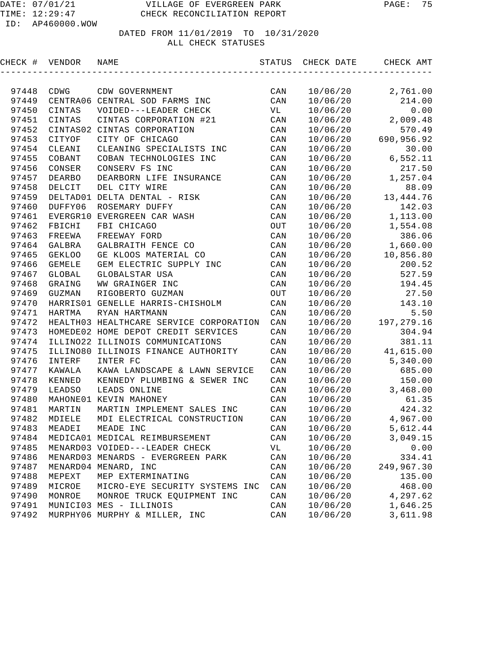| CHECK # | VENDOR        | NAME                                    | STATUS                      | CHECK DATE | CHECK AMT   |
|---------|---------------|-----------------------------------------|-----------------------------|------------|-------------|
|         |               |                                         |                             |            |             |
| 97448   | CDWG          | CDW GOVERNMENT                          | CAN                         | 10/06/20   | 2,761.00    |
| 97449   |               | CENTRA06 CENTRAL SOD FARMS INC          | CAN                         | 10/06/20   | 214.00      |
| 97450   | CINTAS        | VOIDED---LEADER CHECK                   | VL                          | 10/06/20   | 0.00        |
| 97451   | CINTAS        | CINTAS CORPORATION #21                  | $\mathtt{CAN}$              | 10/06/20   | 2,009.48    |
| 97452   |               | CINTAS02 CINTAS CORPORATION             | CAN                         | 10/06/20   | 570.49      |
| 97453   | CITYOF        | CITY OF CHICAGO                         | CAN                         | 10/06/20   | 690,956.92  |
| 97454   | CLEANI        | CLEANING SPECIALISTS INC                | CAN                         | 10/06/20   | 30.00       |
| 97455   | COBANT        | COBAN TECHNOLOGIES INC                  | CAN                         | 10/06/20   | 6,552.11    |
| 97456   | CONSER        | CONSERV FS INC                          | CAN                         | 10/06/20   | 217.50      |
| 97457   | <b>DEARBO</b> | DEARBORN LIFE INSURANCE                 | CAN                         | 10/06/20   | 1,257.04    |
| 97458   | DELCIT        | DEL CITY WIRE                           | $\mathtt{CAN}$              | 10/06/20   | 88.09       |
| 97459   |               | DELTAD01 DELTA DENTAL - RISK            | CAN                         | 10/06/20   | 13, 444. 76 |
| 97460   | DUFFY06       | ROSEMARY DUFFY                          | CAN                         | 10/06/20   | 142.03      |
| 97461   | EVERGR10      | EVERGREEN CAR WASH                      | CAN                         | 10/06/20   | 1,113.00    |
| 97462   | FBICHI        | FBI CHICAGO                             | OUT                         | 10/06/20   | 1,554.08    |
| 97463   | FREEWA        | FREEWAY FORD                            | $\mathtt{CAN}$              | 10/06/20   | 386.06      |
| 97464   | GALBRA        | GALBRAITH FENCE CO                      | $\mathtt{CAN}$              | 10/06/20   | 1,660.00    |
| 97465   | <b>GEKLOO</b> | GE KLOOS MATERIAL CO                    | $\mathtt{CAN}$              | 10/06/20   | 10,856.80   |
| 97466   | <b>GEMELE</b> | GEM ELECTRIC SUPPLY INC                 | CAN                         | 10/06/20   | 200.52      |
| 97467   | GLOBAL        | GLOBALSTAR USA                          | CAN                         | 10/06/20   | 527.59      |
| 97468   | GRAING        | WW GRAINGER INC                         | CAN                         | 10/06/20   | 194.45      |
| 97469   | GUZMAN        | RIGOBERTO GUZMAN                        | $_{\mbox{\scriptsize OUT}}$ | 10/06/20   | 27.50       |
| 97470   |               | HARRISO1 GENELLE HARRIS-CHISHOLM        | $\mathtt{CAN}$              | 10/06/20   | 143.10      |
| 97471   | HARTMA        | RYAN HARTMANN                           | CAN                         | 10/06/20   | 5.50        |
| 97472   |               | HEALTH03 HEALTHCARE SERVICE CORPORATION | CAN                         | 10/06/20   | 197, 279.16 |
| 97473   |               | HOMEDE02 HOME DEPOT CREDIT SERVICES     | CAN                         | 10/06/20   | 304.94      |
| 97474   |               | ILLINO22 ILLINOIS COMMUNICATIONS        | CAN                         | 10/06/20   | 381.11      |
| 97475   | ILLINO80      | ILLINOIS FINANCE AUTHORITY              | CAN                         | 10/06/20   | 41,615.00   |
| 97476   | INTERF        | INTER FC                                | CAN                         | 10/06/20   | 5,340.00    |
| 97477   | KAWALA        | KAWA LANDSCAPE & LAWN SERVICE           | CAN                         | 10/06/20   | 685.00      |
| 97478   | KENNED        | KENNEDY PLUMBING & SEWER INC            | CAN                         | 10/06/20   | 150.00      |
| 97479   | LEADSO        | LEADS ONLINE                            | CAN                         | 10/06/20   | 3,468.00    |
| 97480   |               | MAHONE01 KEVIN MAHONEY                  | CAN                         | 10/06/20   | 61.35       |
| 97481   | MARTIN        | MARTIN IMPLEMENT SALES INC              | CAN                         | 10/06/20   | 424.32      |
| 97482   | MDIELE        | MDI ELECTRICAL CONSTRUCTION             | CAN                         | 10/06/20   | 4,967.00    |
| 97483   | MEADEI        | MEADE INC                               | $\mathtt{CAN}$              | 10/06/20   | 5,612.44    |
| 97484   |               | MEDICA01 MEDICAL REIMBURSEMENT          | CAN                         | 10/06/20   | 3,049.15    |
| 97485   |               | MENARD03 VOIDED---LEADER CHECK          | VL                          | 10/06/20   | 0.00        |
| 97486   |               | MENARD03 MENARDS - EVERGREEN PARK       | CAN                         | 10/06/20   | 334.41      |
| 97487   |               | MENARD04 MENARD, INC                    | CAN                         | 10/06/20   | 249,967.30  |
| 97488   | MEPEXT        | MEP EXTERMINATING                       | CAN                         | 10/06/20   | 135.00      |
| 97489   | MICROE        | MICRO-EYE SECURITY SYSTEMS INC          | CAN                         | 10/06/20   | 468.00      |
| 97490   | MONROE        | MONROE TRUCK EQUIPMENT INC              | CAN                         | 10/06/20   | 4,297.62    |
| 97491   |               | MUNICI03 MES - ILLINOIS                 | CAN                         | 10/06/20   | 1,646.25    |
| 97492   |               | MURPHY06 MURPHY & MILLER, INC           | CAN                         | 10/06/20   | 3,611.98    |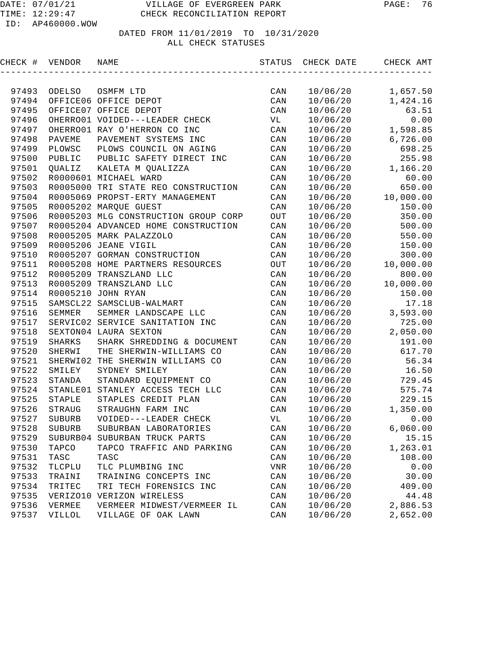| CHECK # | VENDOR        | NAME                                 | STATUS                  | CHECK DATE | CHECK AMT |
|---------|---------------|--------------------------------------|-------------------------|------------|-----------|
|         |               |                                      |                         |            |           |
| 97493   | ODELSO        | OSMFM LTD                            | CAN                     | 10/06/20   | 1,657.50  |
| 97494   |               | OFFICE06 OFFICE DEPOT                | CAN                     | 10/06/20   | 1,424.16  |
| 97495   |               | OFFICE07 OFFICE DEPOT                | CAN                     | 10/06/20   | 63.51     |
| 97496   |               | OHERRO01 VOIDED---LEADER CHECK       | VL                      | 10/06/20   | 0.00      |
| 97497   |               | OHERRO01 RAY O'HERRON CO INC         | CAN                     | 10/06/20   | 1,598.85  |
| 97498   | PAVEME        | PAVEMENT SYSTEMS INC                 | CAN                     | 10/06/20   | 6,726.00  |
| 97499   | PLOWSC        | PLOWS COUNCIL ON AGING               | CAN                     | 10/06/20   | 698.25    |
| 97500   | PUBLIC        | PUBLIC SAFETY DIRECT INC             | CAN                     | 10/06/20   | 255.98    |
| 97501   | QUALIZ        | KALETA M QUALIZZA                    | CAN                     | 10/06/20   | 1,166.20  |
| 97502   |               | R0000601 MICHAEL WARD                | CAN                     | 10/06/20   | 60.00     |
| 97503   |               | R0005000 TRI STATE REO CONSTRUCTION  | CAN                     | 10/06/20   | 650.00    |
| 97504   |               | R0005069 PROPST-ERTY MANAGEMENT      | CAN                     | 10/06/20   | 10,000.00 |
| 97505   |               | R0005202 MARQUE GUEST                | CAN                     | 10/06/20   | 150.00    |
| 97506   |               | R0005203 MLG CONSTRUCTION GROUP CORP | $_{\mbox{\small{OUT}}}$ | 10/06/20   | 350.00    |
| 97507   |               | R0005204 ADVANCED HOME CONSTRUCTION  | $\mathtt{CAN}$          | 10/06/20   | 500.00    |
| 97508   |               | R0005205 MARK PALAZZOLO              | CAN                     | 10/06/20   | 550.00    |
| 97509   |               | R0005206 JEANE VIGIL                 | CAN                     | 10/06/20   | 150.00    |
| 97510   |               | R0005207 GORMAN CONSTRUCTION         | CAN                     | 10/06/20   | 300.00    |
| 97511   |               | R0005208 HOME PARTNERS RESOURCES     | OUT                     | 10/06/20   | 10,000.00 |
| 97512   |               | R0005209 TRANSZLAND LLC              | CAN                     | 10/06/20   | 800.00    |
| 97513   |               | R0005209 TRANSZLAND LLC              | CAN                     | 10/06/20   | 10,000.00 |
| 97514   |               | R0005210 JOHN RYAN                   | CAN                     | 10/06/20   | 150.00    |
| 97515   |               | SAMSCL22 SAMSCLUB-WALMART            | CAN                     | 10/06/20   | 17.18     |
| 97516   | SEMMER        | SEMMER LANDSCAPE LLC                 | CAN                     | 10/06/20   | 3,593.00  |
| 97517   |               | SERVIC02 SERVICE SANITATION INC      | CAN                     | 10/06/20   | 725.00    |
| 97518   |               | SEXTON04 LAURA SEXTON                | CAN                     | 10/06/20   | 2,050.00  |
| 97519   | <b>SHARKS</b> | SHARK SHREDDING & DOCUMENT           | CAN                     | 10/06/20   | 191.00    |
| 97520   | SHERWI        | THE SHERWIN-WILLIAMS CO              | CAN                     | 10/06/20   | 617.70    |
| 97521   | SHERWI02      | THE SHERWIN WILLIAMS CO              | CAN                     | 10/06/20   | 56.34     |
| 97522   | SMILEY        | SYDNEY SMILEY                        | CAN                     | 10/06/20   | 16.50     |
| 97523   | STANDA        | STANDARD EQUIPMENT CO                | CAN                     | 10/06/20   | 729.45    |
| 97524   | STANLE01      | STANLEY ACCESS TECH LLC              | CAN                     | 10/06/20   | 575.74    |
| 97525   | STAPLE        | STAPLES CREDIT PLAN                  | CAN                     | 10/06/20   | 229.15    |
| 97526   | STRAUG        | STRAUGHN FARM INC                    | $\mathtt{CAN}$          | 10/06/20   | 1,350.00  |
| 97527   | <b>SUBURB</b> | VOIDED---LEADER CHECK                | VL                      | 10/06/20   | 0.00      |
| 97528   | SUBURB        | SUBURBAN LABORATORIES                | $\mathtt{CAN}$          | 10/06/20   | 6,060.00  |
| 97529   | SUBURB04      | SUBURBAN TRUCK PARTS                 | CAN                     | 10/06/20   | 15.15     |
| 97530   | TAPCO         | TAPCO TRAFFIC AND PARKING            | CAN                     | 10/06/20   | 1,263.01  |
| 97531   | TASC          | TASC                                 | $\mathtt{CAN}$          | 10/06/20   | 108.00    |
| 97532   | TLCPLU        | TLC PLUMBING INC                     | VNR                     | 10/06/20   | 0.00      |
| 97533   | TRAINI        | TRAINING CONCEPTS INC                | CAN                     | 10/06/20   | 30.00     |
| 97534   | TRITEC        | TRI TECH FORENSICS INC               | CAN                     | 10/06/20   | 409.00    |
| 97535   | VERIZO10      | VERIZON WIRELESS                     | CAN                     | 10/06/20   | 44.48     |
| 97536   | VERMEE        | VERMEER MIDWEST/VERMEER IL           | CAN                     | 10/06/20   | 2,886.53  |
| 97537   | VILLOL        | VILLAGE OF OAK LAWN                  | $\mathtt{CAN}$          | 10/06/20   | 2,652.00  |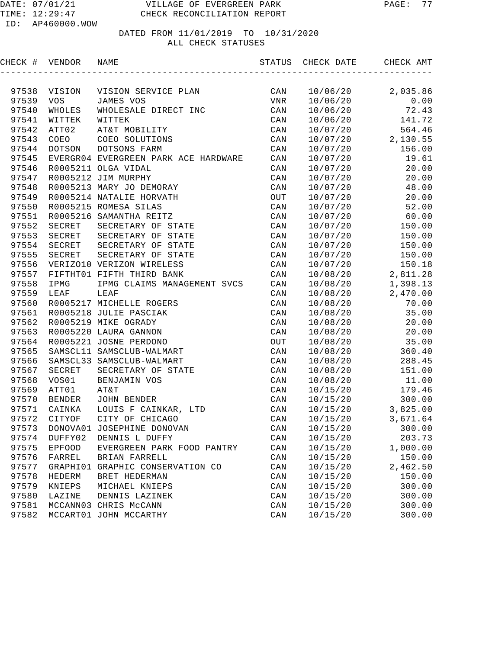| CHECK # | VENDOR     | NAME                                 | STATUS                 | CHECK DATE | CHECK AMT |
|---------|------------|--------------------------------------|------------------------|------------|-----------|
|         |            |                                      |                        |            |           |
| 97538   | VISION     | VISION SERVICE PLAN                  | CAN                    | 10/06/20   | 2,035.86  |
| 97539   | <b>VOS</b> | JAMES VOS                            | VNR                    | 10/06/20   | 0.00      |
| 97540   | WHOLES     | WHOLESALE DIRECT INC                 | CAN                    | 10/06/20   | 72.43     |
| 97541   | WITTEK     | WITTEK                               | CAN                    | 10/06/20   | 141.72    |
| 97542   | ATT02      | AT&T MOBILITY                        | CAN                    | 10/07/20   | 564.46    |
| 97543   | COEO       | COEO SOLUTIONS                       | CAN                    | 10/07/20   | 2,130.55  |
| 97544   | DOTSON     | DOTSONS FARM                         | CAN                    | 10/07/20   | 156.00    |
| 97545   |            | EVERGR04 EVERGREEN PARK ACE HARDWARE | CAN                    | 10/07/20   | 19.61     |
| 97546   |            | R0005211 OLGA VIDAL                  | CAN                    | 10/07/20   | 20.00     |
| 97547   |            | R0005212 JIM MURPHY                  | CAN                    | 10/07/20   | 20.00     |
| 97548   |            | R0005213 MARY JO DEMORAY             | CAN                    | 10/07/20   | 48.00     |
| 97549   |            | R0005214 NATALIE HORVATH             | $_{\mbox{\small OUT}}$ | 10/07/20   | 20.00     |
| 97550   |            | R0005215 ROMESA SILAS                | CAN                    | 10/07/20   | 52.00     |
| 97551   |            | R0005216 SAMANTHA REITZ              | CAN                    | 10/07/20   | 60.00     |
| 97552   | SECRET     | SECRETARY OF STATE                   | CAN                    | 10/07/20   | 150.00    |
| 97553   | SECRET     | SECRETARY OF STATE                   | CAN                    | 10/07/20   | 150.00    |
| 97554   | SECRET     | SECRETARY OF STATE                   | CAN                    | 10/07/20   | 150.00    |
| 97555   | SECRET     | SECRETARY OF STATE                   | CAN                    | 10/07/20   | 150.00    |
| 97556   |            | VERIZO10 VERIZON WIRELESS            | CAN                    | 10/07/20   | 150.18    |
| 97557   |            | FIFTHT01 FIFTH THIRD BANK            | CAN                    | 10/08/20   | 2,811.28  |
| 97558   | IPMG       | IPMG CLAIMS MANAGEMENT SVCS          | CAN                    | 10/08/20   | 1,398.13  |
| 97559   | LEAF       | LEAF                                 | CAN                    | 10/08/20   | 2,470.00  |
| 97560   |            | R0005217 MICHELLE ROGERS             | CAN                    | 10/08/20   | 70.00     |
| 97561   |            | R0005218 JULIE PASCIAK               | CAN                    | 10/08/20   | 35.00     |
| 97562   |            | R0005219 MIKE OGRADY                 | CAN                    | 10/08/20   | 20.00     |
| 97563   |            | R0005220 LAURA GANNON                | CAN                    | 10/08/20   | 20.00     |
| 97564   |            | R0005221 JOSNE PERDONO               | OUT                    | 10/08/20   | 35.00     |
| 97565   |            | SAMSCL11 SAMSCLUB-WALMART            | CAN                    | 10/08/20   | 360.40    |
| 97566   |            | SAMSCL33 SAMSCLUB-WALMART            | CAN                    | 10/08/20   | 288.45    |
| 97567   | SECRET     | SECRETARY OF STATE                   | CAN                    | 10/08/20   | 151.00    |
| 97568   | VOS01      | BENJAMIN VOS                         | CAN                    | 10/08/20   | 11.00     |
| 97569   | ATT01      | AT&T                                 | CAN                    | 10/15/20   | 179.46    |
| 97570   | BENDER     | JOHN BENDER                          | CAN                    | 10/15/20   | 300.00    |
| 97571   | CAINKA     | LOUIS F CAINKAR, LTD                 | CAN                    | 10/15/20   | 3,825.00  |
| 97572   | CITYOF     | CITY OF CHICAGO                      | CAN                    | 10/15/20   | 3,671.64  |
| 97573   |            | DONOVA01 JOSEPHINE DONOVAN           | $\mathtt{CAN}$         | 10/15/20   | 300.00    |
| 97574   | DUFFY02    | DENNIS L DUFFY                       | CAN                    | 10/15/20   | 203.73    |
| 97575   | EPFOOD     | EVERGREEN PARK FOOD PANTRY           | CAN                    | 10/15/20   | 1,000.00  |
| 97576   | FARREL     | BRIAN FARRELL                        | CAN                    | 10/15/20   | 150.00    |
| 97577   |            | GRAPHI01 GRAPHIC CONSERVATION CO     | CAN                    | 10/15/20   | 2,462.50  |
| 97578   | HEDERM     | BRET HEDERMAN                        | CAN                    | 10/15/20   | 150.00    |
| 97579   | KNIEPS     | MICHAEL KNIEPS                       | CAN                    | 10/15/20   | 300.00    |
| 97580   | LAZINE     | DENNIS LAZINEK                       | $\mathtt{CAN}$         | 10/15/20   | 300.00    |
| 97581   |            | MCCANN03 CHRIS McCANN                | CAN                    | 10/15/20   | 300.00    |
| 97582   |            | MCCART01 JOHN MCCARTHY               | CAN                    | 10/15/20   | 300.00    |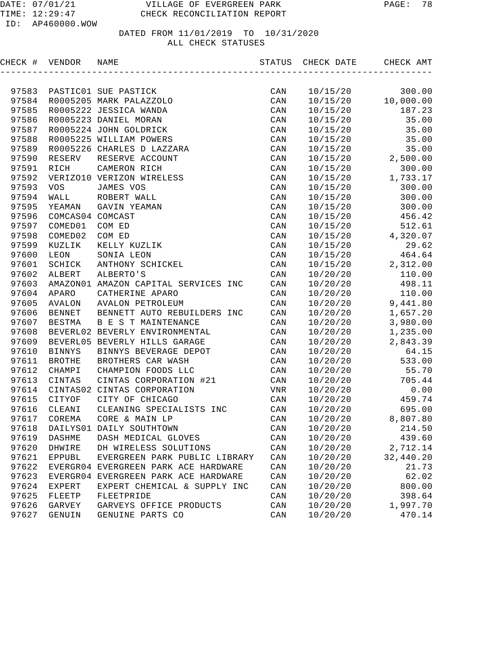| CHECK # VENDOR |                  | NAME                                 | STATUS                  | CHECK DATE | CHECK AMT |
|----------------|------------------|--------------------------------------|-------------------------|------------|-----------|
|                |                  |                                      |                         |            |           |
| 97583          |                  | PASTIC01 SUE PASTICK                 | CAN                     | 10/15/20   | 300.00    |
| 97584          |                  | R0005205 MARK PALAZZOLO              | CAN                     | 10/15/20   | 10,000.00 |
| 97585          |                  | R0005222 JESSICA WANDA               | CAN                     | 10/15/20   | 187.23    |
| 97586          |                  | R0005223 DANIEL MORAN                | CAN                     | 10/15/20   | 35.00     |
| 97587          |                  | R0005224 JOHN GOLDRICK               | CAN                     | 10/15/20   | 35.00     |
| 97588          |                  | R0005225 WILLIAM POWERS              | CAN                     | 10/15/20   | 35.00     |
| 97589          |                  | R0005226 CHARLES D LAZZARA           | CAN                     | 10/15/20   | 35.00     |
| 97590          | RESERV           | RESERVE ACCOUNT                      | CAN                     | 10/15/20   | 2,500.00  |
| 97591          | RICH             | CAMERON RICH                         | CAN                     | 10/15/20   | 300.00    |
| 97592          |                  | VERIZO10 VERIZON WIRELESS            | CAN                     | 10/15/20   | 1,733.17  |
| 97593          | <b>VOS</b>       | JAMES VOS                            | CAN                     | 10/15/20   | 300.00    |
| 97594          | WALL             | ROBERT WALL                          | CAN                     | 10/15/20   | 300.00    |
| 97595          | YEAMAN           | GAVIN YEAMAN                         | CAN                     | 10/15/20   | 300.00    |
| 97596          | COMCAS04 COMCAST |                                      | CAN                     | 10/15/20   | 456.42    |
| 97597          | COMED01          | COM ED                               | CAN                     | 10/15/20   | 512.61    |
| 97598          | COMED02          | COM ED                               | CAN                     | 10/15/20   | 4,320.07  |
| 97599          | KUZLIK           | KELLY KUZLIK                         | CAN                     | 10/15/20   | 29.62     |
| 97600          | LEON             | SONIA LEON                           | CAN                     | 10/15/20   | 464.64    |
| 97601          | SCHICK           | ANTHONY SCHICKEL                     | CAN                     | 10/15/20   | 2,312.00  |
| 97602          | ALBERT           | ALBERTO'S                            | CAN                     | 10/20/20   | 110.00    |
| 97603          |                  | AMAZON01 AMAZON CAPITAL SERVICES INC | CAN                     | 10/20/20   | 498.11    |
| 97604          | APARO            | CATHERINE APARO                      | CAN                     | 10/20/20   | 110.00    |
| 97605          | AVALON           | AVALON PETROLEUM                     | CAN                     | 10/20/20   | 9,441.80  |
| 97606          | <b>BENNET</b>    | BENNETT AUTO REBUILDERS INC          | CAN                     | 10/20/20   | 1,657.20  |
| 97607          | BESTMA           | B E S T MAINTENANCE                  | CAN                     | 10/20/20   | 3,980.00  |
| 97608          |                  | BEVERL02 BEVERLY ENVIRONMENTAL       | CAN                     | 10/20/20   | 1,235.00  |
| 97609          |                  | BEVERL05 BEVERLY HILLS GARAGE        | CAN                     | 10/20/20   | 2,843.39  |
| 97610          | <b>BINNYS</b>    | BINNYS BEVERAGE DEPOT                | CAN                     | 10/20/20   | 64.15     |
| 97611          | <b>BROTHE</b>    | BROTHERS CAR WASH                    | CAN                     | 10/20/20   | 533.00    |
| 97612          | CHAMPI           | CHAMPION FOODS LLC                   | CAN                     | 10/20/20   | 55.70     |
| 97613          | CINTAS           | CINTAS CORPORATION #21               | CAN                     | 10/20/20   | 705.44    |
| 97614          |                  | CINTAS02 CINTAS CORPORATION          | VNR                     | 10/20/20   | 0.00      |
| 97615          | CITYOF           | CITY OF CHICAGO                      | CAN                     | 10/20/20   | 459.74    |
| 97616          | CLEANI           | CLEANING SPECIALISTS INC             | CAN                     | 10/20/20   | 695.00    |
| 97617          | COREMA           | CORE & MAIN LP                       | CAN                     | 10/20/20   | 8,807.80  |
| 97618          |                  | DAILYS01 DAILY SOUTHTOWN             | CAN                     | 10/20/20   | 214.50    |
| 97619          | DASHME           | DASH MEDICAL GLOVES                  | CAN                     | 10/20/20   | 439.60    |
| 97620          | DHWIRE           | DH WIRELESS SOLUTIONS                | CAN                     | 10/20/20   | 2,712.14  |
| 97621          | EPPUBL           | EVERGREEN PARK PUBLIC LIBRARY        | $\mathtt{CAN}$          | 10/20/20   | 32,440.20 |
| 97622          |                  | EVERGR04 EVERGREEN PARK ACE HARDWARE | $\mathtt{CAN}$          | 10/20/20   | 21.73     |
| 97623          |                  | EVERGR04 EVERGREEN PARK ACE HARDWARE | CAN                     | 10/20/20   | 62.02     |
| 97624          | EXPERT           | EXPERT CHEMICAL & SUPPLY INC         | $\mathtt{CAN}$          | 10/20/20   | 800.00    |
| 97625          | FLEETP           | FLEETPRIDE                           | CAN                     | 10/20/20   | 398.64    |
| 97626          | GARVEY           | GARVEYS OFFICE PRODUCTS              | CAN                     | 10/20/20   | 1,997.70  |
| 97627          | GENUIN           | GENUINE PARTS CO                     | $\mathop{\mathtt{CAN}}$ | 10/20/20   | 470.14    |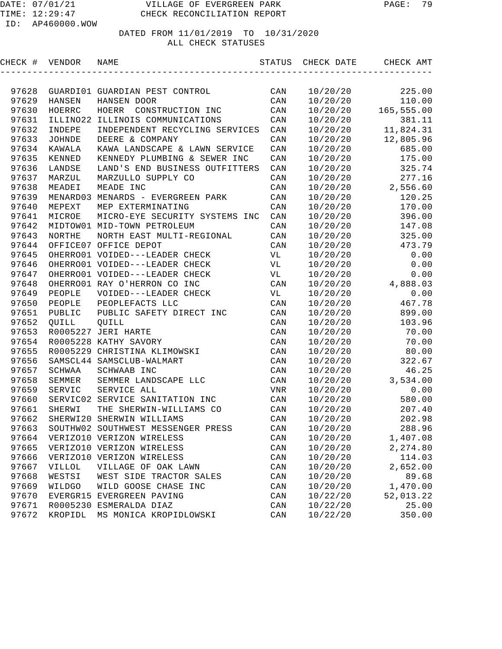| CHECK # VENDOR |               | NAME                                     | STATUS         | CHECK DATE | CHECK AMT  |
|----------------|---------------|------------------------------------------|----------------|------------|------------|
|                |               |                                          |                |            |            |
| 97628          |               | GUARDIO1 GUARDIAN PEST CONTROL           | CAN            | 10/20/20   | 225.00     |
| 97629          | HANSEN        | HANSEN DOOR                              | CAN            | 10/20/20   | 110.00     |
| 97630          | HOERRC        | HOERR<br>CONSTRUCTION INC                | CAN            | 10/20/20   | 165,555.00 |
| 97631          | ILLINO22      | ILLINOIS COMMUNICATIONS                  | CAN            | 10/20/20   | 381.11     |
| 97632          | INDEPE        | INDEPENDENT RECYCLING SERVICES           | CAN            | 10/20/20   | 11,824.31  |
| 97633          | <b>JOHNDE</b> | DEERE & COMPANY                          | CAN            | 10/20/20   | 12,805.96  |
| 97634          | KAWALA        | KAWA LANDSCAPE & LAWN SERVICE            | CAN            | 10/20/20   | 685.00     |
| 97635          | KENNED        | KENNEDY PLUMBING & SEWER INC             | CAN            | 10/20/20   | 175.00     |
| 97636          | LANDSE        | LAND'S END BUSINESS OUTFITTERS           | CAN            | 10/20/20   | 325.74     |
| 97637          | MARZUL        | MARZULLO SUPPLY CO                       | CAN            | 10/20/20   | 277.16     |
| 97638          | MEADEI        | MEADE INC                                | CAN            | 10/20/20   | 2,556.60   |
| 97639          |               | MENARD03 MENARDS - EVERGREEN PARK        | CAN            | 10/20/20   | 120.25     |
| 97640          | MEPEXT        | MEP EXTERMINATING                        | CAN            | 10/20/20   | 170.00     |
| 97641          | MICROE        | MICRO-EYE SECURITY SYSTEMS INC           | CAN            | 10/20/20   | 396.00     |
| 97642          |               | MIDTOW01 MID-TOWN PETROLEUM              | CAN            | 10/20/20   | 147.08     |
| 97643          | NORTHE        | NORTH EAST MULTI-REGIONAL                | CAN            | 10/20/20   | 325.00     |
| 97644          |               | OFFICE07 OFFICE DEPOT                    | CAN            | 10/20/20   | 473.79     |
| 97645          |               | OHERRO01 VOIDED---LEADER CHECK           | VL             | 10/20/20   | 0.00       |
| 97646          |               | OHERRO01 VOIDED---LEADER CHECK           | VL             | 10/20/20   | 0.00       |
| 97647          |               | OHERRO01 VOIDED---LEADER CHECK           | VL             | 10/20/20   | 0.00       |
| 97648          |               | OHERRO01 RAY O'HERRON CO INC             | CAN            | 10/20/20   | 4,888.03   |
| 97649          | PEOPLE        | VOIDED---LEADER CHECK                    | VL             | 10/20/20   | 0.00       |
| 97650          | PEOPLE        | PEOPLEFACTS LLC                          | CAN            | 10/20/20   | 467.78     |
| 97651          | PUBLIC        | PUBLIC SAFETY DIRECT INC                 | CAN            | 10/20/20   | 899.00     |
| 97652          | QUILL         | QUILL                                    | CAN            | 10/20/20   | 103.96     |
| 97653          |               | R0005227 JERI HARTE                      | CAN            | 10/20/20   | 70.00      |
| 97654          |               | R0005228 KATHY SAVORY                    | CAN            | 10/20/20   | 70.00      |
| 97655          |               | R0005229 CHRISTINA KLIMOWSKI             | CAN            | 10/20/20   | 80.00      |
| 97656          |               | SAMSCL44 SAMSCLUB-WALMART                | CAN            | 10/20/20   | 322.67     |
| 97657          | SCHWAA        | SCHWAAB INC                              | CAN            | 10/20/20   | 46.25      |
| 97658          | SEMMER        | SEMMER LANDSCAPE LLC                     | CAN            | 10/20/20   | 3,534.00   |
| 97659          | SERVIC        | SERVICE ALL                              | VNR            | 10/20/20   | 0.00       |
| 97660          |               | SERVIC02 SERVICE SANITATION INC          | CAN            | 10/20/20   | 580.00     |
| 97661          | SHERWI        | THE SHERWIN-WILLIAMS CO                  | CAN            | 10/20/20   | 207.40     |
| 97662          |               | SHERWI20 SHERWIN WILLIAMS                | CAN            | 10/20/20   | 202.98     |
|                |               | 97663 SOUTHW02 SOUTHWEST MESSENGER PRESS | $\mathtt{CAN}$ | 10/20/20   | 288.96     |
| 97664          |               | VERIZO10 VERIZON WIRELESS                | CAN            | 10/20/20   | 1,407.08   |
| 97665          |               | VERIZO10 VERIZON WIRELESS                | CAN            | 10/20/20   | 2,274.80   |
| 97666          |               | VERIZO10 VERIZON WIRELESS                | CAN            | 10/20/20   | 114.03     |
| 97667          | <b>VILLOL</b> | VILLAGE OF OAK LAWN                      | CAN            | 10/20/20   | 2,652.00   |
| 97668          | WESTSI        | WEST SIDE TRACTOR SALES                  | CAN            | 10/20/20   | 89.68      |
| 97669          | WILDGO        | WILD GOOSE CHASE INC                     | CAN            | 10/20/20   | 1,470.00   |
| 97670          |               | EVERGR15 EVERGREEN PAVING                | CAN            | 10/22/20   | 52,013.22  |
| 97671          |               | R0005230 ESMERALDA DIAZ                  | CAN            | 10/22/20   | 25.00      |
| 97672          | KROPIDL       | MS MONICA KROPIDLOWSKI                   | CAN            | 10/22/20   | 350.00     |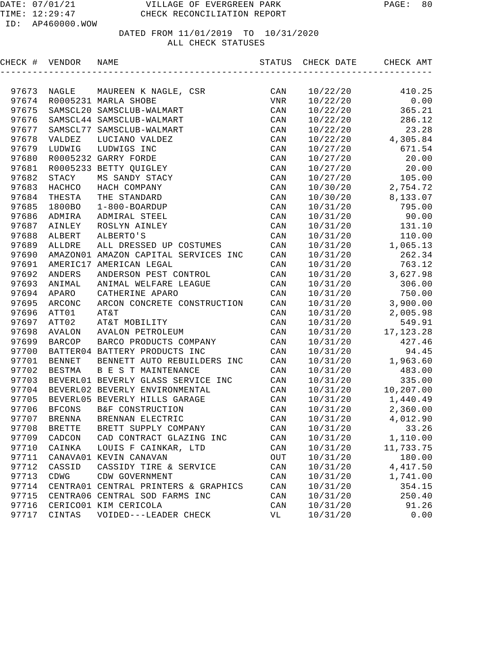| CHECK # VENDOR |               | NAME                                 | STATUS                 | CHECK DATE | CHECK AMT   |
|----------------|---------------|--------------------------------------|------------------------|------------|-------------|
|                |               |                                      |                        |            |             |
| 97673          | NAGLE         | MAUREEN K NAGLE, CSR                 | CAN                    | 10/22/20   | 410.25      |
| 97674          |               | R0005231 MARLA SHOBE                 | VNR                    | 10/22/20   | 0.00        |
| 97675          |               | SAMSCL20 SAMSCLUB-WALMART            | CAN                    | 10/22/20   | 365.21      |
| 97676          |               | SAMSCL44 SAMSCLUB-WALMART            | CAN                    | 10/22/20   | 286.12      |
| 97677          |               | SAMSCL77 SAMSCLUB-WALMART            | CAN                    | 10/22/20   | 23.28       |
| 97678          | <b>VALDEZ</b> | LUCIANO VALDEZ                       | CAN                    | 10/22/20   | 4,305.84    |
| 97679          | LUDWIG        | LUDWIGS INC                          | CAN                    | 10/27/20   | 671.54      |
| 97680          |               | R0005232 GARRY FORDE                 | CAN                    | 10/27/20   | 20.00       |
| 97681          | R0005233      | BETTY QUIGLEY                        | CAN                    | 10/27/20   | 20.00       |
| 97682          | STACY         | MS SANDY STACY                       | CAN                    | 10/27/20   | 105.00      |
| 97683          | HACHCO        | HACH COMPANY                         | CAN                    | 10/30/20   | 2,754.72    |
| 97684          | THESTA        | THE STANDARD                         | CAN                    | 10/30/20   | 8,133.07    |
| 97685          | 1800BO        | $1 - 800 - BOARDUP$                  | CAN                    | 10/31/20   | 795.00      |
| 97686          | ADMIRA        | ADMIRAL STEEL                        | CAN                    | 10/31/20   | 90.00       |
| 97687          | AINLEY        | ROSLYN AINLEY                        | CAN                    | 10/31/20   | 131.10      |
| 97688          | ALBERT        | ALBERTO'S                            | CAN                    | 10/31/20   | 110.00      |
| 97689          | ALLDRE        | ALL DRESSED UP COSTUMES              | CAN                    | 10/31/20   | 1,065.13    |
| 97690          |               | AMAZON01 AMAZON CAPITAL SERVICES INC | CAN                    | 10/31/20   | 262.34      |
| 97691          |               | AMERIC17 AMERICAN LEGAL              | CAN                    | 10/31/20   | 763.12      |
| 97692          | ANDERS        | ANDERSON PEST CONTROL                | CAN                    | 10/31/20   | 3,627.98    |
| 97693          | ANIMAL        | ANIMAL WELFARE LEAGUE                | CAN                    | 10/31/20   | 306.00      |
| 97694          | APARO         | CATHERINE APARO                      | CAN                    | 10/31/20   | 750.00      |
| 97695          | ARCONC        | ARCON CONCRETE CONSTRUCTION          | CAN                    | 10/31/20   | 3,900.00    |
| 97696          | ATT01         | AT&T                                 | CAN                    | 10/31/20   | 2,005.98    |
| 97697          | ATT02         | AT&T MOBILITY                        | CAN                    | 10/31/20   | 549.91      |
| 97698          | AVALON        | AVALON PETROLEUM                     | CAN                    | 10/31/20   | 17, 123. 28 |
| 97699          | <b>BARCOP</b> | BARCO PRODUCTS COMPANY               | CAN                    | 10/31/20   | 427.46      |
| 97700          |               | BATTER04 BATTERY PRODUCTS INC        | CAN                    | 10/31/20   | 94.45       |
| 97701          | <b>BENNET</b> | BENNETT AUTO REBUILDERS INC          | CAN                    | 10/31/20   | 1,963.60    |
| 97702          | <b>BESTMA</b> | B E S T MAINTENANCE                  | CAN                    | 10/31/20   | 483.00      |
| 97703          |               | BEVERL01 BEVERLY GLASS SERVICE INC   | CAN                    | 10/31/20   | 335.00      |
| 97704          |               | BEVERL02 BEVERLY ENVIRONMENTAL       | CAN                    | 10/31/20   | 10,207.00   |
| 97705          |               | BEVERL05 BEVERLY HILLS GARAGE        | CAN                    | 10/31/20   | 1,440.49    |
| 97706          | <b>BFCONS</b> | B&F CONSTRUCTION                     | CAN                    | 10/31/20   | 2,360.00    |
| 97707          | <b>BRENNA</b> | BRENNAN ELECTRIC                     | CAN                    | 10/31/20   | 4,012.90    |
| 97708          | <b>BRETTE</b> | BRETT SUPPLY COMPANY                 | $\mathtt{CAN}$         | 10/31/20   | 33.26       |
| 97709          | CADCON        | CAD CONTRACT GLAZING INC             | $\mathtt{CAN}$         | 10/31/20   | 1,110.00    |
| 97710          | CAINKA        | LOUIS F CAINKAR, LTD                 | CAN                    | 10/31/20   | 11,733.75   |
| 97711          |               | CANAVA01 KEVIN CANAVAN               | $_{\mbox{\small OUT}}$ | 10/31/20   | 180.00      |
| 97712          | CASSID        | CASSIDY TIRE & SERVICE               | CAN                    | 10/31/20   | 4, 417.50   |
| 97713          | CDWG          | CDW GOVERNMENT                       | CAN                    | 10/31/20   | 1,741.00    |
| 97714          |               | CENTRA01 CENTRAL PRINTERS & GRAPHICS | CAN                    | 10/31/20   | 354.15      |
| 97715          |               | CENTRA06 CENTRAL SOD FARMS INC       | CAN                    | 10/31/20   | 250.40      |
| 97716          |               | CERICO01 KIM CERICOLA                | CAN                    | 10/31/20   | 91.26       |
| 97717          | CINTAS        | VOIDED---LEADER CHECK                | VL                     | 10/31/20   | 0.00        |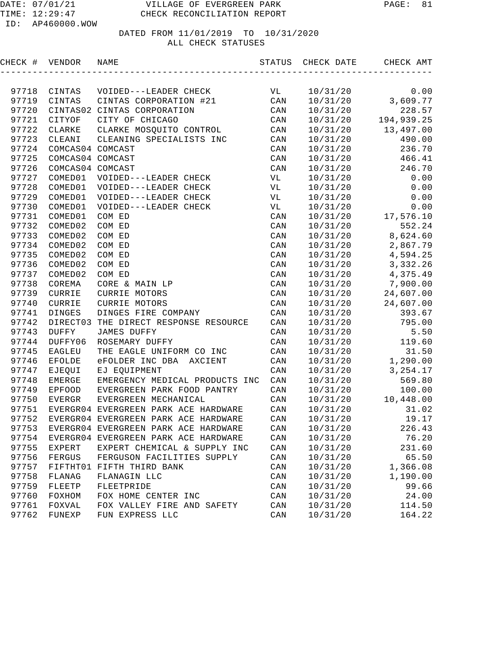| CHECK # | VENDOR           | NAME                                       |           | STATUS CHECK DATE | CHECK AMT             |
|---------|------------------|--------------------------------------------|-----------|-------------------|-----------------------|
|         |                  |                                            |           |                   |                       |
| 97718   | CINTAS           | VOIDED---LEADER CHECK                      | <b>VL</b> | 10/31/20          | 0.00                  |
| 97719   | CINTAS           | CINTAS CORPORATION #21                     | CAN       | 10/31/20          | 0.00<br>3,609.77      |
| 97720   |                  | CINTAS02 CINTAS CORPORATION                | CAN       | 10/31/20          | 228.57                |
| 97721   | CITYOF           | CITY OF CHICAGO                            | CAN       |                   | $10/31/20$ 194,939.25 |
| 97722   | CLARKE           | CLARKE MOSQUITO CONTROL                    | CAN       | 10/31/20          | 13,497.00             |
| 97723   | CLEANI           | CLEANING SPECIALISTS INC                   | CAN       | 10/31/20          | 490.00                |
| 97724   | COMCAS04 COMCAST |                                            | CAN       | 10/31/20          | 236.70                |
| 97725   | COMCAS04 COMCAST |                                            | CAN       | 10/31/20          | 466.41                |
| 97726   | COMCAS04 COMCAST |                                            | CAN       |                   | 10/31/20 246.70       |
| 97727   | COMED01          | VOIDED---LEADER CHECK                      | VL        | 10/31/20          | 0.00                  |
| 97728   | COMED01          | VOIDED---LEADER CHECK                      | VL        | 10/31/20          | 0.00                  |
| 97729   | COMED01          | VOIDED---LEADER CHECK                      | VL        | 10/31/20          | 0.00                  |
| 97730   | COMED01          | VOIDED---LEADER CHECK                      | <b>VL</b> | 10/31/20          | 0.00                  |
| 97731   | COMED01          | COM ED                                     | CAN       |                   | 10/31/20 17,576.10    |
| 97732   | COMED02          | COM ED                                     | CAN       | 10/31/20          | 552.24                |
| 97733   | COMED02          | COM ED                                     | CAN       |                   | $10/31/20$ 8,624.60   |
| 97734   | COMED02          | COM ED                                     | CAN       |                   | $10/31/20$ 2,867.79   |
| 97735   | COMED02          | COM ED                                     | CAN       |                   | $10/31/20$ 4,594.25   |
| 97736   | COMED02          | COM ED                                     | CAN       |                   | $10/31/20$ 3, 332.26  |
| 97737   | COMED02          | COM ED                                     | CAN       |                   | $10/31/20$ 4,375.49   |
| 97738   | COREMA           | CORE & MAIN LP                             | CAN       |                   | $10/31/20$ 7,900.00   |
| 97739   | CURRIE           | CURRIE MOTORS                              | CAN       | 10/31/20          | 24,607.00             |
| 97740   | CURRIE           | CURRIE MOTORS                              | CAN       | 10/31/20          | 24,607.00             |
| 97741   | DINGES           | DINGES FIRE COMPANY                        | CAN       | 10/31/20          | 393.67                |
| 97742   |                  | DIRECT03 THE DIRECT RESPONSE RESOURCE      | CAN       | 10/31/20          | 795.00                |
| 97743   | DUFFY            | <b>JAMES DUFFY</b>                         | CAN       | 10/31/20          | 5.50                  |
| 97744   | DUFFY06          | ROSEMARY DUFFY                             | CAN       | 10/31/20          | 119.60                |
| 97745   | EAGLEU           | THE EAGLE UNIFORM CO INC                   | CAN       | 10/31/20          | 31.50                 |
| 97746   | EFOLDE           | eFOLDER INC DBA AXCIENT                    | CAN       | 10/31/20          | 1,290.00              |
| 97747   | EJEQUI           | EJ EQUIPMENT                               | CAN       | 10/31/20          | 3,254.17              |
| 97748   | <b>EMERGE</b>    | EMERGENCY MEDICAL PRODUCTS INC             | CAN       | 10/31/20          | 569.80                |
| 97749   | EPFOOD           | EVERGREEN PARK FOOD PANTRY                 | CAN       | 10/31/20          | 100.00                |
| 97750   | EVERGR           | EVERGREEN MECHANICAL                       | CAN       | 10/31/20          | 10,448.00             |
| 97751   |                  | EVERGR04 EVERGREEN PARK ACE HARDWARE       | CAN       | 10/31/20          | 31.02                 |
|         |                  | 97752 EVERGR04 EVERGREEN PARK ACE HARDWARE | CAN       | 10/31/20          | 19.17                 |
| 97753   |                  | EVERGR04 EVERGREEN PARK ACE HARDWARE       | CAN       | 10/31/20          | 226.43                |
| 97754   |                  | EVERGR04 EVERGREEN PARK ACE HARDWARE       | CAN       | 10/31/20          | 76.20                 |
| 97755   | EXPERT           | EXPERT CHEMICAL & SUPPLY INC               | CAN       | 10/31/20          | 231.60                |
| 97756   | FERGUS           | FERGUSON FACILITIES SUPPLY                 | CAN       | 10/31/20          | 65.50                 |
| 97757   |                  | FIFTHT01 FIFTH THIRD BANK                  | CAN       | 10/31/20          | 1,366.08              |
| 97758   | FLANAG           | FLANAGIN LLC                               | CAN       | 10/31/20          | 1,190.00              |
| 97759   | FLEETP           | FLEETPRIDE                                 | CAN       | 10/31/20          | 99.66                 |
| 97760   | FOXHOM           | FOX HOME CENTER INC                        | CAN       | 10/31/20          | 24.00                 |
| 97761   | FOXVAL           | FOX VALLEY FIRE AND SAFETY                 | CAN       | 10/31/20          | 114.50                |
| 97762   | ${\tt FUNEXP}$   | FUN EXPRESS LLC                            | CAN       | 10/31/20          | 164.22                |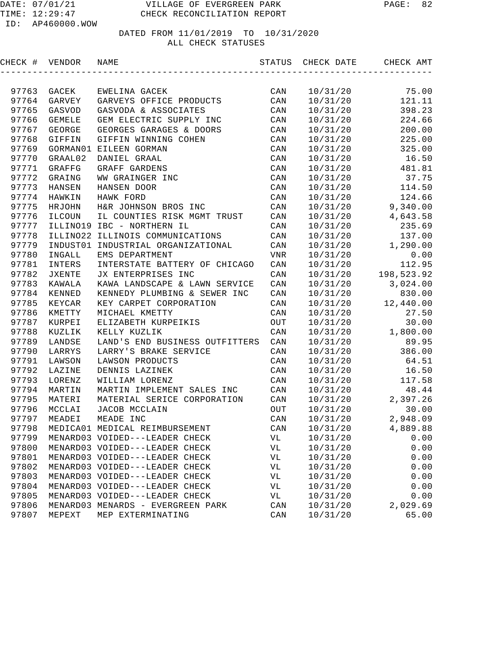| CHECK # VENDOR |               | NAME                              | STATUS                      | CHECK DATE | CHECK AMT  |
|----------------|---------------|-----------------------------------|-----------------------------|------------|------------|
|                |               |                                   |                             |            |            |
| 97763          | GACEK         | EWELINA GACEK                     | CAN                         | 10/31/20   | 75.00      |
| 97764          | GARVEY        | GARVEYS OFFICE PRODUCTS           | CAN                         | 10/31/20   | 121.11     |
| 97765          | GASVOD        | GASVODA & ASSOCIATES              | CAN                         | 10/31/20   | 398.23     |
| 97766          | <b>GEMELE</b> | GEM ELECTRIC SUPPLY INC           | CAN                         | 10/31/20   | 224.66     |
| 97767          | GEORGE        | GEORGES GARAGES & DOORS           | CAN                         | 10/31/20   | 200.00     |
| 97768          | GIFFIN        | GIFFIN WINNING COHEN              | CAN                         | 10/31/20   | 225.00     |
| 97769          |               | GORMAN01 EILEEN GORMAN            | CAN                         | 10/31/20   | 325.00     |
| 97770          | GRAAL02       | DANIEL GRAAL                      | CAN                         | 10/31/20   | 16.50      |
| 97771          | GRAFFG        | GRAFF GARDENS                     | CAN                         | 10/31/20   | 481.81     |
| 97772          | GRAING        | WW GRAINGER INC                   | $\mathtt{CAN}$              | 10/31/20   | 37.75      |
| 97773          | HANSEN        | HANSEN DOOR                       | $\mathtt{CAN}$              | 10/31/20   | 114.50     |
| 97774          | HAWKIN        | HAWK FORD                         | $\mathtt{CAN}$              | 10/31/20   | 124.66     |
| 97775          | HRJOHN        | H&R JOHNSON BROS INC              | CAN                         | 10/31/20   | 9,340.00   |
| 97776          | ILCOUN        | IL COUNTIES RISK MGMT TRUST       | CAN                         | 10/31/20   | 4,643.58   |
| 97777          | ILLINO19      | IBC - NORTHERN IL                 | CAN                         | 10/31/20   | 235.69     |
| 97778          |               | ILLINO22 ILLINOIS COMMUNICATIONS  | $\mathtt{CAN}$              | 10/31/20   | 137.00     |
| 97779          | INDUST01      | INDUSTRIAL ORGANIZATIONAL         | $\mathtt{CAN}$              | 10/31/20   | 1,290.00   |
| 97780          | INGALL        | EMS DEPARTMENT                    | VNR                         | 10/31/20   | 0.00       |
| 97781          | INTERS        | INTERSTATE BATTERY OF CHICAGO     | CAN                         | 10/31/20   | 112.95     |
| 97782          | JXENTE        | JX ENTERPRISES INC                | CAN                         | 10/31/20   | 198,523.92 |
| 97783          | KAWALA        | KAWA LANDSCAPE & LAWN SERVICE     | CAN                         | 10/31/20   | 3,024.00   |
| 97784          | KENNED        | KENNEDY PLUMBING & SEWER INC      | CAN                         | 10/31/20   | 830.00     |
| 97785          | KEYCAR        | KEY CARPET CORPORATION            | CAN                         | 10/31/20   | 12,440.00  |
| 97786          | KMETTY        | MICHAEL KMETTY                    | CAN                         | 10/31/20   | 27.50      |
| 97787          | KURPEI        | ELIZABETH KURPEIKIS               | $_{\mbox{\scriptsize OUT}}$ | 10/31/20   | 30.00      |
| 97788          | KUZLIK        | KELLY KUZLIK                      | $\mathtt{CAN}$              | 10/31/20   | 1,800.00   |
| 97789          | LANDSE        | LAND'S END BUSINESS OUTFITTERS    | CAN                         | 10/31/20   | 89.95      |
| 97790          | LARRYS        | LARRY'S BRAKE SERVICE             | CAN                         | 10/31/20   | 386.00     |
| 97791          | LAWSON        | LAWSON PRODUCTS                   | CAN                         | 10/31/20   | 64.51      |
| 97792          | LAZINE        | DENNIS LAZINEK                    | CAN                         | 10/31/20   | 16.50      |
| 97793          | LORENZ        | WILLIAM LORENZ                    | CAN                         | 10/31/20   | 117.58     |
| 97794          | MARTIN        | MARTIN IMPLEMENT SALES INC        | CAN                         | 10/31/20   | 48.44      |
| 97795          | MATERI        | MATERIAL SERICE CORPORATION       | CAN                         | 10/31/20   | 2,397.26   |
| 97796          | MCCLAI        | JACOB MCCLAIN                     | OUT                         | 10/31/20   | 30.00      |
| 97797          | MEADEI        | MEADE INC                         | CAN                         | 10/31/20   | 2,948.09   |
| 97798          |               | MEDICA01 MEDICAL REIMBURSEMENT    | $\mathop{\mathtt{CAN}}$     | 10/31/20   | 4,889.88   |
| 97799          |               | MENARD03 VOIDED---LEADER CHECK    | VL                          | 10/31/20   | 0.00       |
| 97800          |               | MENARD03 VOIDED---LEADER CHECK    | VL                          | 10/31/20   | 0.00       |
| 97801          |               | MENARD03 VOIDED---LEADER CHECK    | VL                          | 10/31/20   | 0.00       |
| 97802          |               | MENARD03 VOIDED---LEADER CHECK    | VL                          | 10/31/20   | 0.00       |
| 97803          |               | MENARD03 VOIDED---LEADER CHECK    | VL                          | 10/31/20   | 0.00       |
| 97804          |               | MENARD03 VOIDED---LEADER CHECK    | VL                          | 10/31/20   | 0.00       |
| 97805          |               | MENARD03 VOIDED---LEADER CHECK    | VL                          | 10/31/20   | 0.00       |
| 97806          |               | MENARD03 MENARDS - EVERGREEN PARK | $\mathtt{CAN}$              | 10/31/20   | 2,029.69   |
| 97807          | MEPEXT        | MEP EXTERMINATING                 | CAN                         | 10/31/20   | 65.00      |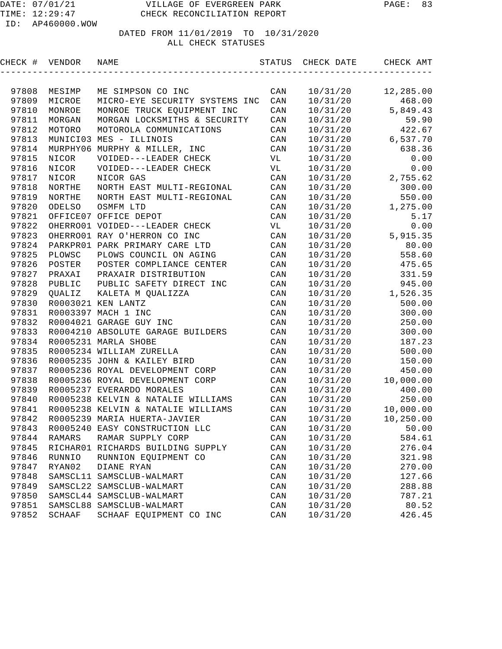| CHECK # VENDOR |               | NAME                                 | STATUS         | CHECK DATE | CHECK AMT |
|----------------|---------------|--------------------------------------|----------------|------------|-----------|
|                |               |                                      |                |            |           |
| 97808          | MESIMP        | ME SIMPSON CO INC                    | CAN            | 10/31/20   | 12,285.00 |
| 97809          | MICROE        | MICRO-EYE SECURITY SYSTEMS INC       | CAN            | 10/31/20   | 468.00    |
| 97810          | MONROE        | MONROE TRUCK EQUIPMENT INC           | CAN            | 10/31/20   | 5,849.43  |
| 97811          | MORGAN        | MORGAN LOCKSMITHS & SECURITY         | CAN            | 10/31/20   | 59.90     |
| 97812          | MOTORO        | MOTOROLA COMMUNICATIONS              | CAN            | 10/31/20   | 422.67    |
| 97813          | MUNICI03      | MES - ILLINOIS                       | CAN            | 10/31/20   | 6,537.70  |
| 97814          | MURPHY06      | MURPHY & MILLER, INC                 | CAN            | 10/31/20   | 638.36    |
| 97815          | NICOR         | VOIDED---LEADER CHECK                | VL             | 10/31/20   | 0.00      |
| 97816          | NICOR         | VOIDED---LEADER CHECK                | VL             | 10/31/20   | 0.00      |
| 97817          | NICOR         | NICOR GAS                            | CAN            | 10/31/20   | 2,755.62  |
| 97818          | NORTHE        | NORTH EAST MULTI-REGIONAL            | CAN            | 10/31/20   | 300.00    |
| 97819          | NORTHE        | NORTH EAST MULTI-REGIONAL            | CAN            | 10/31/20   | 550.00    |
| 97820          | ODELSO        | OSMFM LTD                            | CAN            | 10/31/20   | 1,275.00  |
| 97821          |               | OFFICE07 OFFICE DEPOT                | CAN            | 10/31/20   | 5.17      |
| 97822          |               | OHERRO01 VOIDED---LEADER CHECK       | VL             | 10/31/20   | 0.00      |
| 97823          |               | OHERRO01 RAY O'HERRON CO INC         | CAN            | 10/31/20   | 5,915.35  |
| 97824          |               | PARKPR01 PARK PRIMARY CARE LTD       | CAN            | 10/31/20   | 80.00     |
| 97825          | PLOWSC        | PLOWS COUNCIL ON AGING               | CAN            | 10/31/20   | 558.60    |
| 97826          | POSTER        | POSTER COMPLIANCE CENTER             | CAN            | 10/31/20   | 475.65    |
| 97827          | PRAXAI        | PRAXAIR DISTRIBUTION                 | CAN            | 10/31/20   | 331.59    |
| 97828          | PUBLIC        | PUBLIC SAFETY DIRECT INC             | CAN            | 10/31/20   | 945.00    |
| 97829          | <b>QUALIZ</b> | KALETA M QUALIZZA                    | CAN            | 10/31/20   | 1,526.35  |
| 97830          |               | R0003021 KEN LANTZ                   | CAN            | 10/31/20   | 500.00    |
| 97831          |               | R0003397 MACH 1 INC                  | CAN            | 10/31/20   | 300.00    |
| 97832          |               | R0004021 GARAGE GUY INC              | CAN            | 10/31/20   | 250.00    |
| 97833          |               | R0004210 ABSOLUTE GARAGE BUILDERS    | CAN            | 10/31/20   | 300.00    |
| 97834          |               | R0005231 MARLA SHOBE                 | CAN            | 10/31/20   | 187.23    |
| 97835          |               | R0005234 WILLIAM ZURELLA             | CAN            | 10/31/20   | 500.00    |
| 97836          |               | R0005235 JOHN & KAILEY BIRD          | CAN            | 10/31/20   | 150.00    |
| 97837          |               | R0005236 ROYAL DEVELOPMENT CORP      | CAN            | 10/31/20   | 450.00    |
| 97838          |               | R0005236 ROYAL DEVELOPMENT CORP      | CAN            | 10/31/20   | 10,000.00 |
| 97839          |               | R0005237 EVERARDO MORALES            | CAN            | 10/31/20   | 400.00    |
| 97840          |               | R0005238 KELVIN & NATALIE WILLIAMS   | CAN            | 10/31/20   | 250.00    |
| 97841          |               | R0005238 KELVIN & NATALIE WILLIAMS   | CAN            | 10/31/20   | 10,000.00 |
| 97842          |               | R0005239 MARIA HUERTA-JAVIER         | CAN            | 10/31/20   | 10,250.00 |
|                |               | 97843 R0005240 EASY CONSTRUCTION LLC | $\mathtt{CAN}$ | 10/31/20   | 50.00     |
| 97844          | RAMARS        | RAMAR SUPPLY CORP                    | CAN            | 10/31/20   | 584.61    |
| 97845          |               | RICHARO1 RICHARDS BUILDING SUPPLY    | CAN            | 10/31/20   | 276.04    |
| 97846          | RUNNIO        | RUNNION EQUIPMENT CO                 | CAN            | 10/31/20   | 321.98    |
| 97847          | RYAN02        | DIANE RYAN                           | CAN            | 10/31/20   | 270.00    |
| 97848          |               | SAMSCL11 SAMSCLUB-WALMART            | CAN            | 10/31/20   | 127.66    |
| 97849          |               | SAMSCL22 SAMSCLUB-WALMART            | CAN            | 10/31/20   | 288.88    |
| 97850          |               | SAMSCL44 SAMSCLUB-WALMART            | CAN            | 10/31/20   | 787.21    |
| 97851          |               | SAMSCL88 SAMSCLUB-WALMART            | CAN            | 10/31/20   | 80.52     |
| 97852          | SCHAAF        | SCHAAF EQUIPMENT CO INC              | CAN            | 10/31/20   | 426.45    |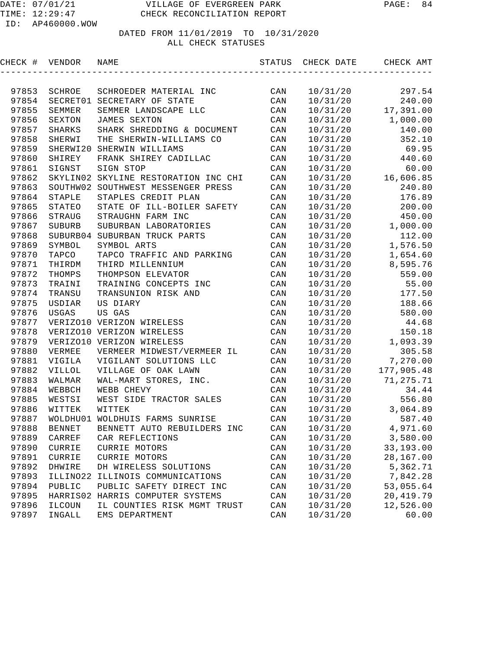| CHECK # VENDOR |               | NAME                                                | STATUS         | CHECK DATE           | CHECK AMT               |
|----------------|---------------|-----------------------------------------------------|----------------|----------------------|-------------------------|
|                |               |                                                     |                |                      |                         |
| 97853          | SCHROE        | SCHROEDER MATERIAL INC                              | CAN            | 10/31/20             | 297.54                  |
| 97854          | SECRET01      | SECRETARY OF STATE                                  | CAN            | 10/31/20             | 240.00                  |
| 97855          | SEMMER        | SEMMER LANDSCAPE LLC                                | CAN            | 10/31/20             | 17,391.00               |
| 97856          | SEXTON        | <b>JAMES SEXTON</b>                                 | CAN            | 10/31/20             | 1,000.00                |
| 97857          | <b>SHARKS</b> | SHARK SHREDDING & DOCUMENT                          | CAN            | 10/31/20             | 140.00                  |
| 97858          | SHERWI        | THE SHERWIN-WILLIAMS CO                             | CAN            | 10/31/20             | 352.10                  |
| 97859          | SHERWI20      | SHERWIN WILLIAMS                                    | CAN            | 10/31/20             | 69.95                   |
| 97860          | SHIREY        | FRANK SHIREY CADILLAC                               | CAN            | 10/31/20             | 440.60                  |
| 97861          | SIGNST        | SIGN STOP                                           | CAN            | 10/31/20             | 60.00                   |
| 97862          | SKYLIN02      | SKYLINE RESTORATION INC CHI                         | CAN            | 10/31/20             | 16,606.85               |
| 97863          | SOUTHW02      | SOUTHWEST MESSENGER PRESS                           | CAN            | 10/31/20             | 240.80                  |
| 97864          | STAPLE        | STAPLES CREDIT PLAN                                 | CAN            | 10/31/20             | 176.89                  |
| 97865          | STATEO        | STATE OF ILL-BOILER SAFETY                          | CAN            | 10/31/20             | 200.00                  |
| 97866          | STRAUG        | STRAUGHN FARM INC                                   | CAN            | 10/31/20             | 450.00                  |
| 97867          | <b>SUBURB</b> | SUBURBAN LABORATORIES                               | CAN            | 10/31/20             | 1,000.00                |
| 97868          | SUBURB04      | SUBURBAN TRUCK PARTS                                | $\mathtt{CAN}$ | 10/31/20             | 112.00                  |
| 97869          | SYMBOL        | SYMBOL ARTS                                         | $\mathtt{CAN}$ | 10/31/20             | 1,576.50                |
| 97870          | TAPCO         | TAPCO TRAFFIC AND PARKING                           | CAN            | 10/31/20             | 1,654.60                |
| 97871          | THIRDM        | THIRD MILLENNIUM                                    | CAN            | 10/31/20             | 8,595.76                |
| 97872          | THOMPS        | THOMPSON ELEVATOR                                   | CAN            | 10/31/20             | 559.00                  |
| 97873          | TRAINI        | TRAINING CONCEPTS INC                               | CAN            | 10/31/20             | 55.00                   |
| 97874          | TRANSU        | TRANSUNION RISK AND                                 | CAN            | 10/31/20             | 177.50                  |
| 97875          | USDIAR        | US DIARY                                            | CAN            | 10/31/20             | 188.66                  |
| 97876          | USGAS         | US GAS                                              | CAN            | 10/31/20             | 580.00                  |
| 97877          |               | VERIZO10 VERIZON WIRELESS                           | CAN            | 10/31/20             | 44.68                   |
| 97878          |               | VERIZO10 VERIZON WIRELESS                           | CAN            | 10/31/20             | 150.18                  |
| 97879          |               | VERIZO10 VERIZON WIRELESS                           | CAN            | 10/31/20             | 1,093.39                |
| 97880          | VERMEE        | VERMEER MIDWEST/VERMEER IL                          | CAN            | 10/31/20             | 305.58                  |
| 97881          | VIGILA        | VIGILANT SOLUTIONS LLC                              | CAN            | 10/31/20             | 7,270.00                |
| 97882          | <b>VILLOL</b> | VILLAGE OF OAK LAWN                                 | CAN            | 10/31/20             | 177,905.48              |
| 97883          | WALMAR        | WAL-MART STORES, INC.                               | CAN            | 10/31/20             | 71,275.71               |
| 97884          | WEBBCH        | WEBB CHEVY                                          | CAN            | 10/31/20             | 34.44                   |
| 97885          | WESTSI        | WEST SIDE TRACTOR SALES                             | CAN            | 10/31/20             | 556.80                  |
| 97886          | WITTEK        | WITTEK                                              | CAN            | 10/31/20             | 3,064.89                |
| 97887          |               | WOLDHU01 WOLDHUIS FARMS SUNRISE                     | CAN            | 10/31/20             | 587.40                  |
| 97888          | <b>BENNET</b> | BENNETT AUTO REBUILDERS INC                         | $\mathtt{CAN}$ | 10/31/20             | 4,971.60                |
| 97889          | CARREF        | CAR REFLECTIONS                                     | CAN            | 10/31/20             | 3,580.00                |
| 97890          | CURRIE        | CURRIE MOTORS                                       | CAN            | 10/31/20             | 33,193.00               |
| 97891          | CURRIE        | CURRIE MOTORS                                       | CAN            | 10/31/20             | 28,167.00               |
| 97892<br>97893 | DHWIRE        | DH WIRELESS SOLUTIONS                               | CAN            | 10/31/20             | 5,362.71<br>7,842.28    |
| 97894          | ILLINO22      | ILLINOIS COMMUNICATIONS<br>PUBLIC SAFETY DIRECT INC | CAN            | 10/31/20             |                         |
| 97895          | PUBLIC        | HARRIS02 HARRIS COMPUTER SYSTEMS                    | CAN<br>CAN     | 10/31/20<br>10/31/20 | 53,055.64<br>20, 419.79 |
| 97896          | ILCOUN        | IL COUNTIES RISK MGMT TRUST                         | CAN            | 10/31/20             | 12,526.00               |
| 97897          | INGALL        | EMS DEPARTMENT                                      | CAN            | 10/31/20             | 60.00                   |
|                |               |                                                     |                |                      |                         |